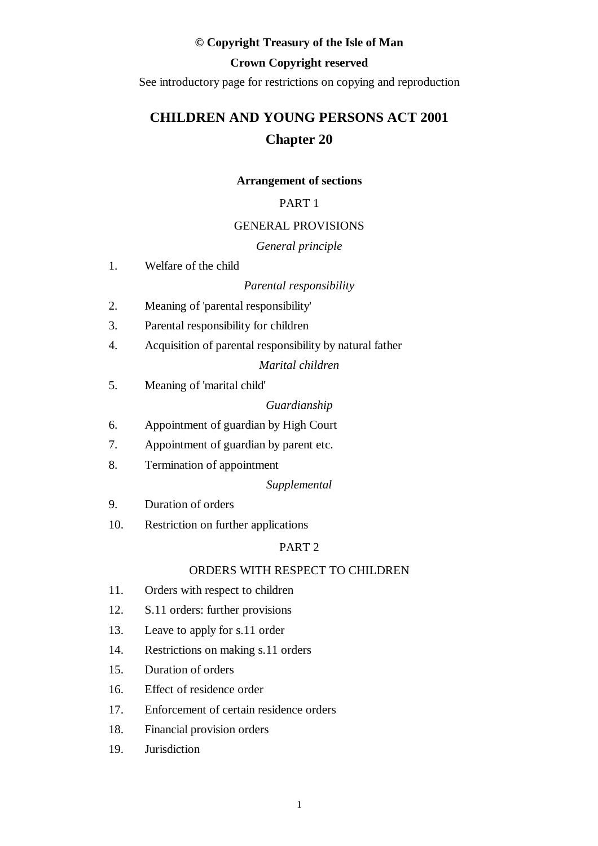#### **© Copyright Treasury of the Isle of Man**

# **Crown Copyright reserved**

See introductory page for restrictions on copying and reproduction

# **CHILDREN AND YOUNG PERSONS ACT 2001 Chapter 20**

#### **Arrangement of sections**

# PART 1

#### GENERAL PROVISIONS

#### *General principle*

1. Welfare of the child

#### *Parental responsibility*

- 2. Meaning of 'parental responsibility'
- 3. Parental responsibility for children
- 4. Acquisition of parental responsibility by natural father

#### *Marital children*

5. Meaning of 'marital child'

*Guardianship*

- 6. Appointment of guardian by High Court
- 7. Appointment of guardian by parent etc.
- 8. Termination of appointment

#### *Supplemental*

- 9. Duration of orders
- 10. Restriction on further applications

# PART 2

#### ORDERS WITH RESPECT TO CHILDREN

- 11. Orders with respect to children
- 12. S.11 orders: further provisions
- 13. Leave to apply for s.11 order
- 14. Restrictions on making s.11 orders
- 15. Duration of orders
- 16. Effect of residence order
- 17. Enforcement of certain residence orders
- 18. Financial provision orders
- 19. Jurisdiction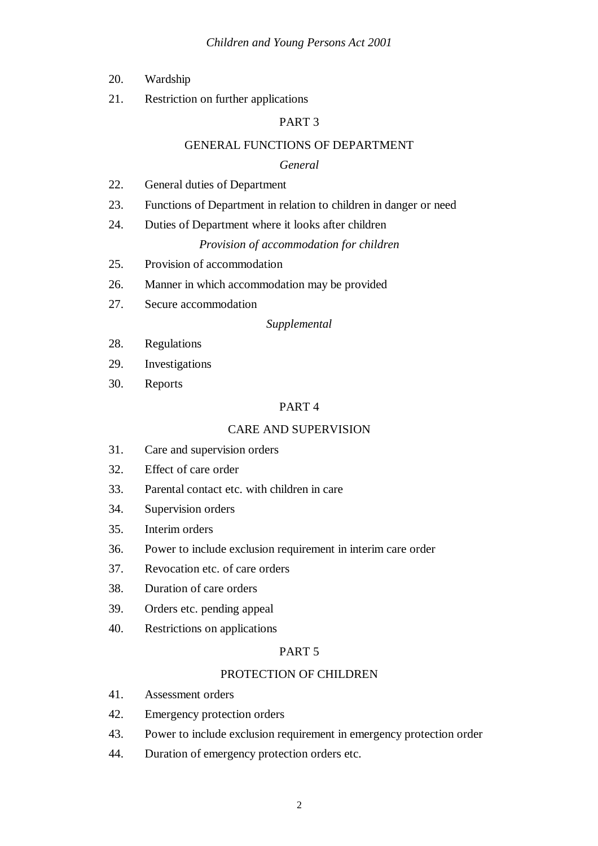- 20. Wardship
- 21. Restriction on further applications

### GENERAL FUNCTIONS OF DEPARTMENT

#### *General*

- 22. General duties of Department
- 23. Functions of Department in relation to children in danger or need
- 24. Duties of Department where it looks after children

#### *Provision of accommodation for children*

- 25. Provision of accommodation
- 26. Manner in which accommodation may be provided
- 27. Secure accommodation

#### *Supplemental*

- 28. Regulations
- 29. Investigations
- 30. Reports

#### PART 4

#### CARE AND SUPERVISION

- 31. Care and supervision orders
- 32. Effect of care order
- 33. Parental contact etc. with children in care
- 34. Supervision orders
- 35. Interim orders
- 36. Power to include exclusion requirement in interim care order
- 37. Revocation etc. of care orders
- 38. Duration of care orders
- 39. Orders etc. pending appeal
- 40. Restrictions on applications

#### PART 5

#### PROTECTION OF CHILDREN

- 41. Assessment orders
- 42. Emergency protection orders
- 43. Power to include exclusion requirement in emergency protection order
- 44. Duration of emergency protection orders etc.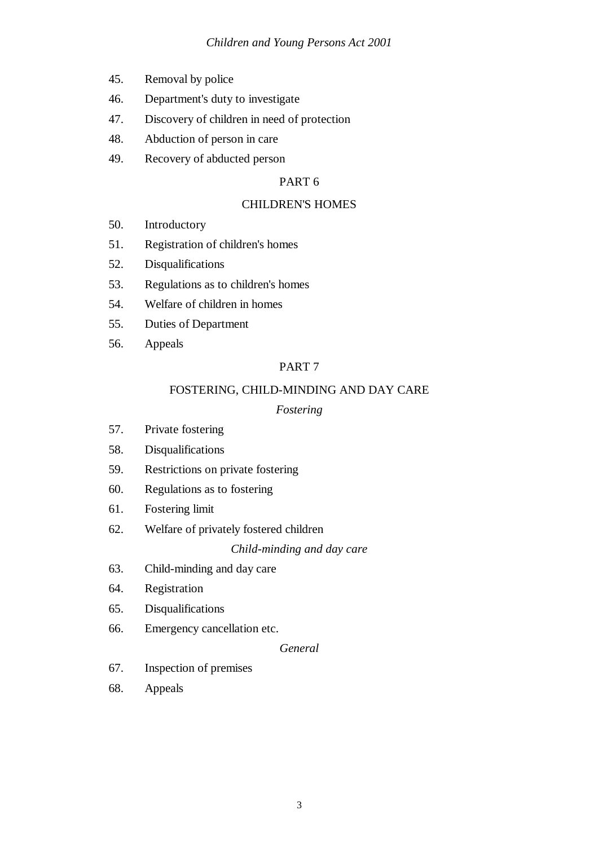- 45. Removal by police
- 46. Department's duty to investigate
- 47. Discovery of children in need of protection
- 48. Abduction of person in care
- 49. Recovery of abducted person

### CHILDREN'S HOMES

- 50. Introductory
- 51. Registration of children's homes
- 52. Disqualifications
- 53. Regulations as to children's homes
- 54. Welfare of children in homes
- 55. Duties of Department
- 56. Appeals

# PART 7

# FOSTERING, CHILD-MINDING AND DAY CARE

# *Fostering*

- 57. Private fostering
- 58. Disqualifications
- 59. Restrictions on private fostering
- 60. Regulations as to fostering
- 61. Fostering limit
- 62. Welfare of privately fostered children

#### *Child-minding and day care*

- 63. Child-minding and day care
- 64. Registration
- 65. Disqualifications
- 66. Emergency cancellation etc.

# *General*

- 67. Inspection of premises
- 68. Appeals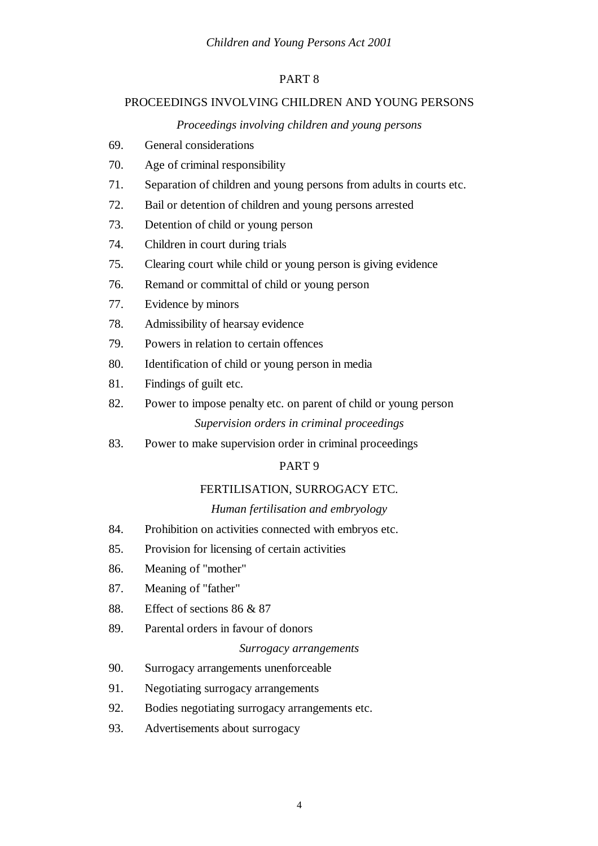# PROCEEDINGS INVOLVING CHILDREN AND YOUNG PERSONS

# *Proceedings involving children and young persons*

- 69. General considerations
- 70. Age of criminal responsibility
- 71. Separation of children and young persons from adults in courts etc.
- 72. Bail or detention of children and young persons arrested
- 73. Detention of child or young person
- 74. Children in court during trials
- 75. Clearing court while child or young person is giving evidence
- 76. Remand or committal of child or young person
- 77. Evidence by minors
- 78. Admissibility of hearsay evidence
- 79. Powers in relation to certain offences
- 80. Identification of child or young person in media
- 81. Findings of guilt etc.
- 82. Power to impose penalty etc. on parent of child or young person *Supervision orders in criminal proceedings*
- 83. Power to make supervision order in criminal proceedings

# PART 9

#### FERTILISATION, SURROGACY ETC.

#### *Human fertilisation and embryology*

- 84. Prohibition on activities connected with embryos etc.
- 85. Provision for licensing of certain activities
- 86. Meaning of "mother"
- 87. Meaning of "father"
- 88. Effect of sections 86 & 87
- 89. Parental orders in favour of donors

#### *Surrogacy arrangements*

- 90. Surrogacy arrangements unenforceable
- 91. Negotiating surrogacy arrangements
- 92. Bodies negotiating surrogacy arrangements etc.
- 93. Advertisements about surrogacy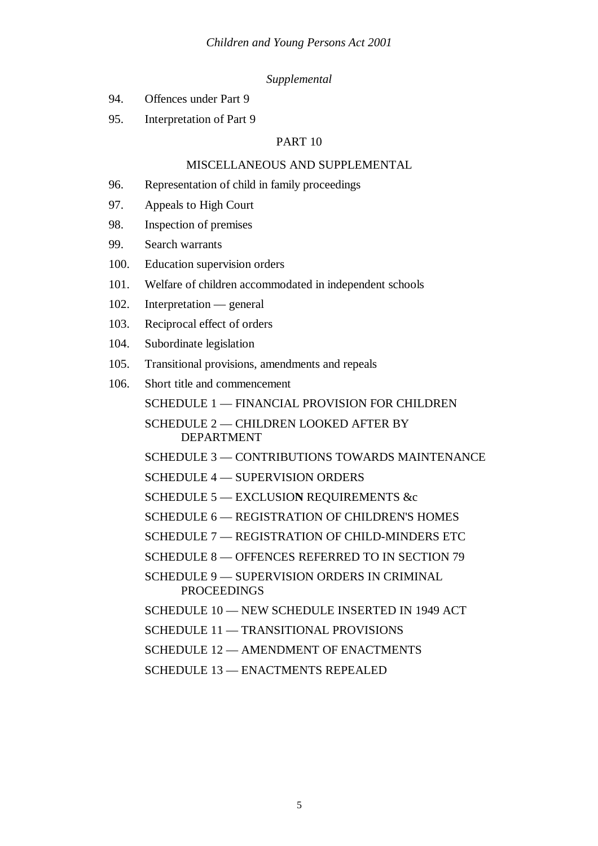#### *Supplemental*

- 94. Offences under Part 9
- 95. Interpretation of Part 9

# PART 10

# MISCELLANEOUS AND SUPPLEMENTAL

- 96. Representation of child in family proceedings
- 97. Appeals to High Court
- 98. Inspection of premises
- 99. Search warrants
- 100. Education supervision orders
- 101. Welfare of children accommodated in independent schools
- 102. Interpretation general
- 103. Reciprocal effect of orders
- 104. Subordinate legislation
- 105. Transitional provisions, amendments and repeals
- 106. Short title and commencement

SCHEDULE 1 — FINANCIAL PROVISION FOR CHILDREN

SCHEDULE 2 — CHILDREN LOOKED AFTER BY DEPARTMENT

SCHEDULE 3 — CONTRIBUTIONS TOWARDS MAINTENANCE

SCHEDULE 4 — SUPERVISION ORDERS

SCHEDULE 5 — EXCLUSIO**N** REQUIREMENTS &c

SCHEDULE 6 — REGISTRATION OF CHILDREN'S HOMES

SCHEDULE 7 — REGISTRATION OF CHILD-MINDERS ETC

SCHEDULE 8 — OFFENCES REFERRED TO IN SECTION 79

SCHEDULE 9 — SUPERVISION ORDERS IN CRIMINAL **PROCEEDINGS** 

SCHEDULE 10 — NEW SCHEDULE INSERTED IN 1949 ACT

SCHEDULE 11 — TRANSITIONAL PROVISIONS

SCHEDULE 12 — AMENDMENT OF ENACTMENTS

SCHEDULE 13 — ENACTMENTS REPEALED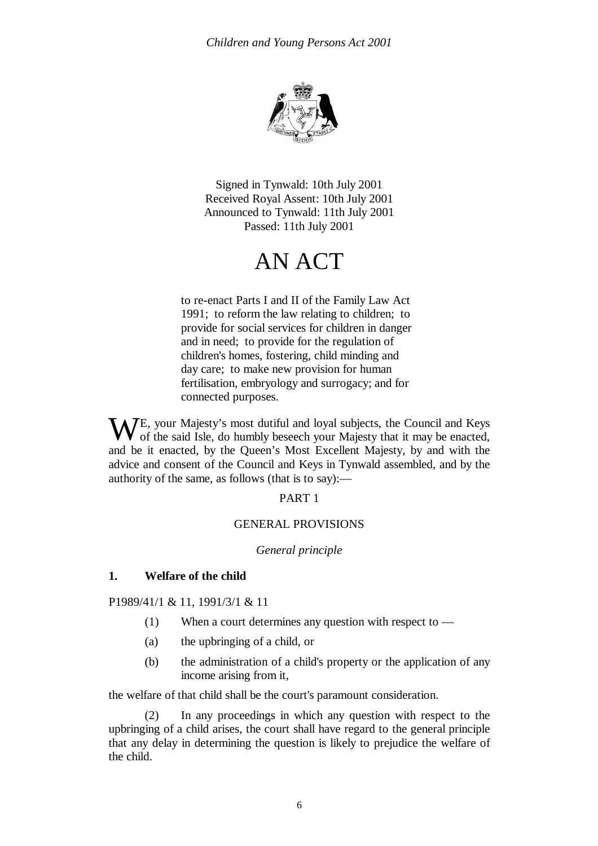

Signed in Tynwald: 10th July 2001 Received Royal Assent: 10th July 2001 Announced to Tynwald: 11th July 2001 Passed: 11th July 2001

# AN ACT

to re-enact Parts I and II of the Family Law Act 1991; to reform the law relating to children; to provide for social services for children in danger and in need; to provide for the regulation of children's homes, fostering, child minding and day care; to make new provision for human fertilisation, embryology and surrogacy; and for connected purposes.

WE, your Majesty's most dutiful and loyal subjects, the Council and Keys of the said Isle, do humbly beseech your Majesty that it may be enacted, of the said Isle, do humbly beseech your Majesty that it may be enacted, and be it enacted, by the Queen's Most Excellent Majesty, by and with the advice and consent of the Council and Keys in Tynwald assembled, and by the authority of the same, as follows (that is to say):—

#### PART 1

#### GENERAL PROVISIONS

#### *General principle*

#### **1. Welfare of the child**

P1989/41/1 & 11, 1991/3/1 & 11

- (1) When a court determines any question with respect to —
- (a) the upbringing of a child, or
- (b) the administration of a child's property or the application of any income arising from it,

the welfare of that child shall be the court's paramount consideration.

(2) In any proceedings in which any question with respect to the upbringing of a child arises, the court shall have regard to the general principle that any delay in determining the question is likely to prejudice the welfare of the child.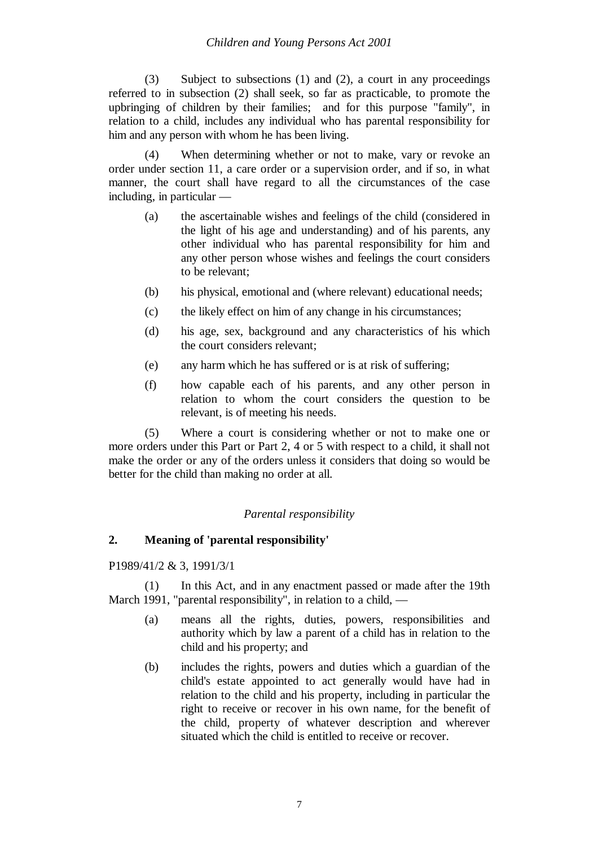(3) Subject to subsections (1) and (2), a court in any proceedings referred to in subsection (2) shall seek, so far as practicable, to promote the upbringing of children by their families; and for this purpose "family", in relation to a child, includes any individual who has parental responsibility for him and any person with whom he has been living.

When determining whether or not to make, vary or revoke an order under section 11, a care order or a supervision order, and if so, in what manner, the court shall have regard to all the circumstances of the case including, in particular —

- (a) the ascertainable wishes and feelings of the child (considered in the light of his age and understanding) and of his parents, any other individual who has parental responsibility for him and any other person whose wishes and feelings the court considers to be relevant;
- (b) his physical, emotional and (where relevant) educational needs;
- (c) the likely effect on him of any change in his circumstances;
- (d) his age, sex, background and any characteristics of his which the court considers relevant;
- (e) any harm which he has suffered or is at risk of suffering;
- (f) how capable each of his parents, and any other person in relation to whom the court considers the question to be relevant, is of meeting his needs.

(5) Where a court is considering whether or not to make one or more orders under this Part or Part 2, 4 or 5 with respect to a child, it shall not make the order or any of the orders unless it considers that doing so would be better for the child than making no order at all.

# *Parental responsibility*

# **2. Meaning of 'parental responsibility'**

P1989/41/2 & 3, 1991/3/1

(1) In this Act, and in any enactment passed or made after the 19th March 1991, "parental responsibility", in relation to a child, —

- (a) means all the rights, duties, powers, responsibilities and authority which by law a parent of a child has in relation to the child and his property; and
- (b) includes the rights, powers and duties which a guardian of the child's estate appointed to act generally would have had in relation to the child and his property, including in particular the right to receive or recover in his own name, for the benefit of the child, property of whatever description and wherever situated which the child is entitled to receive or recover.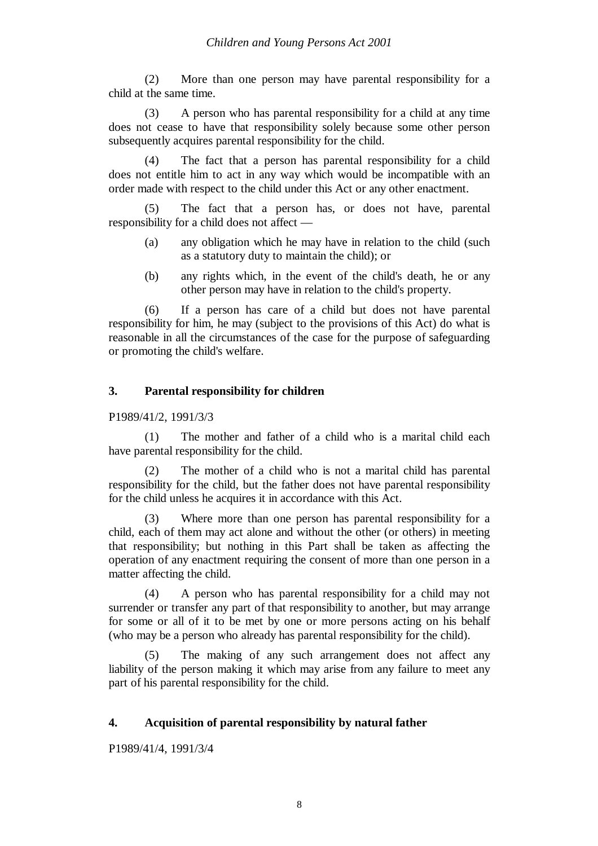(2) More than one person may have parental responsibility for a child at the same time.

(3) A person who has parental responsibility for a child at any time does not cease to have that responsibility solely because some other person subsequently acquires parental responsibility for the child.

(4) The fact that a person has parental responsibility for a child does not entitle him to act in any way which would be incompatible with an order made with respect to the child under this Act or any other enactment.

(5) The fact that a person has, or does not have, parental responsibility for a child does not affect —

- (a) any obligation which he may have in relation to the child (such as a statutory duty to maintain the child); or
- (b) any rights which, in the event of the child's death, he or any other person may have in relation to the child's property.

(6) If a person has care of a child but does not have parental responsibility for him, he may (subject to the provisions of this Act) do what is reasonable in all the circumstances of the case for the purpose of safeguarding or promoting the child's welfare.

# **3. Parental responsibility for children**

P1989/41/2, 1991/3/3

(1) The mother and father of a child who is a marital child each have parental responsibility for the child.

(2) The mother of a child who is not a marital child has parental responsibility for the child, but the father does not have parental responsibility for the child unless he acquires it in accordance with this Act.

(3) Where more than one person has parental responsibility for a child, each of them may act alone and without the other (or others) in meeting that responsibility; but nothing in this Part shall be taken as affecting the operation of any enactment requiring the consent of more than one person in a matter affecting the child.

(4) A person who has parental responsibility for a child may not surrender or transfer any part of that responsibility to another, but may arrange for some or all of it to be met by one or more persons acting on his behalf (who may be a person who already has parental responsibility for the child).

(5) The making of any such arrangement does not affect any liability of the person making it which may arise from any failure to meet any part of his parental responsibility for the child.

#### **4. Acquisition of parental responsibility by natural father**

P1989/41/4, 1991/3/4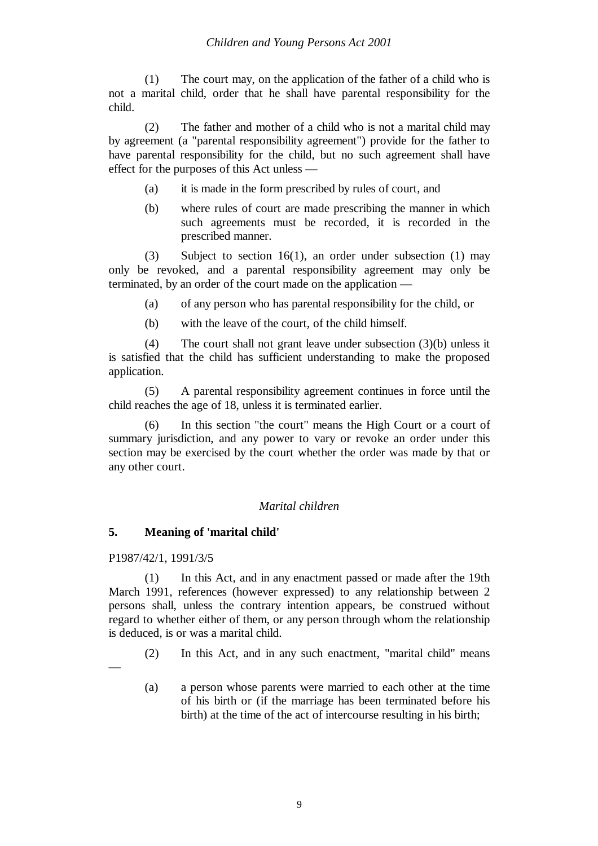(1) The court may, on the application of the father of a child who is not a marital child, order that he shall have parental responsibility for the child.

(2) The father and mother of a child who is not a marital child may by agreement (a "parental responsibility agreement") provide for the father to have parental responsibility for the child, but no such agreement shall have effect for the purposes of this Act unless —

- (a) it is made in the form prescribed by rules of court, and
- (b) where rules of court are made prescribing the manner in which such agreements must be recorded, it is recorded in the prescribed manner.

(3) Subject to section 16(1), an order under subsection (1) may only be revoked, and a parental responsibility agreement may only be terminated, by an order of the court made on the application —

(a) of any person who has parental responsibility for the child, or

(b) with the leave of the court, of the child himself.

(4) The court shall not grant leave under subsection (3)(b) unless it is satisfied that the child has sufficient understanding to make the proposed application.

(5) A parental responsibility agreement continues in force until the child reaches the age of 18, unless it is terminated earlier.

In this section "the court" means the High Court or a court of summary jurisdiction, and any power to vary or revoke an order under this section may be exercised by the court whether the order was made by that or any other court.

# *Marital children*

# **5. Meaning of 'marital child'**

#### P1987/42/1, 1991/3/5

—

(1) In this Act, and in any enactment passed or made after the 19th March 1991, references (however expressed) to any relationship between 2 persons shall, unless the contrary intention appears, be construed without regard to whether either of them, or any person through whom the relationship is deduced, is or was a marital child.

- (2) In this Act, and in any such enactment, "marital child" means
- (a) a person whose parents were married to each other at the time of his birth or (if the marriage has been terminated before his birth) at the time of the act of intercourse resulting in his birth;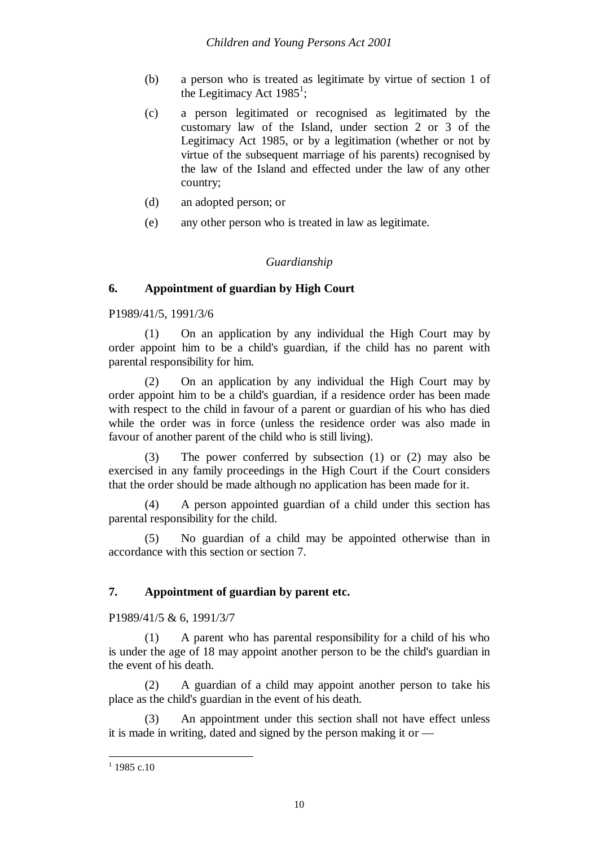- (b) a person who is treated as legitimate by virtue of section 1 of the Legitimacy Act  $1985^1$ ;
- (c) a person legitimated or recognised as legitimated by the customary law of the Island, under section 2 or 3 of the Legitimacy Act 1985, or by a legitimation (whether or not by virtue of the subsequent marriage of his parents) recognised by the law of the Island and effected under the law of any other country;
- (d) an adopted person; or
- (e) any other person who is treated in law as legitimate.

# *Guardianship*

# **6. Appointment of guardian by High Court**

P1989/41/5, 1991/3/6

(1) On an application by any individual the High Court may by order appoint him to be a child's guardian, if the child has no parent with parental responsibility for him.

(2) On an application by any individual the High Court may by order appoint him to be a child's guardian, if a residence order has been made with respect to the child in favour of a parent or guardian of his who has died while the order was in force (unless the residence order was also made in favour of another parent of the child who is still living).

(3) The power conferred by subsection (1) or (2) may also be exercised in any family proceedings in the High Court if the Court considers that the order should be made although no application has been made for it.

(4) A person appointed guardian of a child under this section has parental responsibility for the child.

(5) No guardian of a child may be appointed otherwise than in accordance with this section or section 7.

# **7. Appointment of guardian by parent etc.**

P1989/41/5 & 6, 1991/3/7

(1) A parent who has parental responsibility for a child of his who is under the age of 18 may appoint another person to be the child's guardian in the event of his death.

(2) A guardian of a child may appoint another person to take his place as the child's guardian in the event of his death.

(3) An appointment under this section shall not have effect unless it is made in writing, dated and signed by the person making it or —

 $1$  1985 c.10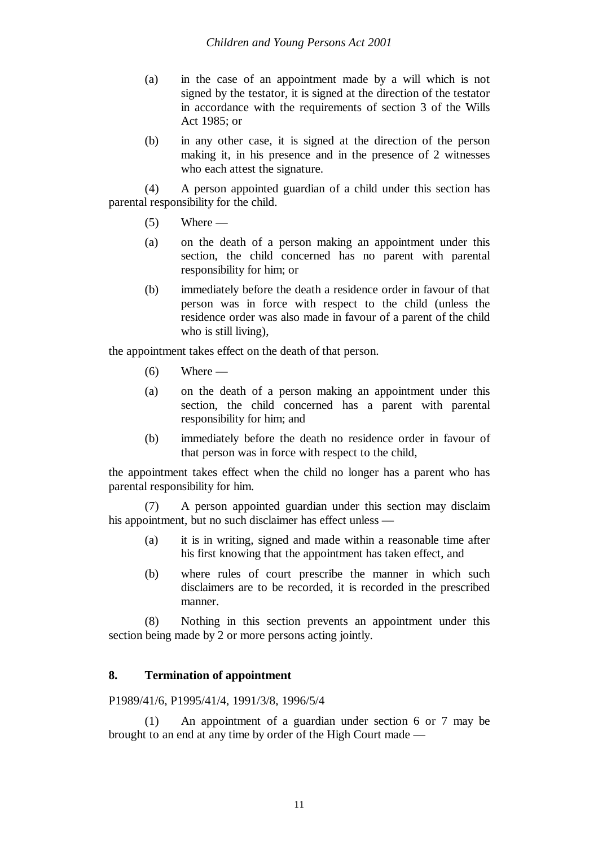- (a) in the case of an appointment made by a will which is not signed by the testator, it is signed at the direction of the testator in accordance with the requirements of section 3 of the Wills Act 1985; or
- (b) in any other case, it is signed at the direction of the person making it, in his presence and in the presence of 2 witnesses who each attest the signature.

(4) A person appointed guardian of a child under this section has parental responsibility for the child.

- $(5)$  Where —
- (a) on the death of a person making an appointment under this section, the child concerned has no parent with parental responsibility for him; or
- (b) immediately before the death a residence order in favour of that person was in force with respect to the child (unless the residence order was also made in favour of a parent of the child who is still living),

the appointment takes effect on the death of that person.

- $(6)$  Where —
- (a) on the death of a person making an appointment under this section, the child concerned has a parent with parental responsibility for him; and
- (b) immediately before the death no residence order in favour of that person was in force with respect to the child,

the appointment takes effect when the child no longer has a parent who has parental responsibility for him.

(7) A person appointed guardian under this section may disclaim his appointment, but no such disclaimer has effect unless —

- (a) it is in writing, signed and made within a reasonable time after his first knowing that the appointment has taken effect, and
- (b) where rules of court prescribe the manner in which such disclaimers are to be recorded, it is recorded in the prescribed manner.

(8) Nothing in this section prevents an appointment under this section being made by 2 or more persons acting jointly.

# **8. Termination of appointment**

P1989/41/6, P1995/41/4, 1991/3/8, 1996/5/4

(1) An appointment of a guardian under section 6 or 7 may be brought to an end at any time by order of the High Court made —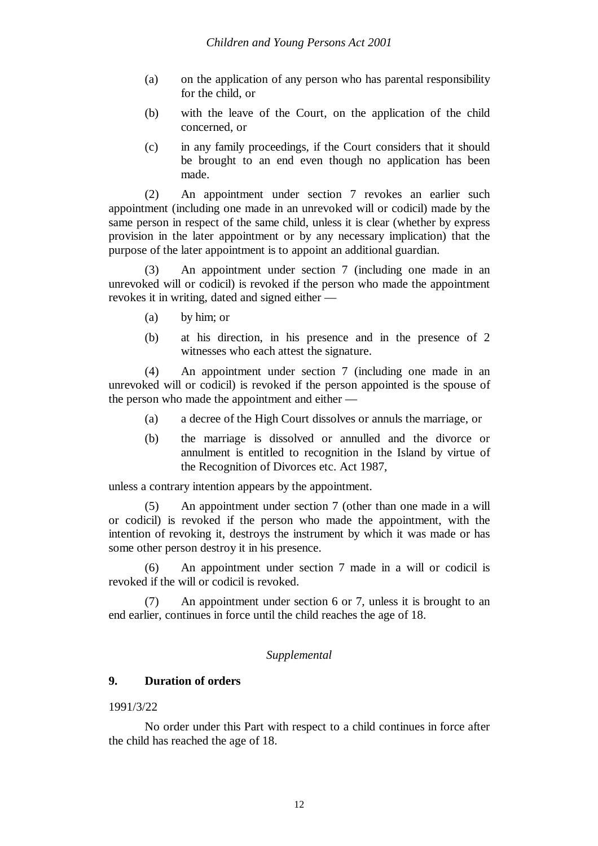- (a) on the application of any person who has parental responsibility for the child, or
- (b) with the leave of the Court, on the application of the child concerned, or
- (c) in any family proceedings, if the Court considers that it should be brought to an end even though no application has been made.

(2) An appointment under section 7 revokes an earlier such appointment (including one made in an unrevoked will or codicil) made by the same person in respect of the same child, unless it is clear (whether by express provision in the later appointment or by any necessary implication) that the purpose of the later appointment is to appoint an additional guardian.

(3) An appointment under section 7 (including one made in an unrevoked will or codicil) is revoked if the person who made the appointment revokes it in writing, dated and signed either —

- (a) by him; or
- (b) at his direction, in his presence and in the presence of 2 witnesses who each attest the signature.

(4) An appointment under section 7 (including one made in an unrevoked will or codicil) is revoked if the person appointed is the spouse of the person who made the appointment and either —

- (a) a decree of the High Court dissolves or annuls the marriage, or
- (b) the marriage is dissolved or annulled and the divorce or annulment is entitled to recognition in the Island by virtue of the Recognition of Divorces etc. Act 1987,

unless a contrary intention appears by the appointment.

(5) An appointment under section 7 (other than one made in a will or codicil) is revoked if the person who made the appointment, with the intention of revoking it, destroys the instrument by which it was made or has some other person destroy it in his presence.

(6) An appointment under section 7 made in a will or codicil is revoked if the will or codicil is revoked.

(7) An appointment under section 6 or 7, unless it is brought to an end earlier, continues in force until the child reaches the age of 18.

# *Supplemental*

# **9. Duration of orders**

#### 1991/3/22

No order under this Part with respect to a child continues in force after the child has reached the age of 18.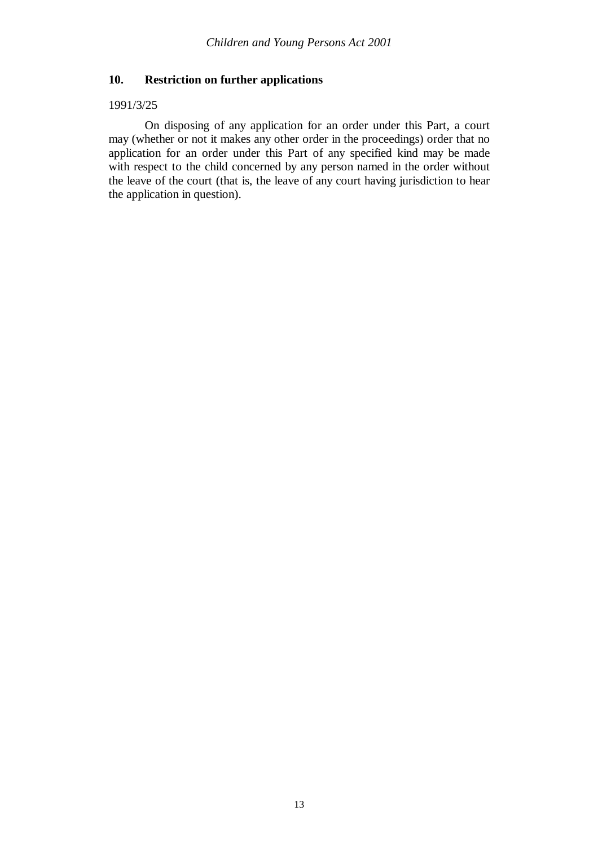#### **10. Restriction on further applications**

#### 1991/3/25

On disposing of any application for an order under this Part, a court may (whether or not it makes any other order in the proceedings) order that no application for an order under this Part of any specified kind may be made with respect to the child concerned by any person named in the order without the leave of the court (that is, the leave of any court having jurisdiction to hear the application in question).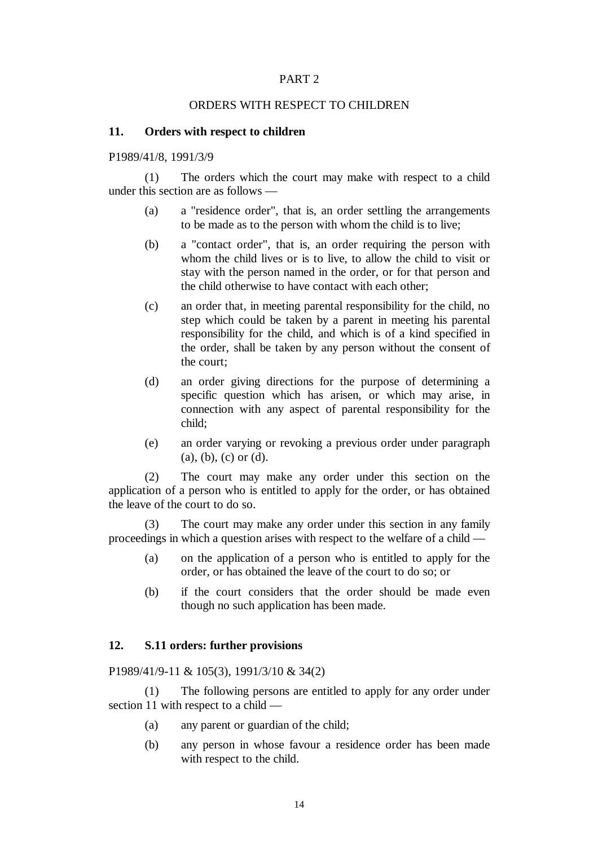#### ORDERS WITH RESPECT TO CHILDREN

#### **11. Orders with respect to children**

P1989/41/8, 1991/3/9

(1) The orders which the court may make with respect to a child under this section are as follows —

- (a) a "residence order", that is, an order settling the arrangements to be made as to the person with whom the child is to live;
- (b) a "contact order", that is, an order requiring the person with whom the child lives or is to live, to allow the child to visit or stay with the person named in the order, or for that person and the child otherwise to have contact with each other;
- (c) an order that, in meeting parental responsibility for the child, no step which could be taken by a parent in meeting his parental responsibility for the child, and which is of a kind specified in the order, shall be taken by any person without the consent of the court;
- (d) an order giving directions for the purpose of determining a specific question which has arisen, or which may arise, in connection with any aspect of parental responsibility for the child;
- (e) an order varying or revoking a previous order under paragraph (a), (b), (c) or (d).

(2) The court may make any order under this section on the application of a person who is entitled to apply for the order, or has obtained the leave of the court to do so.

(3) The court may make any order under this section in any family proceedings in which a question arises with respect to the welfare of a child —

- (a) on the application of a person who is entitled to apply for the order, or has obtained the leave of the court to do so; or
- (b) if the court considers that the order should be made even though no such application has been made.

#### **12. S.11 orders: further provisions**

P1989/41/9-11 & 105(3), 1991/3/10 & 34(2)

(1) The following persons are entitled to apply for any order under section 11 with respect to a child —

- (a) any parent or guardian of the child;
- (b) any person in whose favour a residence order has been made with respect to the child.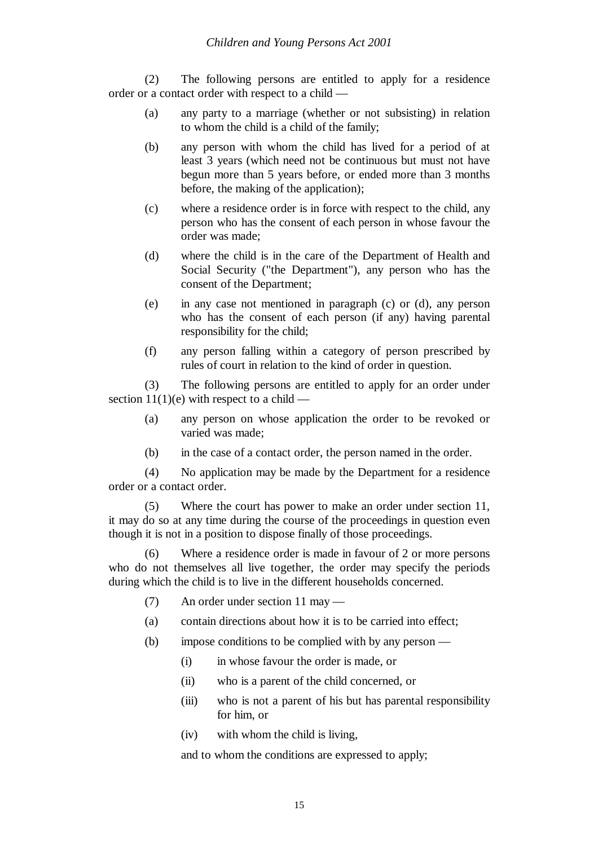(2) The following persons are entitled to apply for a residence order or a contact order with respect to a child —

- (a) any party to a marriage (whether or not subsisting) in relation to whom the child is a child of the family;
- (b) any person with whom the child has lived for a period of at least 3 years (which need not be continuous but must not have begun more than 5 years before, or ended more than 3 months before, the making of the application);
- (c) where a residence order is in force with respect to the child, any person who has the consent of each person in whose favour the order was made;
- (d) where the child is in the care of the Department of Health and Social Security ("the Department"), any person who has the consent of the Department;
- (e) in any case not mentioned in paragraph (c) or (d), any person who has the consent of each person (if any) having parental responsibility for the child;
- (f) any person falling within a category of person prescribed by rules of court in relation to the kind of order in question.

(3) The following persons are entitled to apply for an order under section  $11(1)(e)$  with respect to a child —

- (a) any person on whose application the order to be revoked or varied was made;
- (b) in the case of a contact order, the person named in the order.

(4) No application may be made by the Department for a residence order or a contact order.

(5) Where the court has power to make an order under section 11, it may do so at any time during the course of the proceedings in question even though it is not in a position to dispose finally of those proceedings.

(6) Where a residence order is made in favour of 2 or more persons who do not themselves all live together, the order may specify the periods during which the child is to live in the different households concerned.

- (7) An order under section 11 may —
- (a) contain directions about how it is to be carried into effect;
- (b) impose conditions to be complied with by any person
	- (i) in whose favour the order is made, or
	- (ii) who is a parent of the child concerned, or
	- (iii) who is not a parent of his but has parental responsibility for him, or
	- (iv) with whom the child is living,

and to whom the conditions are expressed to apply;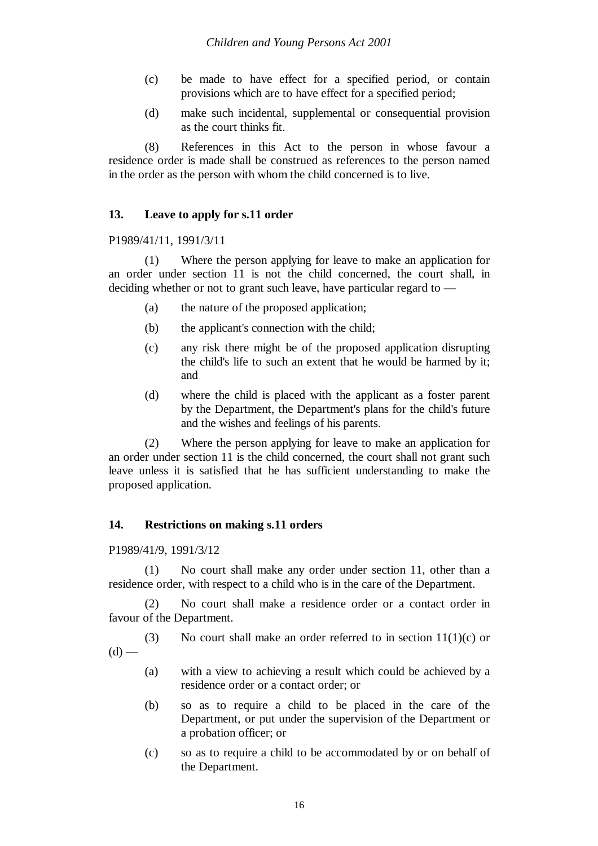- (c) be made to have effect for a specified period, or contain provisions which are to have effect for a specified period;
- (d) make such incidental, supplemental or consequential provision as the court thinks fit.

(8) References in this Act to the person in whose favour a residence order is made shall be construed as references to the person named in the order as the person with whom the child concerned is to live.

# **13. Leave to apply for s.11 order**

P1989/41/11, 1991/3/11

(1) Where the person applying for leave to make an application for an order under section 11 is not the child concerned, the court shall, in deciding whether or not to grant such leave, have particular regard to —

- (a) the nature of the proposed application;
- (b) the applicant's connection with the child;
- (c) any risk there might be of the proposed application disrupting the child's life to such an extent that he would be harmed by it; and
- (d) where the child is placed with the applicant as a foster parent by the Department, the Department's plans for the child's future and the wishes and feelings of his parents.

(2) Where the person applying for leave to make an application for an order under section 11 is the child concerned, the court shall not grant such leave unless it is satisfied that he has sufficient understanding to make the proposed application.

#### **14. Restrictions on making s.11 orders**

P1989/41/9, 1991/3/12

(1) No court shall make any order under section 11, other than a residence order, with respect to a child who is in the care of the Department.

(2) No court shall make a residence order or a contact order in favour of the Department.

(3) No court shall make an order referred to in section  $11(1)(c)$  or  $(d)$  —

- (a) with a view to achieving a result which could be achieved by a residence order or a contact order; or
- (b) so as to require a child to be placed in the care of the Department, or put under the supervision of the Department or a probation officer; or
- (c) so as to require a child to be accommodated by or on behalf of the Department.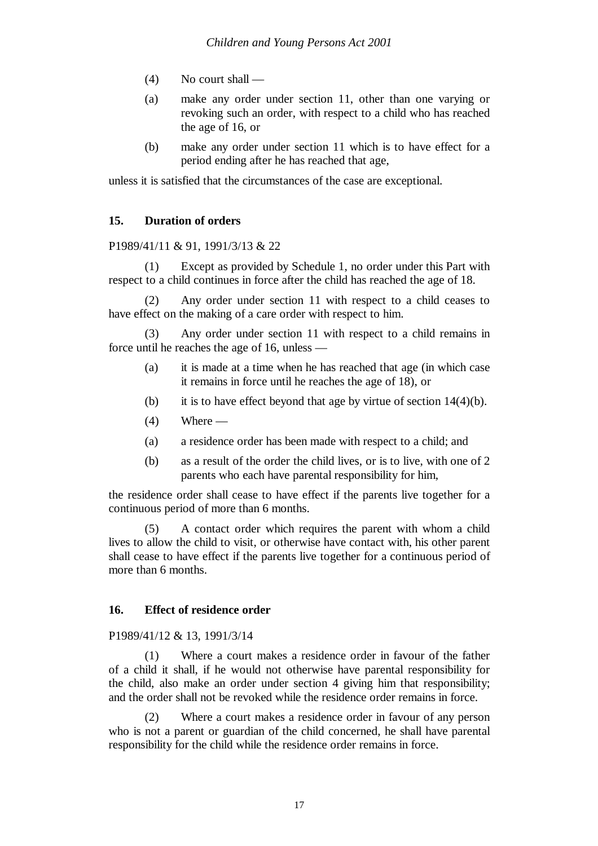- $(4)$  No court shall —
- (a) make any order under section 11, other than one varying or revoking such an order, with respect to a child who has reached the age of 16, or
- (b) make any order under section 11 which is to have effect for a period ending after he has reached that age,

unless it is satisfied that the circumstances of the case are exceptional.

# **15. Duration of orders**

P1989/41/11 & 91, 1991/3/13 & 22

(1) Except as provided by Schedule 1, no order under this Part with respect to a child continues in force after the child has reached the age of 18.

(2) Any order under section 11 with respect to a child ceases to have effect on the making of a care order with respect to him.

Any order under section 11 with respect to a child remains in force until he reaches the age of 16, unless —

- (a) it is made at a time when he has reached that age (in which case it remains in force until he reaches the age of 18), or
- (b) it is to have effect beyond that age by virtue of section  $14(4)(b)$ .
- $(4)$  Where —
- (a) a residence order has been made with respect to a child; and
- (b) as a result of the order the child lives, or is to live, with one of 2 parents who each have parental responsibility for him,

the residence order shall cease to have effect if the parents live together for a continuous period of more than 6 months.

(5) A contact order which requires the parent with whom a child lives to allow the child to visit, or otherwise have contact with, his other parent shall cease to have effect if the parents live together for a continuous period of more than 6 months.

#### **16. Effect of residence order**

#### P1989/41/12 & 13, 1991/3/14

(1) Where a court makes a residence order in favour of the father of a child it shall, if he would not otherwise have parental responsibility for the child, also make an order under section 4 giving him that responsibility; and the order shall not be revoked while the residence order remains in force.

Where a court makes a residence order in favour of any person who is not a parent or guardian of the child concerned, he shall have parental responsibility for the child while the residence order remains in force.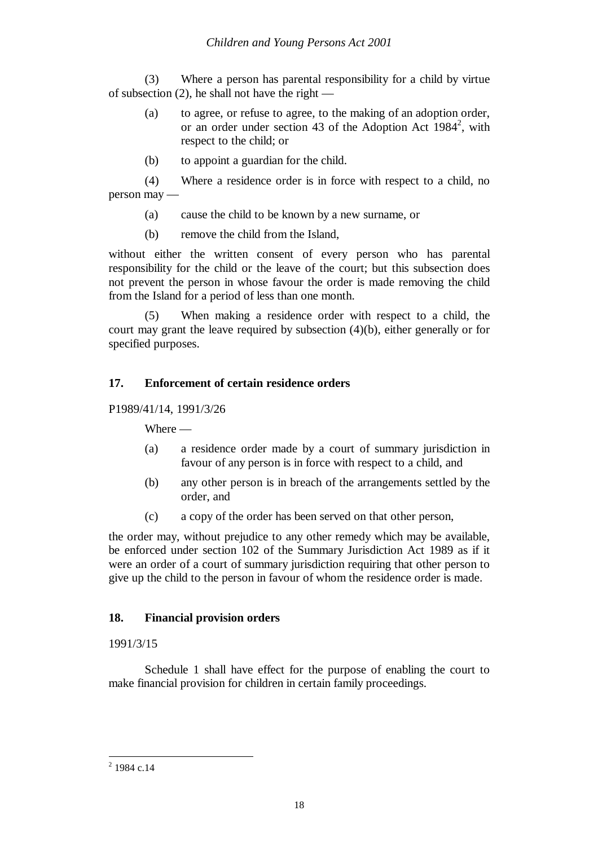(3) Where a person has parental responsibility for a child by virtue of subsection  $(2)$ , he shall not have the right —

- (a) to agree, or refuse to agree, to the making of an adoption order, or an order under section 43 of the Adoption Act  $1984^2$ , with respect to the child; or
- (b) to appoint a guardian for the child.

(4) Where a residence order is in force with respect to a child, no person may —

- (a) cause the child to be known by a new surname, or
- (b) remove the child from the Island,

without either the written consent of every person who has parental responsibility for the child or the leave of the court; but this subsection does not prevent the person in whose favour the order is made removing the child from the Island for a period of less than one month.

(5) When making a residence order with respect to a child, the court may grant the leave required by subsection  $(4)(b)$ , either generally or for specified purposes.

# **17. Enforcement of certain residence orders**

P1989/41/14, 1991/3/26

Where —

- (a) a residence order made by a court of summary jurisdiction in favour of any person is in force with respect to a child, and
- (b) any other person is in breach of the arrangements settled by the order, and
- (c) a copy of the order has been served on that other person,

the order may, without prejudice to any other remedy which may be available, be enforced under section 102 of the Summary Jurisdiction Act 1989 as if it were an order of a court of summary jurisdiction requiring that other person to give up the child to the person in favour of whom the residence order is made.

#### **18. Financial provision orders**

#### 1991/3/15

Schedule 1 shall have effect for the purpose of enabling the court to make financial provision for children in certain family proceedings.

 $^{2}$  1984 c.14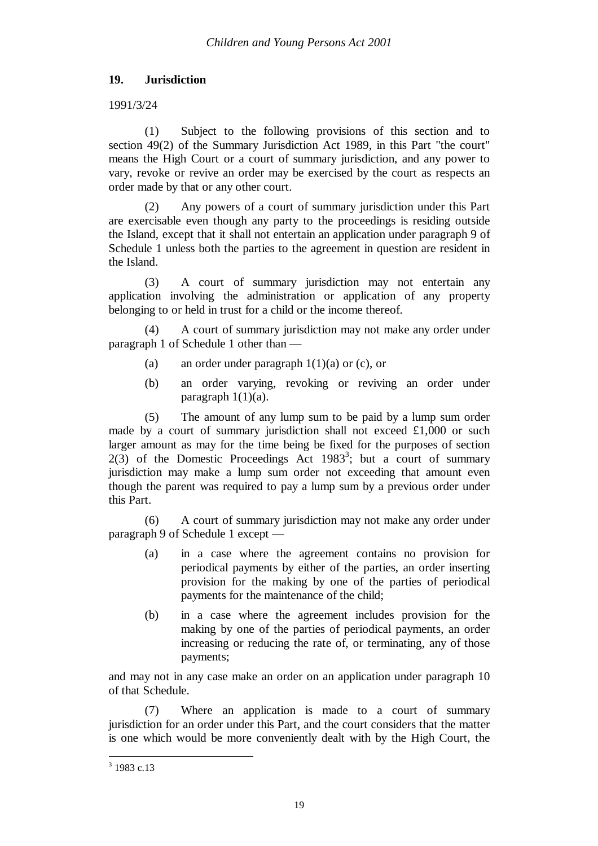# **19. Jurisdiction**

# 1991/3/24

(1) Subject to the following provisions of this section and to section 49(2) of the Summary Jurisdiction Act 1989, in this Part "the court" means the High Court or a court of summary jurisdiction, and any power to vary, revoke or revive an order may be exercised by the court as respects an order made by that or any other court.

(2) Any powers of a court of summary jurisdiction under this Part are exercisable even though any party to the proceedings is residing outside the Island, except that it shall not entertain an application under paragraph 9 of Schedule 1 unless both the parties to the agreement in question are resident in the Island.

(3) A court of summary jurisdiction may not entertain any application involving the administration or application of any property belonging to or held in trust for a child or the income thereof.

(4) A court of summary jurisdiction may not make any order under paragraph 1 of Schedule 1 other than —

- (a) an order under paragraph  $1(1)(a)$  or (c), or
- (b) an order varying, revoking or reviving an order under paragraph 1(1)(a).

(5) The amount of any lump sum to be paid by a lump sum order made by a court of summary jurisdiction shall not exceed £1,000 or such larger amount as may for the time being be fixed for the purposes of section  $2(3)$  of the Domestic Proceedings Act 1983<sup>3</sup>; but a court of summary jurisdiction may make a lump sum order not exceeding that amount even though the parent was required to pay a lump sum by a previous order under this Part.

(6) A court of summary jurisdiction may not make any order under paragraph 9 of Schedule 1 except —

- (a) in a case where the agreement contains no provision for periodical payments by either of the parties, an order inserting provision for the making by one of the parties of periodical payments for the maintenance of the child;
- (b) in a case where the agreement includes provision for the making by one of the parties of periodical payments, an order increasing or reducing the rate of, or terminating, any of those payments;

and may not in any case make an order on an application under paragraph 10 of that Schedule.

(7) Where an application is made to a court of summary jurisdiction for an order under this Part, and the court considers that the matter is one which would be more conveniently dealt with by the High Court, the

<sup>&</sup>lt;sup>3</sup> 1983 c.13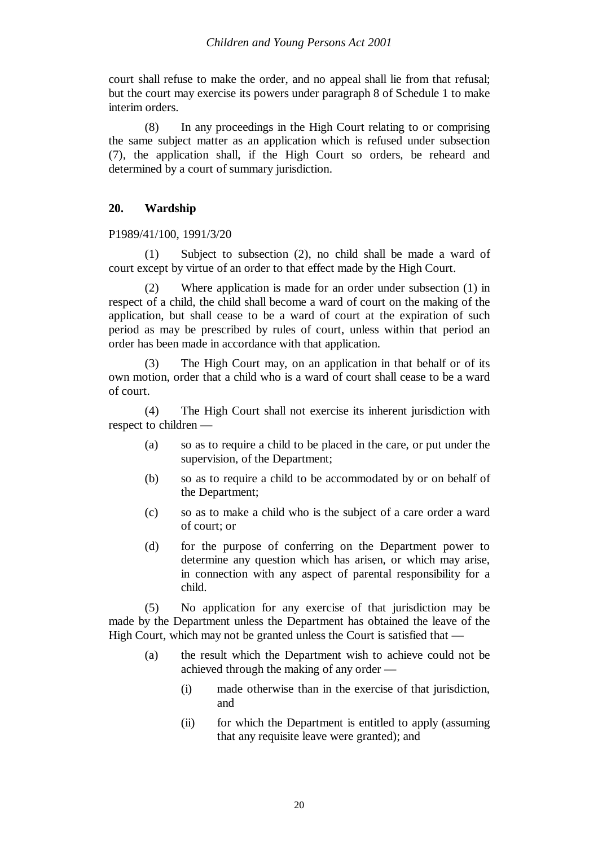court shall refuse to make the order, and no appeal shall lie from that refusal; but the court may exercise its powers under paragraph 8 of Schedule 1 to make interim orders.

(8) In any proceedings in the High Court relating to or comprising the same subject matter as an application which is refused under subsection (7), the application shall, if the High Court so orders, be reheard and determined by a court of summary jurisdiction.

# **20. Wardship**

P1989/41/100, 1991/3/20

(1) Subject to subsection (2), no child shall be made a ward of court except by virtue of an order to that effect made by the High Court.

(2) Where application is made for an order under subsection (1) in respect of a child, the child shall become a ward of court on the making of the application, but shall cease to be a ward of court at the expiration of such period as may be prescribed by rules of court, unless within that period an order has been made in accordance with that application.

(3) The High Court may, on an application in that behalf or of its own motion, order that a child who is a ward of court shall cease to be a ward of court.

(4) The High Court shall not exercise its inherent jurisdiction with respect to children —

- (a) so as to require a child to be placed in the care, or put under the supervision, of the Department;
- (b) so as to require a child to be accommodated by or on behalf of the Department;
- (c) so as to make a child who is the subject of a care order a ward of court; or
- (d) for the purpose of conferring on the Department power to determine any question which has arisen, or which may arise, in connection with any aspect of parental responsibility for a child.

(5) No application for any exercise of that jurisdiction may be made by the Department unless the Department has obtained the leave of the High Court, which may not be granted unless the Court is satisfied that —

- (a) the result which the Department wish to achieve could not be achieved through the making of any order —
	- (i) made otherwise than in the exercise of that jurisdiction, and
	- (ii) for which the Department is entitled to apply (assuming that any requisite leave were granted); and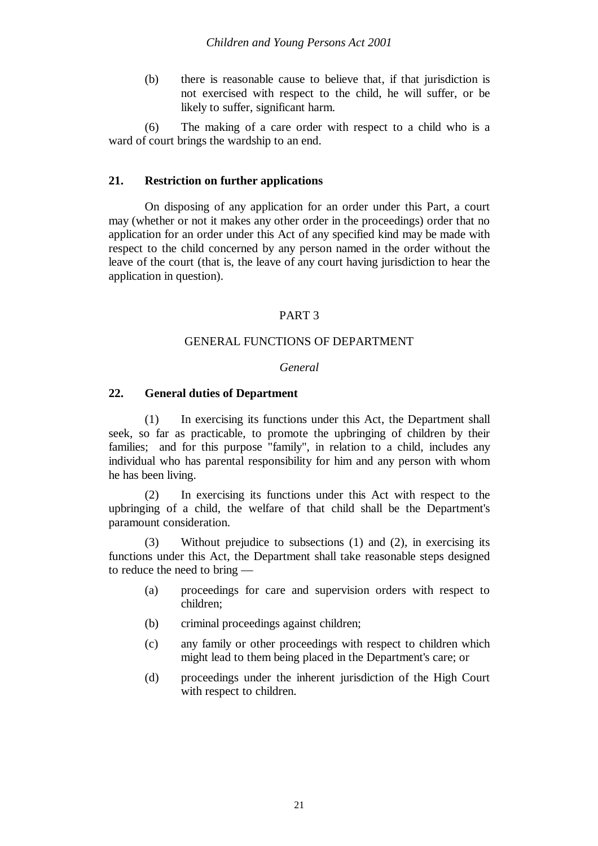(b) there is reasonable cause to believe that, if that jurisdiction is not exercised with respect to the child, he will suffer, or be likely to suffer, significant harm.

(6) The making of a care order with respect to a child who is a ward of court brings the wardship to an end.

#### **21. Restriction on further applications**

On disposing of any application for an order under this Part, a court may (whether or not it makes any other order in the proceedings) order that no application for an order under this Act of any specified kind may be made with respect to the child concerned by any person named in the order without the leave of the court (that is, the leave of any court having jurisdiction to hear the application in question).

#### PART 3

#### GENERAL FUNCTIONS OF DEPARTMENT

#### *General*

#### **22. General duties of Department**

(1) In exercising its functions under this Act, the Department shall seek, so far as practicable, to promote the upbringing of children by their families; and for this purpose "family", in relation to a child, includes any individual who has parental responsibility for him and any person with whom he has been living.

(2) In exercising its functions under this Act with respect to the upbringing of a child, the welfare of that child shall be the Department's paramount consideration.

(3) Without prejudice to subsections (1) and (2), in exercising its functions under this Act, the Department shall take reasonable steps designed to reduce the need to bring —

- (a) proceedings for care and supervision orders with respect to children;
- (b) criminal proceedings against children;
- (c) any family or other proceedings with respect to children which might lead to them being placed in the Department's care; or
- (d) proceedings under the inherent jurisdiction of the High Court with respect to children.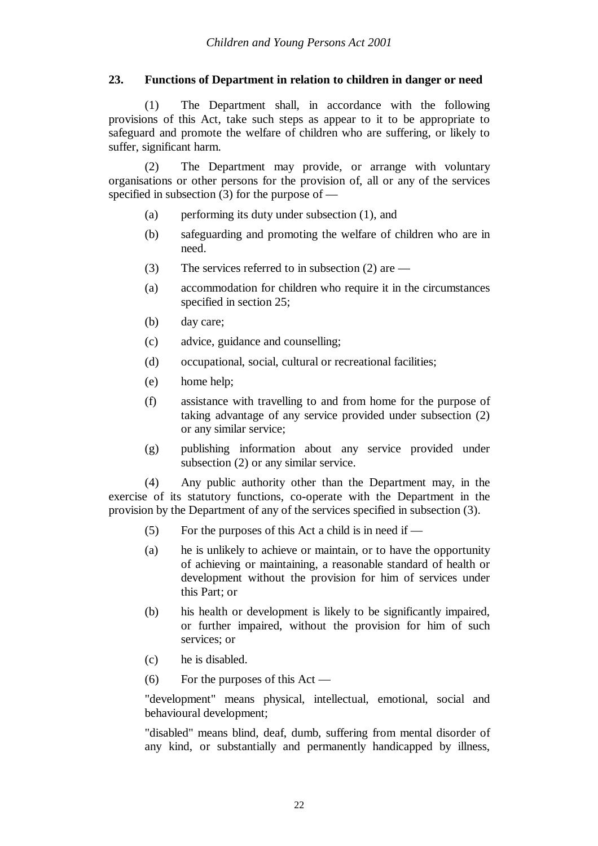# **23. Functions of Department in relation to children in danger or need**

(1) The Department shall, in accordance with the following provisions of this Act, take such steps as appear to it to be appropriate to safeguard and promote the welfare of children who are suffering, or likely to suffer, significant harm.

(2) The Department may provide, or arrange with voluntary organisations or other persons for the provision of, all or any of the services specified in subsection  $(3)$  for the purpose of —

- (a) performing its duty under subsection (1), and
- (b) safeguarding and promoting the welfare of children who are in need.
- (3) The services referred to in subsection (2) are —
- (a) accommodation for children who require it in the circumstances specified in section 25;
- (b) day care;
- (c) advice, guidance and counselling;
- (d) occupational, social, cultural or recreational facilities;
- (e) home help;
- (f) assistance with travelling to and from home for the purpose of taking advantage of any service provided under subsection (2) or any similar service;
- (g) publishing information about any service provided under subsection (2) or any similar service.

(4) Any public authority other than the Department may, in the exercise of its statutory functions, co-operate with the Department in the provision by the Department of any of the services specified in subsection (3).

- (5) For the purposes of this Act a child is in need if —
- (a) he is unlikely to achieve or maintain, or to have the opportunity of achieving or maintaining, a reasonable standard of health or development without the provision for him of services under this Part; or
- (b) his health or development is likely to be significantly impaired, or further impaired, without the provision for him of such services; or
- (c) he is disabled.
- (6) For the purposes of this Act —

"development" means physical, intellectual, emotional, social and behavioural development;

"disabled" means blind, deaf, dumb, suffering from mental disorder of any kind, or substantially and permanently handicapped by illness,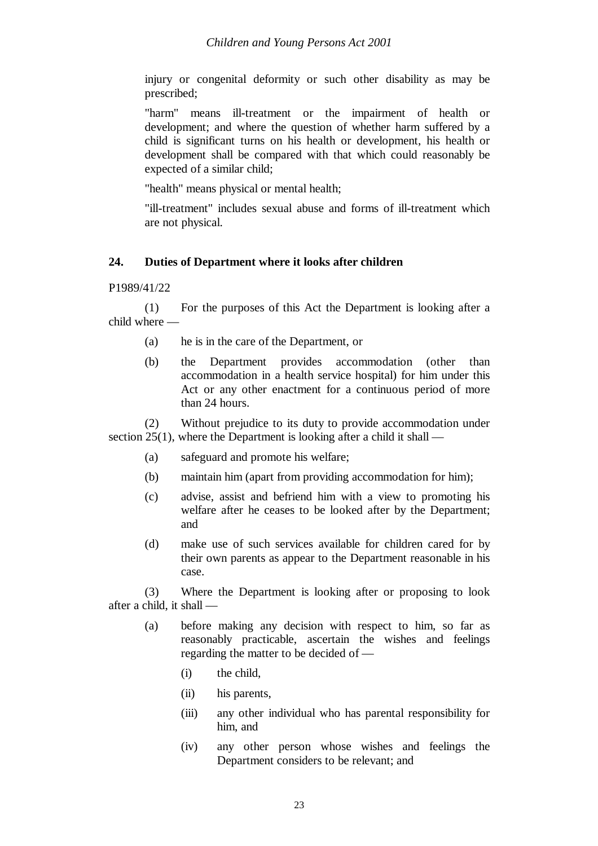injury or congenital deformity or such other disability as may be prescribed;

"harm" means ill-treatment or the impairment of health or development; and where the question of whether harm suffered by a child is significant turns on his health or development, his health or development shall be compared with that which could reasonably be expected of a similar child;

"health" means physical or mental health;

"ill-treatment" includes sexual abuse and forms of ill-treatment which are not physical.

#### **24. Duties of Department where it looks after children**

P1989/41/22

(1) For the purposes of this Act the Department is looking after a child where —

- (a) he is in the care of the Department, or
- (b) the Department provides accommodation (other than accommodation in a health service hospital) for him under this Act or any other enactment for a continuous period of more than 24 hours.

(2) Without prejudice to its duty to provide accommodation under section 25(1), where the Department is looking after a child it shall —

- (a) safeguard and promote his welfare;
- (b) maintain him (apart from providing accommodation for him);
- (c) advise, assist and befriend him with a view to promoting his welfare after he ceases to be looked after by the Department; and
- (d) make use of such services available for children cared for by their own parents as appear to the Department reasonable in his case.

(3) Where the Department is looking after or proposing to look after a child, it shall —

- (a) before making any decision with respect to him, so far as reasonably practicable, ascertain the wishes and feelings regarding the matter to be decided of —
	- (i) the child,
	- (ii) his parents,
	- (iii) any other individual who has parental responsibility for him, and
	- (iv) any other person whose wishes and feelings the Department considers to be relevant; and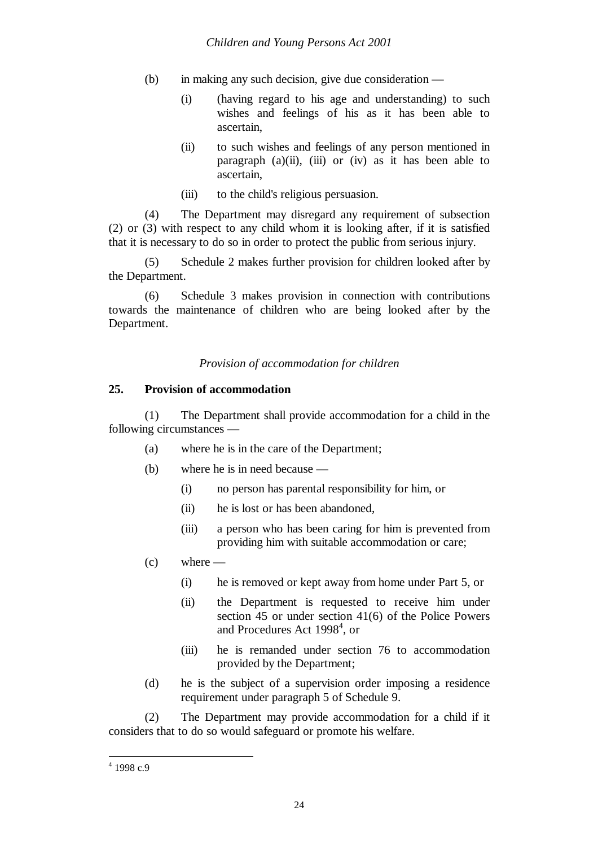- (b) in making any such decision, give due consideration
	- (i) (having regard to his age and understanding) to such wishes and feelings of his as it has been able to ascertain,
	- (ii) to such wishes and feelings of any person mentioned in paragraph  $(a)(ii)$ ,  $(iii)$  or  $(iv)$  as it has been able to ascertain,
	- (iii) to the child's religious persuasion.

(4) The Department may disregard any requirement of subsection (2) or (3) with respect to any child whom it is looking after, if it is satisfied that it is necessary to do so in order to protect the public from serious injury.

(5) Schedule 2 makes further provision for children looked after by the Department.

(6) Schedule 3 makes provision in connection with contributions towards the maintenance of children who are being looked after by the Department.

#### *Provision of accommodation for children*

#### **25. Provision of accommodation**

(1) The Department shall provide accommodation for a child in the following circumstances —

- (a) where he is in the care of the Department;
- (b) where he is in need because
	- (i) no person has parental responsibility for him, or
	- (ii) he is lost or has been abandoned,
	- (iii) a person who has been caring for him is prevented from providing him with suitable accommodation or care;
- $(c)$  where
	- (i) he is removed or kept away from home under Part 5, or
	- (ii) the Department is requested to receive him under section 45 or under section 41(6) of the Police Powers and Procedures Act 1998<sup>4</sup>, or
	- (iii) he is remanded under section 76 to accommodation provided by the Department;
- (d) he is the subject of a supervision order imposing a residence requirement under paragraph 5 of Schedule 9.

(2) The Department may provide accommodation for a child if it considers that to do so would safeguard or promote his welfare.

 $4$  1998 c.9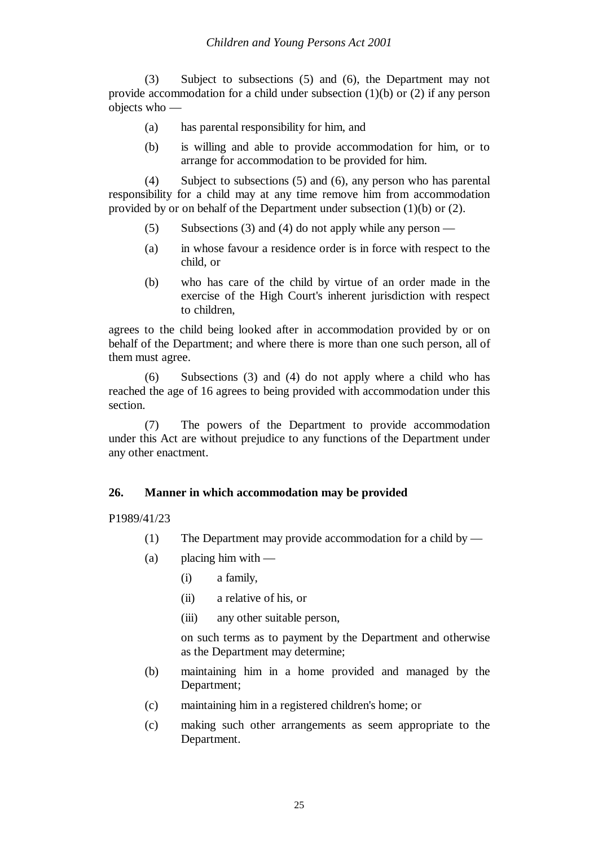(3) Subject to subsections (5) and (6), the Department may not provide accommodation for a child under subsection (1)(b) or (2) if any person objects who —

- (a) has parental responsibility for him, and
- (b) is willing and able to provide accommodation for him, or to arrange for accommodation to be provided for him.

(4) Subject to subsections (5) and (6), any person who has parental responsibility for a child may at any time remove him from accommodation provided by or on behalf of the Department under subsection (1)(b) or (2).

- (5) Subsections (3) and (4) do not apply while any person —
- (a) in whose favour a residence order is in force with respect to the child, or
- (b) who has care of the child by virtue of an order made in the exercise of the High Court's inherent jurisdiction with respect to children,

agrees to the child being looked after in accommodation provided by or on behalf of the Department; and where there is more than one such person, all of them must agree.

(6) Subsections (3) and (4) do not apply where a child who has reached the age of 16 agrees to being provided with accommodation under this section.

(7) The powers of the Department to provide accommodation under this Act are without prejudice to any functions of the Department under any other enactment.

#### **26. Manner in which accommodation may be provided**

P1989/41/23

- (1) The Department may provide accommodation for a child by —
- $(a)$  placing him with
	- (i) a family,
	- (ii) a relative of his, or
	- (iii) any other suitable person,

on such terms as to payment by the Department and otherwise as the Department may determine;

- (b) maintaining him in a home provided and managed by the Department;
- (c) maintaining him in a registered children's home; or
- (c) making such other arrangements as seem appropriate to the Department.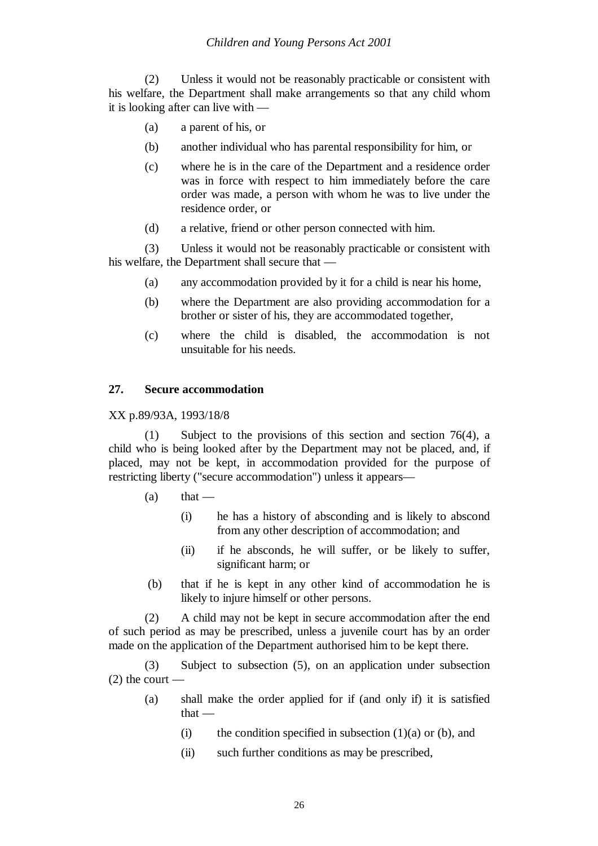(2) Unless it would not be reasonably practicable or consistent with his welfare, the Department shall make arrangements so that any child whom it is looking after can live with —

- (a) a parent of his, or
- (b) another individual who has parental responsibility for him, or
- (c) where he is in the care of the Department and a residence order was in force with respect to him immediately before the care order was made, a person with whom he was to live under the residence order, or
- (d) a relative, friend or other person connected with him.

(3) Unless it would not be reasonably practicable or consistent with his welfare, the Department shall secure that —

- (a) any accommodation provided by it for a child is near his home,
- (b) where the Department are also providing accommodation for a brother or sister of his, they are accommodated together,
- (c) where the child is disabled, the accommodation is not unsuitable for his needs.

#### **27. Secure accommodation**

XX p.89/93A, 1993/18/8

(1) Subject to the provisions of this section and section 76(4), a child who is being looked after by the Department may not be placed, and, if placed, may not be kept, in accommodation provided for the purpose of restricting liberty ("secure accommodation") unless it appears—

- $(a)$  that
	- (i) he has a history of absconding and is likely to abscond from any other description of accommodation; and
	- (ii) if he absconds, he will suffer, or be likely to suffer, significant harm; or
- (b) that if he is kept in any other kind of accommodation he is likely to injure himself or other persons.

(2) A child may not be kept in secure accommodation after the end of such period as may be prescribed, unless a juvenile court has by an order made on the application of the Department authorised him to be kept there.

(3) Subject to subsection (5), on an application under subsection  $(2)$  the court —

- (a) shall make the order applied for if (and only if) it is satisfied that —
	- (i) the condition specified in subsection  $(1)(a)$  or (b), and
	- (ii) such further conditions as may be prescribed,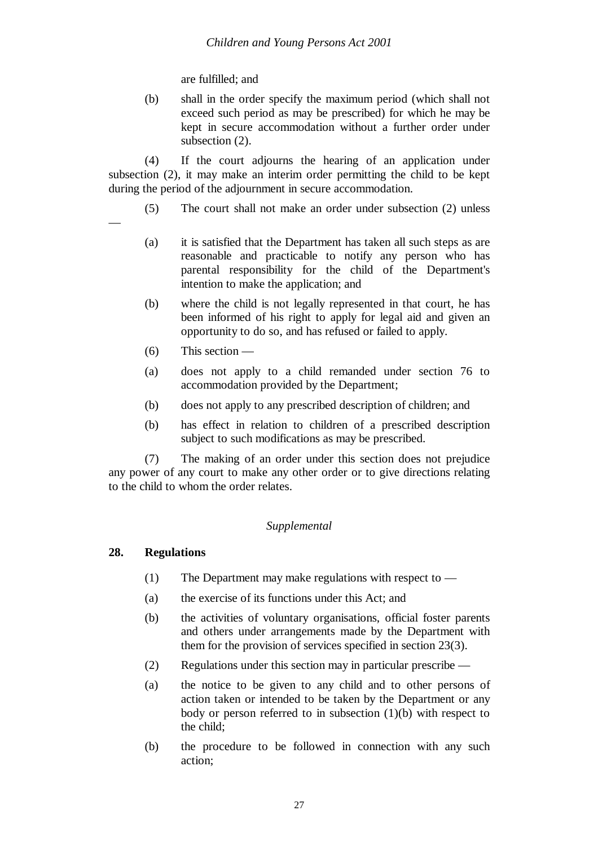are fulfilled; and

(b) shall in the order specify the maximum period (which shall not exceed such period as may be prescribed) for which he may be kept in secure accommodation without a further order under subsection  $(2)$ .

(4) If the court adjourns the hearing of an application under subsection (2), it may make an interim order permitting the child to be kept during the period of the adjournment in secure accommodation.

- (5) The court shall not make an order under subsection (2) unless
	- (a) it is satisfied that the Department has taken all such steps as are reasonable and practicable to notify any person who has parental responsibility for the child of the Department's intention to make the application; and
	- (b) where the child is not legally represented in that court, he has been informed of his right to apply for legal aid and given an opportunity to do so, and has refused or failed to apply.
	- $(6)$  This section —

—

- (a) does not apply to a child remanded under section 76 to accommodation provided by the Department;
- (b) does not apply to any prescribed description of children; and
- (b) has effect in relation to children of a prescribed description subject to such modifications as may be prescribed.

(7) The making of an order under this section does not prejudice any power of any court to make any other order or to give directions relating to the child to whom the order relates.

# *Supplemental*

# **28. Regulations**

- (1) The Department may make regulations with respect to —
- (a) the exercise of its functions under this Act; and
- (b) the activities of voluntary organisations, official foster parents and others under arrangements made by the Department with them for the provision of services specified in section 23(3).
- (2) Regulations under this section may in particular prescribe —
- (a) the notice to be given to any child and to other persons of action taken or intended to be taken by the Department or any body or person referred to in subsection (1)(b) with respect to the child;
- (b) the procedure to be followed in connection with any such action;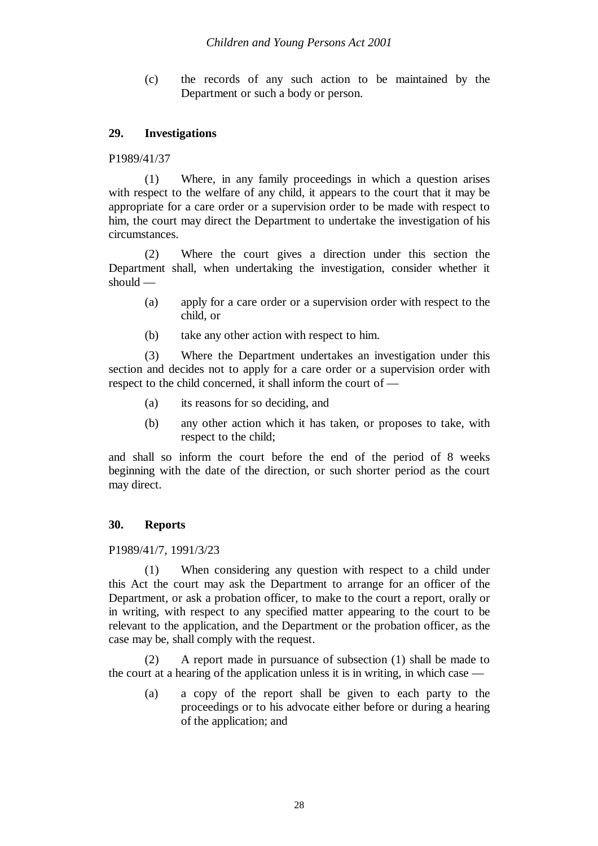(c) the records of any such action to be maintained by the Department or such a body or person.

# **29. Investigations**

P1989/41/37

(1) Where, in any family proceedings in which a question arises with respect to the welfare of any child, it appears to the court that it may be appropriate for a care order or a supervision order to be made with respect to him, the court may direct the Department to undertake the investigation of his circumstances.

(2) Where the court gives a direction under this section the Department shall, when undertaking the investigation, consider whether it should —

- (a) apply for a care order or a supervision order with respect to the child, or
- (b) take any other action with respect to him.

(3) Where the Department undertakes an investigation under this section and decides not to apply for a care order or a supervision order with respect to the child concerned, it shall inform the court of —

- (a) its reasons for so deciding, and
- (b) any other action which it has taken, or proposes to take, with respect to the child;

and shall so inform the court before the end of the period of 8 weeks beginning with the date of the direction, or such shorter period as the court may direct.

#### **30. Reports**

P1989/41/7, 1991/3/23

(1) When considering any question with respect to a child under this Act the court may ask the Department to arrange for an officer of the Department, or ask a probation officer, to make to the court a report, orally or in writing, with respect to any specified matter appearing to the court to be relevant to the application, and the Department or the probation officer, as the case may be, shall comply with the request.

(2) A report made in pursuance of subsection (1) shall be made to the court at a hearing of the application unless it is in writing, in which case —

(a) a copy of the report shall be given to each party to the proceedings or to his advocate either before or during a hearing of the application; and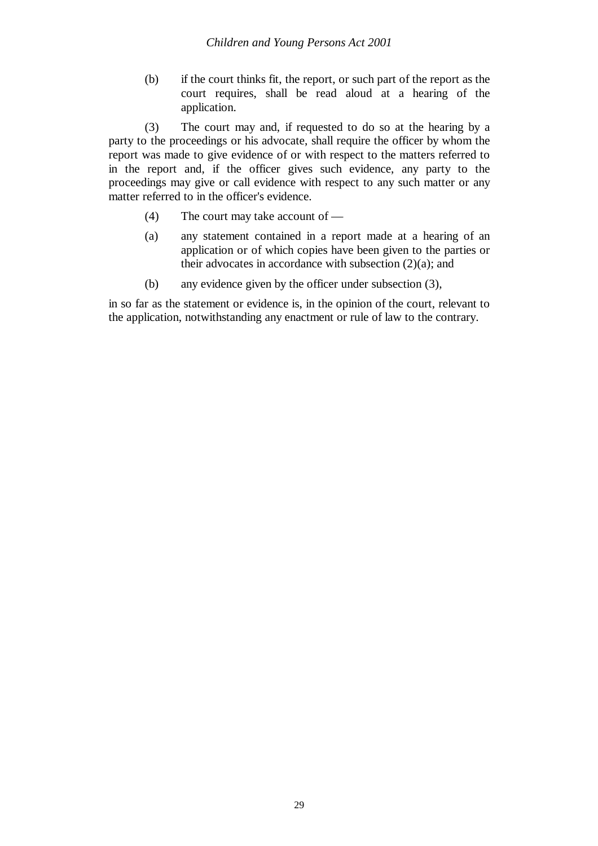(b) if the court thinks fit, the report, or such part of the report as the court requires, shall be read aloud at a hearing of the application.

(3) The court may and, if requested to do so at the hearing by a party to the proceedings or his advocate, shall require the officer by whom the report was made to give evidence of or with respect to the matters referred to in the report and, if the officer gives such evidence, any party to the proceedings may give or call evidence with respect to any such matter or any matter referred to in the officer's evidence.

- (4) The court may take account of —
- (a) any statement contained in a report made at a hearing of an application or of which copies have been given to the parties or their advocates in accordance with subsection  $(2)(a)$ ; and
- (b) any evidence given by the officer under subsection (3),

in so far as the statement or evidence is, in the opinion of the court, relevant to the application, notwithstanding any enactment or rule of law to the contrary.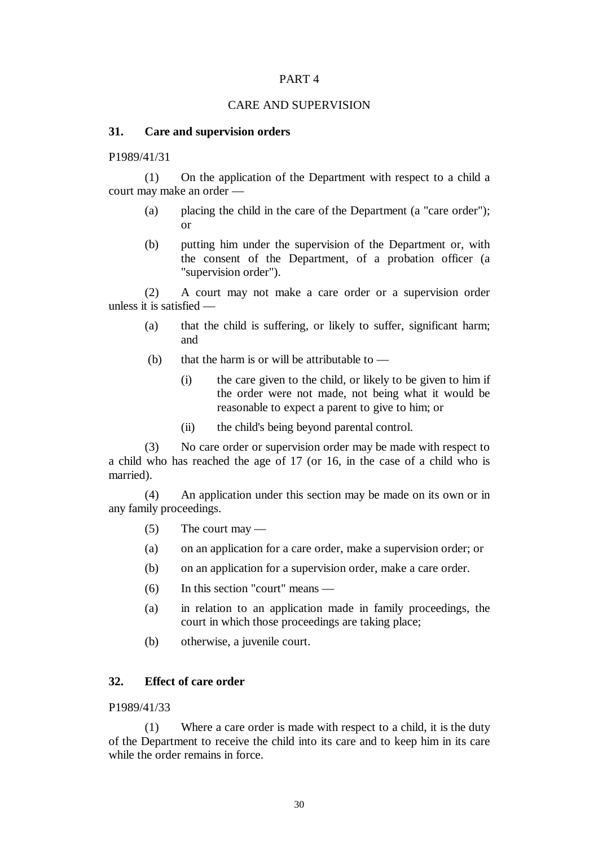#### CARE AND SUPERVISION

#### **31. Care and supervision orders**

P1989/41/31

(1) On the application of the Department with respect to a child a court may make an order —

- (a) placing the child in the care of the Department (a "care order"); or
- (b) putting him under the supervision of the Department or, with the consent of the Department, of a probation officer (a "supervision order").

(2) A court may not make a care order or a supervision order unless it is satisfied —

- (a) that the child is suffering, or likely to suffer, significant harm; and
- (b) that the harm is or will be attributable to  $-$ 
	- (i) the care given to the child, or likely to be given to him if the order were not made, not being what it would be reasonable to expect a parent to give to him; or
	- (ii) the child's being beyond parental control.

(3) No care order or supervision order may be made with respect to a child who has reached the age of 17 (or 16, in the case of a child who is married).

(4) An application under this section may be made on its own or in any family proceedings.

- $(5)$  The court may —
- (a) on an application for a care order, make a supervision order; or
- (b) on an application for a supervision order, make a care order.
- (6) In this section "court" means —
- (a) in relation to an application made in family proceedings, the court in which those proceedings are taking place;
- (b) otherwise, a juvenile court.

#### **32. Effect of care order**

#### P1989/41/33

(1) Where a care order is made with respect to a child, it is the duty of the Department to receive the child into its care and to keep him in its care while the order remains in force.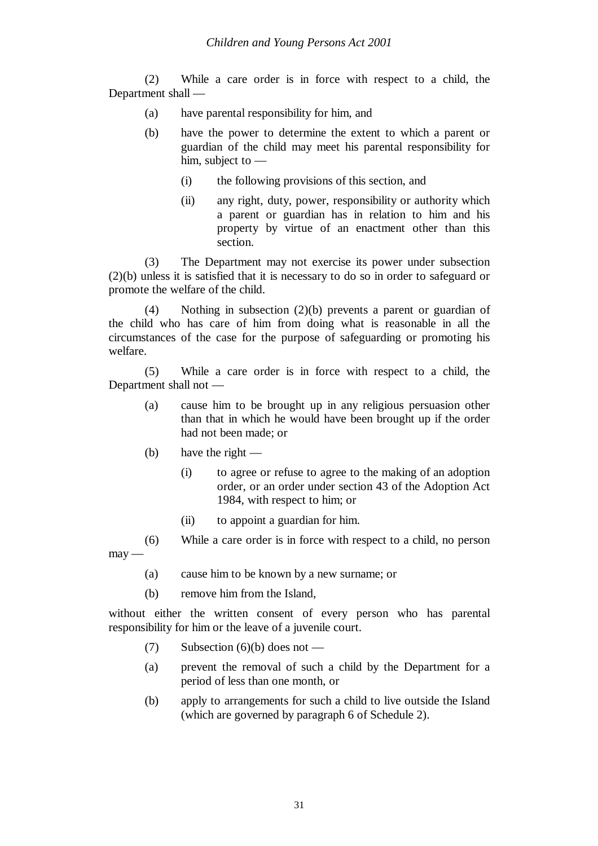(2) While a care order is in force with respect to a child, the Department shall —

- (a) have parental responsibility for him, and
- (b) have the power to determine the extent to which a parent or guardian of the child may meet his parental responsibility for him, subject to —
	- (i) the following provisions of this section, and
	- (ii) any right, duty, power, responsibility or authority which a parent or guardian has in relation to him and his property by virtue of an enactment other than this section.

(3) The Department may not exercise its power under subsection (2)(b) unless it is satisfied that it is necessary to do so in order to safeguard or promote the welfare of the child.

(4) Nothing in subsection (2)(b) prevents a parent or guardian of the child who has care of him from doing what is reasonable in all the circumstances of the case for the purpose of safeguarding or promoting his welfare.

(5) While a care order is in force with respect to a child, the Department shall not —

- (a) cause him to be brought up in any religious persuasion other than that in which he would have been brought up if the order had not been made; or
- (b) have the right  $-$ 
	- (i) to agree or refuse to agree to the making of an adoption order, or an order under section 43 of the Adoption Act 1984, with respect to him; or
	- (ii) to appoint a guardian for him.

(6) While a care order is in force with respect to a child, no person  $may -$ 

- (a) cause him to be known by a new surname; or
- (b) remove him from the Island,

without either the written consent of every person who has parental responsibility for him or the leave of a juvenile court.

- (7) Subsection  $(6)(b)$  does not —
- (a) prevent the removal of such a child by the Department for a period of less than one month, or
- (b) apply to arrangements for such a child to live outside the Island (which are governed by paragraph 6 of Schedule 2).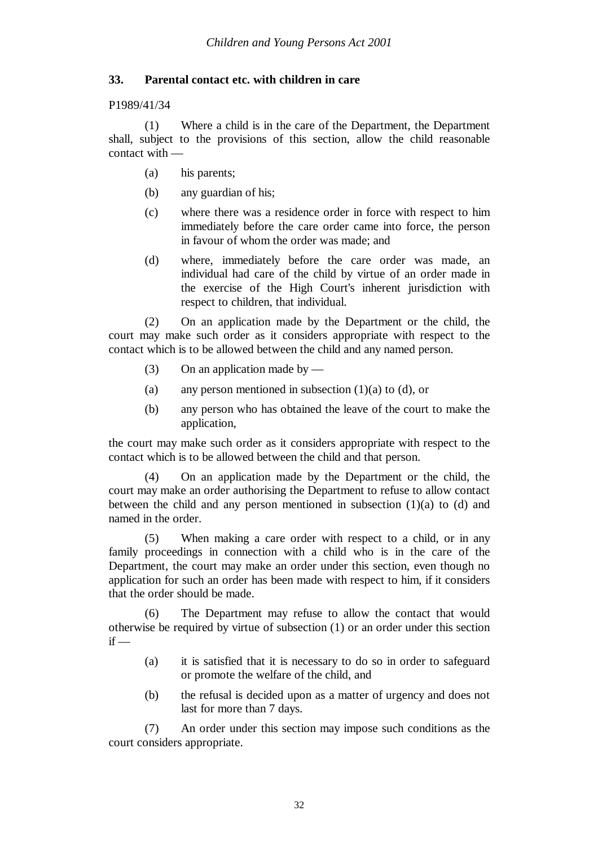# **33. Parental contact etc. with children in care**

P1989/41/34

(1) Where a child is in the care of the Department, the Department shall, subject to the provisions of this section, allow the child reasonable contact with —

- (a) his parents;
- (b) any guardian of his;
- (c) where there was a residence order in force with respect to him immediately before the care order came into force, the person in favour of whom the order was made; and
- (d) where, immediately before the care order was made, an individual had care of the child by virtue of an order made in the exercise of the High Court's inherent jurisdiction with respect to children, that individual.

(2) On an application made by the Department or the child, the court may make such order as it considers appropriate with respect to the contact which is to be allowed between the child and any named person.

- (3) On an application made by  $-$
- (a) any person mentioned in subsection  $(1)(a)$  to  $(d)$ , or
- (b) any person who has obtained the leave of the court to make the application,

the court may make such order as it considers appropriate with respect to the contact which is to be allowed between the child and that person.

(4) On an application made by the Department or the child, the court may make an order authorising the Department to refuse to allow contact between the child and any person mentioned in subsection  $(1)(a)$  to  $(d)$  and named in the order.

(5) When making a care order with respect to a child, or in any family proceedings in connection with a child who is in the care of the Department, the court may make an order under this section, even though no application for such an order has been made with respect to him, if it considers that the order should be made.

(6) The Department may refuse to allow the contact that would otherwise be required by virtue of subsection (1) or an order under this section  $if -$ 

- (a) it is satisfied that it is necessary to do so in order to safeguard or promote the welfare of the child, and
- (b) the refusal is decided upon as a matter of urgency and does not last for more than 7 days.

(7) An order under this section may impose such conditions as the court considers appropriate.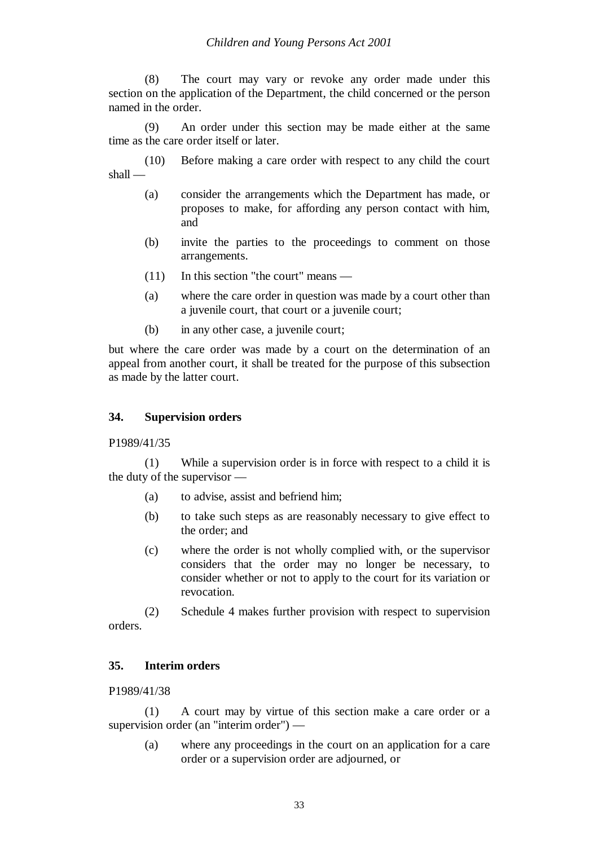(8) The court may vary or revoke any order made under this section on the application of the Department, the child concerned or the person named in the order.

(9) An order under this section may be made either at the same time as the care order itself or later.

(10) Before making a care order with respect to any child the court shall —

- (a) consider the arrangements which the Department has made, or proposes to make, for affording any person contact with him, and
- (b) invite the parties to the proceedings to comment on those arrangements.
- (11) In this section "the court" means —
- (a) where the care order in question was made by a court other than a juvenile court, that court or a juvenile court;
- (b) in any other case, a juvenile court;

but where the care order was made by a court on the determination of an appeal from another court, it shall be treated for the purpose of this subsection as made by the latter court.

#### **34. Supervision orders**

P1989/41/35

(1) While a supervision order is in force with respect to a child it is the duty of the supervisor —

- (a) to advise, assist and befriend him;
- (b) to take such steps as are reasonably necessary to give effect to the order; and
- (c) where the order is not wholly complied with, or the supervisor considers that the order may no longer be necessary, to consider whether or not to apply to the court for its variation or revocation.

(2) Schedule 4 makes further provision with respect to supervision orders.

#### **35. Interim orders**

P1989/41/38

(1) A court may by virtue of this section make a care order or a supervision order (an "interim order") —

(a) where any proceedings in the court on an application for a care order or a supervision order are adjourned, or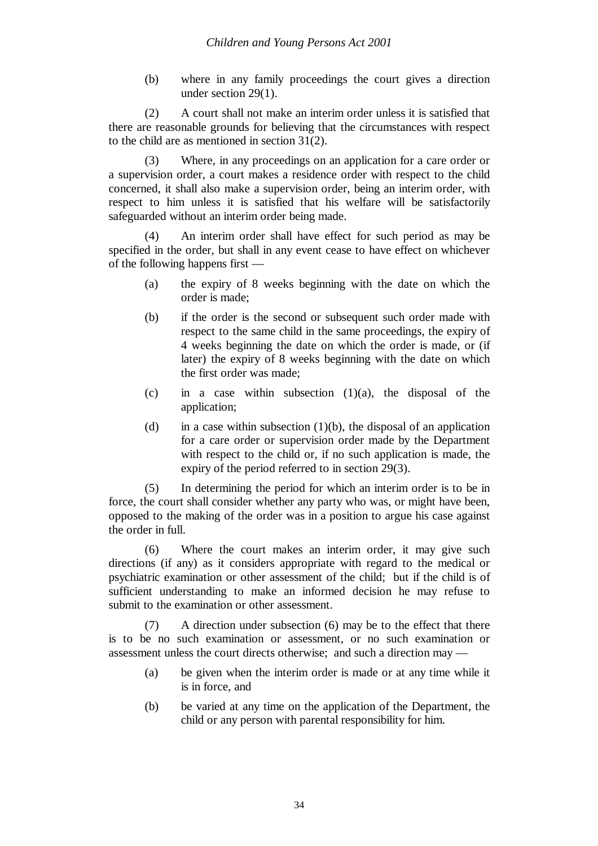(b) where in any family proceedings the court gives a direction under section 29(1).

(2) A court shall not make an interim order unless it is satisfied that there are reasonable grounds for believing that the circumstances with respect to the child are as mentioned in section 31(2).

(3) Where, in any proceedings on an application for a care order or a supervision order, a court makes a residence order with respect to the child concerned, it shall also make a supervision order, being an interim order, with respect to him unless it is satisfied that his welfare will be satisfactorily safeguarded without an interim order being made.

(4) An interim order shall have effect for such period as may be specified in the order, but shall in any event cease to have effect on whichever of the following happens first —

- (a) the expiry of 8 weeks beginning with the date on which the order is made;
- (b) if the order is the second or subsequent such order made with respect to the same child in the same proceedings, the expiry of 4 weeks beginning the date on which the order is made, or (if later) the expiry of 8 weeks beginning with the date on which the first order was made;
- (c) in a case within subsection  $(1)(a)$ , the disposal of the application;
- (d) in a case within subsection  $(1)(b)$ , the disposal of an application for a care order or supervision order made by the Department with respect to the child or, if no such application is made, the expiry of the period referred to in section 29(3).

(5) In determining the period for which an interim order is to be in force, the court shall consider whether any party who was, or might have been, opposed to the making of the order was in a position to argue his case against the order in full.

(6) Where the court makes an interim order, it may give such directions (if any) as it considers appropriate with regard to the medical or psychiatric examination or other assessment of the child; but if the child is of sufficient understanding to make an informed decision he may refuse to submit to the examination or other assessment.

(7) A direction under subsection (6) may be to the effect that there is to be no such examination or assessment, or no such examination or assessment unless the court directs otherwise; and such a direction may -

- (a) be given when the interim order is made or at any time while it is in force, and
- (b) be varied at any time on the application of the Department, the child or any person with parental responsibility for him.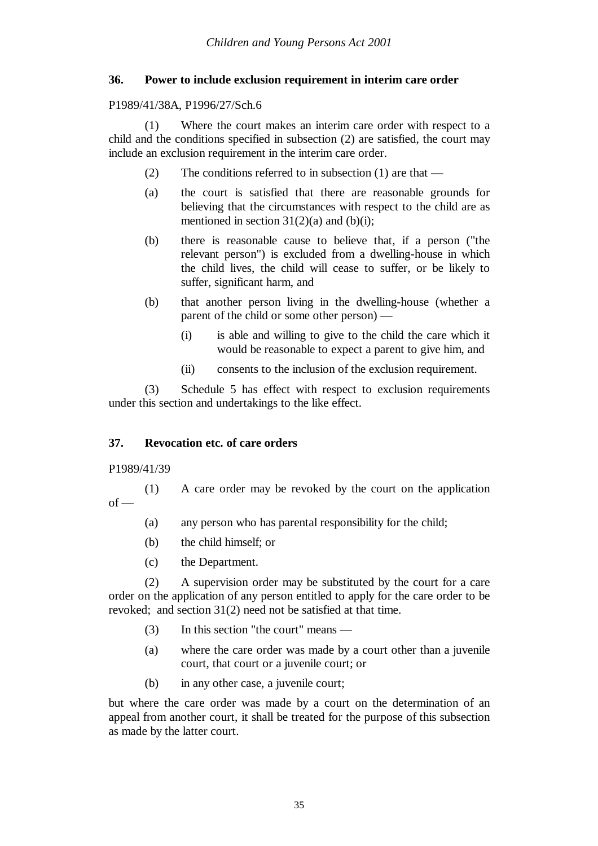### **36. Power to include exclusion requirement in interim care order**

P1989/41/38A, P1996/27/Sch.6

(1) Where the court makes an interim care order with respect to a child and the conditions specified in subsection (2) are satisfied, the court may include an exclusion requirement in the interim care order.

- (2) The conditions referred to in subsection (1) are that —
- (a) the court is satisfied that there are reasonable grounds for believing that the circumstances with respect to the child are as mentioned in section  $31(2)(a)$  and  $(b)(i)$ ;
- (b) there is reasonable cause to believe that, if a person ("the relevant person") is excluded from a dwelling-house in which the child lives, the child will cease to suffer, or be likely to suffer, significant harm, and
- (b) that another person living in the dwelling-house (whether a parent of the child or some other person) —
	- (i) is able and willing to give to the child the care which it would be reasonable to expect a parent to give him, and
	- (ii) consents to the inclusion of the exclusion requirement.

(3) Schedule 5 has effect with respect to exclusion requirements under this section and undertakings to the like effect.

# **37. Revocation etc. of care orders**

#### P1989/41/39

- (1) A care order may be revoked by the court on the application  $of$  —
	- (a) any person who has parental responsibility for the child;
	- (b) the child himself; or
	- (c) the Department.

(2) A supervision order may be substituted by the court for a care order on the application of any person entitled to apply for the care order to be revoked; and section 31(2) need not be satisfied at that time.

- (3) In this section "the court" means —
- (a) where the care order was made by a court other than a juvenile court, that court or a juvenile court; or
- (b) in any other case, a juvenile court;

but where the care order was made by a court on the determination of an appeal from another court, it shall be treated for the purpose of this subsection as made by the latter court.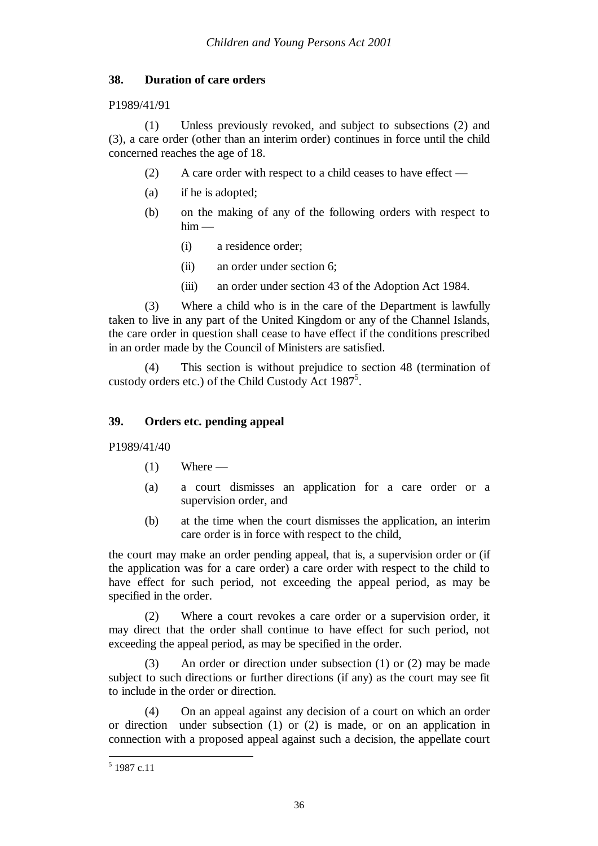#### **38. Duration of care orders**

#### P1989/41/91

(1) Unless previously revoked, and subject to subsections (2) and (3), a care order (other than an interim order) continues in force until the child concerned reaches the age of 18.

- (2) A care order with respect to a child ceases to have effect —
- (a) if he is adopted;
- (b) on the making of any of the following orders with respect to  $him -$ 
	- (i) a residence order;
	- (ii) an order under section 6;
	- (iii) an order under section 43 of the Adoption Act 1984.

(3) Where a child who is in the care of the Department is lawfully taken to live in any part of the United Kingdom or any of the Channel Islands, the care order in question shall cease to have effect if the conditions prescribed in an order made by the Council of Ministers are satisfied.

(4) This section is without prejudice to section 48 (termination of custody orders etc.) of the Child Custody Act 1987<sup>5</sup>.

### **39. Orders etc. pending appeal**

P1989/41/40

- $(1)$  Where —
- (a) a court dismisses an application for a care order or a supervision order, and
- (b) at the time when the court dismisses the application, an interim care order is in force with respect to the child,

the court may make an order pending appeal, that is, a supervision order or (if the application was for a care order) a care order with respect to the child to have effect for such period, not exceeding the appeal period, as may be specified in the order.

(2) Where a court revokes a care order or a supervision order, it may direct that the order shall continue to have effect for such period, not exceeding the appeal period, as may be specified in the order.

(3) An order or direction under subsection (1) or (2) may be made subject to such directions or further directions (if any) as the court may see fit to include in the order or direction.

(4) On an appeal against any decision of a court on which an order or direction under subsection (1) or (2) is made, or on an application in connection with a proposed appeal against such a decision, the appellate court

<sup>5</sup> 1987 c.11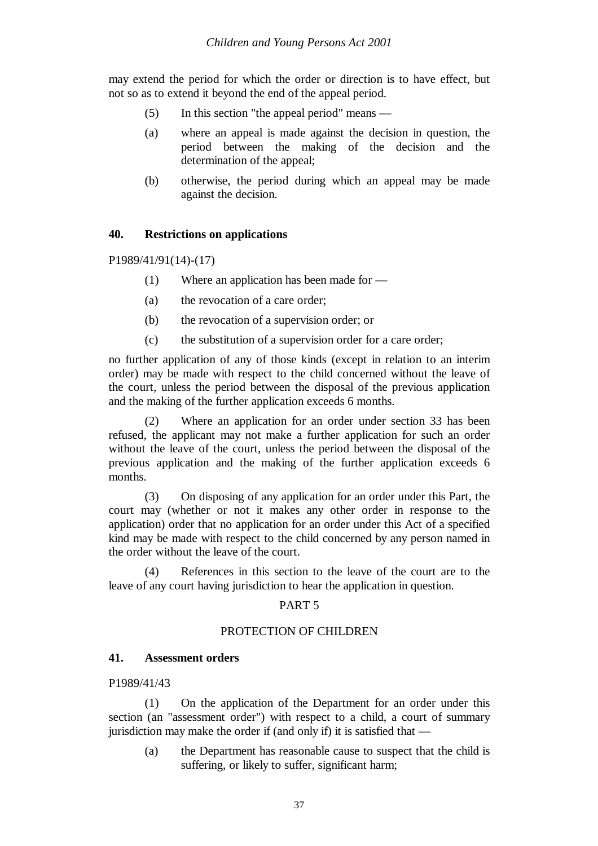may extend the period for which the order or direction is to have effect, but not so as to extend it beyond the end of the appeal period.

- (5) In this section "the appeal period" means —
- (a) where an appeal is made against the decision in question, the period between the making of the decision and the determination of the appeal;
- (b) otherwise, the period during which an appeal may be made against the decision.

#### **40. Restrictions on applications**

P1989/41/91(14)-(17)

- (1) Where an application has been made for —
- (a) the revocation of a care order;
- (b) the revocation of a supervision order; or
- (c) the substitution of a supervision order for a care order;

no further application of any of those kinds (except in relation to an interim order) may be made with respect to the child concerned without the leave of the court, unless the period between the disposal of the previous application and the making of the further application exceeds 6 months.

(2) Where an application for an order under section 33 has been refused, the applicant may not make a further application for such an order without the leave of the court, unless the period between the disposal of the previous application and the making of the further application exceeds 6 months.

(3) On disposing of any application for an order under this Part, the court may (whether or not it makes any other order in response to the application) order that no application for an order under this Act of a specified kind may be made with respect to the child concerned by any person named in the order without the leave of the court.

(4) References in this section to the leave of the court are to the leave of any court having jurisdiction to hear the application in question.

#### PART 5

#### PROTECTION OF CHILDREN

#### **41. Assessment orders**

#### P1989/41/43

(1) On the application of the Department for an order under this section (an "assessment order") with respect to a child, a court of summary jurisdiction may make the order if (and only if) it is satisfied that —

(a) the Department has reasonable cause to suspect that the child is suffering, or likely to suffer, significant harm;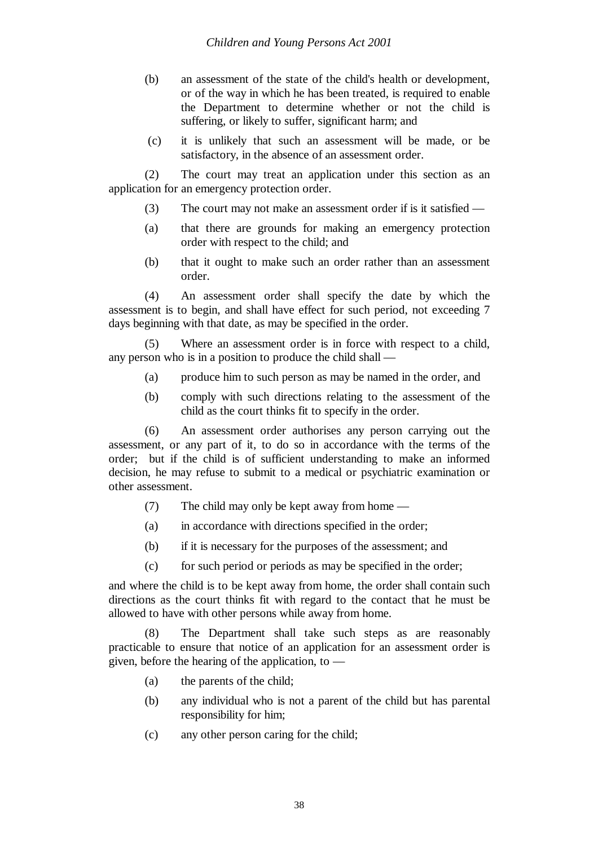- (b) an assessment of the state of the child's health or development, or of the way in which he has been treated, is required to enable the Department to determine whether or not the child is suffering, or likely to suffer, significant harm; and
- (c) it is unlikely that such an assessment will be made, or be satisfactory, in the absence of an assessment order.

(2) The court may treat an application under this section as an application for an emergency protection order.

- (3) The court may not make an assessment order if is it satisfied —
- (a) that there are grounds for making an emergency protection order with respect to the child; and
- (b) that it ought to make such an order rather than an assessment order.

(4) An assessment order shall specify the date by which the assessment is to begin, and shall have effect for such period, not exceeding 7 days beginning with that date, as may be specified in the order.

(5) Where an assessment order is in force with respect to a child, any person who is in a position to produce the child shall —

- (a) produce him to such person as may be named in the order, and
- (b) comply with such directions relating to the assessment of the child as the court thinks fit to specify in the order.

(6) An assessment order authorises any person carrying out the assessment, or any part of it, to do so in accordance with the terms of the order; but if the child is of sufficient understanding to make an informed decision, he may refuse to submit to a medical or psychiatric examination or other assessment.

- (7) The child may only be kept away from home —
- (a) in accordance with directions specified in the order;
- (b) if it is necessary for the purposes of the assessment; and
- (c) for such period or periods as may be specified in the order;

and where the child is to be kept away from home, the order shall contain such directions as the court thinks fit with regard to the contact that he must be allowed to have with other persons while away from home.

(8) The Department shall take such steps as are reasonably practicable to ensure that notice of an application for an assessment order is given, before the hearing of the application, to  $-$ 

- (a) the parents of the child;
- (b) any individual who is not a parent of the child but has parental responsibility for him;
- (c) any other person caring for the child;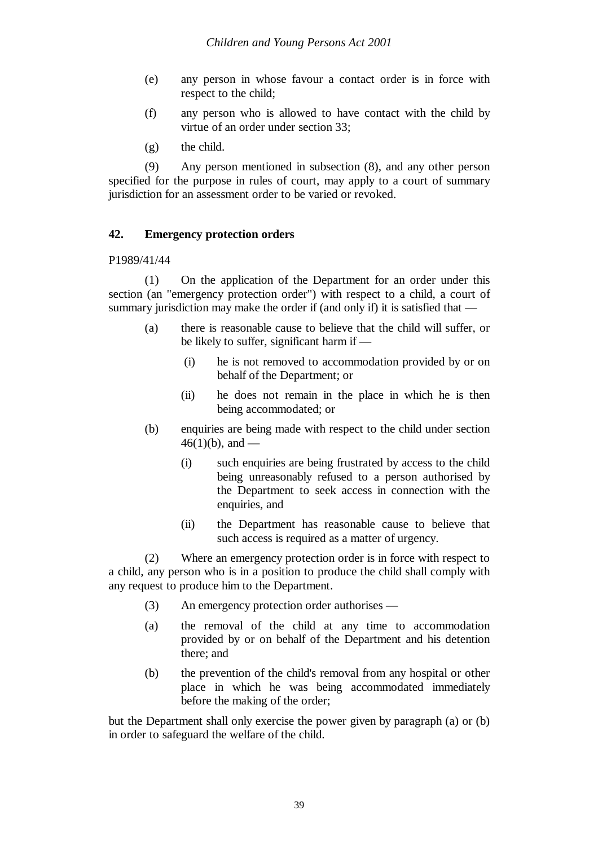- (e) any person in whose favour a contact order is in force with respect to the child;
- (f) any person who is allowed to have contact with the child by virtue of an order under section 33;
- (g) the child.

(9) Any person mentioned in subsection (8), and any other person specified for the purpose in rules of court, may apply to a court of summary jurisdiction for an assessment order to be varied or revoked.

## **42. Emergency protection orders**

#### P1989/41/44

(1) On the application of the Department for an order under this section (an "emergency protection order") with respect to a child, a court of summary jurisdiction may make the order if (and only if) it is satisfied that —

- (a) there is reasonable cause to believe that the child will suffer, or be likely to suffer, significant harm if —
	- (i) he is not removed to accommodation provided by or on behalf of the Department; or
	- (ii) he does not remain in the place in which he is then being accommodated; or
- (b) enquiries are being made with respect to the child under section  $46(1)(b)$ , and —
	- (i) such enquiries are being frustrated by access to the child being unreasonably refused to a person authorised by the Department to seek access in connection with the enquiries, and
	- (ii) the Department has reasonable cause to believe that such access is required as a matter of urgency.

(2) Where an emergency protection order is in force with respect to a child, any person who is in a position to produce the child shall comply with any request to produce him to the Department.

- (3) An emergency protection order authorises —
- (a) the removal of the child at any time to accommodation provided by or on behalf of the Department and his detention there; and
- (b) the prevention of the child's removal from any hospital or other place in which he was being accommodated immediately before the making of the order;

but the Department shall only exercise the power given by paragraph (a) or (b) in order to safeguard the welfare of the child.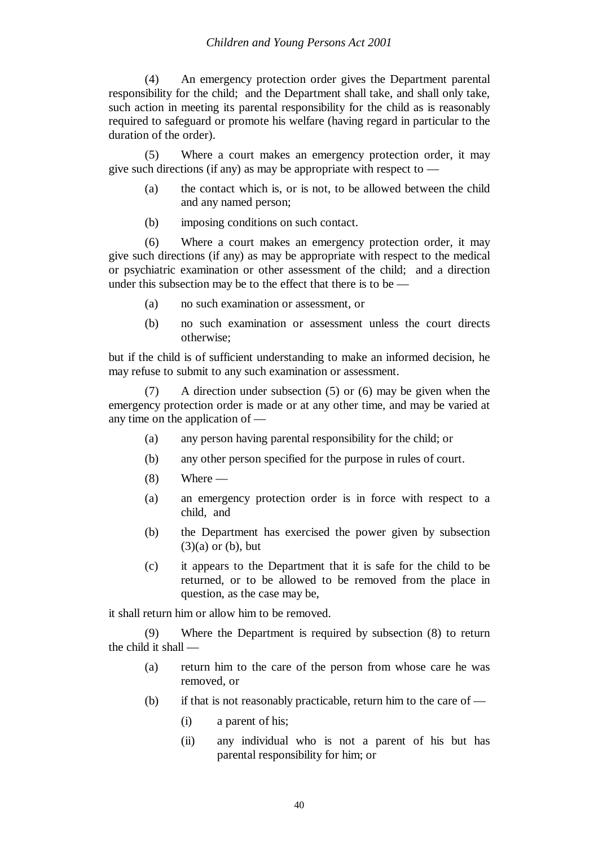(4) An emergency protection order gives the Department parental responsibility for the child; and the Department shall take, and shall only take, such action in meeting its parental responsibility for the child as is reasonably required to safeguard or promote his welfare (having regard in particular to the duration of the order).

(5) Where a court makes an emergency protection order, it may give such directions (if any) as may be appropriate with respect to  $-$ 

- (a) the contact which is, or is not, to be allowed between the child and any named person;
- (b) imposing conditions on such contact.

(6) Where a court makes an emergency protection order, it may give such directions (if any) as may be appropriate with respect to the medical or psychiatric examination or other assessment of the child; and a direction under this subsection may be to the effect that there is to be —

- (a) no such examination or assessment, or
- (b) no such examination or assessment unless the court directs otherwise;

but if the child is of sufficient understanding to make an informed decision, he may refuse to submit to any such examination or assessment.

(7) A direction under subsection (5) or (6) may be given when the emergency protection order is made or at any other time, and may be varied at any time on the application of —

- (a) any person having parental responsibility for the child; or
- (b) any other person specified for the purpose in rules of court.
- $(8)$  Where —
- (a) an emergency protection order is in force with respect to a child, and
- (b) the Department has exercised the power given by subsection  $(3)(a)$  or  $(b)$ , but
- (c) it appears to the Department that it is safe for the child to be returned, or to be allowed to be removed from the place in question, as the case may be,

it shall return him or allow him to be removed.

(9) Where the Department is required by subsection (8) to return the child it shall —

- (a) return him to the care of the person from whose care he was removed, or
- (b) if that is not reasonably practicable, return him to the care of  $-$ 
	- (i) a parent of his;
	- (ii) any individual who is not a parent of his but has parental responsibility for him; or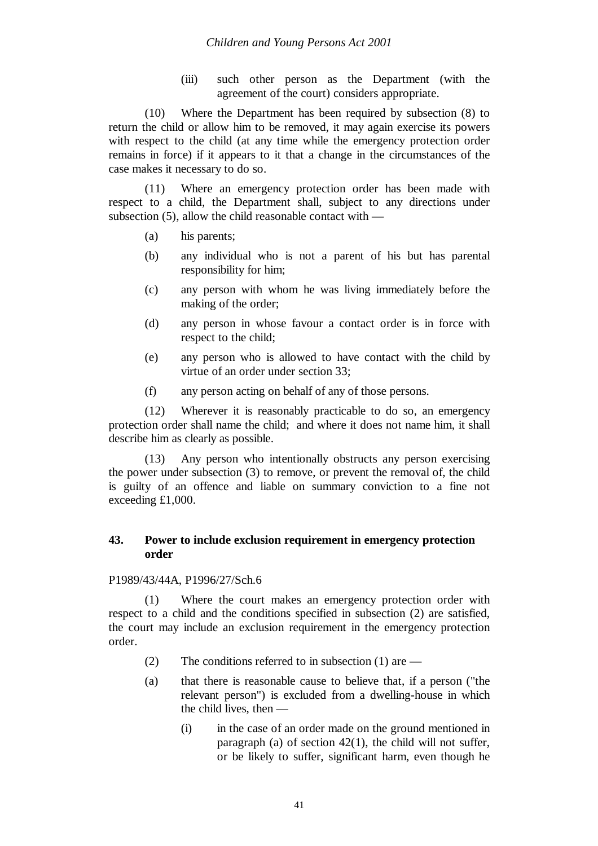(iii) such other person as the Department (with the agreement of the court) considers appropriate.

(10) Where the Department has been required by subsection (8) to return the child or allow him to be removed, it may again exercise its powers with respect to the child (at any time while the emergency protection order remains in force) if it appears to it that a change in the circumstances of the case makes it necessary to do so.

(11) Where an emergency protection order has been made with respect to a child, the Department shall, subject to any directions under subsection (5), allow the child reasonable contact with —

- (a) his parents;
- (b) any individual who is not a parent of his but has parental responsibility for him;
- (c) any person with whom he was living immediately before the making of the order;
- (d) any person in whose favour a contact order is in force with respect to the child;
- (e) any person who is allowed to have contact with the child by virtue of an order under section 33;
- (f) any person acting on behalf of any of those persons.

(12) Wherever it is reasonably practicable to do so, an emergency protection order shall name the child; and where it does not name him, it shall describe him as clearly as possible.

(13) Any person who intentionally obstructs any person exercising the power under subsection (3) to remove, or prevent the removal of, the child is guilty of an offence and liable on summary conviction to a fine not exceeding £1,000.

## **43. Power to include exclusion requirement in emergency protection order**

## P1989/43/44A, P1996/27/Sch.6

(1) Where the court makes an emergency protection order with respect to a child and the conditions specified in subsection (2) are satisfied, the court may include an exclusion requirement in the emergency protection order.

- (2) The conditions referred to in subsection (1) are  $-$
- (a) that there is reasonable cause to believe that, if a person ("the relevant person") is excluded from a dwelling-house in which the child lives, then —
	- (i) in the case of an order made on the ground mentioned in paragraph (a) of section 42(1), the child will not suffer, or be likely to suffer, significant harm, even though he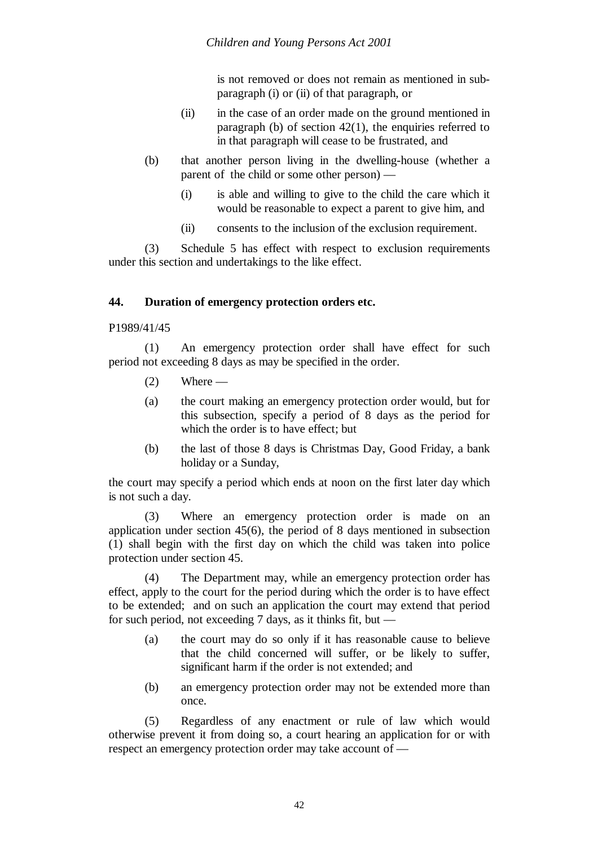is not removed or does not remain as mentioned in subparagraph (i) or (ii) of that paragraph, or

- (ii) in the case of an order made on the ground mentioned in paragraph (b) of section  $42(1)$ , the enquiries referred to in that paragraph will cease to be frustrated, and
- (b) that another person living in the dwelling-house (whether a parent of the child or some other person) —
	- (i) is able and willing to give to the child the care which it would be reasonable to expect a parent to give him, and
	- (ii) consents to the inclusion of the exclusion requirement.

(3) Schedule 5 has effect with respect to exclusion requirements under this section and undertakings to the like effect.

# **44. Duration of emergency protection orders etc.**

#### P1989/41/45

(1) An emergency protection order shall have effect for such period not exceeding 8 days as may be specified in the order.

- $(2)$  Where —
- (a) the court making an emergency protection order would, but for this subsection, specify a period of 8 days as the period for which the order is to have effect; but
- (b) the last of those 8 days is Christmas Day, Good Friday, a bank holiday or a Sunday,

the court may specify a period which ends at noon on the first later day which is not such a day.

(3) Where an emergency protection order is made on an application under section 45(6), the period of 8 days mentioned in subsection (1) shall begin with the first day on which the child was taken into police protection under section 45.

(4) The Department may, while an emergency protection order has effect, apply to the court for the period during which the order is to have effect to be extended; and on such an application the court may extend that period for such period, not exceeding 7 days, as it thinks fit, but —

- (a) the court may do so only if it has reasonable cause to believe that the child concerned will suffer, or be likely to suffer, significant harm if the order is not extended; and
- (b) an emergency protection order may not be extended more than once.

(5) Regardless of any enactment or rule of law which would otherwise prevent it from doing so, a court hearing an application for or with respect an emergency protection order may take account of —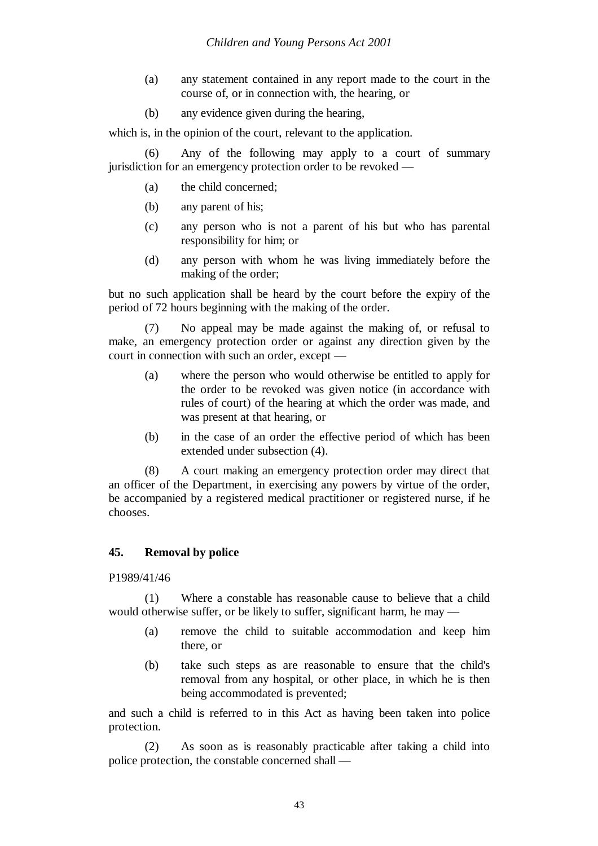- (a) any statement contained in any report made to the court in the course of, or in connection with, the hearing, or
- (b) any evidence given during the hearing,

which is, in the opinion of the court, relevant to the application.

Any of the following may apply to a court of summary jurisdiction for an emergency protection order to be revoked —

- (a) the child concerned;
- (b) any parent of his;
- (c) any person who is not a parent of his but who has parental responsibility for him; or
- (d) any person with whom he was living immediately before the making of the order;

but no such application shall be heard by the court before the expiry of the period of 72 hours beginning with the making of the order.

(7) No appeal may be made against the making of, or refusal to make, an emergency protection order or against any direction given by the court in connection with such an order, except —

- (a) where the person who would otherwise be entitled to apply for the order to be revoked was given notice (in accordance with rules of court) of the hearing at which the order was made, and was present at that hearing, or
- (b) in the case of an order the effective period of which has been extended under subsection (4).

(8) A court making an emergency protection order may direct that an officer of the Department, in exercising any powers by virtue of the order, be accompanied by a registered medical practitioner or registered nurse, if he chooses.

### **45. Removal by police**

#### P1989/41/46

(1) Where a constable has reasonable cause to believe that a child would otherwise suffer, or be likely to suffer, significant harm, he may —

- (a) remove the child to suitable accommodation and keep him there, or
- (b) take such steps as are reasonable to ensure that the child's removal from any hospital, or other place, in which he is then being accommodated is prevented;

and such a child is referred to in this Act as having been taken into police protection.

(2) As soon as is reasonably practicable after taking a child into police protection, the constable concerned shall —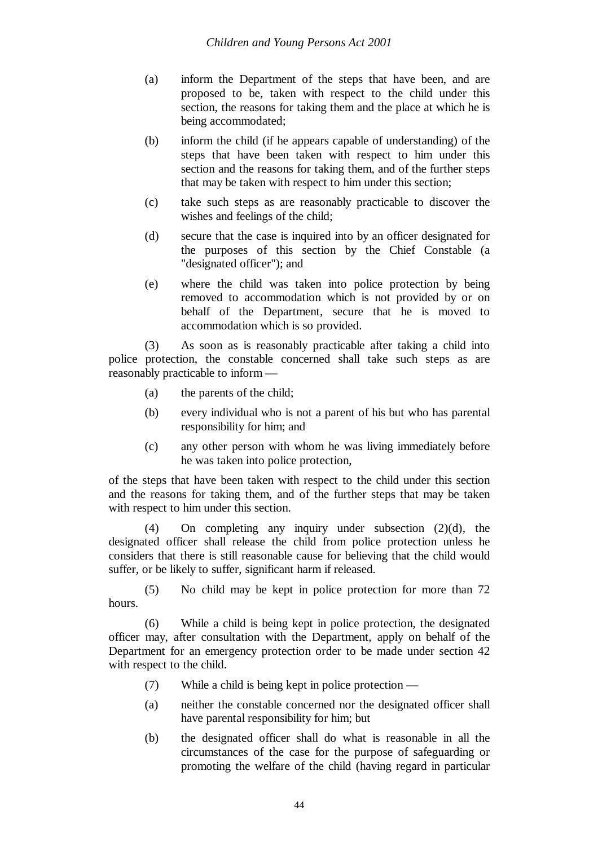- (a) inform the Department of the steps that have been, and are proposed to be, taken with respect to the child under this section, the reasons for taking them and the place at which he is being accommodated;
- (b) inform the child (if he appears capable of understanding) of the steps that have been taken with respect to him under this section and the reasons for taking them, and of the further steps that may be taken with respect to him under this section;
- (c) take such steps as are reasonably practicable to discover the wishes and feelings of the child;
- (d) secure that the case is inquired into by an officer designated for the purposes of this section by the Chief Constable (a "designated officer"); and
- (e) where the child was taken into police protection by being removed to accommodation which is not provided by or on behalf of the Department, secure that he is moved to accommodation which is so provided.

(3) As soon as is reasonably practicable after taking a child into police protection, the constable concerned shall take such steps as are reasonably practicable to inform —

- (a) the parents of the child;
- (b) every individual who is not a parent of his but who has parental responsibility for him; and
- (c) any other person with whom he was living immediately before he was taken into police protection,

of the steps that have been taken with respect to the child under this section and the reasons for taking them, and of the further steps that may be taken with respect to him under this section.

(4) On completing any inquiry under subsection (2)(d), the designated officer shall release the child from police protection unless he considers that there is still reasonable cause for believing that the child would suffer, or be likely to suffer, significant harm if released.

(5) No child may be kept in police protection for more than 72 hours.

(6) While a child is being kept in police protection, the designated officer may, after consultation with the Department, apply on behalf of the Department for an emergency protection order to be made under section 42 with respect to the child.

- (7) While a child is being kept in police protection —
- (a) neither the constable concerned nor the designated officer shall have parental responsibility for him; but
- (b) the designated officer shall do what is reasonable in all the circumstances of the case for the purpose of safeguarding or promoting the welfare of the child (having regard in particular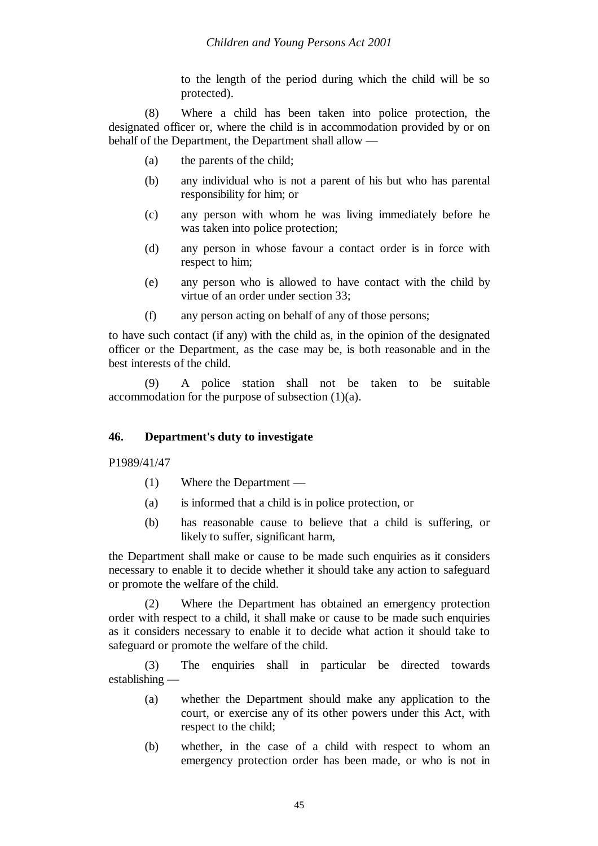to the length of the period during which the child will be so protected).

(8) Where a child has been taken into police protection, the designated officer or, where the child is in accommodation provided by or on behalf of the Department, the Department shall allow —

- (a) the parents of the child;
- (b) any individual who is not a parent of his but who has parental responsibility for him; or
- (c) any person with whom he was living immediately before he was taken into police protection;
- (d) any person in whose favour a contact order is in force with respect to him;
- (e) any person who is allowed to have contact with the child by virtue of an order under section 33;
- (f) any person acting on behalf of any of those persons;

to have such contact (if any) with the child as, in the opinion of the designated officer or the Department, as the case may be, is both reasonable and in the best interests of the child.

(9) A police station shall not be taken to be suitable accommodation for the purpose of subsection (1)(a).

# **46. Department's duty to investigate**

P1989/41/47

- (1) Where the Department —
- (a) is informed that a child is in police protection, or
- (b) has reasonable cause to believe that a child is suffering, or likely to suffer, significant harm.

the Department shall make or cause to be made such enquiries as it considers necessary to enable it to decide whether it should take any action to safeguard or promote the welfare of the child.

(2) Where the Department has obtained an emergency protection order with respect to a child, it shall make or cause to be made such enquiries as it considers necessary to enable it to decide what action it should take to safeguard or promote the welfare of the child.

(3) The enquiries shall in particular be directed towards establishing —

- (a) whether the Department should make any application to the court, or exercise any of its other powers under this Act, with respect to the child;
- (b) whether, in the case of a child with respect to whom an emergency protection order has been made, or who is not in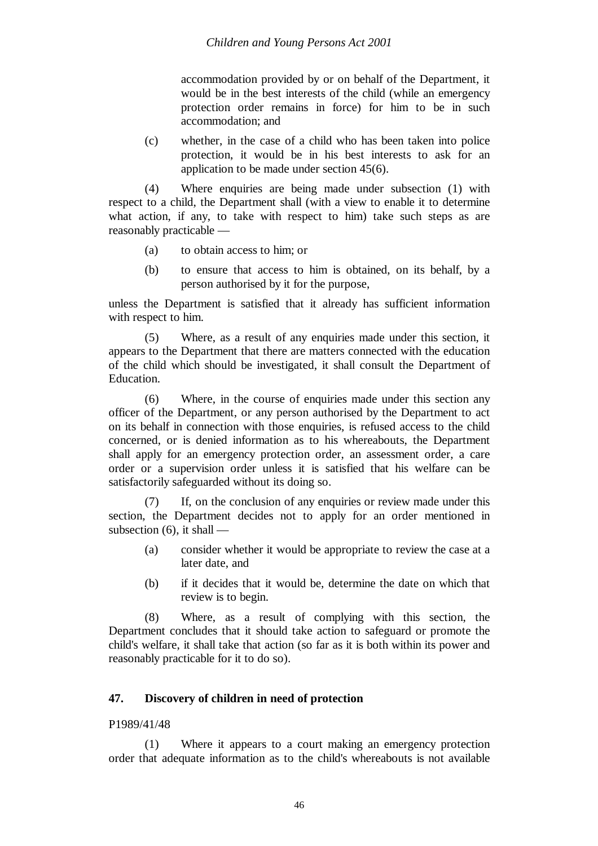accommodation provided by or on behalf of the Department, it would be in the best interests of the child (while an emergency protection order remains in force) for him to be in such accommodation; and

(c) whether, in the case of a child who has been taken into police protection, it would be in his best interests to ask for an application to be made under section 45(6).

(4) Where enquiries are being made under subsection (1) with respect to a child, the Department shall (with a view to enable it to determine what action, if any, to take with respect to him) take such steps as are reasonably practicable —

- (a) to obtain access to him; or
- (b) to ensure that access to him is obtained, on its behalf, by a person authorised by it for the purpose,

unless the Department is satisfied that it already has sufficient information with respect to him.

(5) Where, as a result of any enquiries made under this section, it appears to the Department that there are matters connected with the education of the child which should be investigated, it shall consult the Department of **Education** 

(6) Where, in the course of enquiries made under this section any officer of the Department, or any person authorised by the Department to act on its behalf in connection with those enquiries, is refused access to the child concerned, or is denied information as to his whereabouts, the Department shall apply for an emergency protection order, an assessment order, a care order or a supervision order unless it is satisfied that his welfare can be satisfactorily safeguarded without its doing so.

(7) If, on the conclusion of any enquiries or review made under this section, the Department decides not to apply for an order mentioned in subsection  $(6)$ , it shall —

- (a) consider whether it would be appropriate to review the case at a later date, and
- (b) if it decides that it would be, determine the date on which that review is to begin.

(8) Where, as a result of complying with this section, the Department concludes that it should take action to safeguard or promote the child's welfare, it shall take that action (so far as it is both within its power and reasonably practicable for it to do so).

### **47. Discovery of children in need of protection**

## P1989/41/48

(1) Where it appears to a court making an emergency protection order that adequate information as to the child's whereabouts is not available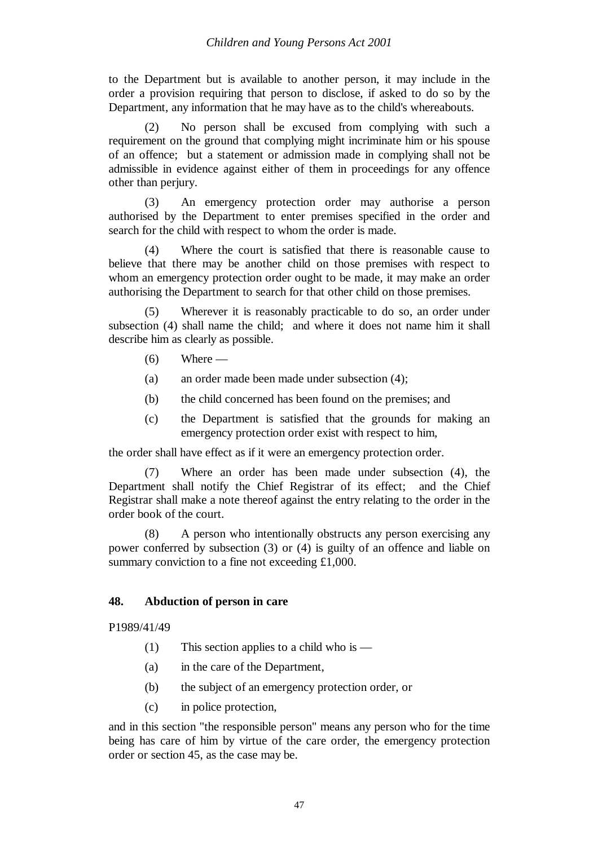to the Department but is available to another person, it may include in the order a provision requiring that person to disclose, if asked to do so by the Department, any information that he may have as to the child's whereabouts.

(2) No person shall be excused from complying with such a requirement on the ground that complying might incriminate him or his spouse of an offence; but a statement or admission made in complying shall not be admissible in evidence against either of them in proceedings for any offence other than perjury.

(3) An emergency protection order may authorise a person authorised by the Department to enter premises specified in the order and search for the child with respect to whom the order is made.

(4) Where the court is satisfied that there is reasonable cause to believe that there may be another child on those premises with respect to whom an emergency protection order ought to be made, it may make an order authorising the Department to search for that other child on those premises.

(5) Wherever it is reasonably practicable to do so, an order under subsection (4) shall name the child; and where it does not name him it shall describe him as clearly as possible.

- $(6)$  Where —
- (a) an order made been made under subsection (4);
- (b) the child concerned has been found on the premises; and
- (c) the Department is satisfied that the grounds for making an emergency protection order exist with respect to him,

the order shall have effect as if it were an emergency protection order.

(7) Where an order has been made under subsection (4), the Department shall notify the Chief Registrar of its effect; and the Chief Registrar shall make a note thereof against the entry relating to the order in the order book of the court.

(8) A person who intentionally obstructs any person exercising any power conferred by subsection (3) or (4) is guilty of an offence and liable on summary conviction to a fine not exceeding £1,000.

### **48. Abduction of person in care**

P1989/41/49

- (1) This section applies to a child who is —
- (a) in the care of the Department,
- (b) the subject of an emergency protection order, or
- (c) in police protection,

and in this section "the responsible person" means any person who for the time being has care of him by virtue of the care order, the emergency protection order or section 45, as the case may be.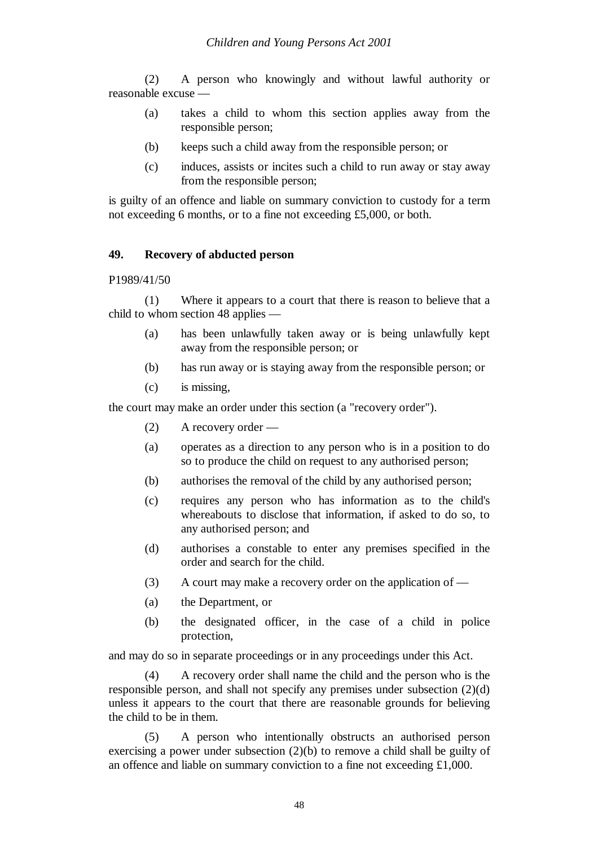(2) A person who knowingly and without lawful authority or reasonable excuse —

- (a) takes a child to whom this section applies away from the responsible person;
- (b) keeps such a child away from the responsible person; or
- (c) induces, assists or incites such a child to run away or stay away from the responsible person;

is guilty of an offence and liable on summary conviction to custody for a term not exceeding 6 months, or to a fine not exceeding £5,000, or both.

#### **49. Recovery of abducted person**

P1989/41/50

(1) Where it appears to a court that there is reason to believe that a child to whom section 48 applies —

- (a) has been unlawfully taken away or is being unlawfully kept away from the responsible person; or
- (b) has run away or is staying away from the responsible person; or
- (c) is missing,

the court may make an order under this section (a "recovery order").

- (2) A recovery order —
- (a) operates as a direction to any person who is in a position to do so to produce the child on request to any authorised person;
- (b) authorises the removal of the child by any authorised person;
- (c) requires any person who has information as to the child's whereabouts to disclose that information, if asked to do so, to any authorised person; and
- (d) authorises a constable to enter any premises specified in the order and search for the child.
- (3) A court may make a recovery order on the application of —
- (a) the Department, or
- (b) the designated officer, in the case of a child in police protection,

and may do so in separate proceedings or in any proceedings under this Act.

(4) A recovery order shall name the child and the person who is the responsible person, and shall not specify any premises under subsection (2)(d) unless it appears to the court that there are reasonable grounds for believing the child to be in them.

(5) A person who intentionally obstructs an authorised person exercising a power under subsection (2)(b) to remove a child shall be guilty of an offence and liable on summary conviction to a fine not exceeding £1,000.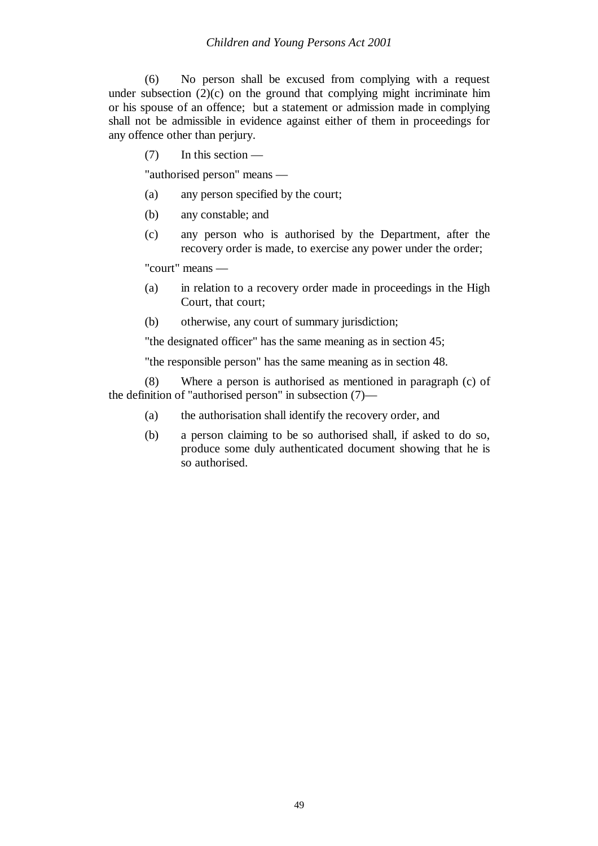(6) No person shall be excused from complying with a request under subsection  $(2)(c)$  on the ground that complying might incriminate him or his spouse of an offence; but a statement or admission made in complying shall not be admissible in evidence against either of them in proceedings for any offence other than perjury.

(7) In this section —

"authorised person" means —

- (a) any person specified by the court;
- (b) any constable; and
- (c) any person who is authorised by the Department, after the recovery order is made, to exercise any power under the order;

"court" means —

- (a) in relation to a recovery order made in proceedings in the High Court, that court;
- (b) otherwise, any court of summary jurisdiction;

"the designated officer" has the same meaning as in section 45;

"the responsible person" has the same meaning as in section 48.

(8) Where a person is authorised as mentioned in paragraph (c) of the definition of "authorised person" in subsection (7)—

- (a) the authorisation shall identify the recovery order, and
- (b) a person claiming to be so authorised shall, if asked to do so, produce some duly authenticated document showing that he is so authorised.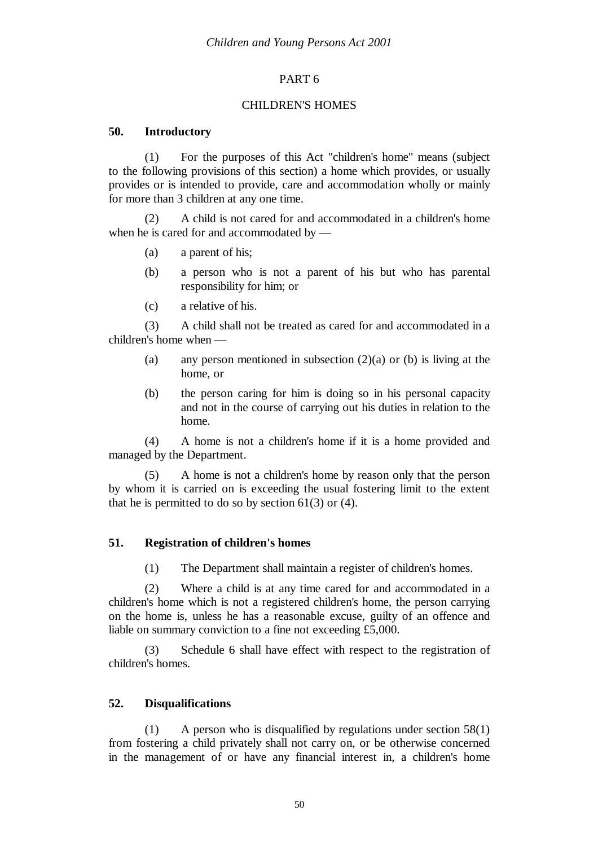# PART 6

### CHILDREN'S HOMES

## **50. Introductory**

(1) For the purposes of this Act "children's home" means (subject to the following provisions of this section) a home which provides, or usually provides or is intended to provide, care and accommodation wholly or mainly for more than 3 children at any one time.

(2) A child is not cared for and accommodated in a children's home when he is cared for and accommodated by —

- (a) a parent of his;
- (b) a person who is not a parent of his but who has parental responsibility for him; or
- (c) a relative of his.

(3) A child shall not be treated as cared for and accommodated in a children's home when —

- (a) any person mentioned in subsection  $(2)(a)$  or (b) is living at the home, or
- (b) the person caring for him is doing so in his personal capacity and not in the course of carrying out his duties in relation to the home.

(4) A home is not a children's home if it is a home provided and managed by the Department.

(5) A home is not a children's home by reason only that the person by whom it is carried on is exceeding the usual fostering limit to the extent that he is permitted to do so by section  $61(3)$  or  $(4)$ .

# **51. Registration of children's homes**

(1) The Department shall maintain a register of children's homes.

(2) Where a child is at any time cared for and accommodated in a children's home which is not a registered children's home, the person carrying on the home is, unless he has a reasonable excuse, guilty of an offence and liable on summary conviction to a fine not exceeding £5,000.

(3) Schedule 6 shall have effect with respect to the registration of children's homes.

# **52. Disqualifications**

(1) A person who is disqualified by regulations under section 58(1) from fostering a child privately shall not carry on, or be otherwise concerned in the management of or have any financial interest in, a children's home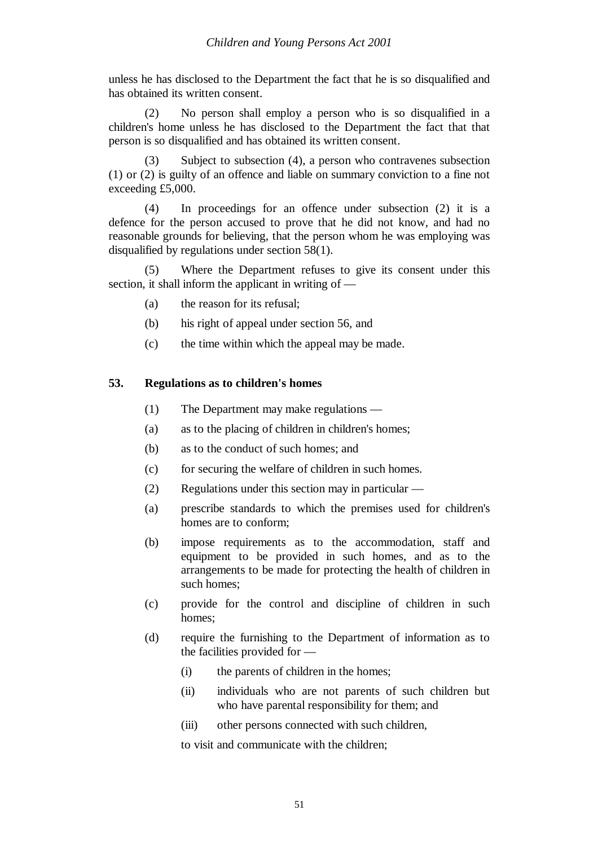unless he has disclosed to the Department the fact that he is so disqualified and has obtained its written consent.

(2) No person shall employ a person who is so disqualified in a children's home unless he has disclosed to the Department the fact that that person is so disqualified and has obtained its written consent.

(3) Subject to subsection (4), a person who contravenes subsection (1) or (2) is guilty of an offence and liable on summary conviction to a fine not exceeding £5,000.

(4) In proceedings for an offence under subsection (2) it is a defence for the person accused to prove that he did not know, and had no reasonable grounds for believing, that the person whom he was employing was disqualified by regulations under section 58(1).

(5) Where the Department refuses to give its consent under this section, it shall inform the applicant in writing of —

- (a) the reason for its refusal;
- (b) his right of appeal under section 56, and
- (c) the time within which the appeal may be made.

#### **53. Regulations as to children's homes**

- (1) The Department may make regulations —
- (a) as to the placing of children in children's homes;
- (b) as to the conduct of such homes; and
- (c) for securing the welfare of children in such homes.
- (2) Regulations under this section may in particular —
- (a) prescribe standards to which the premises used for children's homes are to conform;
- (b) impose requirements as to the accommodation, staff and equipment to be provided in such homes, and as to the arrangements to be made for protecting the health of children in such homes;
- (c) provide for the control and discipline of children in such homes;
- (d) require the furnishing to the Department of information as to the facilities provided for —
	- (i) the parents of children in the homes;
	- (ii) individuals who are not parents of such children but who have parental responsibility for them; and
	- (iii) other persons connected with such children,

to visit and communicate with the children;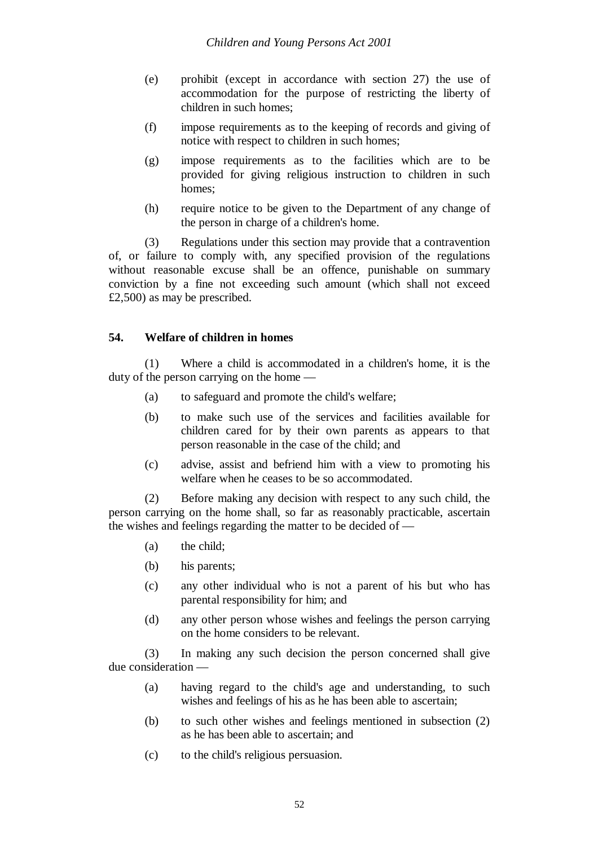- (e) prohibit (except in accordance with section 27) the use of accommodation for the purpose of restricting the liberty of children in such homes;
- (f) impose requirements as to the keeping of records and giving of notice with respect to children in such homes;
- (g) impose requirements as to the facilities which are to be provided for giving religious instruction to children in such homes;
- (h) require notice to be given to the Department of any change of the person in charge of a children's home.

(3) Regulations under this section may provide that a contravention of, or failure to comply with, any specified provision of the regulations without reasonable excuse shall be an offence, punishable on summary conviction by a fine not exceeding such amount (which shall not exceed £2,500) as may be prescribed.

# **54. Welfare of children in homes**

(1) Where a child is accommodated in a children's home, it is the duty of the person carrying on the home —

- (a) to safeguard and promote the child's welfare;
- (b) to make such use of the services and facilities available for children cared for by their own parents as appears to that person reasonable in the case of the child; and
- (c) advise, assist and befriend him with a view to promoting his welfare when he ceases to be so accommodated.

(2) Before making any decision with respect to any such child, the person carrying on the home shall, so far as reasonably practicable, ascertain the wishes and feelings regarding the matter to be decided of —

- (a) the child;
- (b) his parents;
- (c) any other individual who is not a parent of his but who has parental responsibility for him; and
- (d) any other person whose wishes and feelings the person carrying on the home considers to be relevant.

(3) In making any such decision the person concerned shall give due consideration —

- (a) having regard to the child's age and understanding, to such wishes and feelings of his as he has been able to ascertain;
- (b) to such other wishes and feelings mentioned in subsection (2) as he has been able to ascertain; and
- (c) to the child's religious persuasion.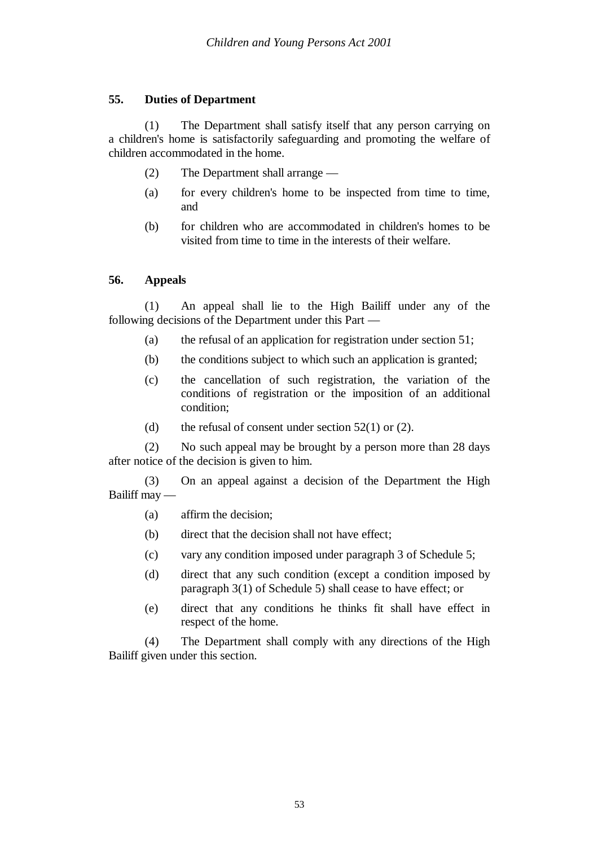# **55. Duties of Department**

(1) The Department shall satisfy itself that any person carrying on a children's home is satisfactorily safeguarding and promoting the welfare of children accommodated in the home.

- (2) The Department shall arrange —
- (a) for every children's home to be inspected from time to time, and
- (b) for children who are accommodated in children's homes to be visited from time to time in the interests of their welfare.

# **56. Appeals**

(1) An appeal shall lie to the High Bailiff under any of the following decisions of the Department under this Part —

- (a) the refusal of an application for registration under section 51;
- (b) the conditions subject to which such an application is granted;
- (c) the cancellation of such registration, the variation of the conditions of registration or the imposition of an additional condition;
- (d) the refusal of consent under section  $52(1)$  or (2).

(2) No such appeal may be brought by a person more than 28 days after notice of the decision is given to him.

(3) On an appeal against a decision of the Department the High Bailiff may —

- (a) affirm the decision;
- (b) direct that the decision shall not have effect;
- (c) vary any condition imposed under paragraph 3 of Schedule 5;
- (d) direct that any such condition (except a condition imposed by paragraph 3(1) of Schedule 5) shall cease to have effect; or
- (e) direct that any conditions he thinks fit shall have effect in respect of the home.

(4) The Department shall comply with any directions of the High Bailiff given under this section.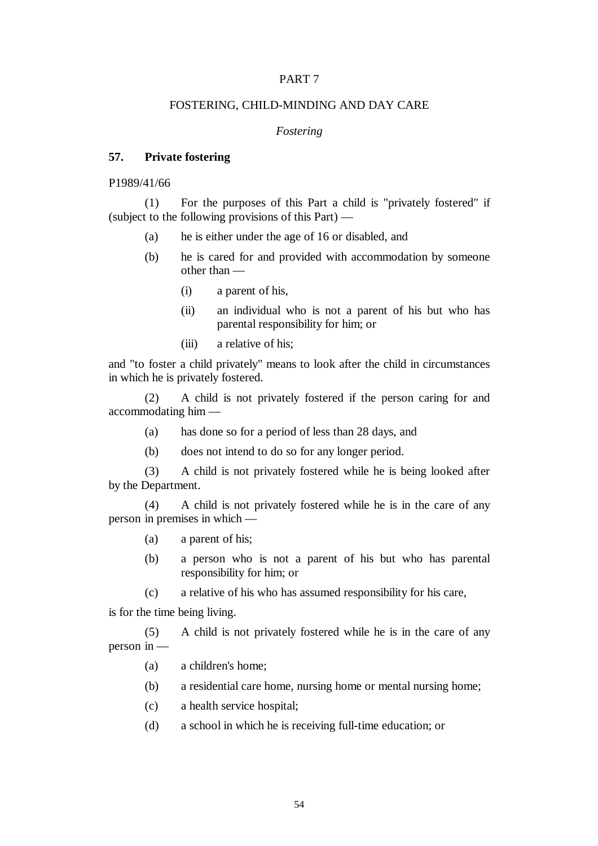#### PART 7

#### FOSTERING, CHILD-MINDING AND DAY CARE

#### *Fostering*

#### **57. Private fostering**

P1989/41/66

(1) For the purposes of this Part a child is "privately fostered" if (subject to the following provisions of this Part) —

- (a) he is either under the age of 16 or disabled, and
- (b) he is cared for and provided with accommodation by someone other than —
	- (i) a parent of his,
	- (ii) an individual who is not a parent of his but who has parental responsibility for him; or
	- (iii) a relative of his;

and "to foster a child privately" means to look after the child in circumstances in which he is privately fostered.

(2) A child is not privately fostered if the person caring for and accommodating him —

- (a) has done so for a period of less than 28 days, and
- (b) does not intend to do so for any longer period.

(3) A child is not privately fostered while he is being looked after by the Department.

(4) A child is not privately fostered while he is in the care of any person in premises in which —

- (a) a parent of his;
- (b) a person who is not a parent of his but who has parental responsibility for him; or
- (c) a relative of his who has assumed responsibility for his care,

is for the time being living.

(5) A child is not privately fostered while he is in the care of any person in —

- (a) a children's home;
- (b) a residential care home, nursing home or mental nursing home;
- (c) a health service hospital;
- (d) a school in which he is receiving full-time education; or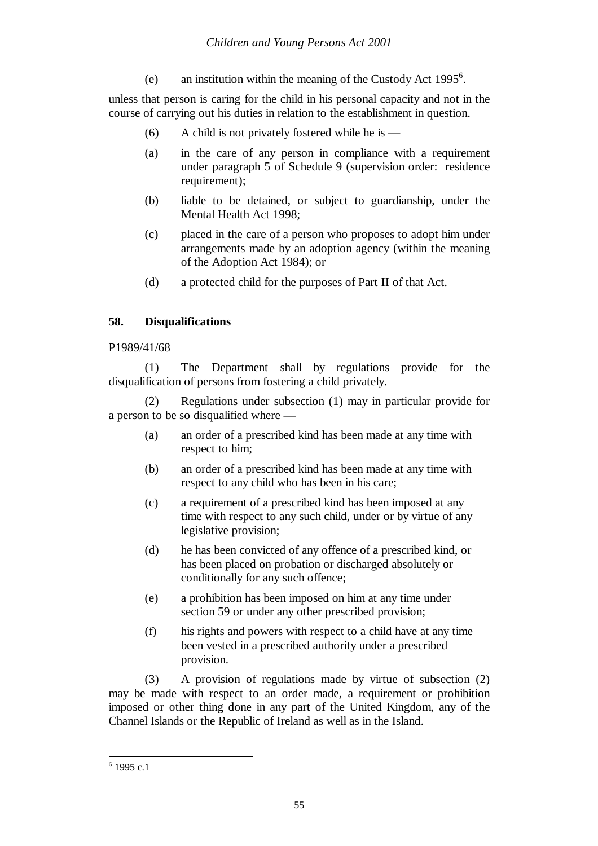(e) an institution within the meaning of the Custody Act  $1995<sup>6</sup>$ .

unless that person is caring for the child in his personal capacity and not in the course of carrying out his duties in relation to the establishment in question.

- (6) A child is not privately fostered while he is —
- (a) in the care of any person in compliance with a requirement under paragraph 5 of Schedule 9 (supervision order: residence requirement);
- (b) liable to be detained, or subject to guardianship, under the Mental Health Act 1998;
- (c) placed in the care of a person who proposes to adopt him under arrangements made by an adoption agency (within the meaning of the Adoption Act 1984); or
- (d) a protected child for the purposes of Part II of that Act.

## **58. Disqualifications**

P1989/41/68

(1) The Department shall by regulations provide for the disqualification of persons from fostering a child privately.

(2) Regulations under subsection (1) may in particular provide for a person to be so disqualified where —

- (a) an order of a prescribed kind has been made at any time with respect to him;
- (b) an order of a prescribed kind has been made at any time with respect to any child who has been in his care;
- (c) a requirement of a prescribed kind has been imposed at any time with respect to any such child, under or by virtue of any legislative provision;
- (d) he has been convicted of any offence of a prescribed kind, or has been placed on probation or discharged absolutely or conditionally for any such offence;
- (e) a prohibition has been imposed on him at any time under section 59 or under any other prescribed provision;
- (f) his rights and powers with respect to a child have at any time been vested in a prescribed authority under a prescribed provision.

(3) A provision of regulations made by virtue of subsection (2) may be made with respect to an order made, a requirement or prohibition imposed or other thing done in any part of the United Kingdom, any of the Channel Islands or the Republic of Ireland as well as in the Island.

 $6$  1995 c.1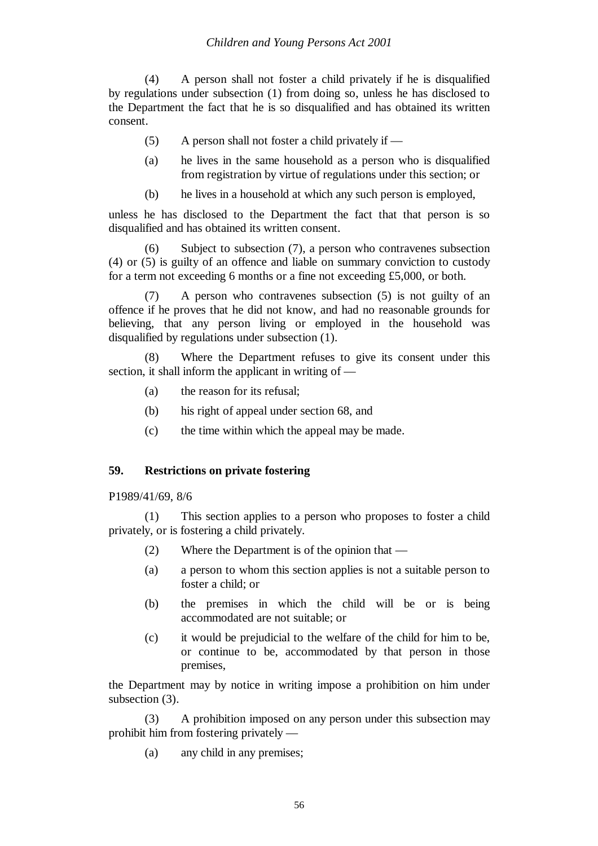(4) A person shall not foster a child privately if he is disqualified by regulations under subsection (1) from doing so, unless he has disclosed to the Department the fact that he is so disqualified and has obtained its written consent.

- (5) A person shall not foster a child privately if —
- (a) he lives in the same household as a person who is disqualified from registration by virtue of regulations under this section; or
- (b) he lives in a household at which any such person is employed,

unless he has disclosed to the Department the fact that that person is so disqualified and has obtained its written consent.

(6) Subject to subsection (7), a person who contravenes subsection (4) or (5) is guilty of an offence and liable on summary conviction to custody for a term not exceeding 6 months or a fine not exceeding £5,000, or both.

(7) A person who contravenes subsection (5) is not guilty of an offence if he proves that he did not know, and had no reasonable grounds for believing, that any person living or employed in the household was disqualified by regulations under subsection (1).

(8) Where the Department refuses to give its consent under this section, it shall inform the applicant in writing of —

- (a) the reason for its refusal;
- (b) his right of appeal under section 68, and
- (c) the time within which the appeal may be made.

#### **59. Restrictions on private fostering**

P1989/41/69, 8/6

(1) This section applies to a person who proposes to foster a child privately, or is fostering a child privately.

- (2) Where the Department is of the opinion that —
- (a) a person to whom this section applies is not a suitable person to foster a child; or
- (b) the premises in which the child will be or is being accommodated are not suitable; or
- (c) it would be prejudicial to the welfare of the child for him to be, or continue to be, accommodated by that person in those premises,

the Department may by notice in writing impose a prohibition on him under subsection (3).

(3) A prohibition imposed on any person under this subsection may prohibit him from fostering privately —

(a) any child in any premises;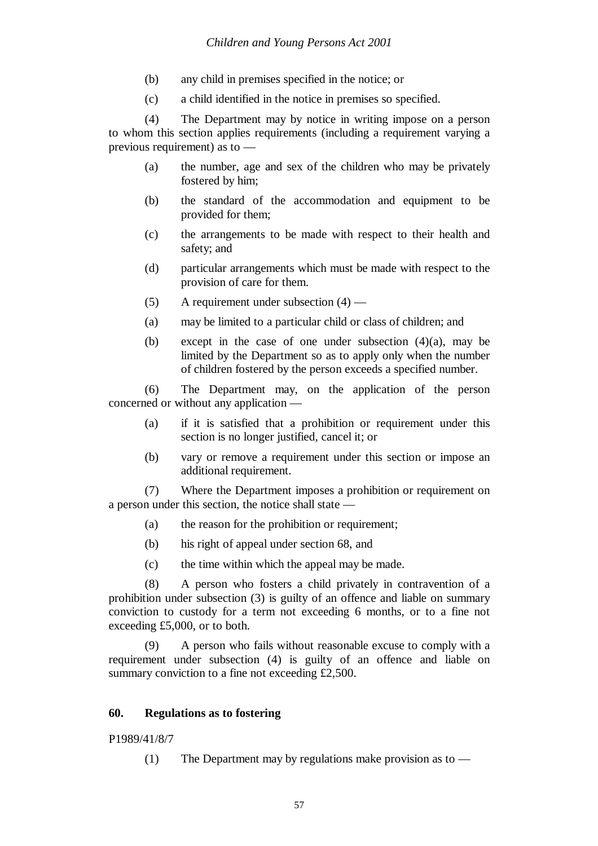- (b) any child in premises specified in the notice; or
- (c) a child identified in the notice in premises so specified.

(4) The Department may by notice in writing impose on a person to whom this section applies requirements (including a requirement varying a previous requirement) as to —

- (a) the number, age and sex of the children who may be privately fostered by him;
- (b) the standard of the accommodation and equipment to be provided for them;
- (c) the arrangements to be made with respect to their health and safety; and
- (d) particular arrangements which must be made with respect to the provision of care for them.
- (5) A requirement under subsection  $(4)$  —
- (a) may be limited to a particular child or class of children; and
- (b) except in the case of one under subsection  $(4)(a)$ , may be limited by the Department so as to apply only when the number of children fostered by the person exceeds a specified number.

(6) The Department may, on the application of the person concerned or without any application —

- (a) if it is satisfied that a prohibition or requirement under this section is no longer justified, cancel it; or
- (b) vary or remove a requirement under this section or impose an additional requirement.

(7) Where the Department imposes a prohibition or requirement on a person under this section, the notice shall state —

- (a) the reason for the prohibition or requirement;
- (b) his right of appeal under section 68, and
- (c) the time within which the appeal may be made.

(8) A person who fosters a child privately in contravention of a prohibition under subsection (3) is guilty of an offence and liable on summary conviction to custody for a term not exceeding 6 months, or to a fine not exceeding £5,000, or to both.

(9) A person who fails without reasonable excuse to comply with a requirement under subsection (4) is guilty of an offence and liable on summary conviction to a fine not exceeding £2,500.

#### **60. Regulations as to fostering**

P1989/41/8/7

(1) The Department may by regulations make provision as to —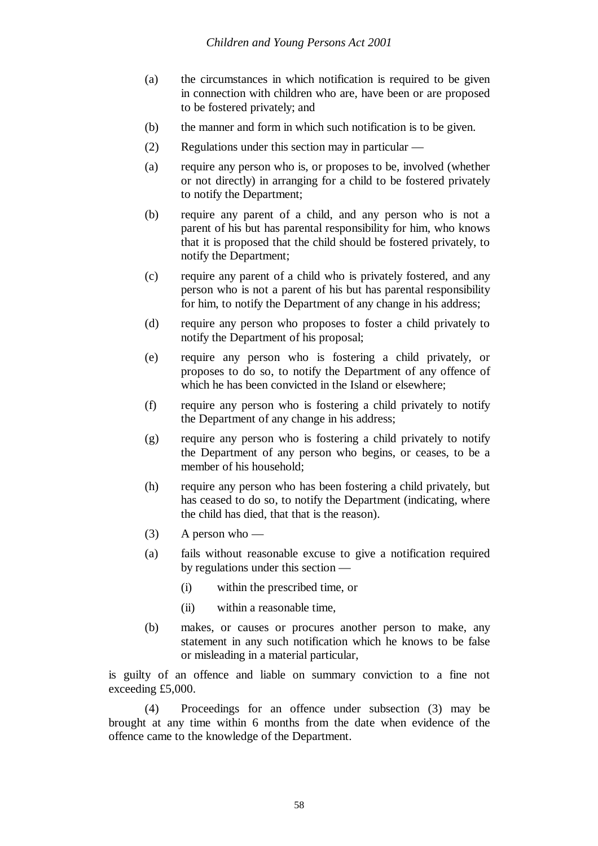- (a) the circumstances in which notification is required to be given in connection with children who are, have been or are proposed to be fostered privately; and
- (b) the manner and form in which such notification is to be given.
- (2) Regulations under this section may in particular —
- (a) require any person who is, or proposes to be, involved (whether or not directly) in arranging for a child to be fostered privately to notify the Department;
- (b) require any parent of a child, and any person who is not a parent of his but has parental responsibility for him, who knows that it is proposed that the child should be fostered privately, to notify the Department;
- (c) require any parent of a child who is privately fostered, and any person who is not a parent of his but has parental responsibility for him, to notify the Department of any change in his address;
- (d) require any person who proposes to foster a child privately to notify the Department of his proposal;
- (e) require any person who is fostering a child privately, or proposes to do so, to notify the Department of any offence of which he has been convicted in the Island or elsewhere;
- (f) require any person who is fostering a child privately to notify the Department of any change in his address;
- (g) require any person who is fostering a child privately to notify the Department of any person who begins, or ceases, to be a member of his household;
- (h) require any person who has been fostering a child privately, but has ceased to do so, to notify the Department (indicating, where the child has died, that that is the reason).
- $(3)$  A person who —
- (a) fails without reasonable excuse to give a notification required by regulations under this section —
	- (i) within the prescribed time, or
	- (ii) within a reasonable time,
- (b) makes, or causes or procures another person to make, any statement in any such notification which he knows to be false or misleading in a material particular,

is guilty of an offence and liable on summary conviction to a fine not exceeding £5,000.

(4) Proceedings for an offence under subsection (3) may be brought at any time within 6 months from the date when evidence of the offence came to the knowledge of the Department.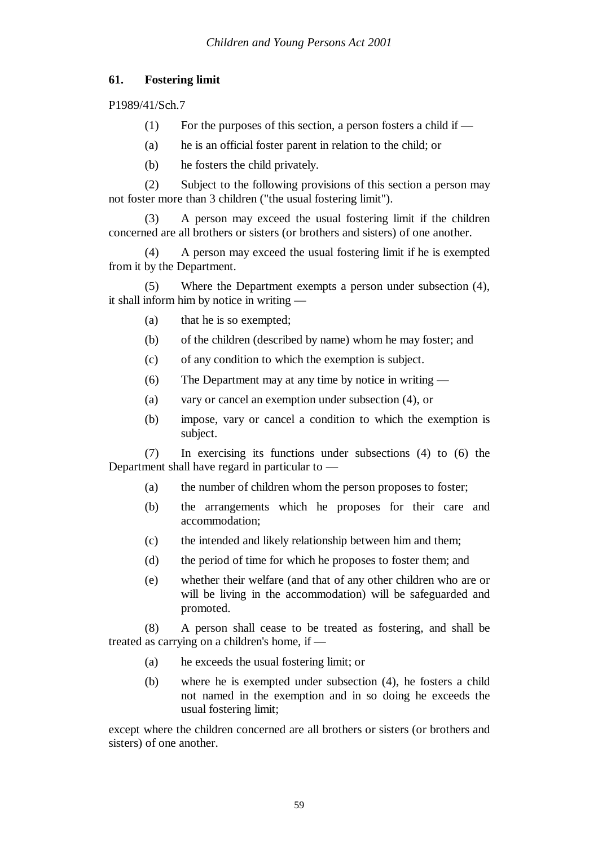# **61. Fostering limit**

P1989/41/Sch.7

- (1) For the purposes of this section, a person fosters a child if  $-$
- (a) he is an official foster parent in relation to the child; or
- (b) he fosters the child privately.

(2) Subject to the following provisions of this section a person may not foster more than 3 children ("the usual fostering limit").

(3) A person may exceed the usual fostering limit if the children concerned are all brothers or sisters (or brothers and sisters) of one another.

(4) A person may exceed the usual fostering limit if he is exempted from it by the Department.

(5) Where the Department exempts a person under subsection (4), it shall inform him by notice in writing —

- (a) that he is so exempted;
- (b) of the children (described by name) whom he may foster; and
- (c) of any condition to which the exemption is subject.
- (6) The Department may at any time by notice in writing —
- (a) vary or cancel an exemption under subsection (4), or
- (b) impose, vary or cancel a condition to which the exemption is subject.

(7) In exercising its functions under subsections (4) to (6) the Department shall have regard in particular to —

- (a) the number of children whom the person proposes to foster;
- (b) the arrangements which he proposes for their care and accommodation;
- (c) the intended and likely relationship between him and them;
- (d) the period of time for which he proposes to foster them; and
- (e) whether their welfare (and that of any other children who are or will be living in the accommodation) will be safeguarded and promoted.

(8) A person shall cease to be treated as fostering, and shall be treated as carrying on a children's home, if —

- (a) he exceeds the usual fostering limit; or
- (b) where he is exempted under subsection (4), he fosters a child not named in the exemption and in so doing he exceeds the usual fostering limit;

except where the children concerned are all brothers or sisters (or brothers and sisters) of one another.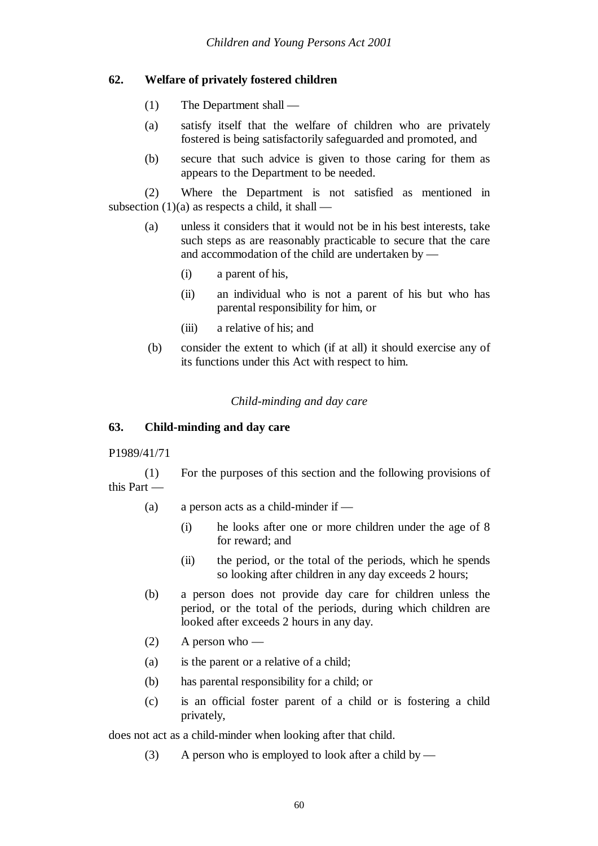## **62. Welfare of privately fostered children**

- (1) The Department shall —
- (a) satisfy itself that the welfare of children who are privately fostered is being satisfactorily safeguarded and promoted, and
- (b) secure that such advice is given to those caring for them as appears to the Department to be needed.

(2) Where the Department is not satisfied as mentioned in subsection  $(1)(a)$  as respects a child, it shall —

- (a) unless it considers that it would not be in his best interests, take such steps as are reasonably practicable to secure that the care and accommodation of the child are undertaken by —
	- (i) a parent of his,
	- (ii) an individual who is not a parent of his but who has parental responsibility for him, or
	- (iii) a relative of his; and
- (b) consider the extent to which (if at all) it should exercise any of its functions under this Act with respect to him.

### *Child-minding and day care*

#### **63. Child-minding and day care**

#### P1989/41/71

(1) For the purposes of this section and the following provisions of this Part —

- (a) a person acts as a child-minder if
	- (i) he looks after one or more children under the age of 8 for reward; and
	- (ii) the period, or the total of the periods, which he spends so looking after children in any day exceeds 2 hours;
- (b) a person does not provide day care for children unless the period, or the total of the periods, during which children are looked after exceeds 2 hours in any day.
- $(2)$  A person who —
- (a) is the parent or a relative of a child;
- (b) has parental responsibility for a child; or
- (c) is an official foster parent of a child or is fostering a child privately,

does not act as a child-minder when looking after that child.

(3) A person who is employed to look after a child by —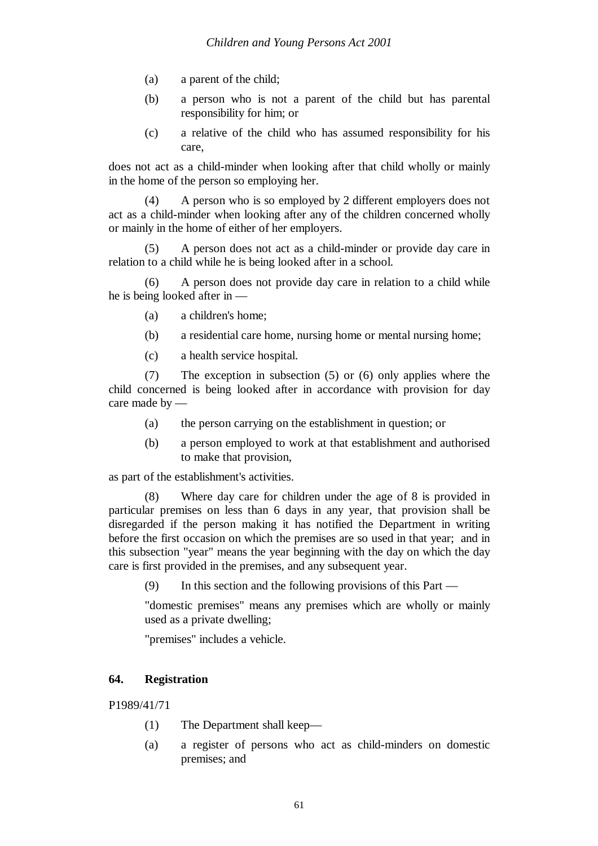- (a) a parent of the child;
- (b) a person who is not a parent of the child but has parental responsibility for him; or
- (c) a relative of the child who has assumed responsibility for his care,

does not act as a child-minder when looking after that child wholly or mainly in the home of the person so employing her.

(4) A person who is so employed by 2 different employers does not act as a child-minder when looking after any of the children concerned wholly or mainly in the home of either of her employers.

(5) A person does not act as a child-minder or provide day care in relation to a child while he is being looked after in a school.

(6) A person does not provide day care in relation to a child while he is being looked after in —

- (a) a children's home;
- (b) a residential care home, nursing home or mental nursing home;
- (c) a health service hospital.

(7) The exception in subsection (5) or (6) only applies where the child concerned is being looked after in accordance with provision for day care made by —

- (a) the person carrying on the establishment in question; or
- (b) a person employed to work at that establishment and authorised to make that provision,

as part of the establishment's activities.

(8) Where day care for children under the age of 8 is provided in particular premises on less than 6 days in any year, that provision shall be disregarded if the person making it has notified the Department in writing before the first occasion on which the premises are so used in that year; and in this subsection "year" means the year beginning with the day on which the day care is first provided in the premises, and any subsequent year.

(9) In this section and the following provisions of this Part —

"domestic premises" means any premises which are wholly or mainly used as a private dwelling;

"premises" includes a vehicle.

### **64. Registration**

P1989/41/71

- (1) The Department shall keep—
- (a) a register of persons who act as child-minders on domestic premises; and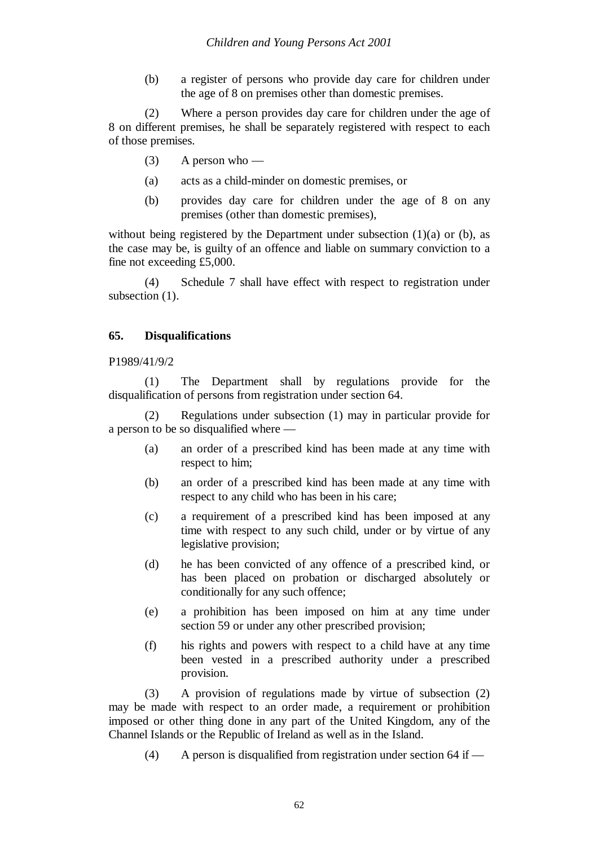(b) a register of persons who provide day care for children under the age of 8 on premises other than domestic premises.

(2) Where a person provides day care for children under the age of 8 on different premises, he shall be separately registered with respect to each of those premises.

- $(3)$  A person who —
- (a) acts as a child-minder on domestic premises, or
- (b) provides day care for children under the age of 8 on any premises (other than domestic premises),

without being registered by the Department under subsection  $(1)(a)$  or  $(b)$ , as the case may be, is guilty of an offence and liable on summary conviction to a fine not exceeding £5,000.

(4) Schedule 7 shall have effect with respect to registration under subsection  $(1)$ .

### **65. Disqualifications**

#### P1989/41/9/2

(1) The Department shall by regulations provide for the disqualification of persons from registration under section 64.

(2) Regulations under subsection (1) may in particular provide for a person to be so disqualified where —

- (a) an order of a prescribed kind has been made at any time with respect to him;
- (b) an order of a prescribed kind has been made at any time with respect to any child who has been in his care;
- (c) a requirement of a prescribed kind has been imposed at any time with respect to any such child, under or by virtue of any legislative provision;
- (d) he has been convicted of any offence of a prescribed kind, or has been placed on probation or discharged absolutely or conditionally for any such offence;
- (e) a prohibition has been imposed on him at any time under section 59 or under any other prescribed provision;
- (f) his rights and powers with respect to a child have at any time been vested in a prescribed authority under a prescribed provision.

(3) A provision of regulations made by virtue of subsection (2) may be made with respect to an order made, a requirement or prohibition imposed or other thing done in any part of the United Kingdom, any of the Channel Islands or the Republic of Ireland as well as in the Island.

(4) A person is disqualified from registration under section 64 if —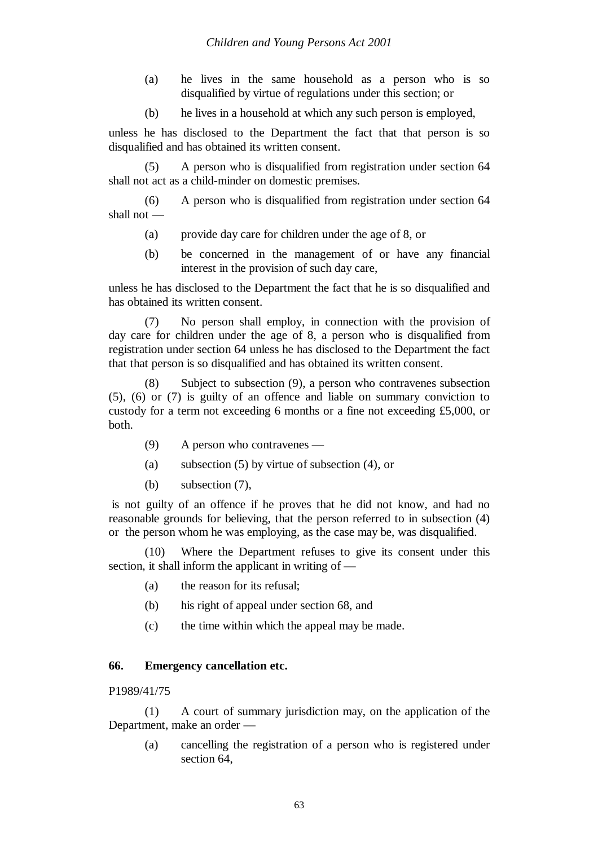- (a) he lives in the same household as a person who is so disqualified by virtue of regulations under this section; or
- (b) he lives in a household at which any such person is employed,

unless he has disclosed to the Department the fact that that person is so disqualified and has obtained its written consent.

(5) A person who is disqualified from registration under section 64 shall not act as a child-minder on domestic premises.

(6) A person who is disqualified from registration under section 64 shall not —

- (a) provide day care for children under the age of 8, or
- (b) be concerned in the management of or have any financial interest in the provision of such day care,

unless he has disclosed to the Department the fact that he is so disqualified and has obtained its written consent.

(7) No person shall employ, in connection with the provision of day care for children under the age of 8, a person who is disqualified from registration under section 64 unless he has disclosed to the Department the fact that that person is so disqualified and has obtained its written consent.

(8) Subject to subsection (9), a person who contravenes subsection (5), (6) or (7) is guilty of an offence and liable on summary conviction to custody for a term not exceeding 6 months or a fine not exceeding £5,000, or both.

- (9) A person who contravenes —
- (a) subsection (5) by virtue of subsection (4), or
- (b) subsection (7),

is not guilty of an offence if he proves that he did not know, and had no reasonable grounds for believing, that the person referred to in subsection (4) or the person whom he was employing, as the case may be, was disqualified.

(10) Where the Department refuses to give its consent under this section, it shall inform the applicant in writing of —

- (a) the reason for its refusal;
- (b) his right of appeal under section 68, and
- (c) the time within which the appeal may be made.

#### **66. Emergency cancellation etc.**

#### P1989/41/75

(1) A court of summary jurisdiction may, on the application of the Department, make an order —

(a) cancelling the registration of a person who is registered under section 64.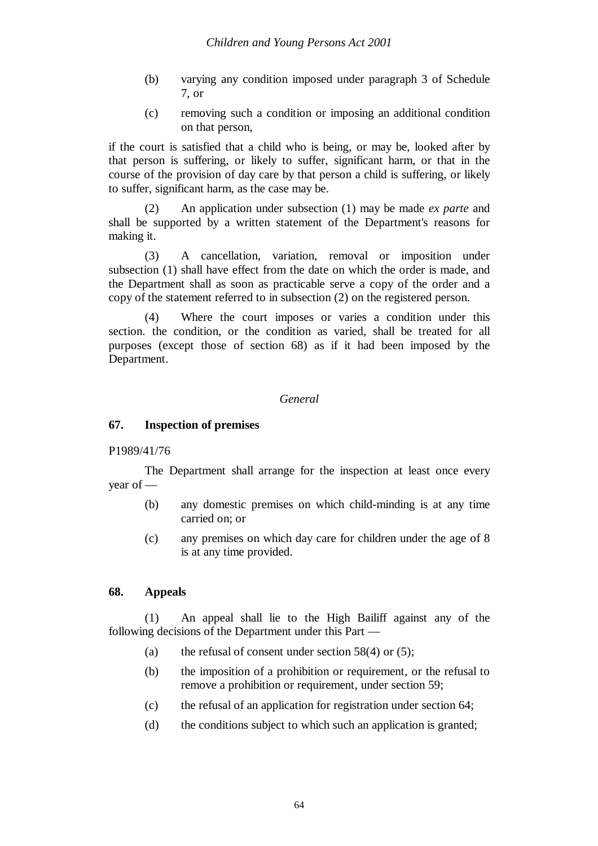- (b) varying any condition imposed under paragraph 3 of Schedule 7, or
- (c) removing such a condition or imposing an additional condition on that person,

if the court is satisfied that a child who is being, or may be, looked after by that person is suffering, or likely to suffer, significant harm, or that in the course of the provision of day care by that person a child is suffering, or likely to suffer, significant harm, as the case may be.

(2) An application under subsection (1) may be made *ex parte* and shall be supported by a written statement of the Department's reasons for making it.

(3) A cancellation, variation, removal or imposition under subsection (1) shall have effect from the date on which the order is made, and the Department shall as soon as practicable serve a copy of the order and a copy of the statement referred to in subsection (2) on the registered person.

(4) Where the court imposes or varies a condition under this section. the condition, or the condition as varied, shall be treated for all purposes (except those of section 68) as if it had been imposed by the Department.

#### *General*

### **67. Inspection of premises**

#### P1989/41/76

The Department shall arrange for the inspection at least once every year of —

- (b) any domestic premises on which child-minding is at any time carried on; or
- (c) any premises on which day care for children under the age of 8 is at any time provided.

### **68. Appeals**

(1) An appeal shall lie to the High Bailiff against any of the following decisions of the Department under this Part —

- (a) the refusal of consent under section  $58(4)$  or (5);
- (b) the imposition of a prohibition or requirement, or the refusal to remove a prohibition or requirement, under section 59;
- (c) the refusal of an application for registration under section 64;
- (d) the conditions subject to which such an application is granted;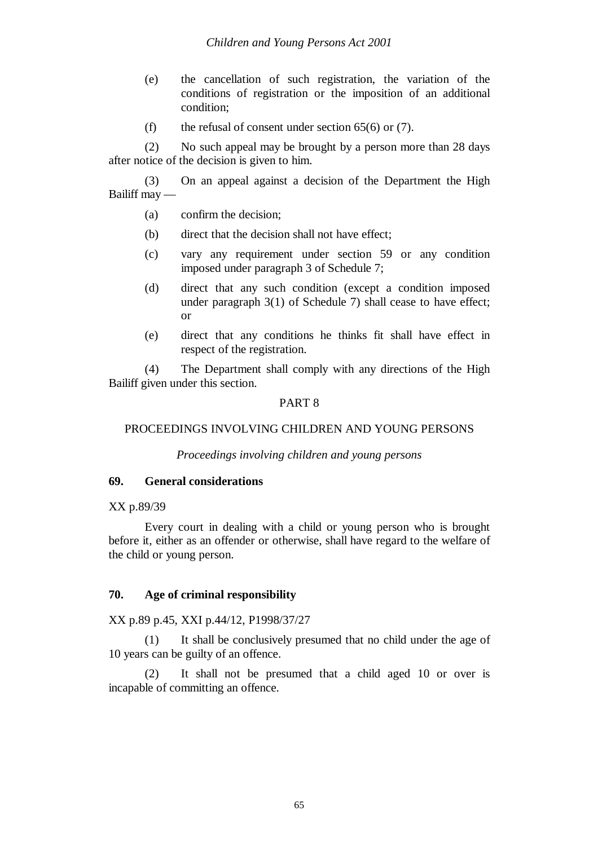- (e) the cancellation of such registration, the variation of the conditions of registration or the imposition of an additional condition;
- (f) the refusal of consent under section  $65(6)$  or (7).

(2) No such appeal may be brought by a person more than 28 days after notice of the decision is given to him.

(3) On an appeal against a decision of the Department the High Bailiff may —

- (a) confirm the decision;
- (b) direct that the decision shall not have effect;
- (c) vary any requirement under section 59 or any condition imposed under paragraph 3 of Schedule 7;
- (d) direct that any such condition (except a condition imposed under paragraph 3(1) of Schedule 7) shall cease to have effect; or
- (e) direct that any conditions he thinks fit shall have effect in respect of the registration.

(4) The Department shall comply with any directions of the High Bailiff given under this section.

### PART 8

### PROCEEDINGS INVOLVING CHILDREN AND YOUNG PERSONS

*Proceedings involving children and young persons*

### **69. General considerations**

### XX p.89/39

Every court in dealing with a child or young person who is brought before it, either as an offender or otherwise, shall have regard to the welfare of the child or young person.

### **70. Age of criminal responsibility**

### XX p.89 p.45, XXI p.44/12, P1998/37/27

(1) It shall be conclusively presumed that no child under the age of 10 years can be guilty of an offence.

(2) It shall not be presumed that a child aged 10 or over is incapable of committing an offence.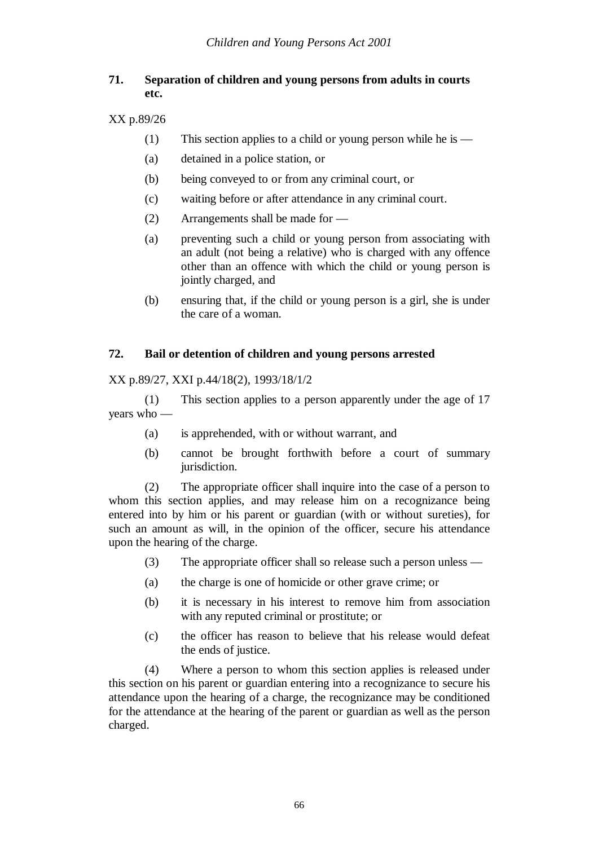# **71. Separation of children and young persons from adults in courts etc.**

## XX p.89/26

- (1) This section applies to a child or young person while he is  $-$
- (a) detained in a police station, or
- (b) being conveyed to or from any criminal court, or
- (c) waiting before or after attendance in any criminal court.
- (2) Arrangements shall be made for —
- (a) preventing such a child or young person from associating with an adult (not being a relative) who is charged with any offence other than an offence with which the child or young person is jointly charged, and
- (b) ensuring that, if the child or young person is a girl, she is under the care of a woman.

# **72. Bail or detention of children and young persons arrested**

XX p.89/27, XXI p.44/18(2), 1993/18/1/2

(1) This section applies to a person apparently under the age of 17 years who —

- (a) is apprehended, with or without warrant, and
- (b) cannot be brought forthwith before a court of summary jurisdiction.

(2) The appropriate officer shall inquire into the case of a person to whom this section applies, and may release him on a recognizance being entered into by him or his parent or guardian (with or without sureties), for such an amount as will, in the opinion of the officer, secure his attendance upon the hearing of the charge.

- (3) The appropriate officer shall so release such a person unless —
- (a) the charge is one of homicide or other grave crime; or
- (b) it is necessary in his interest to remove him from association with any reputed criminal or prostitute; or
- (c) the officer has reason to believe that his release would defeat the ends of justice.

(4) Where a person to whom this section applies is released under this section on his parent or guardian entering into a recognizance to secure his attendance upon the hearing of a charge, the recognizance may be conditioned for the attendance at the hearing of the parent or guardian as well as the person charged.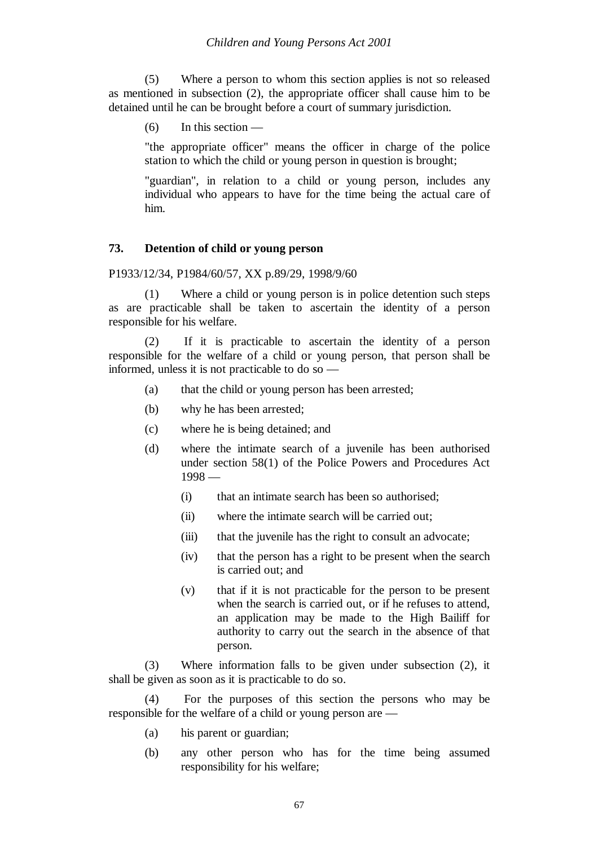(5) Where a person to whom this section applies is not so released as mentioned in subsection (2), the appropriate officer shall cause him to be detained until he can be brought before a court of summary jurisdiction.

 $(6)$  In this section —

"the appropriate officer" means the officer in charge of the police station to which the child or young person in question is brought;

"guardian", in relation to a child or young person, includes any individual who appears to have for the time being the actual care of him.

#### **73. Detention of child or young person**

P1933/12/34, P1984/60/57, XX p.89/29, 1998/9/60

(1) Where a child or young person is in police detention such steps as are practicable shall be taken to ascertain the identity of a person responsible for his welfare.

(2) If it is practicable to ascertain the identity of a person responsible for the welfare of a child or young person, that person shall be informed, unless it is not practicable to do so —

- (a) that the child or young person has been arrested;
- (b) why he has been arrested;
- (c) where he is being detained; and
- (d) where the intimate search of a juvenile has been authorised under section 58(1) of the Police Powers and Procedures Act  $1998 -$ 
	- (i) that an intimate search has been so authorised;
	- (ii) where the intimate search will be carried out;
	- (iii) that the juvenile has the right to consult an advocate:
	- (iv) that the person has a right to be present when the search is carried out; and
	- (v) that if it is not practicable for the person to be present when the search is carried out, or if he refuses to attend, an application may be made to the High Bailiff for authority to carry out the search in the absence of that person.

(3) Where information falls to be given under subsection (2), it shall be given as soon as it is practicable to do so.

(4) For the purposes of this section the persons who may be responsible for the welfare of a child or young person are —

- (a) his parent or guardian;
- (b) any other person who has for the time being assumed responsibility for his welfare;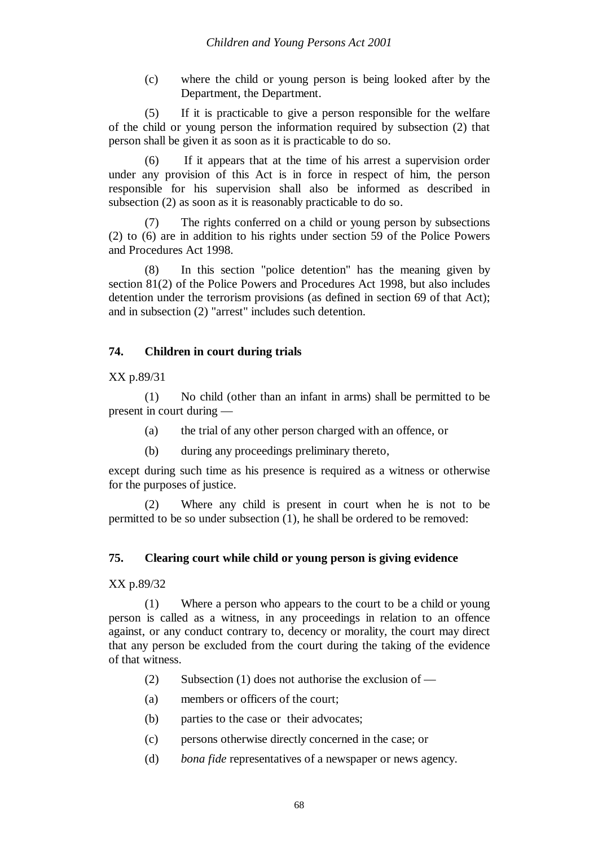(c) where the child or young person is being looked after by the Department, the Department.

(5) If it is practicable to give a person responsible for the welfare of the child or young person the information required by subsection (2) that person shall be given it as soon as it is practicable to do so.

(6) If it appears that at the time of his arrest a supervision order under any provision of this Act is in force in respect of him, the person responsible for his supervision shall also be informed as described in subsection (2) as soon as it is reasonably practicable to do so.

The rights conferred on a child or young person by subsections (2) to (6) are in addition to his rights under section 59 of the Police Powers and Procedures Act 1998.

(8) In this section "police detention" has the meaning given by section 81(2) of the Police Powers and Procedures Act 1998, but also includes detention under the terrorism provisions (as defined in section 69 of that Act); and in subsection (2) "arrest" includes such detention.

## **74. Children in court during trials**

XX p.89/31

(1) No child (other than an infant in arms) shall be permitted to be present in court during —

- (a) the trial of any other person charged with an offence, or
- (b) during any proceedings preliminary thereto,

except during such time as his presence is required as a witness or otherwise for the purposes of justice.

(2) Where any child is present in court when he is not to be permitted to be so under subsection (1), he shall be ordered to be removed:

### **75. Clearing court while child or young person is giving evidence**

XX p.89/32

(1) Where a person who appears to the court to be a child or young person is called as a witness, in any proceedings in relation to an offence against, or any conduct contrary to, decency or morality, the court may direct that any person be excluded from the court during the taking of the evidence of that witness.

- (2) Subsection (1) does not authorise the exclusion of —
- (a) members or officers of the court;
- (b) parties to the case or their advocates;
- (c) persons otherwise directly concerned in the case; or
- (d) *bona fide* representatives of a newspaper or news agency.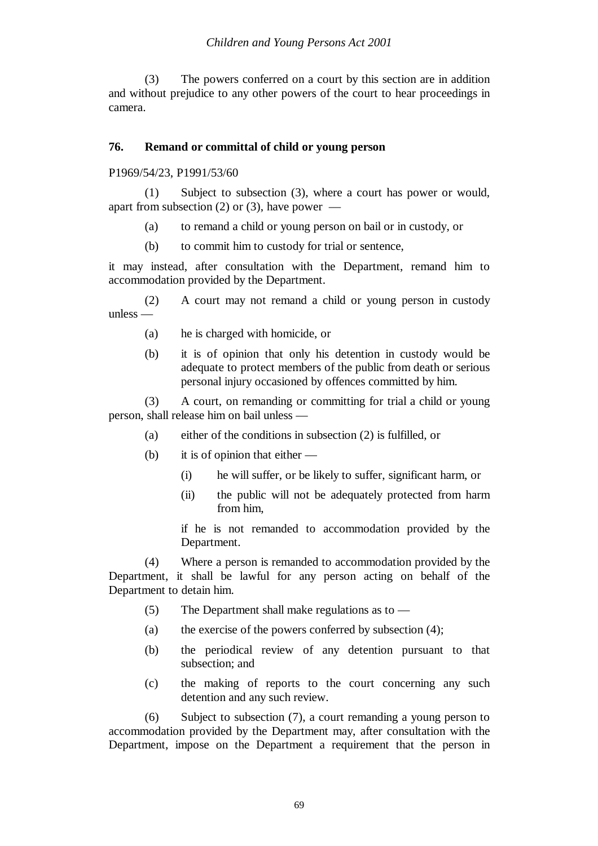(3) The powers conferred on a court by this section are in addition and without prejudice to any other powers of the court to hear proceedings in camera.

## **76. Remand or committal of child or young person**

P1969/54/23, P1991/53/60

(1) Subject to subsection (3), where a court has power or would, apart from subsection (2) or (3), have power  $-$ 

- (a) to remand a child or young person on bail or in custody, or
- (b) to commit him to custody for trial or sentence,

it may instead, after consultation with the Department, remand him to accommodation provided by the Department.

(2) A court may not remand a child or young person in custody unless —

- (a) he is charged with homicide, or
- (b) it is of opinion that only his detention in custody would be adequate to protect members of the public from death or serious personal injury occasioned by offences committed by him.

(3) A court, on remanding or committing for trial a child or young person, shall release him on bail unless —

- (a) either of the conditions in subsection (2) is fulfilled, or
- (b) it is of opinion that either
	- (i) he will suffer, or be likely to suffer, significant harm, or
	- (ii) the public will not be adequately protected from harm from him,

if he is not remanded to accommodation provided by the Department.

(4) Where a person is remanded to accommodation provided by the Department, it shall be lawful for any person acting on behalf of the Department to detain him.

- (5) The Department shall make regulations as to —
- (a) the exercise of the powers conferred by subsection (4);
- (b) the periodical review of any detention pursuant to that subsection; and
- (c) the making of reports to the court concerning any such detention and any such review.

(6) Subject to subsection (7), a court remanding a young person to accommodation provided by the Department may, after consultation with the Department, impose on the Department a requirement that the person in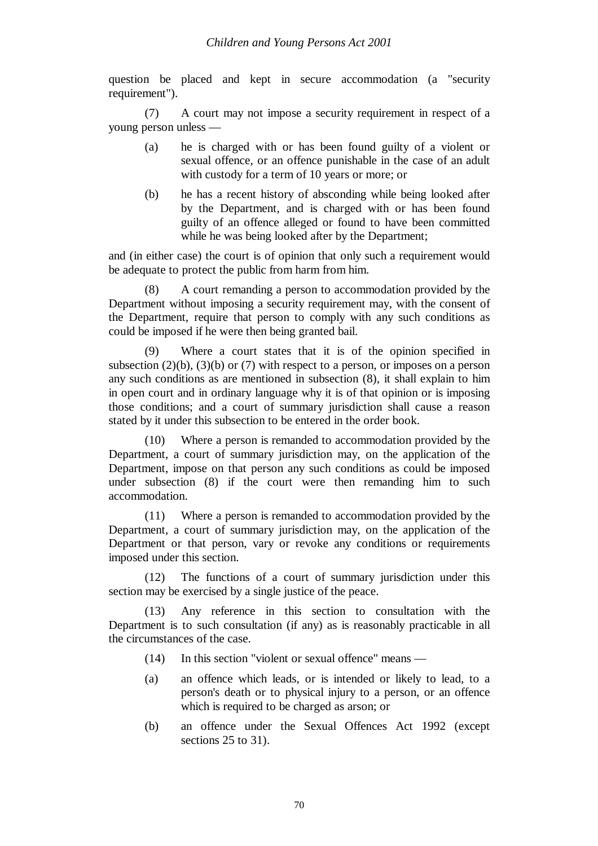question be placed and kept in secure accommodation (a "security requirement").

(7) A court may not impose a security requirement in respect of a young person unless —

- (a) he is charged with or has been found guilty of a violent or sexual offence, or an offence punishable in the case of an adult with custody for a term of 10 years or more; or
- (b) he has a recent history of absconding while being looked after by the Department, and is charged with or has been found guilty of an offence alleged or found to have been committed while he was being looked after by the Department;

and (in either case) the court is of opinion that only such a requirement would be adequate to protect the public from harm from him.

(8) A court remanding a person to accommodation provided by the Department without imposing a security requirement may, with the consent of the Department, require that person to comply with any such conditions as could be imposed if he were then being granted bail.

(9) Where a court states that it is of the opinion specified in subsection  $(2)(b)$ ,  $(3)(b)$  or  $(7)$  with respect to a person, or imposes on a person any such conditions as are mentioned in subsection (8), it shall explain to him in open court and in ordinary language why it is of that opinion or is imposing those conditions; and a court of summary jurisdiction shall cause a reason stated by it under this subsection to be entered in the order book.

(10) Where a person is remanded to accommodation provided by the Department, a court of summary jurisdiction may, on the application of the Department, impose on that person any such conditions as could be imposed under subsection (8) if the court were then remanding him to such accommodation.

(11) Where a person is remanded to accommodation provided by the Department, a court of summary jurisdiction may, on the application of the Department or that person, vary or revoke any conditions or requirements imposed under this section.

(12) The functions of a court of summary jurisdiction under this section may be exercised by a single justice of the peace.

(13) Any reference in this section to consultation with the Department is to such consultation (if any) as is reasonably practicable in all the circumstances of the case.

- (14) In this section "violent or sexual offence" means —
- (a) an offence which leads, or is intended or likely to lead, to a person's death or to physical injury to a person, or an offence which is required to be charged as arson; or
- (b) an offence under the Sexual Offences Act 1992 (except sections 25 to 31).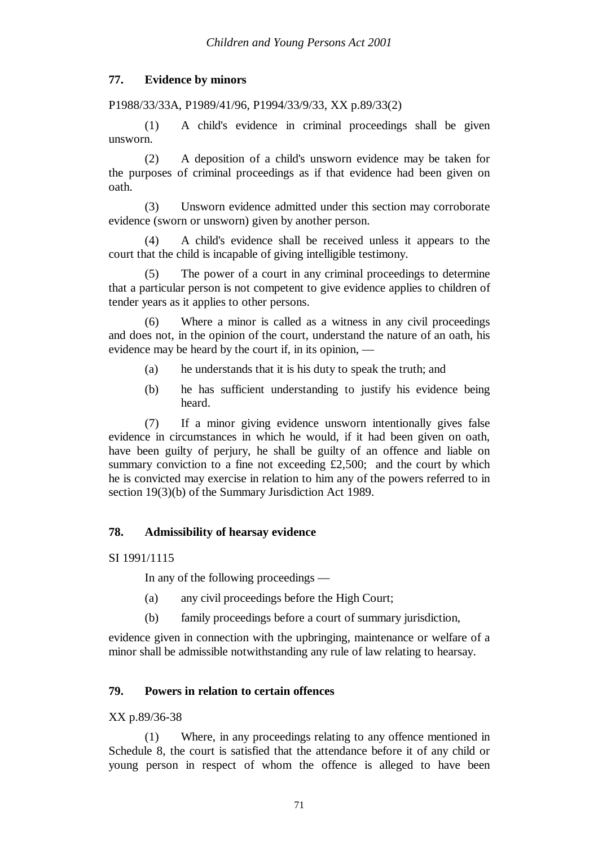# **77. Evidence by minors**

## P1988/33/33A, P1989/41/96, P1994/33/9/33, XX p.89/33(2)

(1) A child's evidence in criminal proceedings shall be given unsworn.

(2) A deposition of a child's unsworn evidence may be taken for the purposes of criminal proceedings as if that evidence had been given on oath.

(3) Unsworn evidence admitted under this section may corroborate evidence (sworn or unsworn) given by another person.

(4) A child's evidence shall be received unless it appears to the court that the child is incapable of giving intelligible testimony.

(5) The power of a court in any criminal proceedings to determine that a particular person is not competent to give evidence applies to children of tender years as it applies to other persons.

(6) Where a minor is called as a witness in any civil proceedings and does not, in the opinion of the court, understand the nature of an oath, his evidence may be heard by the court if, in its opinion, —

- (a) he understands that it is his duty to speak the truth; and
- (b) he has sufficient understanding to justify his evidence being heard.

(7) If a minor giving evidence unsworn intentionally gives false evidence in circumstances in which he would, if it had been given on oath, have been guilty of perjury, he shall be guilty of an offence and liable on summary conviction to a fine not exceeding £2,500; and the court by which he is convicted may exercise in relation to him any of the powers referred to in section 19(3)(b) of the Summary Jurisdiction Act 1989.

# **78. Admissibility of hearsay evidence**

### SI 1991/1115

In any of the following proceedings —

- (a) any civil proceedings before the High Court;
- (b) family proceedings before a court of summary jurisdiction,

evidence given in connection with the upbringing, maintenance or welfare of a minor shall be admissible notwithstanding any rule of law relating to hearsay.

## **79. Powers in relation to certain offences**

### XX p.89/36-38

(1) Where, in any proceedings relating to any offence mentioned in Schedule 8, the court is satisfied that the attendance before it of any child or young person in respect of whom the offence is alleged to have been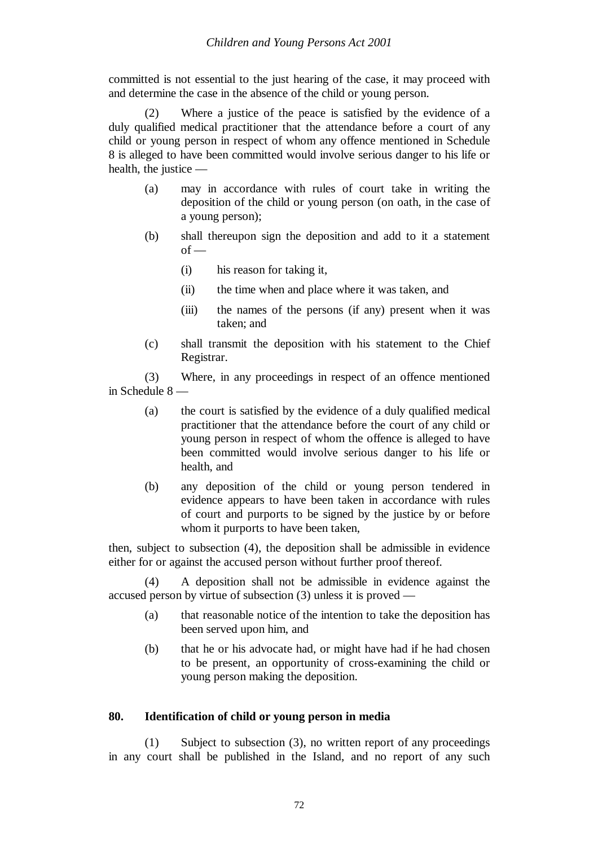committed is not essential to the just hearing of the case, it may proceed with and determine the case in the absence of the child or young person.

(2) Where a justice of the peace is satisfied by the evidence of a duly qualified medical practitioner that the attendance before a court of any child or young person in respect of whom any offence mentioned in Schedule 8 is alleged to have been committed would involve serious danger to his life or health, the justice —

- (a) may in accordance with rules of court take in writing the deposition of the child or young person (on oath, in the case of a young person);
- (b) shall thereupon sign the deposition and add to it a statement  $of -$ 
	- (i) his reason for taking it,
	- (ii) the time when and place where it was taken, and
	- (iii) the names of the persons (if any) present when it was taken; and
- (c) shall transmit the deposition with his statement to the Chief Registrar.

(3) Where, in any proceedings in respect of an offence mentioned in Schedule 8 —

- (a) the court is satisfied by the evidence of a duly qualified medical practitioner that the attendance before the court of any child or young person in respect of whom the offence is alleged to have been committed would involve serious danger to his life or health, and
- (b) any deposition of the child or young person tendered in evidence appears to have been taken in accordance with rules of court and purports to be signed by the justice by or before whom it purports to have been taken,

then, subject to subsection (4), the deposition shall be admissible in evidence either for or against the accused person without further proof thereof.

(4) A deposition shall not be admissible in evidence against the accused person by virtue of subsection (3) unless it is proved —

- (a) that reasonable notice of the intention to take the deposition has been served upon him, and
- (b) that he or his advocate had, or might have had if he had chosen to be present, an opportunity of cross-examining the child or young person making the deposition.

### **80. Identification of child or young person in media**

(1) Subject to subsection (3), no written report of any proceedings in any court shall be published in the Island, and no report of any such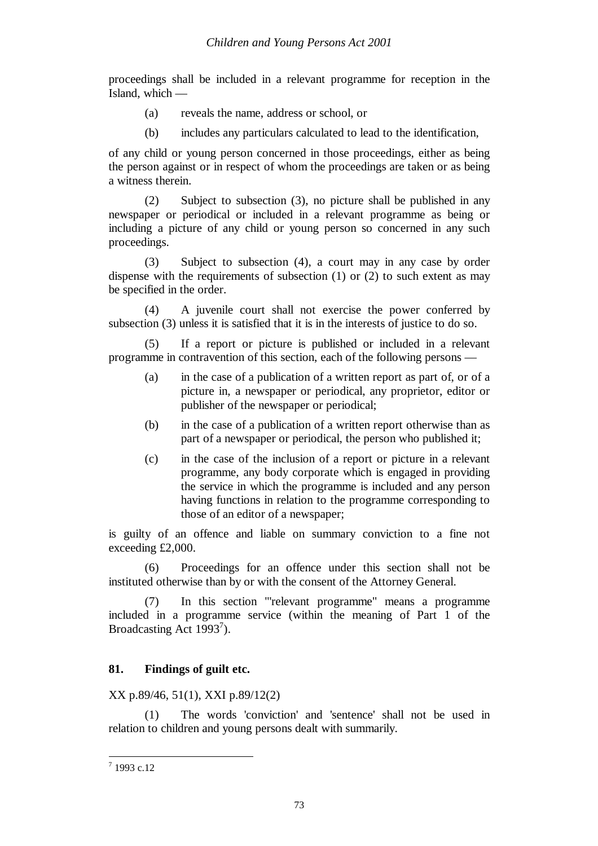proceedings shall be included in a relevant programme for reception in the Island, which —

- (a) reveals the name, address or school, or
- (b) includes any particulars calculated to lead to the identification,

of any child or young person concerned in those proceedings, either as being the person against or in respect of whom the proceedings are taken or as being a witness therein.

(2) Subject to subsection (3), no picture shall be published in any newspaper or periodical or included in a relevant programme as being or including a picture of any child or young person so concerned in any such proceedings.

(3) Subject to subsection (4), a court may in any case by order dispense with the requirements of subsection  $(1)$  or  $(2)$  to such extent as may be specified in the order.

(4) A juvenile court shall not exercise the power conferred by subsection (3) unless it is satisfied that it is in the interests of justice to do so.

(5) If a report or picture is published or included in a relevant programme in contravention of this section, each of the following persons —

- (a) in the case of a publication of a written report as part of, or of a picture in, a newspaper or periodical, any proprietor, editor or publisher of the newspaper or periodical;
- (b) in the case of a publication of a written report otherwise than as part of a newspaper or periodical, the person who published it;
- (c) in the case of the inclusion of a report or picture in a relevant programme, any body corporate which is engaged in providing the service in which the programme is included and any person having functions in relation to the programme corresponding to those of an editor of a newspaper;

is guilty of an offence and liable on summary conviction to a fine not exceeding £2,000.

(6) Proceedings for an offence under this section shall not be instituted otherwise than by or with the consent of the Attorney General.

(7) In this section "'relevant programme" means a programme included in a programme service (within the meaning of Part 1 of the Broadcasting Act  $1993^7$ ).

# **81. Findings of guilt etc.**

XX p.89/46, 51(1), XXI p.89/12(2)

(1) The words 'conviction' and 'sentence' shall not be used in relation to children and young persons dealt with summarily.

 $1993$  c.12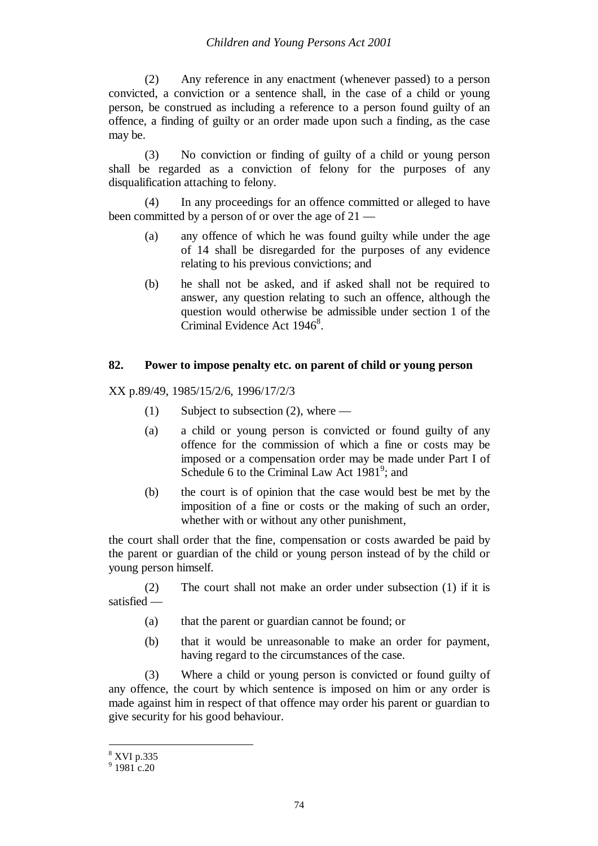(2) Any reference in any enactment (whenever passed) to a person convicted, a conviction or a sentence shall, in the case of a child or young person, be construed as including a reference to a person found guilty of an offence, a finding of guilty or an order made upon such a finding, as the case may be.

(3) No conviction or finding of guilty of a child or young person shall be regarded as a conviction of felony for the purposes of any disqualification attaching to felony.

(4) In any proceedings for an offence committed or alleged to have been committed by a person of or over the age of 21 —

- (a) any offence of which he was found guilty while under the age of 14 shall be disregarded for the purposes of any evidence relating to his previous convictions; and
- (b) he shall not be asked, and if asked shall not be required to answer, any question relating to such an offence, although the question would otherwise be admissible under section 1 of the Criminal Evidence Act  $1946^8$ .

## **82. Power to impose penalty etc. on parent of child or young person**

XX p.89/49, 1985/15/2/6, 1996/17/2/3

- (1) Subject to subsection (2), where —
- (a) a child or young person is convicted or found guilty of any offence for the commission of which a fine or costs may be imposed or a compensation order may be made under Part I of Schedule 6 to the Criminal Law Act 1981<sup>9</sup>; and
- (b) the court is of opinion that the case would best be met by the imposition of a fine or costs or the making of such an order, whether with or without any other punishment,

the court shall order that the fine, compensation or costs awarded be paid by the parent or guardian of the child or young person instead of by the child or young person himself.

(2) The court shall not make an order under subsection (1) if it is satisfied —

- (a) that the parent or guardian cannot be found; or
- (b) that it would be unreasonable to make an order for payment, having regard to the circumstances of the case.

(3) Where a child or young person is convicted or found guilty of any offence, the court by which sentence is imposed on him or any order is made against him in respect of that offence may order his parent or guardian to give security for his good behaviour.

<sup>8</sup> XVI p.335

 $9$  1981 c.20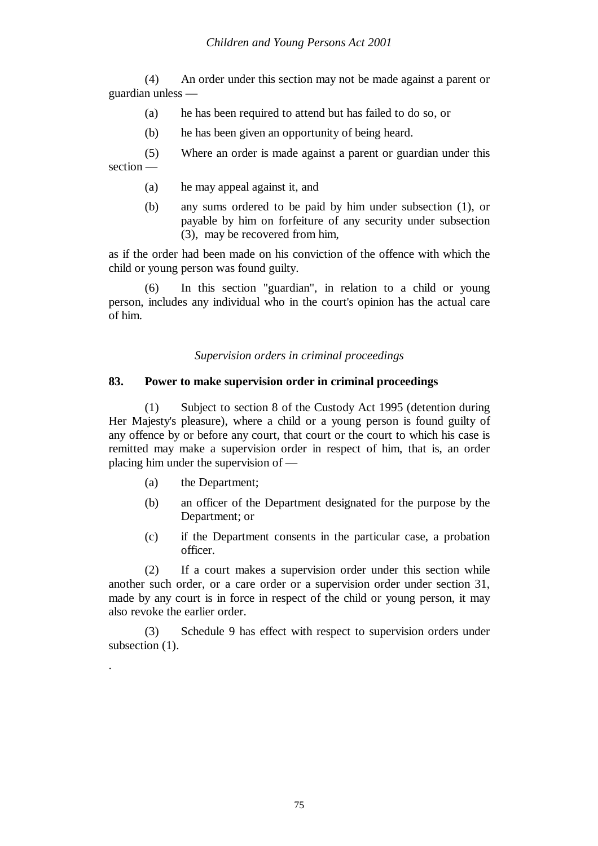(4) An order under this section may not be made against a parent or guardian unless —

- (a) he has been required to attend but has failed to do so, or
- (b) he has been given an opportunity of being heard.

(5) Where an order is made against a parent or guardian under this section —

- (a) he may appeal against it, and
- (b) any sums ordered to be paid by him under subsection (1), or payable by him on forfeiture of any security under subsection (3), may be recovered from him,

as if the order had been made on his conviction of the offence with which the child or young person was found guilty.

(6) In this section "guardian", in relation to a child or young person, includes any individual who in the court's opinion has the actual care of him.

*Supervision orders in criminal proceedings*

### **83. Power to make supervision order in criminal proceedings**

(1) Subject to section 8 of the Custody Act 1995 (detention during Her Majesty's pleasure), where a child or a young person is found guilty of any offence by or before any court, that court or the court to which his case is remitted may make a supervision order in respect of him, that is, an order placing him under the supervision of —

(a) the Department;

.

- (b) an officer of the Department designated for the purpose by the Department; or
- (c) if the Department consents in the particular case, a probation officer.

(2) If a court makes a supervision order under this section while another such order, or a care order or a supervision order under section 31, made by any court is in force in respect of the child or young person, it may also revoke the earlier order.

(3) Schedule 9 has effect with respect to supervision orders under subsection  $(1)$ .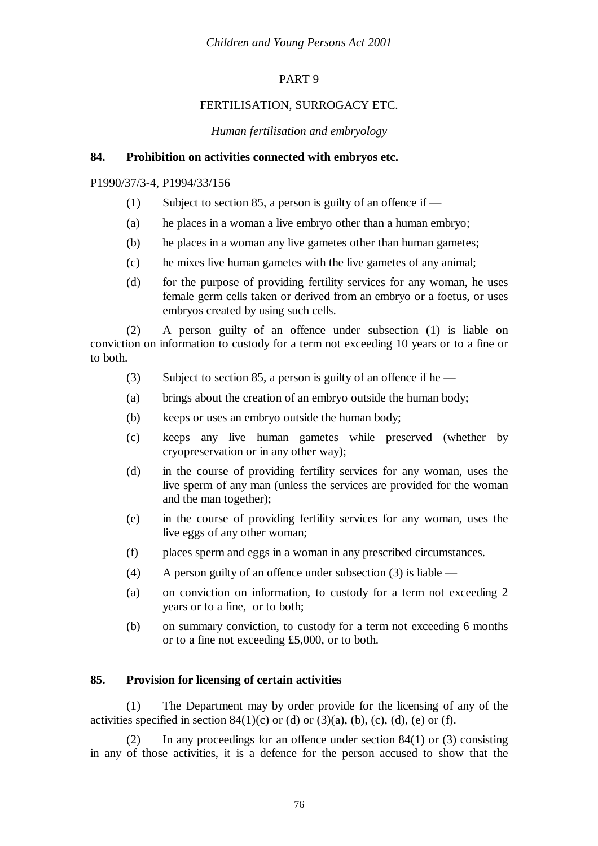# PART 9

# FERTILISATION, SURROGACY ETC.

## *Human fertilisation and embryology*

## **84. Prohibition on activities connected with embryos etc.**

## P1990/37/3-4, P1994/33/156

- (1) Subject to section 85, a person is guilty of an offence if  $-$
- (a) he places in a woman a live embryo other than a human embryo;
- (b) he places in a woman any live gametes other than human gametes;
- (c) he mixes live human gametes with the live gametes of any animal;
- (d) for the purpose of providing fertility services for any woman, he uses female germ cells taken or derived from an embryo or a foetus, or uses embryos created by using such cells.

(2) A person guilty of an offence under subsection (1) is liable on conviction on information to custody for a term not exceeding 10 years or to a fine or to both.

- (3) Subject to section 85, a person is guilty of an offence if he —
- (a) brings about the creation of an embryo outside the human body;
- (b) keeps or uses an embryo outside the human body;
- (c) keeps any live human gametes while preserved (whether by cryopreservation or in any other way);
- (d) in the course of providing fertility services for any woman, uses the live sperm of any man (unless the services are provided for the woman and the man together);
- (e) in the course of providing fertility services for any woman, uses the live eggs of any other woman;
- (f) places sperm and eggs in a woman in any prescribed circumstances.
- (4) A person guilty of an offence under subsection (3) is liable —
- (a) on conviction on information, to custody for a term not exceeding 2 years or to a fine, or to both;
- (b) on summary conviction, to custody for a term not exceeding 6 months or to a fine not exceeding £5,000, or to both.

# **85. Provision for licensing of certain activities**

(1) The Department may by order provide for the licensing of any of the activities specified in section  $84(1)(c)$  or (d) or (3)(a), (b), (c), (d), (e) or (f).

(2) In any proceedings for an offence under section 84(1) or (3) consisting in any of those activities, it is a defence for the person accused to show that the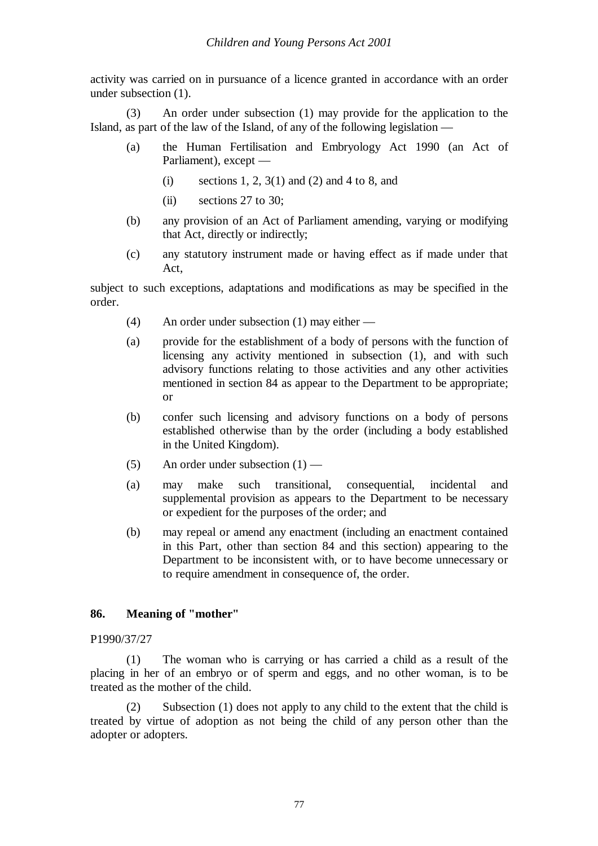activity was carried on in pursuance of a licence granted in accordance with an order under subsection (1).

(3) An order under subsection (1) may provide for the application to the Island, as part of the law of the Island, of any of the following legislation —

- (a) the Human Fertilisation and Embryology Act 1990 (an Act of Parliament), except —
	- (i) sections 1, 2,  $3(1)$  and (2) and 4 to 8, and
	- (ii) sections 27 to 30;
- (b) any provision of an Act of Parliament amending, varying or modifying that Act, directly or indirectly;
- (c) any statutory instrument made or having effect as if made under that Act,

subject to such exceptions, adaptations and modifications as may be specified in the order.

- (4) An order under subsection (1) may either —
- (a) provide for the establishment of a body of persons with the function of licensing any activity mentioned in subsection (1), and with such advisory functions relating to those activities and any other activities mentioned in section 84 as appear to the Department to be appropriate; or
- (b) confer such licensing and advisory functions on a body of persons established otherwise than by the order (including a body established in the United Kingdom).
- (5) An order under subsection  $(1)$  —
- (a) may make such transitional, consequential, incidental and supplemental provision as appears to the Department to be necessary or expedient for the purposes of the order; and
- (b) may repeal or amend any enactment (including an enactment contained in this Part, other than section 84 and this section) appearing to the Department to be inconsistent with, or to have become unnecessary or to require amendment in consequence of, the order.

# **86. Meaning of "mother"**

## P1990/37/27

(1) The woman who is carrying or has carried a child as a result of the placing in her of an embryo or of sperm and eggs, and no other woman, is to be treated as the mother of the child.

(2) Subsection (1) does not apply to any child to the extent that the child is treated by virtue of adoption as not being the child of any person other than the adopter or adopters.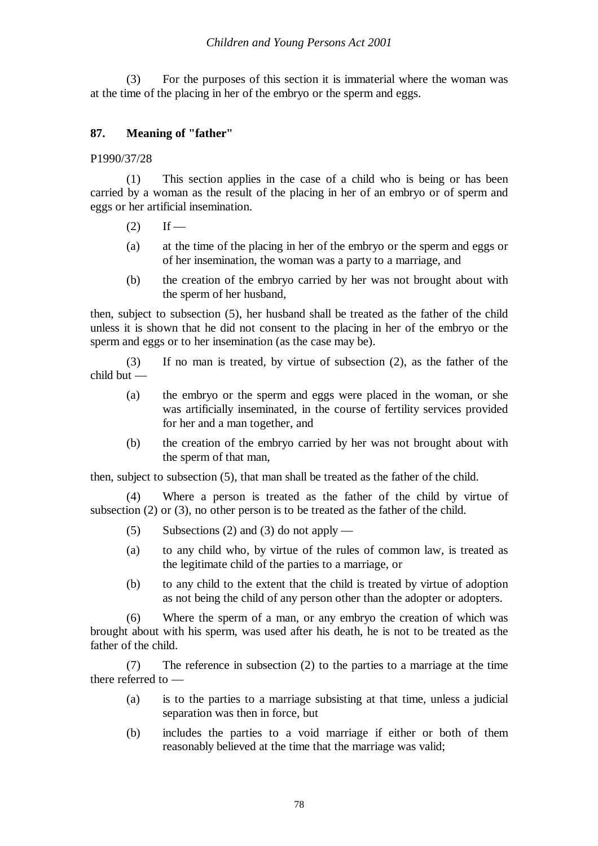(3) For the purposes of this section it is immaterial where the woman was at the time of the placing in her of the embryo or the sperm and eggs.

# **87. Meaning of "father"**

P1990/37/28

(1) This section applies in the case of a child who is being or has been carried by a woman as the result of the placing in her of an embryo or of sperm and eggs or her artificial insemination.

- $(2)$  If —
- (a) at the time of the placing in her of the embryo or the sperm and eggs or of her insemination, the woman was a party to a marriage, and
- (b) the creation of the embryo carried by her was not brought about with the sperm of her husband,

then, subject to subsection (5), her husband shall be treated as the father of the child unless it is shown that he did not consent to the placing in her of the embryo or the sperm and eggs or to her insemination (as the case may be).

(3) If no man is treated, by virtue of subsection (2), as the father of the child but —

- (a) the embryo or the sperm and eggs were placed in the woman, or she was artificially inseminated, in the course of fertility services provided for her and a man together, and
- (b) the creation of the embryo carried by her was not brought about with the sperm of that man,

then, subject to subsection (5), that man shall be treated as the father of the child.

(4) Where a person is treated as the father of the child by virtue of subsection (2) or (3), no other person is to be treated as the father of the child.

- $(5)$  Subsections (2) and (3) do not apply —
- (a) to any child who, by virtue of the rules of common law, is treated as the legitimate child of the parties to a marriage, or
- (b) to any child to the extent that the child is treated by virtue of adoption as not being the child of any person other than the adopter or adopters.

(6) Where the sperm of a man, or any embryo the creation of which was brought about with his sperm, was used after his death, he is not to be treated as the father of the child.

(7) The reference in subsection (2) to the parties to a marriage at the time there referred to —

- (a) is to the parties to a marriage subsisting at that time, unless a judicial separation was then in force, but
- (b) includes the parties to a void marriage if either or both of them reasonably believed at the time that the marriage was valid;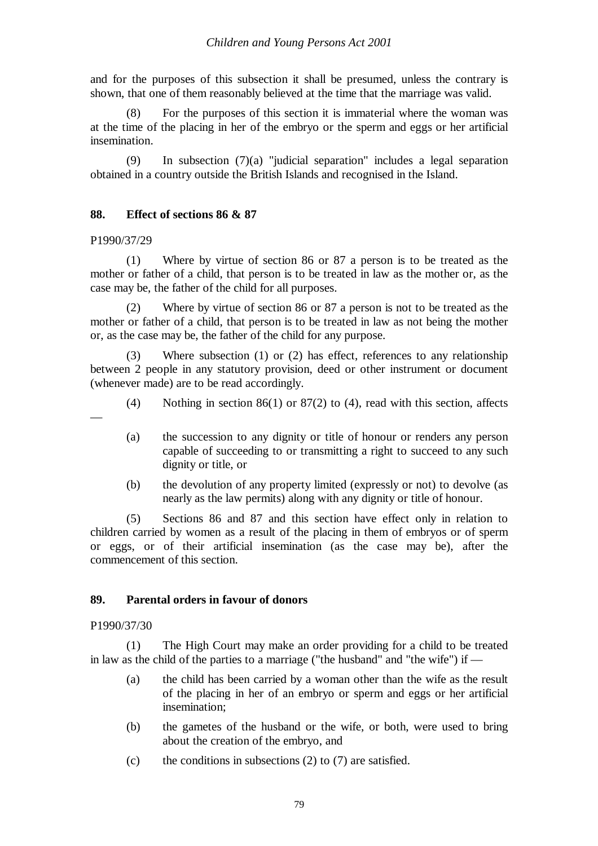and for the purposes of this subsection it shall be presumed, unless the contrary is shown, that one of them reasonably believed at the time that the marriage was valid.

(8) For the purposes of this section it is immaterial where the woman was at the time of the placing in her of the embryo or the sperm and eggs or her artificial insemination.

(9) In subsection (7)(a) "judicial separation" includes a legal separation obtained in a country outside the British Islands and recognised in the Island.

## **88. Effect of sections 86 & 87**

P1990/37/29

(1) Where by virtue of section 86 or 87 a person is to be treated as the mother or father of a child, that person is to be treated in law as the mother or, as the case may be, the father of the child for all purposes.

(2) Where by virtue of section 86 or 87 a person is not to be treated as the mother or father of a child, that person is to be treated in law as not being the mother or, as the case may be, the father of the child for any purpose.

Where subsection  $(1)$  or  $(2)$  has effect, references to any relationship between 2 people in any statutory provision, deed or other instrument or document (whenever made) are to be read accordingly.

- —
- (4) Nothing in section 86(1) or 87(2) to (4), read with this section, affects
- (a) the succession to any dignity or title of honour or renders any person capable of succeeding to or transmitting a right to succeed to any such dignity or title, or
- (b) the devolution of any property limited (expressly or not) to devolve (as nearly as the law permits) along with any dignity or title of honour.

(5) Sections 86 and 87 and this section have effect only in relation to children carried by women as a result of the placing in them of embryos or of sperm or eggs, or of their artificial insemination (as the case may be), after the commencement of this section.

## **89. Parental orders in favour of donors**

#### P1990/37/30

(1) The High Court may make an order providing for a child to be treated in law as the child of the parties to a marriage ("the husband" and "the wife") if —

- (a) the child has been carried by a woman other than the wife as the result of the placing in her of an embryo or sperm and eggs or her artificial insemination;
- (b) the gametes of the husband or the wife, or both, were used to bring about the creation of the embryo, and
- (c) the conditions in subsections  $(2)$  to  $(7)$  are satisfied.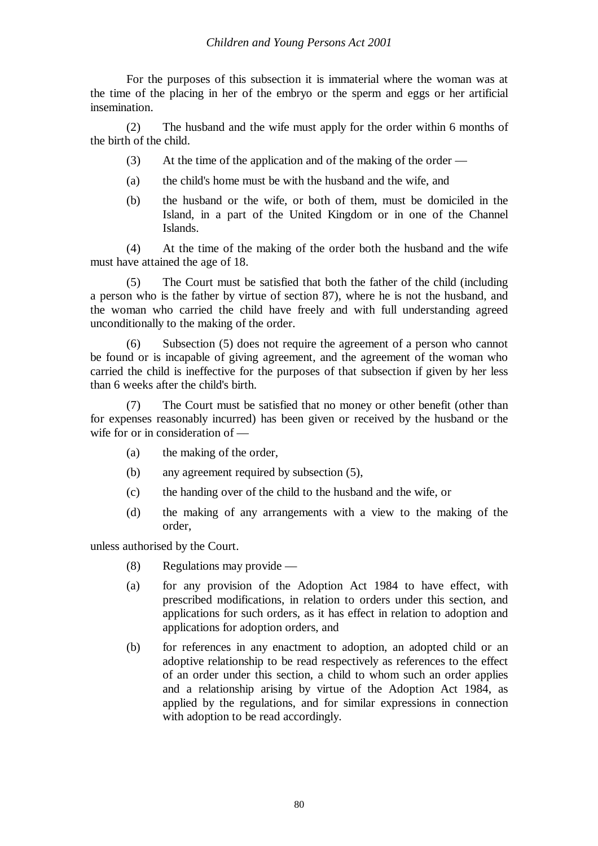For the purposes of this subsection it is immaterial where the woman was at the time of the placing in her of the embryo or the sperm and eggs or her artificial insemination.

(2) The husband and the wife must apply for the order within 6 months of the birth of the child.

- (3) At the time of the application and of the making of the order —
- (a) the child's home must be with the husband and the wife, and
- (b) the husband or the wife, or both of them, must be domiciled in the Island, in a part of the United Kingdom or in one of the Channel Islands.

(4) At the time of the making of the order both the husband and the wife must have attained the age of 18.

(5) The Court must be satisfied that both the father of the child (including a person who is the father by virtue of section 87), where he is not the husband, and the woman who carried the child have freely and with full understanding agreed unconditionally to the making of the order.

(6) Subsection (5) does not require the agreement of a person who cannot be found or is incapable of giving agreement, and the agreement of the woman who carried the child is ineffective for the purposes of that subsection if given by her less than 6 weeks after the child's birth.

(7) The Court must be satisfied that no money or other benefit (other than for expenses reasonably incurred) has been given or received by the husband or the wife for or in consideration of —

- (a) the making of the order,
- (b) any agreement required by subsection (5),
- (c) the handing over of the child to the husband and the wife, or
- (d) the making of any arrangements with a view to the making of the order,

unless authorised by the Court.

- (8) Regulations may provide —
- (a) for any provision of the Adoption Act 1984 to have effect, with prescribed modifications, in relation to orders under this section, and applications for such orders, as it has effect in relation to adoption and applications for adoption orders, and
- (b) for references in any enactment to adoption, an adopted child or an adoptive relationship to be read respectively as references to the effect of an order under this section, a child to whom such an order applies and a relationship arising by virtue of the Adoption Act 1984, as applied by the regulations, and for similar expressions in connection with adoption to be read accordingly.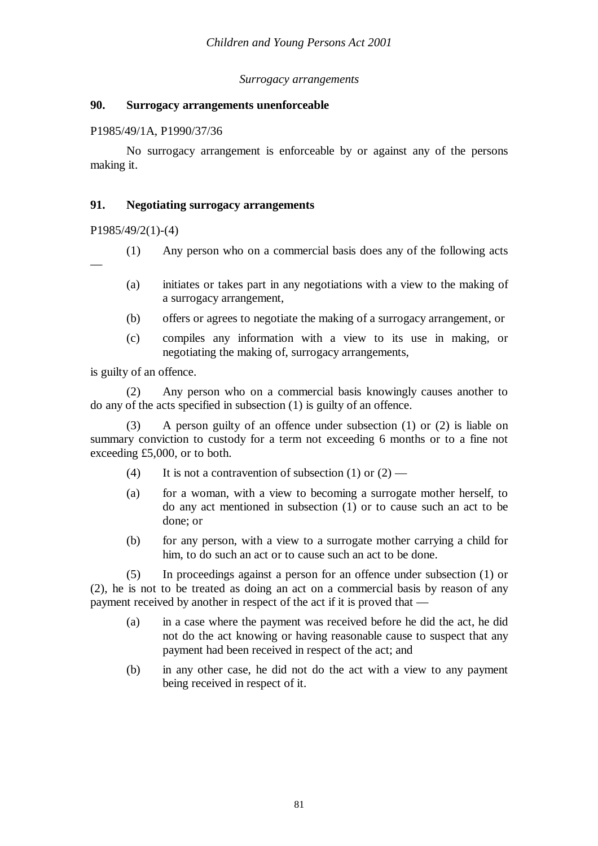## *Surrogacy arrangements*

## **90. Surrogacy arrangements unenforceable**

## P1985/49/1A, P1990/37/36

No surrogacy arrangement is enforceable by or against any of the persons making it.

# **91. Negotiating surrogacy arrangements**

P1985/49/2(1)-(4)

- (1) Any person who on a commercial basis does any of the following acts
- —
- (a) initiates or takes part in any negotiations with a view to the making of a surrogacy arrangement,
- (b) offers or agrees to negotiate the making of a surrogacy arrangement, or
- (c) compiles any information with a view to its use in making, or negotiating the making of, surrogacy arrangements,

is guilty of an offence.

(2) Any person who on a commercial basis knowingly causes another to do any of the acts specified in subsection (1) is guilty of an offence.

A person guilty of an offence under subsection  $(1)$  or  $(2)$  is liable on summary conviction to custody for a term not exceeding 6 months or to a fine not exceeding £5,000, or to both.

- (4) It is not a contravention of subsection (1) or  $(2)$  —
- (a) for a woman, with a view to becoming a surrogate mother herself, to do any act mentioned in subsection (1) or to cause such an act to be done; or
- (b) for any person, with a view to a surrogate mother carrying a child for him, to do such an act or to cause such an act to be done.

(5) In proceedings against a person for an offence under subsection (1) or (2), he is not to be treated as doing an act on a commercial basis by reason of any payment received by another in respect of the act if it is proved that —

- (a) in a case where the payment was received before he did the act, he did not do the act knowing or having reasonable cause to suspect that any payment had been received in respect of the act; and
- (b) in any other case, he did not do the act with a view to any payment being received in respect of it.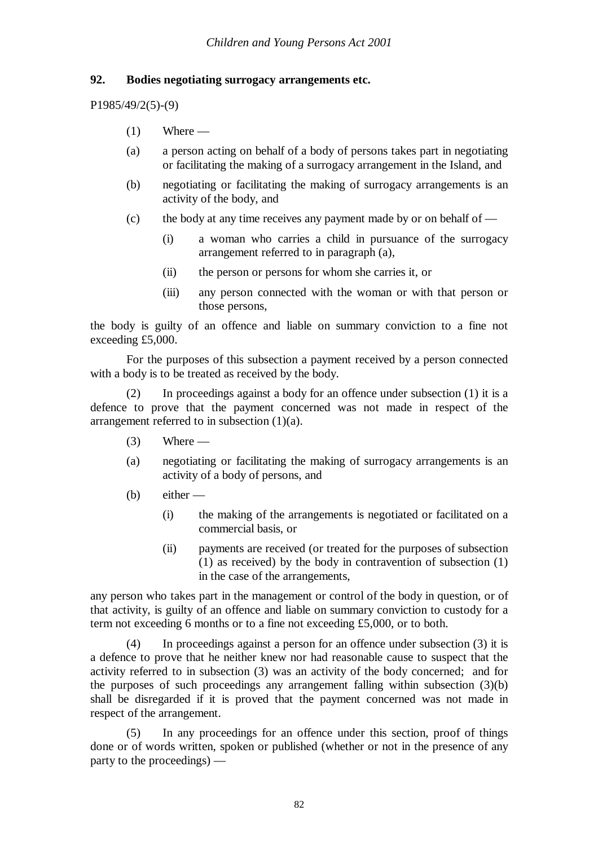## **92. Bodies negotiating surrogacy arrangements etc.**

P1985/49/2(5)-(9)

- $(1)$  Where —
- (a) a person acting on behalf of a body of persons takes part in negotiating or facilitating the making of a surrogacy arrangement in the Island, and
- (b) negotiating or facilitating the making of surrogacy arrangements is an activity of the body, and
- (c) the body at any time receives any payment made by or on behalf of
	- (i) a woman who carries a child in pursuance of the surrogacy arrangement referred to in paragraph (a),
	- (ii) the person or persons for whom she carries it, or
	- (iii) any person connected with the woman or with that person or those persons,

the body is guilty of an offence and liable on summary conviction to a fine not exceeding £5,000.

For the purposes of this subsection a payment received by a person connected with a body is to be treated as received by the body.

(2) In proceedings against a body for an offence under subsection (1) it is a defence to prove that the payment concerned was not made in respect of the arrangement referred to in subsection (1)(a).

- $(3)$  Where —
- (a) negotiating or facilitating the making of surrogacy arrangements is an activity of a body of persons, and
- (b) either
	- (i) the making of the arrangements is negotiated or facilitated on a commercial basis, or
	- (ii) payments are received (or treated for the purposes of subsection (1) as received) by the body in contravention of subsection (1) in the case of the arrangements,

any person who takes part in the management or control of the body in question, or of that activity, is guilty of an offence and liable on summary conviction to custody for a term not exceeding 6 months or to a fine not exceeding £5,000, or to both.

(4) In proceedings against a person for an offence under subsection (3) it is a defence to prove that he neither knew nor had reasonable cause to suspect that the activity referred to in subsection (3) was an activity of the body concerned; and for the purposes of such proceedings any arrangement falling within subsection (3)(b) shall be disregarded if it is proved that the payment concerned was not made in respect of the arrangement.

(5) In any proceedings for an offence under this section, proof of things done or of words written, spoken or published (whether or not in the presence of any party to the proceedings) —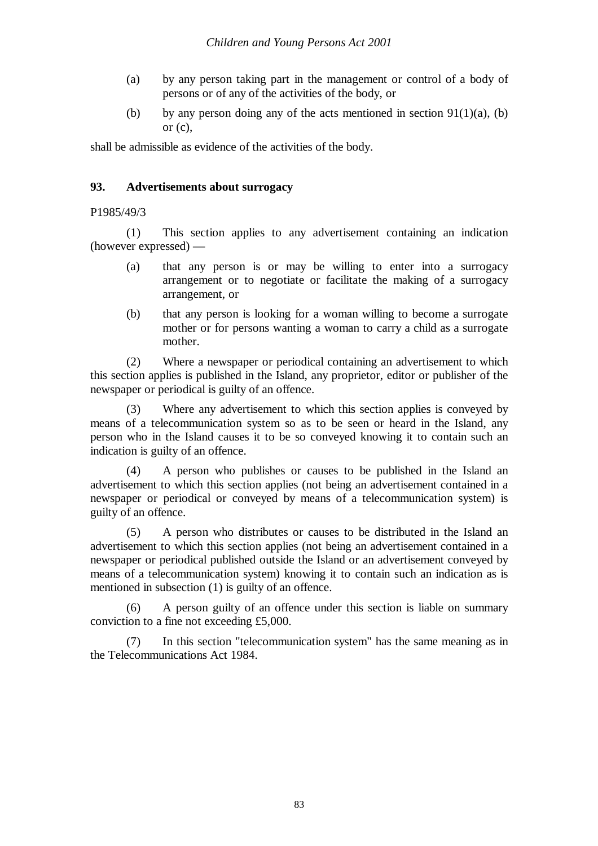- (a) by any person taking part in the management or control of a body of persons or of any of the activities of the body, or
- (b) by any person doing any of the acts mentioned in section  $91(1)(a)$ , (b) or  $(c)$ ,

shall be admissible as evidence of the activities of the body.

## **93. Advertisements about surrogacy**

P1985/49/3

(1) This section applies to any advertisement containing an indication (however expressed) —

- (a) that any person is or may be willing to enter into a surrogacy arrangement or to negotiate or facilitate the making of a surrogacy arrangement, or
- (b) that any person is looking for a woman willing to become a surrogate mother or for persons wanting a woman to carry a child as a surrogate mother.

(2) Where a newspaper or periodical containing an advertisement to which this section applies is published in the Island, any proprietor, editor or publisher of the newspaper or periodical is guilty of an offence.

(3) Where any advertisement to which this section applies is conveyed by means of a telecommunication system so as to be seen or heard in the Island, any person who in the Island causes it to be so conveyed knowing it to contain such an indication is guilty of an offence.

(4) A person who publishes or causes to be published in the Island an advertisement to which this section applies (not being an advertisement contained in a newspaper or periodical or conveyed by means of a telecommunication system) is guilty of an offence.

(5) A person who distributes or causes to be distributed in the Island an advertisement to which this section applies (not being an advertisement contained in a newspaper or periodical published outside the Island or an advertisement conveyed by means of a telecommunication system) knowing it to contain such an indication as is mentioned in subsection (1) is guilty of an offence.

(6) A person guilty of an offence under this section is liable on summary conviction to a fine not exceeding £5,000.

(7) In this section "telecommunication system" has the same meaning as in the Telecommunications Act 1984.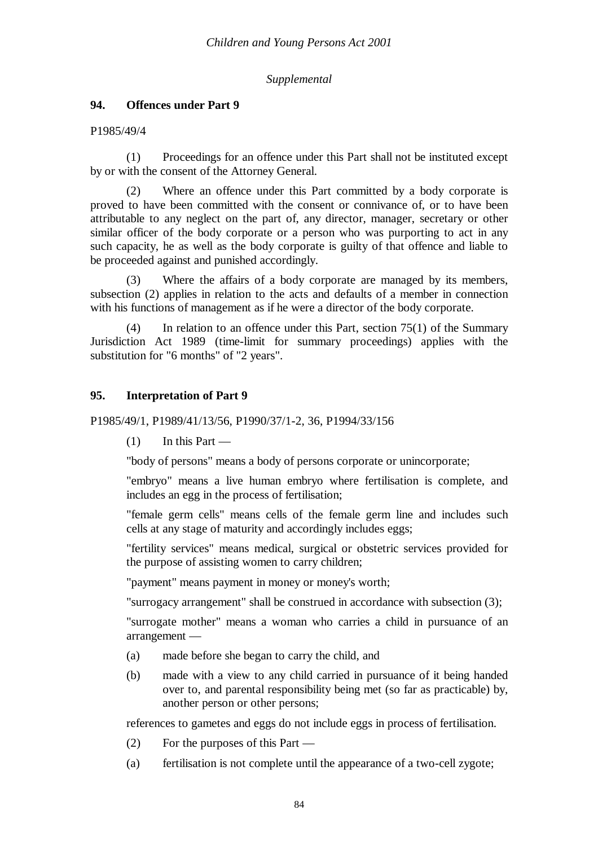## *Supplemental*

## **94. Offences under Part 9**

### P1985/49/4

(1) Proceedings for an offence under this Part shall not be instituted except by or with the consent of the Attorney General.

(2) Where an offence under this Part committed by a body corporate is proved to have been committed with the consent or connivance of, or to have been attributable to any neglect on the part of, any director, manager, secretary or other similar officer of the body corporate or a person who was purporting to act in any such capacity, he as well as the body corporate is guilty of that offence and liable to be proceeded against and punished accordingly.

(3) Where the affairs of a body corporate are managed by its members, subsection (2) applies in relation to the acts and defaults of a member in connection with his functions of management as if he were a director of the body corporate.

(4) In relation to an offence under this Part, section 75(1) of the Summary Jurisdiction Act 1989 (time-limit for summary proceedings) applies with the substitution for "6 months" of "2 years".

## **95. Interpretation of Part 9**

### P1985/49/1, P1989/41/13/56, P1990/37/1-2, 36, P1994/33/156

 $(1)$  In this Part —

"body of persons" means a body of persons corporate or unincorporate;

"embryo" means a live human embryo where fertilisation is complete, and includes an egg in the process of fertilisation;

"female germ cells" means cells of the female germ line and includes such cells at any stage of maturity and accordingly includes eggs;

"fertility services" means medical, surgical or obstetric services provided for the purpose of assisting women to carry children;

"payment" means payment in money or money's worth;

"surrogacy arrangement" shall be construed in accordance with subsection (3);

"surrogate mother" means a woman who carries a child in pursuance of an arrangement —

- (a) made before she began to carry the child, and
- (b) made with a view to any child carried in pursuance of it being handed over to, and parental responsibility being met (so far as practicable) by, another person or other persons;

references to gametes and eggs do not include eggs in process of fertilisation.

- (2) For the purposes of this Part —
- (a) fertilisation is not complete until the appearance of a two-cell zygote;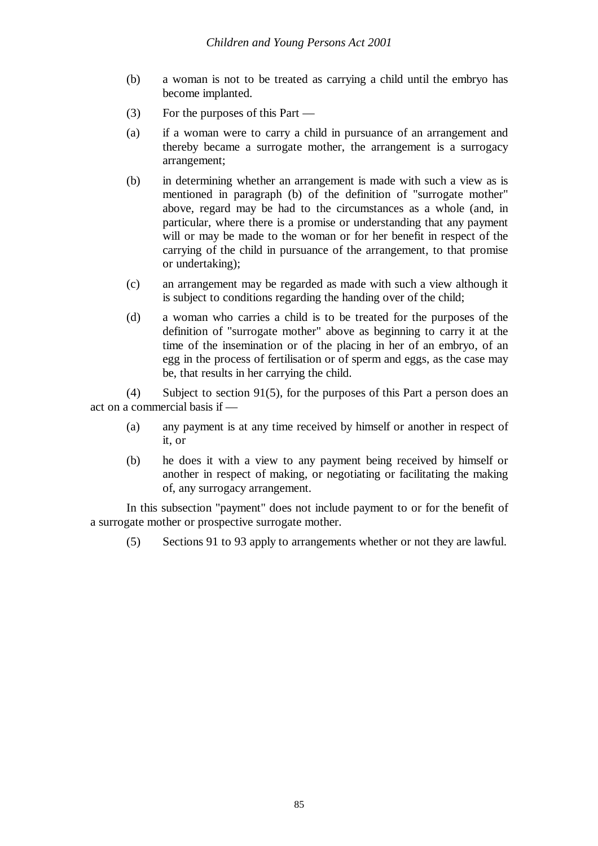- (b) a woman is not to be treated as carrying a child until the embryo has become implanted.
- (3) For the purposes of this Part —
- (a) if a woman were to carry a child in pursuance of an arrangement and thereby became a surrogate mother, the arrangement is a surrogacy arrangement;
- (b) in determining whether an arrangement is made with such a view as is mentioned in paragraph (b) of the definition of "surrogate mother" above, regard may be had to the circumstances as a whole (and, in particular, where there is a promise or understanding that any payment will or may be made to the woman or for her benefit in respect of the carrying of the child in pursuance of the arrangement, to that promise or undertaking);
- (c) an arrangement may be regarded as made with such a view although it is subject to conditions regarding the handing over of the child;
- (d) a woman who carries a child is to be treated for the purposes of the definition of "surrogate mother" above as beginning to carry it at the time of the insemination or of the placing in her of an embryo, of an egg in the process of fertilisation or of sperm and eggs, as the case may be, that results in her carrying the child.

(4) Subject to section 91(5), for the purposes of this Part a person does an act on a commercial basis if —

- (a) any payment is at any time received by himself or another in respect of it, or
- (b) he does it with a view to any payment being received by himself or another in respect of making, or negotiating or facilitating the making of, any surrogacy arrangement.

In this subsection "payment" does not include payment to or for the benefit of a surrogate mother or prospective surrogate mother.

(5) Sections 91 to 93 apply to arrangements whether or not they are lawful.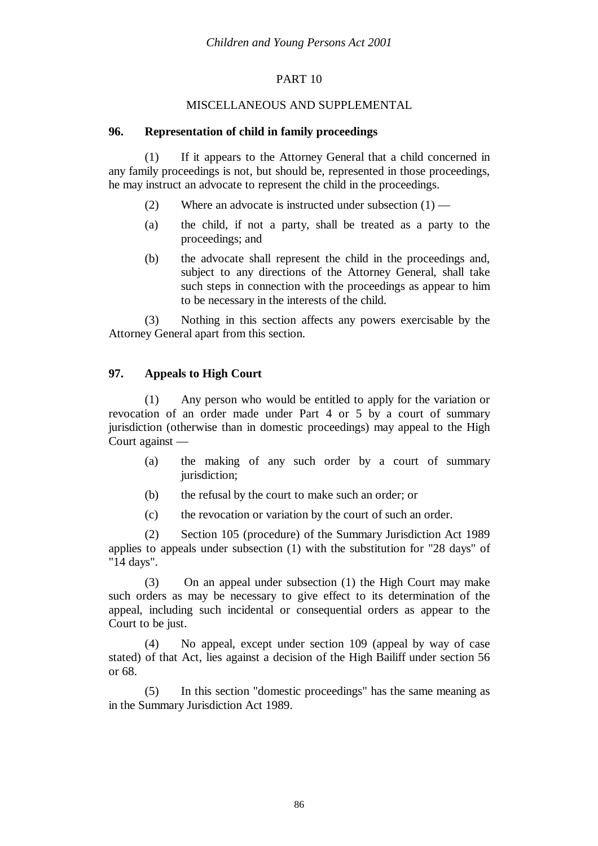## PART 10

## MISCELLANEOUS AND SUPPLEMENTAL

## **96. Representation of child in family proceedings**

(1) If it appears to the Attorney General that a child concerned in any family proceedings is not, but should be, represented in those proceedings, he may instruct an advocate to represent the child in the proceedings.

- (2) Where an advocate is instructed under subsection (1) —
- (a) the child, if not a party, shall be treated as a party to the proceedings; and
- (b) the advocate shall represent the child in the proceedings and, subject to any directions of the Attorney General, shall take such steps in connection with the proceedings as appear to him to be necessary in the interests of the child.

(3) Nothing in this section affects any powers exercisable by the Attorney General apart from this section.

## **97. Appeals to High Court**

(1) Any person who would be entitled to apply for the variation or revocation of an order made under Part 4 or 5 by a court of summary jurisdiction (otherwise than in domestic proceedings) may appeal to the High Court against —

- (a) the making of any such order by a court of summary jurisdiction;
- (b) the refusal by the court to make such an order; or
- (c) the revocation or variation by the court of such an order.

(2) Section 105 (procedure) of the Summary Jurisdiction Act 1989 applies to appeals under subsection (1) with the substitution for "28 days" of "14 days".

(3) On an appeal under subsection (1) the High Court may make such orders as may be necessary to give effect to its determination of the appeal, including such incidental or consequential orders as appear to the Court to be just.

(4) No appeal, except under section 109 (appeal by way of case stated) of that Act, lies against a decision of the High Bailiff under section 56 or 68.

(5) In this section "domestic proceedings" has the same meaning as in the Summary Jurisdiction Act 1989.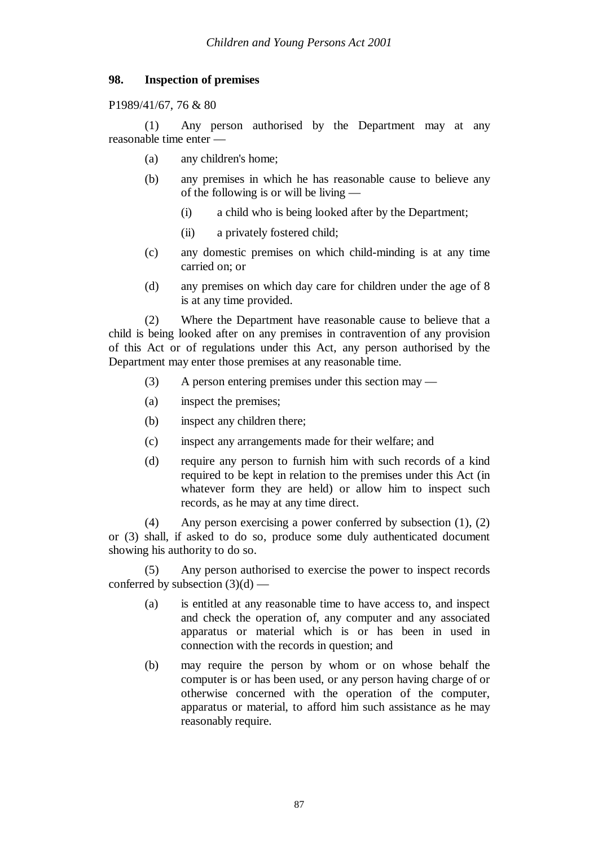## **98. Inspection of premises**

P1989/41/67, 76 & 80

(1) Any person authorised by the Department may at any reasonable time enter —

- (a) any children's home;
- (b) any premises in which he has reasonable cause to believe any of the following is or will be living —
	- (i) a child who is being looked after by the Department;
	- (ii) a privately fostered child;
- (c) any domestic premises on which child-minding is at any time carried on; or
- (d) any premises on which day care for children under the age of 8 is at any time provided.

(2) Where the Department have reasonable cause to believe that a child is being looked after on any premises in contravention of any provision of this Act or of regulations under this Act, any person authorised by the Department may enter those premises at any reasonable time.

- (3) A person entering premises under this section may —
- (a) inspect the premises;
- (b) inspect any children there;
- (c) inspect any arrangements made for their welfare; and
- (d) require any person to furnish him with such records of a kind required to be kept in relation to the premises under this Act (in whatever form they are held) or allow him to inspect such records, as he may at any time direct.

(4) Any person exercising a power conferred by subsection (1), (2) or (3) shall, if asked to do so, produce some duly authenticated document showing his authority to do so.

(5) Any person authorised to exercise the power to inspect records conferred by subsection  $(3)(d)$  —

- (a) is entitled at any reasonable time to have access to, and inspect and check the operation of, any computer and any associated apparatus or material which is or has been in used in connection with the records in question; and
- (b) may require the person by whom or on whose behalf the computer is or has been used, or any person having charge of or otherwise concerned with the operation of the computer, apparatus or material, to afford him such assistance as he may reasonably require.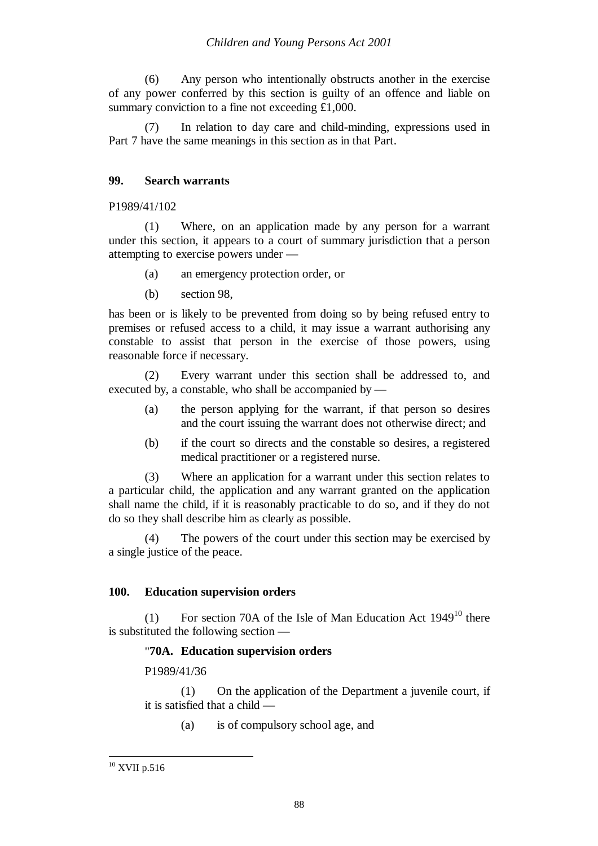(6) Any person who intentionally obstructs another in the exercise of any power conferred by this section is guilty of an offence and liable on summary conviction to a fine not exceeding £1,000.

(7) In relation to day care and child-minding, expressions used in Part 7 have the same meanings in this section as in that Part.

## **99. Search warrants**

### P1989/41/102

(1) Where, on an application made by any person for a warrant under this section, it appears to a court of summary jurisdiction that a person attempting to exercise powers under —

- (a) an emergency protection order, or
- (b) section 98,

has been or is likely to be prevented from doing so by being refused entry to premises or refused access to a child, it may issue a warrant authorising any constable to assist that person in the exercise of those powers, using reasonable force if necessary.

(2) Every warrant under this section shall be addressed to, and executed by, a constable, who shall be accompanied by —

- (a) the person applying for the warrant, if that person so desires and the court issuing the warrant does not otherwise direct; and
- (b) if the court so directs and the constable so desires, a registered medical practitioner or a registered nurse.

(3) Where an application for a warrant under this section relates to a particular child, the application and any warrant granted on the application shall name the child, if it is reasonably practicable to do so, and if they do not do so they shall describe him as clearly as possible.

(4) The powers of the court under this section may be exercised by a single justice of the peace.

## **100. Education supervision orders**

(1) For section 70A of the Isle of Man Education Act  $1949^{10}$  there is substituted the following section —

## "**70A. Education supervision orders**

P1989/41/36

(1) On the application of the Department a juvenile court, if it is satisfied that a child —

(a) is of compulsory school age, and

<sup>10</sup> XVII p.516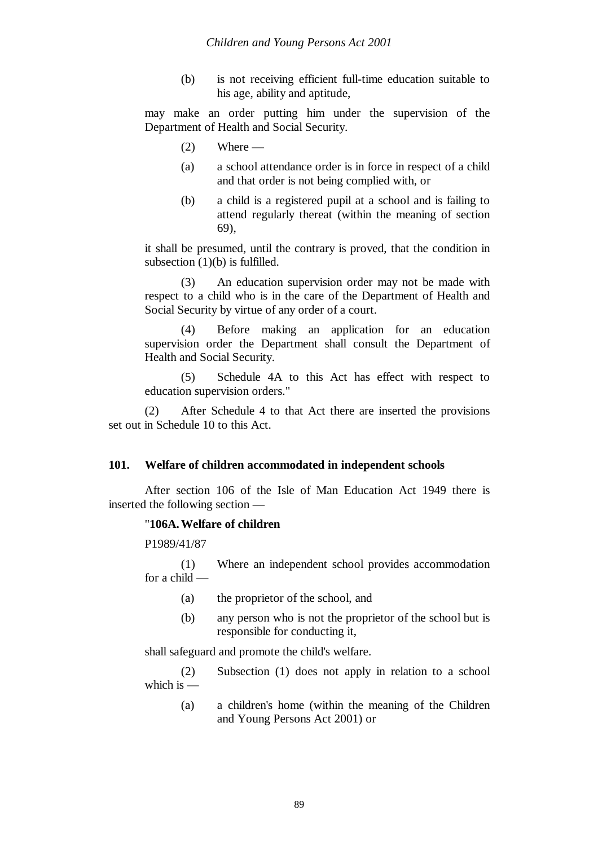(b) is not receiving efficient full-time education suitable to his age, ability and aptitude,

may make an order putting him under the supervision of the Department of Health and Social Security.

- $(2)$  Where —
- (a) a school attendance order is in force in respect of a child and that order is not being complied with, or
- (b) a child is a registered pupil at a school and is failing to attend regularly thereat (within the meaning of section 69),

it shall be presumed, until the contrary is proved, that the condition in subsection  $(1)(b)$  is fulfilled.

(3) An education supervision order may not be made with respect to a child who is in the care of the Department of Health and Social Security by virtue of any order of a court.

(4) Before making an application for an education supervision order the Department shall consult the Department of Health and Social Security.

(5) Schedule 4A to this Act has effect with respect to education supervision orders."

(2) After Schedule 4 to that Act there are inserted the provisions set out in Schedule 10 to this Act.

## **101. Welfare of children accommodated in independent schools**

After section 106 of the Isle of Man Education Act 1949 there is inserted the following section —

### "**106A.Welfare of children**

P1989/41/87

(1) Where an independent school provides accommodation for a child —

- (a) the proprietor of the school, and
- (b) any person who is not the proprietor of the school but is responsible for conducting it,

shall safeguard and promote the child's welfare.

(2) Subsection (1) does not apply in relation to a school which is  $-$ 

(a) a children's home (within the meaning of the Children and Young Persons Act 2001) or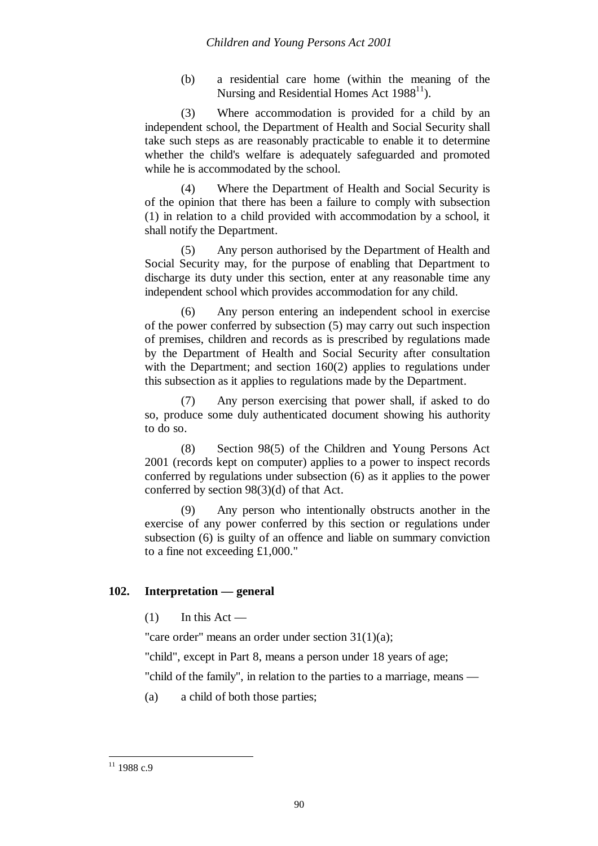(b) a residential care home (within the meaning of the Nursing and Residential Homes Act  $1988^{11}$ ).

(3) Where accommodation is provided for a child by an independent school, the Department of Health and Social Security shall take such steps as are reasonably practicable to enable it to determine whether the child's welfare is adequately safeguarded and promoted while he is accommodated by the school.

(4) Where the Department of Health and Social Security is of the opinion that there has been a failure to comply with subsection (1) in relation to a child provided with accommodation by a school, it shall notify the Department.

(5) Any person authorised by the Department of Health and Social Security may, for the purpose of enabling that Department to discharge its duty under this section, enter at any reasonable time any independent school which provides accommodation for any child.

(6) Any person entering an independent school in exercise of the power conferred by subsection (5) may carry out such inspection of premises, children and records as is prescribed by regulations made by the Department of Health and Social Security after consultation with the Department; and section 160(2) applies to regulations under this subsection as it applies to regulations made by the Department.

(7) Any person exercising that power shall, if asked to do so, produce some duly authenticated document showing his authority to do so.

(8) Section 98(5) of the Children and Young Persons Act 2001 (records kept on computer) applies to a power to inspect records conferred by regulations under subsection (6) as it applies to the power conferred by section 98(3)(d) of that Act.

(9) Any person who intentionally obstructs another in the exercise of any power conferred by this section or regulations under subsection (6) is guilty of an offence and liable on summary conviction to a fine not exceeding £1,000."

# **102. Interpretation — general**

 $(1)$  In this Act —

"care order" means an order under section 31(1)(a);

"child", except in Part 8, means a person under 18 years of age;

"child of the family", in relation to the parties to a marriage, means —

(a) a child of both those parties;

 $11$  1988 c.9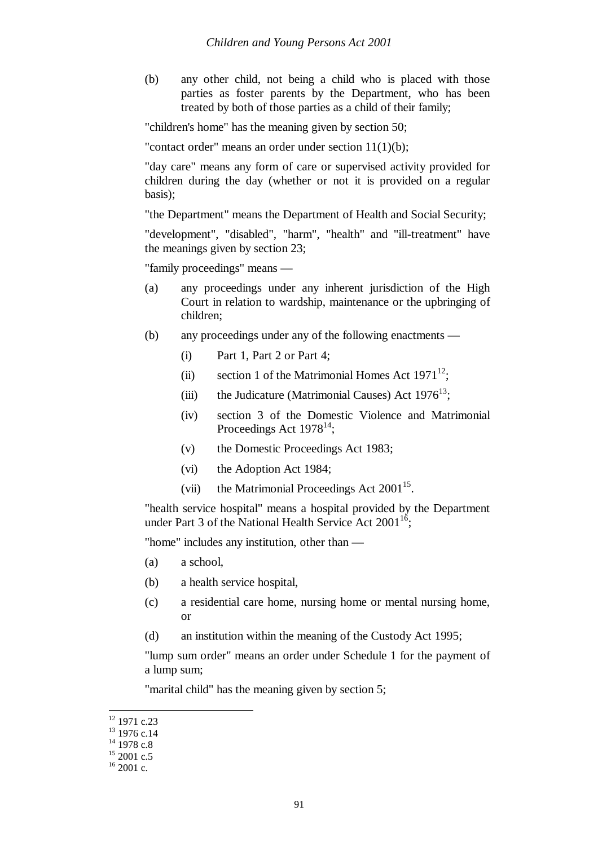(b) any other child, not being a child who is placed with those parties as foster parents by the Department, who has been treated by both of those parties as a child of their family;

"children's home" has the meaning given by section 50;

"contact order" means an order under section 11(1)(b);

"day care" means any form of care or supervised activity provided for children during the day (whether or not it is provided on a regular basis);

"the Department" means the Department of Health and Social Security;

"development", "disabled", "harm", "health" and "ill-treatment" have the meanings given by section 23;

"family proceedings" means —

- (a) any proceedings under any inherent jurisdiction of the High Court in relation to wardship, maintenance or the upbringing of children;
- (b) any proceedings under any of the following enactments
	- (i) Part 1, Part 2 or Part 4;
	- (ii) section 1 of the Matrimonial Homes Act  $1971^{12}$ ;
	- (iii) the Judicature (Matrimonial Causes) Act  $1976^{13}$ ;
	- (iv) section 3 of the Domestic Violence and Matrimonial Proceedings Act  $1978^{14}$ ;
	- (v) the Domestic Proceedings Act 1983;
	- (vi) the Adoption Act 1984;
	- (vii) the Matrimonial Proceedings Act  $2001^{15}$ .

"health service hospital" means a hospital provided by the Department under Part 3 of the National Health Service Act  $2001^{16}$ ;

"home" includes any institution, other than —

- (a) a school,
- (b) a health service hospital,
- (c) a residential care home, nursing home or mental nursing home, or
- (d) an institution within the meaning of the Custody Act 1995;

"lump sum order" means an order under Schedule 1 for the payment of a lump sum;

"marital child" has the meaning given by section 5;

 $12$  1971 c.23

<sup>&</sup>lt;sup>13</sup> 1976 c.14

 $14$  1978 c.8

 $15$  2001 c.5

 $16$  2001 c.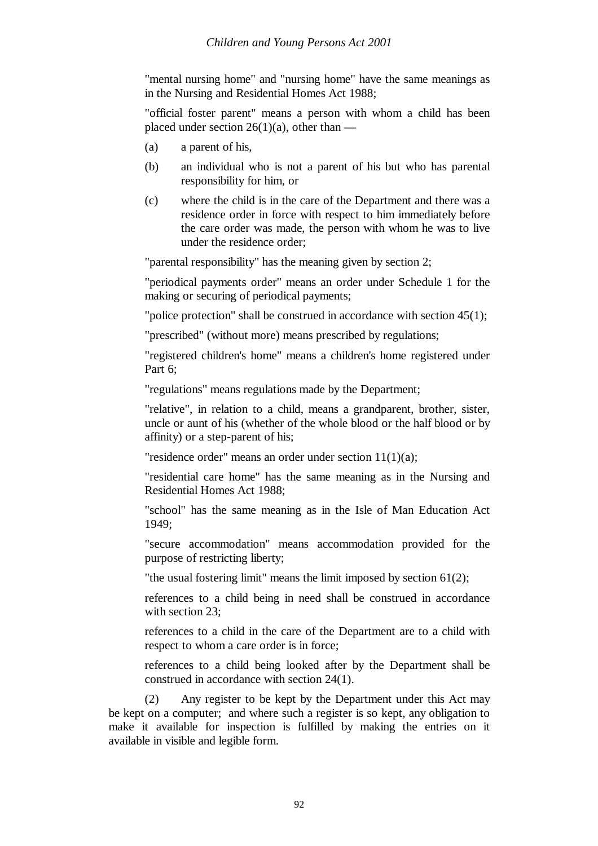"mental nursing home" and "nursing home" have the same meanings as in the Nursing and Residential Homes Act 1988;

"official foster parent" means a person with whom a child has been placed under section  $26(1)(a)$ , other than —

- (a) a parent of his,
- (b) an individual who is not a parent of his but who has parental responsibility for him, or
- (c) where the child is in the care of the Department and there was a residence order in force with respect to him immediately before the care order was made, the person with whom he was to live under the residence order;

"parental responsibility" has the meaning given by section 2;

"periodical payments order" means an order under Schedule 1 for the making or securing of periodical payments;

"police protection" shall be construed in accordance with section 45(1);

"prescribed" (without more) means prescribed by regulations;

"registered children's home" means a children's home registered under Part 6;

"regulations" means regulations made by the Department;

"relative", in relation to a child, means a grandparent, brother, sister, uncle or aunt of his (whether of the whole blood or the half blood or by affinity) or a step-parent of his;

"residence order" means an order under section 11(1)(a);

"residential care home" has the same meaning as in the Nursing and Residential Homes Act 1988;

"school" has the same meaning as in the Isle of Man Education Act 1949;

"secure accommodation" means accommodation provided for the purpose of restricting liberty;

"the usual fostering limit" means the limit imposed by section 61(2);

references to a child being in need shall be construed in accordance with section 23:

references to a child in the care of the Department are to a child with respect to whom a care order is in force;

references to a child being looked after by the Department shall be construed in accordance with section 24(1).

(2) Any register to be kept by the Department under this Act may be kept on a computer; and where such a register is so kept, any obligation to make it available for inspection is fulfilled by making the entries on it available in visible and legible form.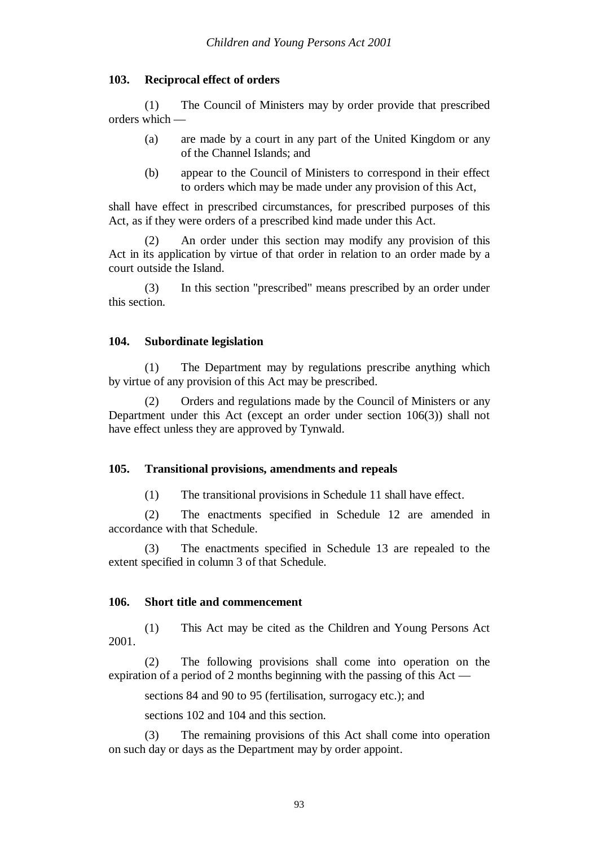### **103. Reciprocal effect of orders**

(1) The Council of Ministers may by order provide that prescribed orders which —

- (a) are made by a court in any part of the United Kingdom or any of the Channel Islands; and
- (b) appear to the Council of Ministers to correspond in their effect to orders which may be made under any provision of this Act,

shall have effect in prescribed circumstances, for prescribed purposes of this Act, as if they were orders of a prescribed kind made under this Act.

(2) An order under this section may modify any provision of this Act in its application by virtue of that order in relation to an order made by a court outside the Island.

(3) In this section "prescribed" means prescribed by an order under this section.

### **104. Subordinate legislation**

(1) The Department may by regulations prescribe anything which by virtue of any provision of this Act may be prescribed.

(2) Orders and regulations made by the Council of Ministers or any Department under this Act (except an order under section 106(3)) shall not have effect unless they are approved by Tynwald.

### **105. Transitional provisions, amendments and repeals**

(1) The transitional provisions in Schedule 11 shall have effect.

(2) The enactments specified in Schedule 12 are amended in accordance with that Schedule.

(3) The enactments specified in Schedule 13 are repealed to the extent specified in column 3 of that Schedule.

#### **106. Short title and commencement**

(1) This Act may be cited as the Children and Young Persons Act 2001.

(2) The following provisions shall come into operation on the expiration of a period of 2 months beginning with the passing of this Act —

sections 84 and 90 to 95 (fertilisation, surrogacy etc.); and

sections 102 and 104 and this section.

(3) The remaining provisions of this Act shall come into operation on such day or days as the Department may by order appoint.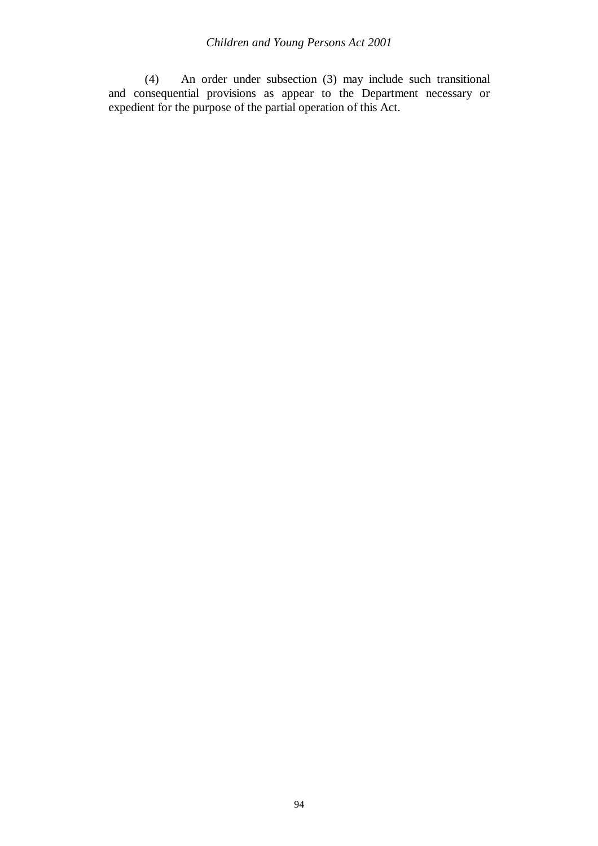(4) An order under subsection (3) may include such transitional and consequential provisions as appear to the Department necessary or expedient for the purpose of the partial operation of this Act.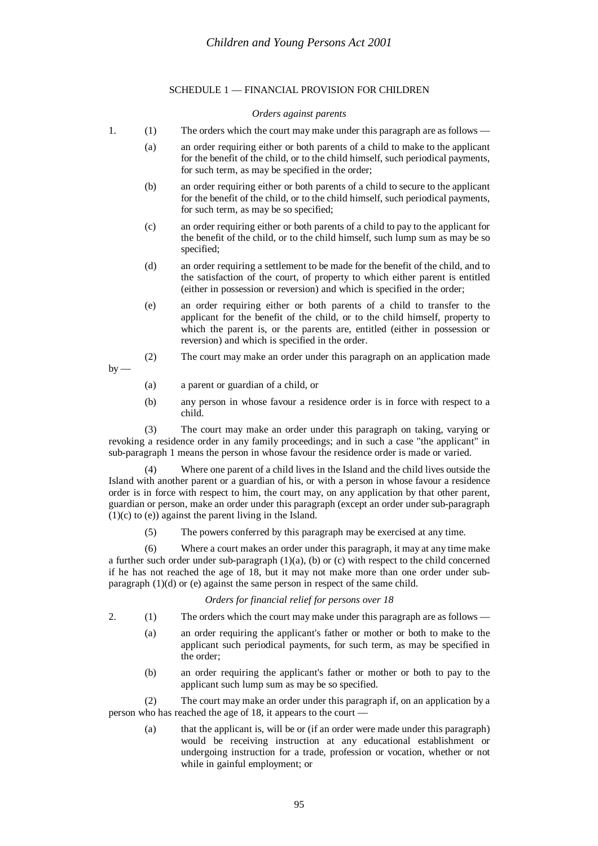#### SCHEDULE 1 — FINANCIAL PROVISION FOR CHILDREN

#### *Orders against parents*

- 1. (1) The orders which the court may make under this paragraph are as follows
	- (a) an order requiring either or both parents of a child to make to the applicant for the benefit of the child, or to the child himself, such periodical payments, for such term, as may be specified in the order;
	- (b) an order requiring either or both parents of a child to secure to the applicant for the benefit of the child, or to the child himself, such periodical payments, for such term, as may be so specified;
	- (c) an order requiring either or both parents of a child to pay to the applicant for the benefit of the child, or to the child himself, such lump sum as may be so specified;
	- (d) an order requiring a settlement to be made for the benefit of the child, and to the satisfaction of the court, of property to which either parent is entitled (either in possession or reversion) and which is specified in the order;
	- (e) an order requiring either or both parents of a child to transfer to the applicant for the benefit of the child, or to the child himself, property to which the parent is, or the parents are, entitled (either in possession or reversion) and which is specified in the order.
- (2) The court may make an order under this paragraph on an application made  $bv$  —
	- (a) a parent or guardian of a child, or
	- (b) any person in whose favour a residence order is in force with respect to a child.

(3) The court may make an order under this paragraph on taking, varying or revoking a residence order in any family proceedings; and in such a case "the applicant" in sub-paragraph 1 means the person in whose favour the residence order is made or varied.

(4) Where one parent of a child lives in the Island and the child lives outside the Island with another parent or a guardian of his, or with a person in whose favour a residence order is in force with respect to him, the court may, on any application by that other parent, guardian or person, make an order under this paragraph (except an order under sub-paragraph  $(1)(c)$  to  $(e)$ ) against the parent living in the Island.

(5) The powers conferred by this paragraph may be exercised at any time.

(6) Where a court makes an order under this paragraph, it may at any time make a further such order under sub-paragraph  $(1)(a)$ ,  $(b)$  or  $(c)$  with respect to the child concerned if he has not reached the age of 18, but it may not make more than one order under subparagraph (1)(d) or (e) against the same person in respect of the same child.

#### *Orders for financial relief for persons over 18*

- 2. (1) The orders which the court may make under this paragraph are as follows
	- (a) an order requiring the applicant's father or mother or both to make to the applicant such periodical payments, for such term, as may be specified in the order;
	- (b) an order requiring the applicant's father or mother or both to pay to the applicant such lump sum as may be so specified.

(2) The court may make an order under this paragraph if, on an application by a person who has reached the age of 18, it appears to the court —

(a) that the applicant is, will be or (if an order were made under this paragraph) would be receiving instruction at any educational establishment or undergoing instruction for a trade, profession or vocation, whether or not while in gainful employment; or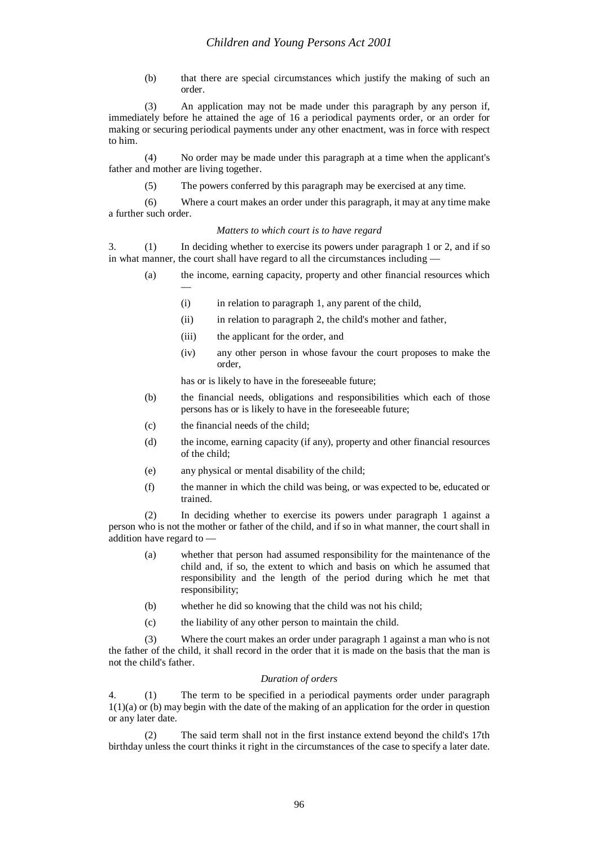(b) that there are special circumstances which justify the making of such an order.

(3) An application may not be made under this paragraph by any person if, immediately before he attained the age of 16 a periodical payments order, or an order for making or securing periodical payments under any other enactment, was in force with respect to him.

(4) No order may be made under this paragraph at a time when the applicant's father and mother are living together.

(5) The powers conferred by this paragraph may be exercised at any time.

(6) Where a court makes an order under this paragraph, it may at any time make a further such order.

#### *Matters to which court is to have regard*

3. (1) In deciding whether to exercise its powers under paragraph 1 or 2, and if so in what manner, the court shall have regard to all the circumstances including -

- (a) the income, earning capacity, property and other financial resources which —
	- (i) in relation to paragraph 1, any parent of the child,
	- (ii) in relation to paragraph 2, the child's mother and father,
	- (iii) the applicant for the order, and
	- (iv) any other person in whose favour the court proposes to make the order,

has or is likely to have in the foreseeable future;

- (b) the financial needs, obligations and responsibilities which each of those persons has or is likely to have in the foreseeable future;
- (c) the financial needs of the child;
- (d) the income, earning capacity (if any), property and other financial resources of the child;
- (e) any physical or mental disability of the child;
- (f) the manner in which the child was being, or was expected to be, educated or trained.

(2) In deciding whether to exercise its powers under paragraph 1 against a person who is not the mother or father of the child, and if so in what manner, the court shall in addition have regard to —

- (a) whether that person had assumed responsibility for the maintenance of the child and, if so, the extent to which and basis on which he assumed that responsibility and the length of the period during which he met that responsibility;
- (b) whether he did so knowing that the child was not his child;
- (c) the liability of any other person to maintain the child.

(3) Where the court makes an order under paragraph 1 against a man who is not the father of the child, it shall record in the order that it is made on the basis that the man is not the child's father.

#### *Duration of orders*

4. (1) The term to be specified in a periodical payments order under paragraph 1(1)(a) or (b) may begin with the date of the making of an application for the order in question or any later date.

(2) The said term shall not in the first instance extend beyond the child's 17th birthday unless the court thinks it right in the circumstances of the case to specify a later date.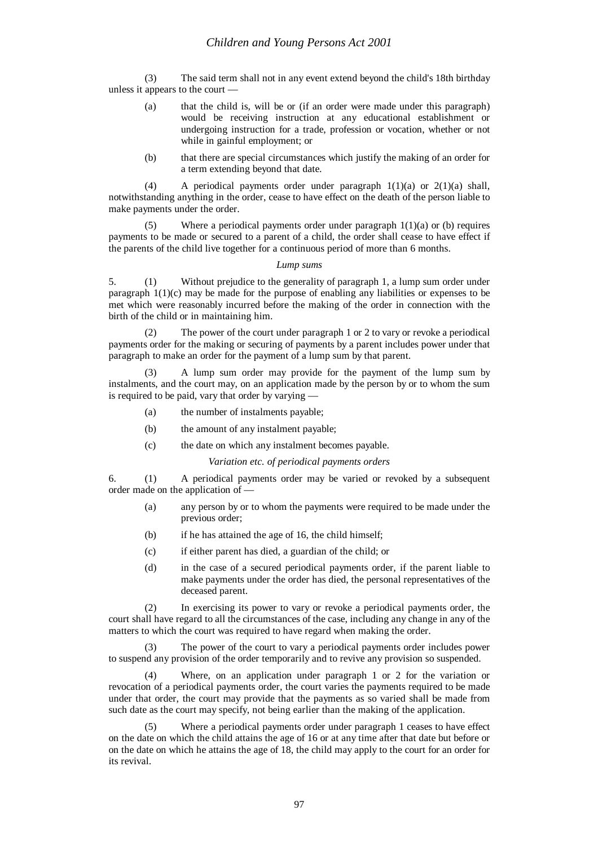(3) The said term shall not in any event extend beyond the child's 18th birthday unless it appears to the court —

- (a) that the child is, will be or (if an order were made under this paragraph) would be receiving instruction at any educational establishment or undergoing instruction for a trade, profession or vocation, whether or not while in gainful employment; or
- (b) that there are special circumstances which justify the making of an order for a term extending beyond that date.

(4) A periodical payments order under paragraph  $1(1)(a)$  or  $2(1)(a)$  shall, notwithstanding anything in the order, cease to have effect on the death of the person liable to make payments under the order.

(5) Where a periodical payments order under paragraph  $1(1)(a)$  or (b) requires payments to be made or secured to a parent of a child, the order shall cease to have effect if the parents of the child live together for a continuous period of more than 6 months.

#### *Lump sums*

5. (1) Without prejudice to the generality of paragraph 1, a lump sum order under paragraph  $1(1)(c)$  may be made for the purpose of enabling any liabilities or expenses to be met which were reasonably incurred before the making of the order in connection with the birth of the child or in maintaining him.

(2) The power of the court under paragraph 1 or 2 to vary or revoke a periodical payments order for the making or securing of payments by a parent includes power under that paragraph to make an order for the payment of a lump sum by that parent.

(3) A lump sum order may provide for the payment of the lump sum by instalments, and the court may, on an application made by the person by or to whom the sum is required to be paid, vary that order by varying —

- (a) the number of instalments payable;
- (b) the amount of any instalment payable;
- (c) the date on which any instalment becomes payable.

*Variation etc. of periodical payments orders*

6. (1) A periodical payments order may be varied or revoked by a subsequent order made on the application of —

- (a) any person by or to whom the payments were required to be made under the previous order;
- (b) if he has attained the age of 16, the child himself;
- (c) if either parent has died, a guardian of the child; or
- (d) in the case of a secured periodical payments order, if the parent liable to make payments under the order has died, the personal representatives of the deceased parent.

(2) In exercising its power to vary or revoke a periodical payments order, the court shall have regard to all the circumstances of the case, including any change in any of the matters to which the court was required to have regard when making the order.

(3) The power of the court to vary a periodical payments order includes power to suspend any provision of the order temporarily and to revive any provision so suspended.

(4) Where, on an application under paragraph 1 or 2 for the variation or revocation of a periodical payments order, the court varies the payments required to be made under that order, the court may provide that the payments as so varied shall be made from such date as the court may specify, not being earlier than the making of the application.

Where a periodical payments order under paragraph 1 ceases to have effect on the date on which the child attains the age of 16 or at any time after that date but before or on the date on which he attains the age of 18, the child may apply to the court for an order for its revival.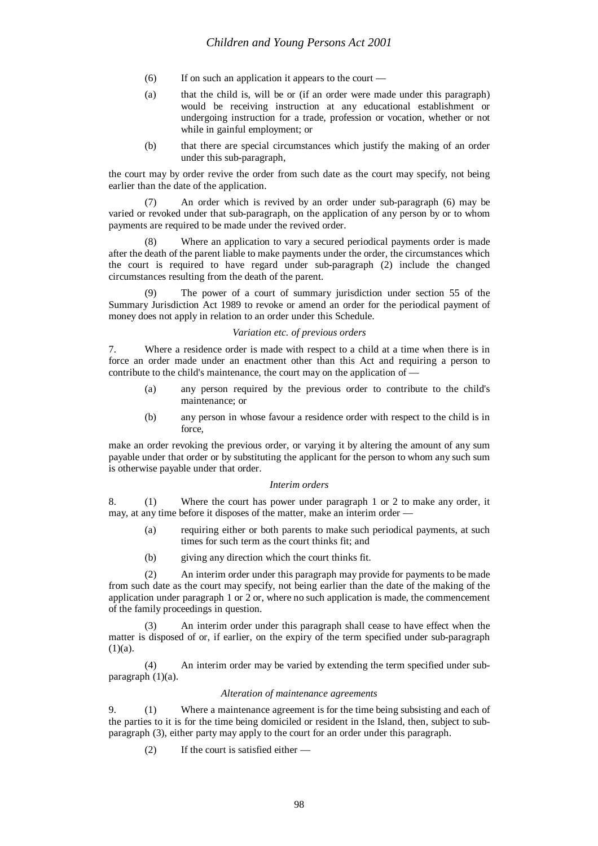- (6) If on such an application it appears to the court —
- (a) that the child is, will be or (if an order were made under this paragraph) would be receiving instruction at any educational establishment or undergoing instruction for a trade, profession or vocation, whether or not while in gainful employment; or
- (b) that there are special circumstances which justify the making of an order under this sub-paragraph,

the court may by order revive the order from such date as the court may specify, not being earlier than the date of the application.

An order which is revived by an order under sub-paragraph (6) may be varied or revoked under that sub-paragraph, on the application of any person by or to whom payments are required to be made under the revived order.

(8) Where an application to vary a secured periodical payments order is made after the death of the parent liable to make payments under the order, the circumstances which the court is required to have regard under sub-paragraph (2) include the changed circumstances resulting from the death of the parent.

The power of a court of summary jurisdiction under section 55 of the Summary Jurisdiction Act 1989 to revoke or amend an order for the periodical payment of money does not apply in relation to an order under this Schedule.

#### *Variation etc. of previous orders*

7. Where a residence order is made with respect to a child at a time when there is in force an order made under an enactment other than this Act and requiring a person to contribute to the child's maintenance, the court may on the application of —

- (a) any person required by the previous order to contribute to the child's maintenance; or
- (b) any person in whose favour a residence order with respect to the child is in force,

make an order revoking the previous order, or varying it by altering the amount of any sum payable under that order or by substituting the applicant for the person to whom any such sum is otherwise payable under that order.

#### *Interim orders*

8. (1) Where the court has power under paragraph 1 or 2 to make any order, it may, at any time before it disposes of the matter, make an interim order —

- (a) requiring either or both parents to make such periodical payments, at such times for such term as the court thinks fit; and
- (b) giving any direction which the court thinks fit.

(2) An interim order under this paragraph may provide for payments to be made from such date as the court may specify, not being earlier than the date of the making of the application under paragraph 1 or 2 or, where no such application is made, the commencement of the family proceedings in question.

An interim order under this paragraph shall cease to have effect when the matter is disposed of or, if earlier, on the expiry of the term specified under sub-paragraph  $(1)(a)$ .

(4) An interim order may be varied by extending the term specified under subparagraph (1)(a).

#### *Alteration of maintenance agreements*

9. (1) Where a maintenance agreement is for the time being subsisting and each of the parties to it is for the time being domiciled or resident in the Island, then, subject to subparagraph (3), either party may apply to the court for an order under this paragraph.

(2) If the court is satisfied either —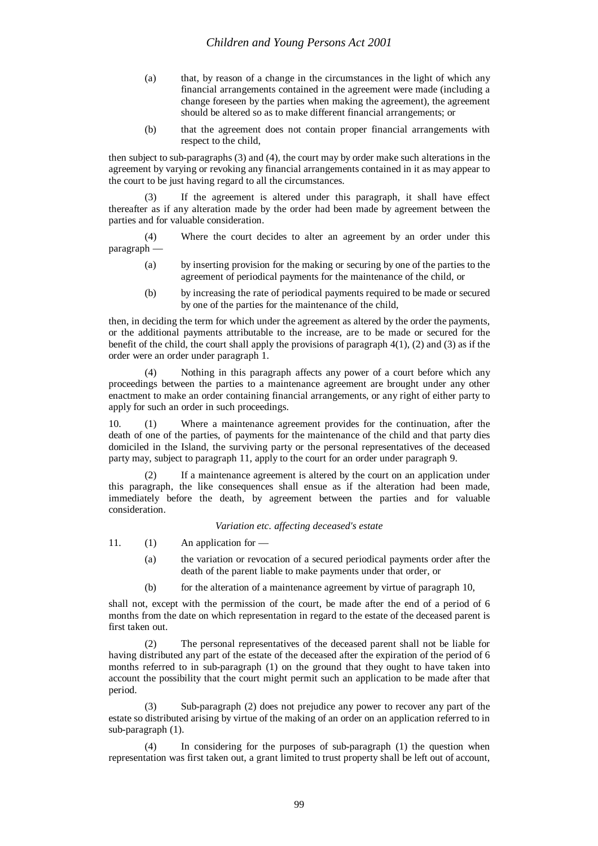- (a) that, by reason of a change in the circumstances in the light of which any financial arrangements contained in the agreement were made (including a change foreseen by the parties when making the agreement), the agreement should be altered so as to make different financial arrangements; or
- (b) that the agreement does not contain proper financial arrangements with respect to the child,

then subject to sub-paragraphs (3) and (4), the court may by order make such alterations in the agreement by varying or revoking any financial arrangements contained in it as may appear to the court to be just having regard to all the circumstances.

(3) If the agreement is altered under this paragraph, it shall have effect thereafter as if any alteration made by the order had been made by agreement between the parties and for valuable consideration.

(4) Where the court decides to alter an agreement by an order under this paragraph —

- (a) by inserting provision for the making or securing by one of the parties to the agreement of periodical payments for the maintenance of the child, or
- (b) by increasing the rate of periodical payments required to be made or secured by one of the parties for the maintenance of the child,

then, in deciding the term for which under the agreement as altered by the order the payments, or the additional payments attributable to the increase, are to be made or secured for the benefit of the child, the court shall apply the provisions of paragraph  $4(1)$ , (2) and (3) as if the order were an order under paragraph 1.

(4) Nothing in this paragraph affects any power of a court before which any proceedings between the parties to a maintenance agreement are brought under any other enactment to make an order containing financial arrangements, or any right of either party to apply for such an order in such proceedings.

10. (1) Where a maintenance agreement provides for the continuation, after the death of one of the parties, of payments for the maintenance of the child and that party dies domiciled in the Island, the surviving party or the personal representatives of the deceased party may, subject to paragraph 11, apply to the court for an order under paragraph 9.

(2) If a maintenance agreement is altered by the court on an application under this paragraph, the like consequences shall ensue as if the alteration had been made, immediately before the death, by agreement between the parties and for valuable consideration.

*Variation etc. affecting deceased's estate*

- 11. (1) An application for
	- (a) the variation or revocation of a secured periodical payments order after the death of the parent liable to make payments under that order, or
	- (b) for the alteration of a maintenance agreement by virtue of paragraph 10,

shall not, except with the permission of the court, be made after the end of a period of 6 months from the date on which representation in regard to the estate of the deceased parent is first taken out.

(2) The personal representatives of the deceased parent shall not be liable for having distributed any part of the estate of the deceased after the expiration of the period of 6 months referred to in sub-paragraph (1) on the ground that they ought to have taken into account the possibility that the court might permit such an application to be made after that period.

(3) Sub-paragraph (2) does not prejudice any power to recover any part of the estate so distributed arising by virtue of the making of an order on an application referred to in sub-paragraph (1).

(4) In considering for the purposes of sub-paragraph (1) the question when representation was first taken out, a grant limited to trust property shall be left out of account,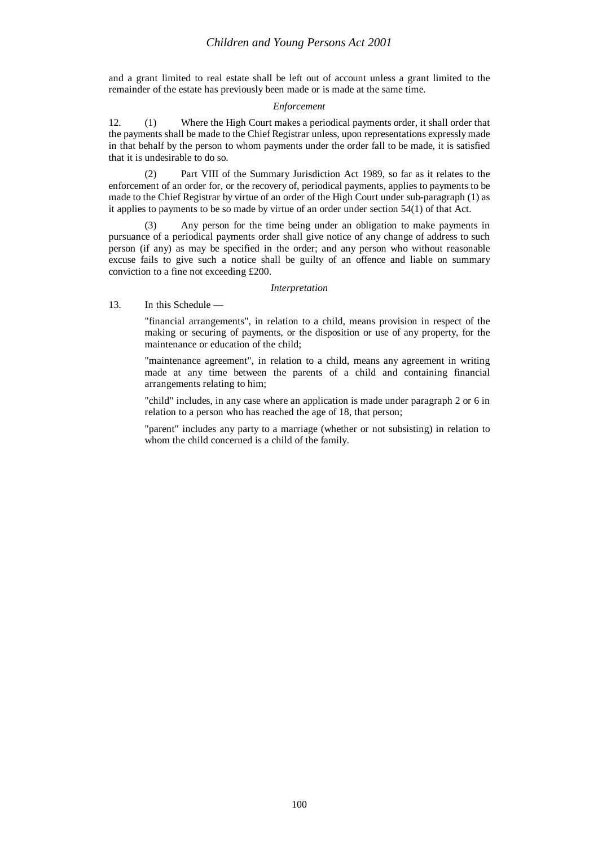and a grant limited to real estate shall be left out of account unless a grant limited to the remainder of the estate has previously been made or is made at the same time.

#### *Enforcement*

12. (1) Where the High Court makes a periodical payments order, it shall order that the payments shall be made to the Chief Registrar unless, upon representations expressly made in that behalf by the person to whom payments under the order fall to be made, it is satisfied that it is undesirable to do so.

(2) Part VIII of the Summary Jurisdiction Act 1989, so far as it relates to the enforcement of an order for, or the recovery of, periodical payments, applies to payments to be made to the Chief Registrar by virtue of an order of the High Court under sub-paragraph (1) as it applies to payments to be so made by virtue of an order under section 54(1) of that Act.

(3) Any person for the time being under an obligation to make payments in pursuance of a periodical payments order shall give notice of any change of address to such person (if any) as may be specified in the order; and any person who without reasonable excuse fails to give such a notice shall be guilty of an offence and liable on summary conviction to a fine not exceeding £200.

#### *Interpretation*

13. In this Schedule —

"financial arrangements", in relation to a child, means provision in respect of the making or securing of payments, or the disposition or use of any property, for the maintenance or education of the child;

"maintenance agreement", in relation to a child, means any agreement in writing made at any time between the parents of a child and containing financial arrangements relating to him;

"child" includes, in any case where an application is made under paragraph 2 or 6 in relation to a person who has reached the age of 18, that person;

"parent" includes any party to a marriage (whether or not subsisting) in relation to whom the child concerned is a child of the family.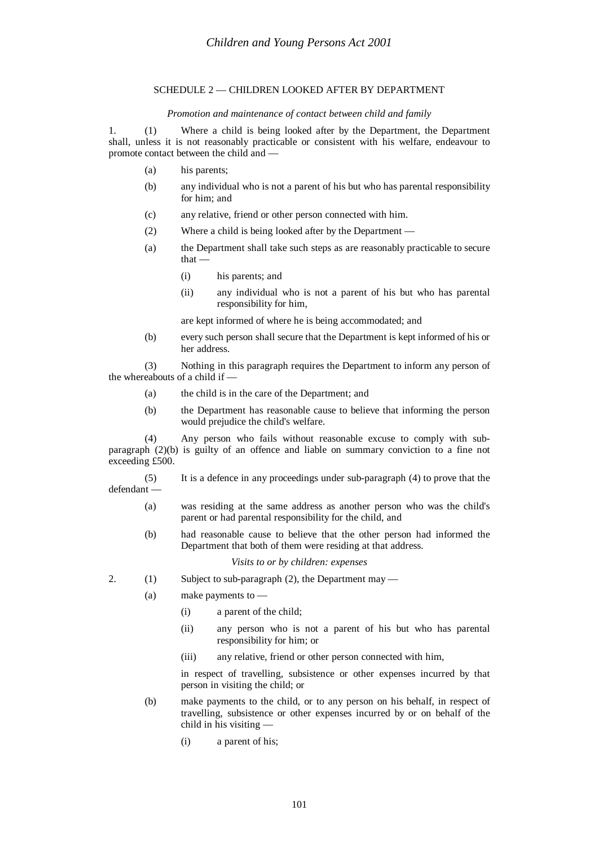#### SCHEDULE 2 — CHILDREN LOOKED AFTER BY DEPARTMENT

#### *Promotion and maintenance of contact between child and family*

1. (1) Where a child is being looked after by the Department, the Department shall, unless it is not reasonably practicable or consistent with his welfare, endeavour to promote contact between the child and —

- (a) his parents;
- (b) any individual who is not a parent of his but who has parental responsibility for him; and
- (c) any relative, friend or other person connected with him.
- (2) Where a child is being looked after by the Department —
- (a) the Department shall take such steps as are reasonably practicable to secure that —
	- (i) his parents; and
	- (ii) any individual who is not a parent of his but who has parental responsibility for him,

are kept informed of where he is being accommodated; and

(b) every such person shall secure that the Department is kept informed of his or her address.

(3) Nothing in this paragraph requires the Department to inform any person of the whereabouts of a child if —

- (a) the child is in the care of the Department; and
- (b) the Department has reasonable cause to believe that informing the person would prejudice the child's welfare.

(4) Any person who fails without reasonable excuse to comply with subparagraph (2)(b) is guilty of an offence and liable on summary conviction to a fine not exceeding £500.

(5) It is a defence in any proceedings under sub-paragraph (4) to prove that the defendant —

- (a) was residing at the same address as another person who was the child's parent or had parental responsibility for the child, and
- (b) had reasonable cause to believe that the other person had informed the Department that both of them were residing at that address.

#### *Visits to or by children: expenses*

- 2. (1) Subject to sub-paragraph (2), the Department may
	- (a) make payments to
		- (i) a parent of the child;
		- (ii) any person who is not a parent of his but who has parental responsibility for him; or
		- (iii) any relative, friend or other person connected with him,

in respect of travelling, subsistence or other expenses incurred by that person in visiting the child; or

- (b) make payments to the child, or to any person on his behalf, in respect of travelling, subsistence or other expenses incurred by or on behalf of the child in his visiting —
	- (i) a parent of his;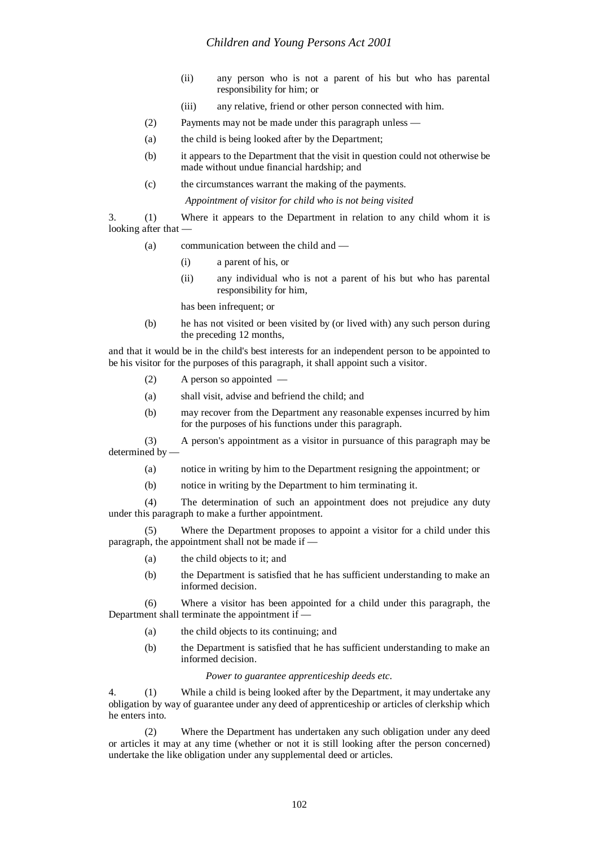- (ii) any person who is not a parent of his but who has parental responsibility for him; or
- (iii) any relative, friend or other person connected with him.
- (2) Payments may not be made under this paragraph unless —
- (a) the child is being looked after by the Department;
- (b) it appears to the Department that the visit in question could not otherwise be made without undue financial hardship; and
- (c) the circumstances warrant the making of the payments.

*Appointment of visitor for child who is not being visited*

3. (1) Where it appears to the Department in relation to any child whom it is looking after that —

- (a) communication between the child and
	- (i) a parent of his, or
	- (ii) any individual who is not a parent of his but who has parental responsibility for him,

has been infrequent; or

(b) he has not visited or been visited by (or lived with) any such person during the preceding 12 months,

and that it would be in the child's best interests for an independent person to be appointed to be his visitor for the purposes of this paragraph, it shall appoint such a visitor.

- (2) A person so appointed —
- (a) shall visit, advise and befriend the child; and
- (b) may recover from the Department any reasonable expenses incurred by him for the purposes of his functions under this paragraph.

(3) A person's appointment as a visitor in pursuance of this paragraph may be determined by -

- (a) notice in writing by him to the Department resigning the appointment; or
- (b) notice in writing by the Department to him terminating it.

(4) The determination of such an appointment does not prejudice any duty under this paragraph to make a further appointment.

(5) Where the Department proposes to appoint a visitor for a child under this paragraph, the appointment shall not be made if —

- (a) the child objects to it; and
- (b) the Department is satisfied that he has sufficient understanding to make an informed decision.

(6) Where a visitor has been appointed for a child under this paragraph, the Department shall terminate the appointment if —

- (a) the child objects to its continuing; and
- (b) the Department is satisfied that he has sufficient understanding to make an informed decision.

*Power to guarantee apprenticeship deeds etc.*

4. (1) While a child is being looked after by the Department, it may undertake any obligation by way of guarantee under any deed of apprenticeship or articles of clerkship which he enters into.

(2) Where the Department has undertaken any such obligation under any deed or articles it may at any time (whether or not it is still looking after the person concerned) undertake the like obligation under any supplemental deed or articles.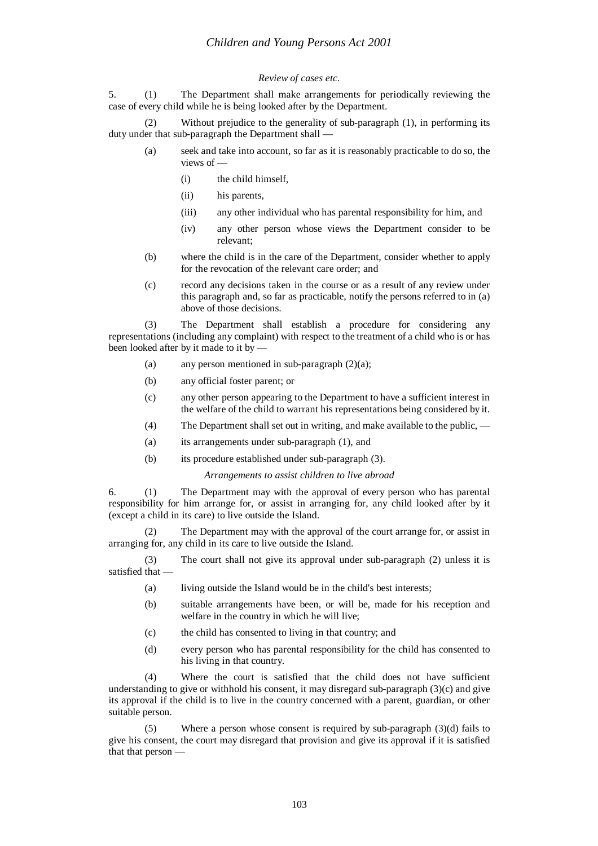#### *Review of cases etc.*

5. (1) The Department shall make arrangements for periodically reviewing the case of every child while he is being looked after by the Department.

(2) Without prejudice to the generality of sub-paragraph (1), in performing its duty under that sub-paragraph the Department shall —

- (a) seek and take into account, so far as it is reasonably practicable to do so, the views of —
	- (i) the child himself,
	- (ii) his parents,
	- (iii) any other individual who has parental responsibility for him, and
	- (iv) any other person whose views the Department consider to be relevant;
- (b) where the child is in the care of the Department, consider whether to apply for the revocation of the relevant care order; and
- (c) record any decisions taken in the course or as a result of any review under this paragraph and, so far as practicable, notify the persons referred to in (a) above of those decisions.

(3) The Department shall establish a procedure for considering any representations (including any complaint) with respect to the treatment of a child who is or has been looked after by it made to it by -

- (a) any person mentioned in sub-paragraph  $(2)(a)$ ;
- (b) any official foster parent; or
- (c) any other person appearing to the Department to have a sufficient interest in the welfare of the child to warrant his representations being considered by it.
- (4) The Department shall set out in writing, and make available to the public, —
- (a) its arrangements under sub-paragraph (1), and
- (b) its procedure established under sub-paragraph (3).

#### *Arrangements to assist children to live abroad*

6. (1) The Department may with the approval of every person who has parental responsibility for him arrange for, or assist in arranging for, any child looked after by it (except a child in its care) to live outside the Island.

(2) The Department may with the approval of the court arrange for, or assist in arranging for, any child in its care to live outside the Island.

(3) The court shall not give its approval under sub-paragraph (2) unless it is satisfied that —

- (a) living outside the Island would be in the child's best interests;
- (b) suitable arrangements have been, or will be, made for his reception and welfare in the country in which he will live;
- (c) the child has consented to living in that country; and
- (d) every person who has parental responsibility for the child has consented to his living in that country.

(4) Where the court is satisfied that the child does not have sufficient understanding to give or withhold his consent, it may disregard sub-paragraph  $(3)(c)$  and give its approval if the child is to live in the country concerned with a parent, guardian, or other suitable person.

(5) Where a person whose consent is required by sub-paragraph (3)(d) fails to give his consent, the court may disregard that provision and give its approval if it is satisfied that that person —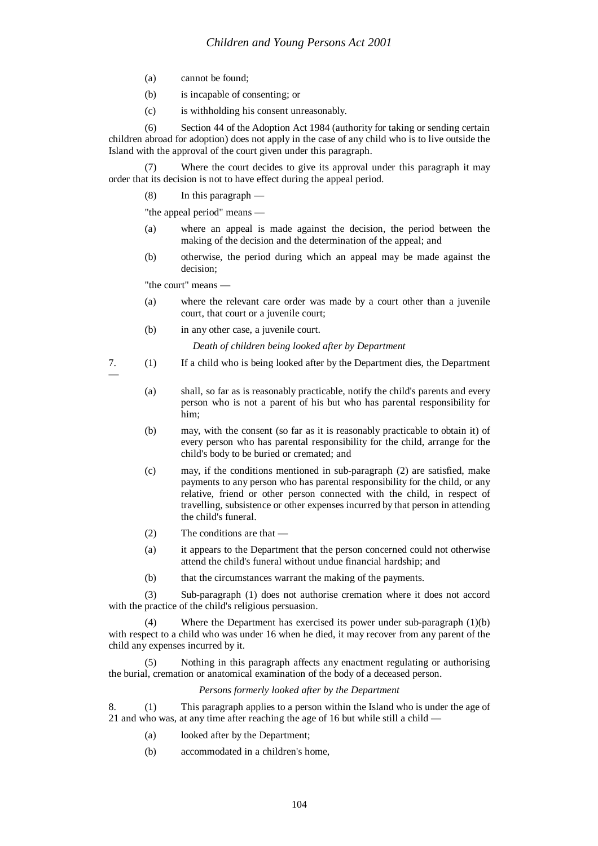- (a) cannot be found;
- (b) is incapable of consenting; or
- (c) is withholding his consent unreasonably.

(6) Section 44 of the Adoption Act 1984 (authority for taking or sending certain children abroad for adoption) does not apply in the case of any child who is to live outside the Island with the approval of the court given under this paragraph.

(7) Where the court decides to give its approval under this paragraph it may order that its decision is not to have effect during the appeal period.

(8) In this paragraph —

"the appeal period" means —

- (a) where an appeal is made against the decision, the period between the making of the decision and the determination of the appeal; and
- (b) otherwise, the period during which an appeal may be made against the decision;

"the court" means —

—

- (a) where the relevant care order was made by a court other than a juvenile court, that court or a juvenile court;
- (b) in any other case, a juvenile court.

*Death of children being looked after by Department*

- 7. (1) If a child who is being looked after by the Department dies, the Department
	- (a) shall, so far as is reasonably practicable, notify the child's parents and every person who is not a parent of his but who has parental responsibility for him;
	- (b) may, with the consent (so far as it is reasonably practicable to obtain it) of every person who has parental responsibility for the child, arrange for the child's body to be buried or cremated; and
	- (c) may, if the conditions mentioned in sub-paragraph (2) are satisfied, make payments to any person who has parental responsibility for the child, or any relative, friend or other person connected with the child, in respect of travelling, subsistence or other expenses incurred by that person in attending the child's funeral.
	- (2) The conditions are that —
	- (a) it appears to the Department that the person concerned could not otherwise attend the child's funeral without undue financial hardship; and
	- (b) that the circumstances warrant the making of the payments.

(3) Sub-paragraph (1) does not authorise cremation where it does not accord with the practice of the child's religious persuasion.

(4) Where the Department has exercised its power under sub-paragraph (1)(b) with respect to a child who was under 16 when he died, it may recover from any parent of the child any expenses incurred by it.

(5) Nothing in this paragraph affects any enactment regulating or authorising the burial, cremation or anatomical examination of the body of a deceased person.

#### *Persons formerly looked after by the Department*

8. (1) This paragraph applies to a person within the Island who is under the age of 21 and who was, at any time after reaching the age of 16 but while still a child —

- (a) looked after by the Department;
- (b) accommodated in a children's home,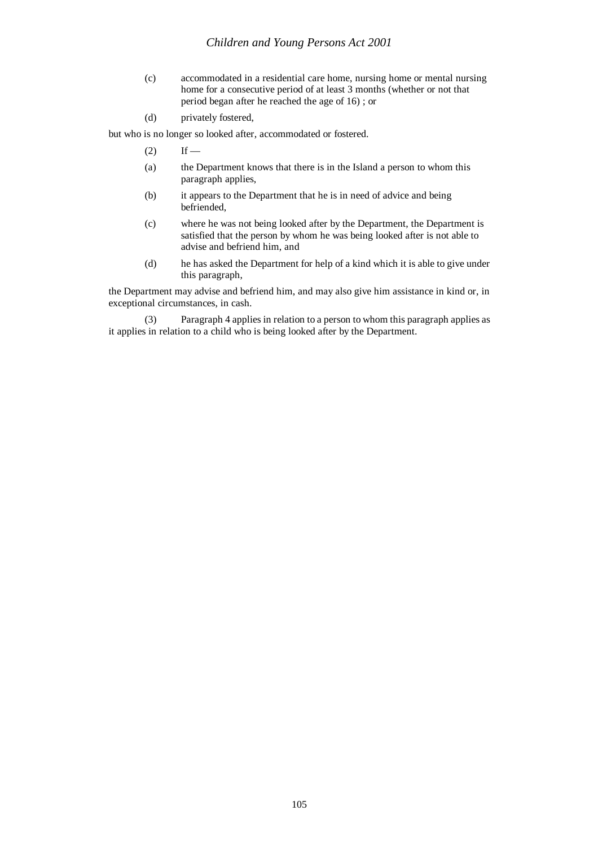- (c) accommodated in a residential care home, nursing home or mental nursing home for a consecutive period of at least 3 months (whether or not that period began after he reached the age of 16) ; or
- (d) privately fostered,

but who is no longer so looked after, accommodated or fostered.

- $(2)$  If —
- (a) the Department knows that there is in the Island a person to whom this paragraph applies,
- (b) it appears to the Department that he is in need of advice and being befriended,
- (c) where he was not being looked after by the Department, the Department is satisfied that the person by whom he was being looked after is not able to advise and befriend him, and
- (d) he has asked the Department for help of a kind which it is able to give under this paragraph,

the Department may advise and befriend him, and may also give him assistance in kind or, in exceptional circumstances, in cash.

(3) Paragraph 4 applies in relation to a person to whom this paragraph applies as it applies in relation to a child who is being looked after by the Department.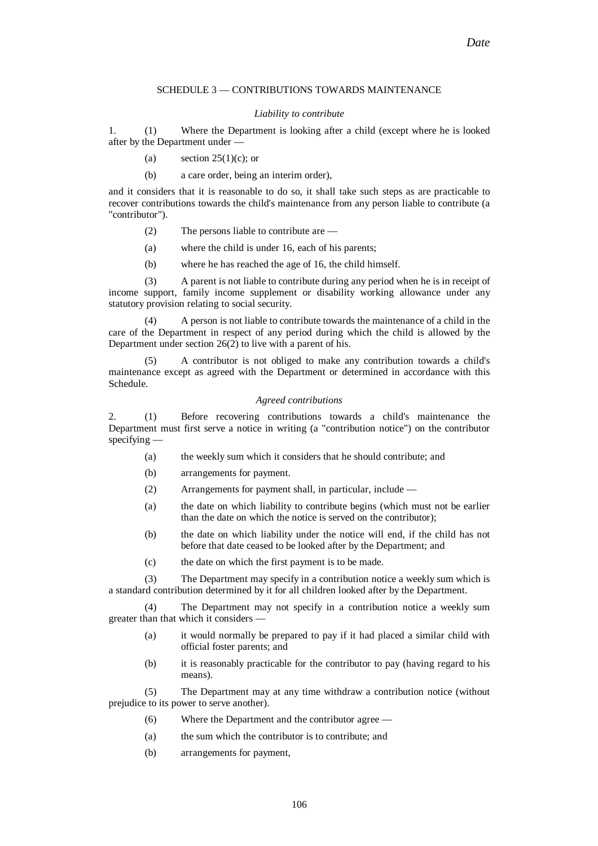#### SCHEDULE 3 — CONTRIBUTIONS TOWARDS MAINTENANCE

#### *Liability to contribute*

1. (1) Where the Department is looking after a child (except where he is looked after by the Department under —

- (a) section  $25(1)(c)$ ; or
- (b) a care order, being an interim order),

and it considers that it is reasonable to do so, it shall take such steps as are practicable to recover contributions towards the child's maintenance from any person liable to contribute (a "contributor").

- (2) The persons liable to contribute are —
- (a) where the child is under 16, each of his parents;
- (b) where he has reached the age of 16, the child himself.

(3) A parent is not liable to contribute during any period when he is in receipt of income support, family income supplement or disability working allowance under any statutory provision relating to social security.

(4) A person is not liable to contribute towards the maintenance of a child in the care of the Department in respect of any period during which the child is allowed by the Department under section 26(2) to live with a parent of his.

(5) A contributor is not obliged to make any contribution towards a child's maintenance except as agreed with the Department or determined in accordance with this Schedule.

#### *Agreed contributions*

2. (1) Before recovering contributions towards a child's maintenance the Department must first serve a notice in writing (a "contribution notice") on the contributor specifying —

- (a) the weekly sum which it considers that he should contribute; and
- (b) arrangements for payment.
- (2) Arrangements for payment shall, in particular, include —
- (a) the date on which liability to contribute begins (which must not be earlier than the date on which the notice is served on the contributor);
- (b) the date on which liability under the notice will end, if the child has not before that date ceased to be looked after by the Department; and
- (c) the date on which the first payment is to be made.

(3) The Department may specify in a contribution notice a weekly sum which is a standard contribution determined by it for all children looked after by the Department.

(4) The Department may not specify in a contribution notice a weekly sum greater than that which it considers —

- (a) it would normally be prepared to pay if it had placed a similar child with official foster parents; and
- (b) it is reasonably practicable for the contributor to pay (having regard to his means).

(5) The Department may at any time withdraw a contribution notice (without prejudice to its power to serve another).

- (6) Where the Department and the contributor agree —
- (a) the sum which the contributor is to contribute; and
- (b) arrangements for payment,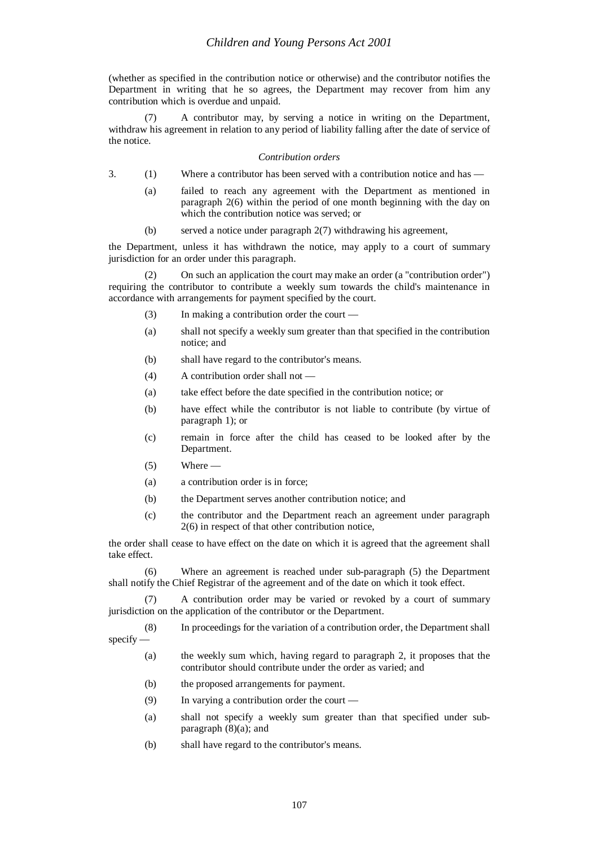(whether as specified in the contribution notice or otherwise) and the contributor notifies the Department in writing that he so agrees, the Department may recover from him any contribution which is overdue and unpaid.

(7) A contributor may, by serving a notice in writing on the Department, withdraw his agreement in relation to any period of liability falling after the date of service of the notice.

#### *Contribution orders*

- 3. (1) Where a contributor has been served with a contribution notice and has
	- (a) failed to reach any agreement with the Department as mentioned in paragraph 2(6) within the period of one month beginning with the day on which the contribution notice was served; or
	- (b) served a notice under paragraph 2(7) withdrawing his agreement,

the Department, unless it has withdrawn the notice, may apply to a court of summary jurisdiction for an order under this paragraph.

On such an application the court may make an order (a "contribution order") requiring the contributor to contribute a weekly sum towards the child's maintenance in accordance with arrangements for payment specified by the court.

- (3) In making a contribution order the court —
- (a) shall not specify a weekly sum greater than that specified in the contribution notice; and
- (b) shall have regard to the contributor's means.
- (4) A contribution order shall not —
- (a) take effect before the date specified in the contribution notice; or
- (b) have effect while the contributor is not liable to contribute (by virtue of paragraph 1); or
- (c) remain in force after the child has ceased to be looked after by the Department.
- $(5)$  Where —
- (a) a contribution order is in force;
- (b) the Department serves another contribution notice; and
- (c) the contributor and the Department reach an agreement under paragraph 2(6) in respect of that other contribution notice,

the order shall cease to have effect on the date on which it is agreed that the agreement shall take effect.

(6) Where an agreement is reached under sub-paragraph (5) the Department shall notify the Chief Registrar of the agreement and of the date on which it took effect.

(7) A contribution order may be varied or revoked by a court of summary jurisdiction on the application of the contributor or the Department.

(8) In proceedings for the variation of a contribution order, the Department shall specify —

- (a) the weekly sum which, having regard to paragraph 2, it proposes that the contributor should contribute under the order as varied; and
- (b) the proposed arrangements for payment.
- (9) In varying a contribution order the court —
- (a) shall not specify a weekly sum greater than that specified under subparagraph (8)(a); and
- (b) shall have regard to the contributor's means.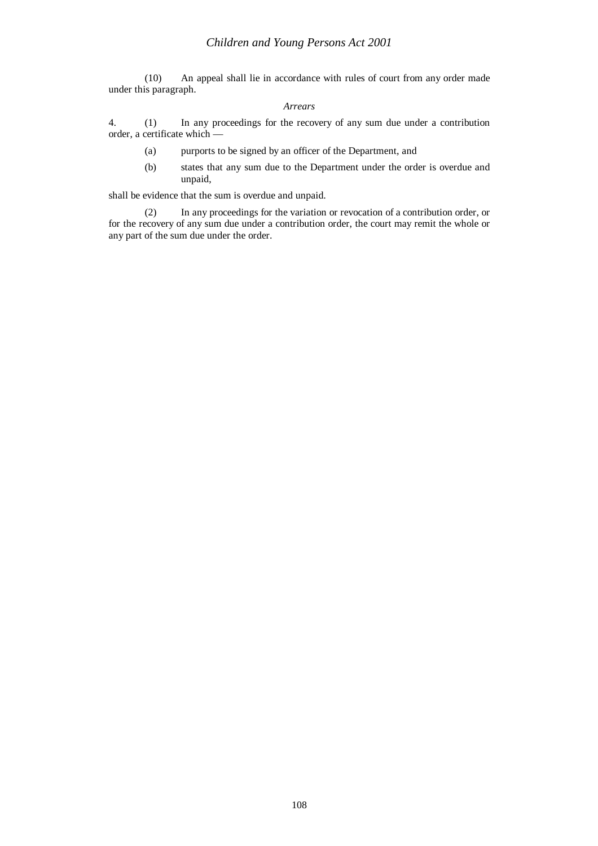(10) An appeal shall lie in accordance with rules of court from any order made under this paragraph.

#### *Arrears*

4. (1) In any proceedings for the recovery of any sum due under a contribution order, a certificate which —

- (a) purports to be signed by an officer of the Department, and
- (b) states that any sum due to the Department under the order is overdue and unpaid,

shall be evidence that the sum is overdue and unpaid.

(2) In any proceedings for the variation or revocation of a contribution order, or for the recovery of any sum due under a contribution order, the court may remit the whole or any part of the sum due under the order.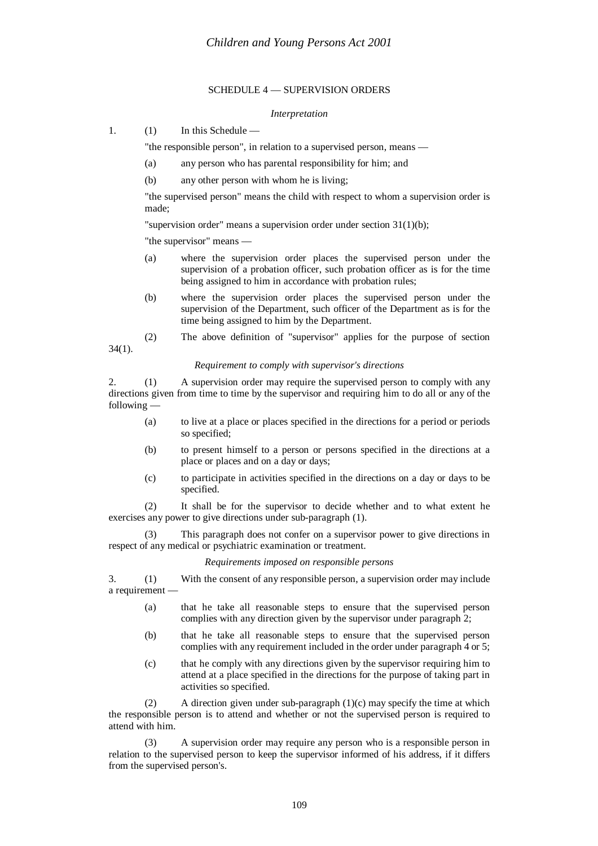# SCHEDULE 4 — SUPERVISION ORDERS

#### *Interpretation*

1. (1) In this Schedule —

"the responsible person", in relation to a supervised person, means —

- (a) any person who has parental responsibility for him; and
- (b) any other person with whom he is living;

"the supervised person" means the child with respect to whom a supervision order is made;

"supervision order" means a supervision order under section 31(1)(b);

"the supervisor" means —

34(1).

- (a) where the supervision order places the supervised person under the supervision of a probation officer, such probation officer as is for the time being assigned to him in accordance with probation rules;
- (b) where the supervision order places the supervised person under the supervision of the Department, such officer of the Department as is for the time being assigned to him by the Department.
- (2) The above definition of "supervisor" applies for the purpose of section

#### *Requirement to comply with supervisor's directions*

2. (1) A supervision order may require the supervised person to comply with any directions given from time to time by the supervisor and requiring him to do all or any of the following —

- (a) to live at a place or places specified in the directions for a period or periods so specified;
- (b) to present himself to a person or persons specified in the directions at a place or places and on a day or days;
- (c) to participate in activities specified in the directions on a day or days to be specified.

(2) It shall be for the supervisor to decide whether and to what extent he exercises any power to give directions under sub-paragraph (1).

(3) This paragraph does not confer on a supervisor power to give directions in respect of any medical or psychiatric examination or treatment.

*Requirements imposed on responsible persons*

3. (1) With the consent of any responsible person, a supervision order may include a requirement —

- (a) that he take all reasonable steps to ensure that the supervised person complies with any direction given by the supervisor under paragraph 2;
- (b) that he take all reasonable steps to ensure that the supervised person complies with any requirement included in the order under paragraph 4 or 5;
- (c) that he comply with any directions given by the supervisor requiring him to attend at a place specified in the directions for the purpose of taking part in activities so specified.

(2) A direction given under sub-paragraph  $(1)(c)$  may specify the time at which the responsible person is to attend and whether or not the supervised person is required to attend with him.

(3) A supervision order may require any person who is a responsible person in relation to the supervised person to keep the supervisor informed of his address, if it differs from the supervised person's.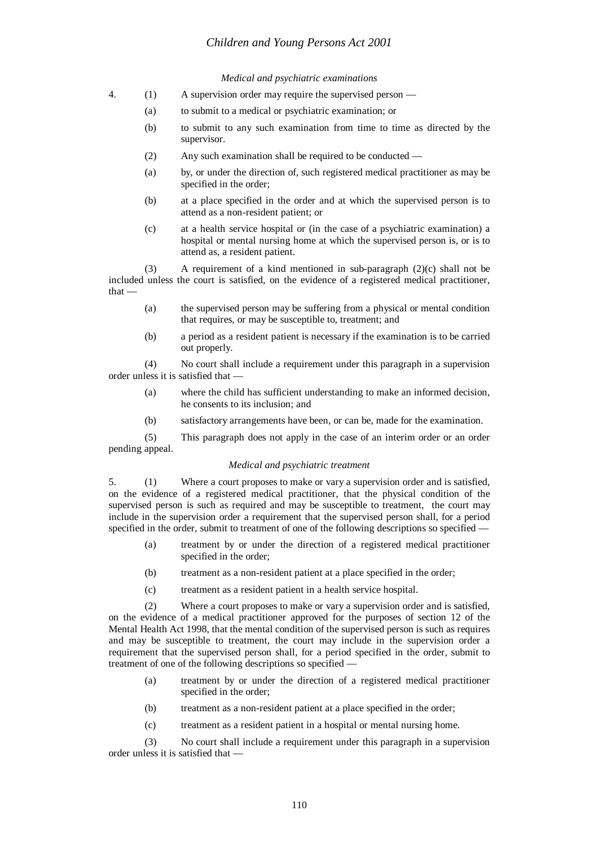# *Children and Young Persons Act 2001*

# *Medical and psychiatric examinations*

- 4. (1) A supervision order may require the supervised person
	- (a) to submit to a medical or psychiatric examination; or
	- (b) to submit to any such examination from time to time as directed by the supervisor.
	- (2) Any such examination shall be required to be conducted —
	- (a) by, or under the direction of, such registered medical practitioner as may be specified in the order;
	- (b) at a place specified in the order and at which the supervised person is to attend as a non-resident patient; or
	- (c) at a health service hospital or (in the case of a psychiatric examination) a hospital or mental nursing home at which the supervised person is, or is to attend as, a resident patient.

(3) A requirement of a kind mentioned in sub-paragraph (2)(c) shall not be included unless the court is satisfied, on the evidence of a registered medical practitioner, that —

- (a) the supervised person may be suffering from a physical or mental condition that requires, or may be susceptible to, treatment; and
- (b) a period as a resident patient is necessary if the examination is to be carried out properly.

(4) No court shall include a requirement under this paragraph in a supervision order unless it is satisfied that —

- (a) where the child has sufficient understanding to make an informed decision, he consents to its inclusion; and
- (b) satisfactory arrangements have been, or can be, made for the examination.

(5) This paragraph does not apply in the case of an interim order or an order pending appeal.

## *Medical and psychiatric treatment*

5. (1) Where a court proposes to make or vary a supervision order and is satisfied, on the evidence of a registered medical practitioner, that the physical condition of the supervised person is such as required and may be susceptible to treatment, the court may include in the supervision order a requirement that the supervised person shall, for a period specified in the order, submit to treatment of one of the following descriptions so specified -

- (a) treatment by or under the direction of a registered medical practitioner specified in the order;
- (b) treatment as a non-resident patient at a place specified in the order;
- (c) treatment as a resident patient in a health service hospital.

(2) Where a court proposes to make or vary a supervision order and is satisfied, on the evidence of a medical practitioner approved for the purposes of section 12 of the Mental Health Act 1998, that the mental condition of the supervised person is such as requires and may be susceptible to treatment, the court may include in the supervision order a requirement that the supervised person shall, for a period specified in the order, submit to treatment of one of the following descriptions so specified —

- (a) treatment by or under the direction of a registered medical practitioner specified in the order;
- (b) treatment as a non-resident patient at a place specified in the order;
- (c) treatment as a resident patient in a hospital or mental nursing home.

(3) No court shall include a requirement under this paragraph in a supervision order unless it is satisfied that —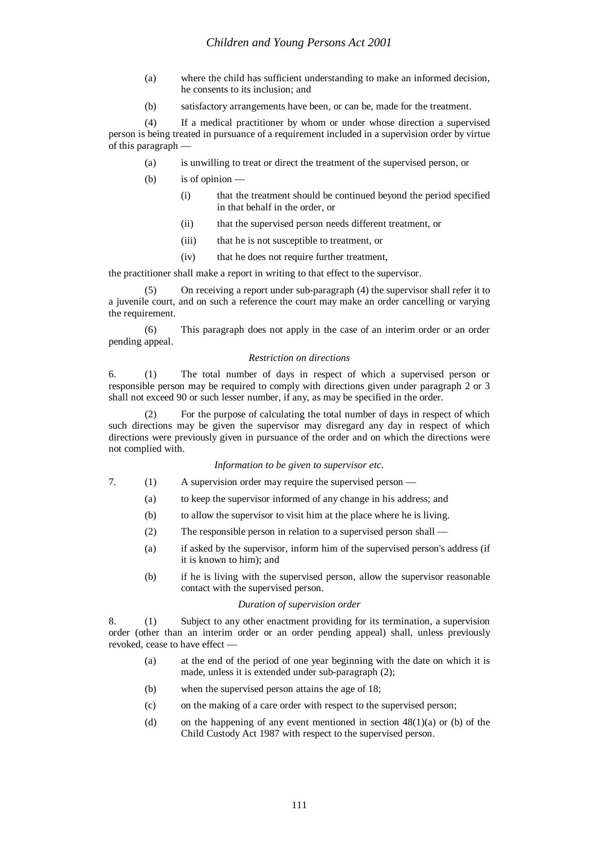- (a) where the child has sufficient understanding to make an informed decision, he consents to its inclusion; and
- (b) satisfactory arrangements have been, or can be, made for the treatment.

(4) If a medical practitioner by whom or under whose direction a supervised person is being treated in pursuance of a requirement included in a supervision order by virtue of this paragraph —

- (a) is unwilling to treat or direct the treatment of the supervised person, or
- (b) is of opinion
	- (i) that the treatment should be continued beyond the period specified in that behalf in the order, or
	- (ii) that the supervised person needs different treatment, or
	- (iii) that he is not susceptible to treatment, or
	- (iv) that he does not require further treatment,

the practitioner shall make a report in writing to that effect to the supervisor.

(5) On receiving a report under sub-paragraph (4) the supervisor shall refer it to a juvenile court, and on such a reference the court may make an order cancelling or varying the requirement.

(6) This paragraph does not apply in the case of an interim order or an order pending appeal.

## *Restriction on directions*

6. (1) The total number of days in respect of which a supervised person or responsible person may be required to comply with directions given under paragraph 2 or 3 shall not exceed 90 or such lesser number, if any, as may be specified in the order.

(2) For the purpose of calculating the total number of days in respect of which such directions may be given the supervisor may disregard any day in respect of which directions were previously given in pursuance of the order and on which the directions were not complied with.

## *Information to be given to supervisor etc.*

- 7. (1) A supervision order may require the supervised person
	- (a) to keep the supervisor informed of any change in his address; and
	- (b) to allow the supervisor to visit him at the place where he is living.
	- (2) The responsible person in relation to a supervised person shall —
	- (a) if asked by the supervisor, inform him of the supervised person's address (if it is known to him); and
	- (b) if he is living with the supervised person, allow the supervisor reasonable contact with the supervised person.

## *Duration of supervision order*

8. (1) Subject to any other enactment providing for its termination, a supervision order (other than an interim order or an order pending appeal) shall, unless previously revoked, cease to have effect —

- (a) at the end of the period of one year beginning with the date on which it is made, unless it is extended under sub-paragraph (2);
- (b) when the supervised person attains the age of 18;
- (c) on the making of a care order with respect to the supervised person;
- (d) on the happening of any event mentioned in section  $48(1)(a)$  or (b) of the Child Custody Act 1987 with respect to the supervised person.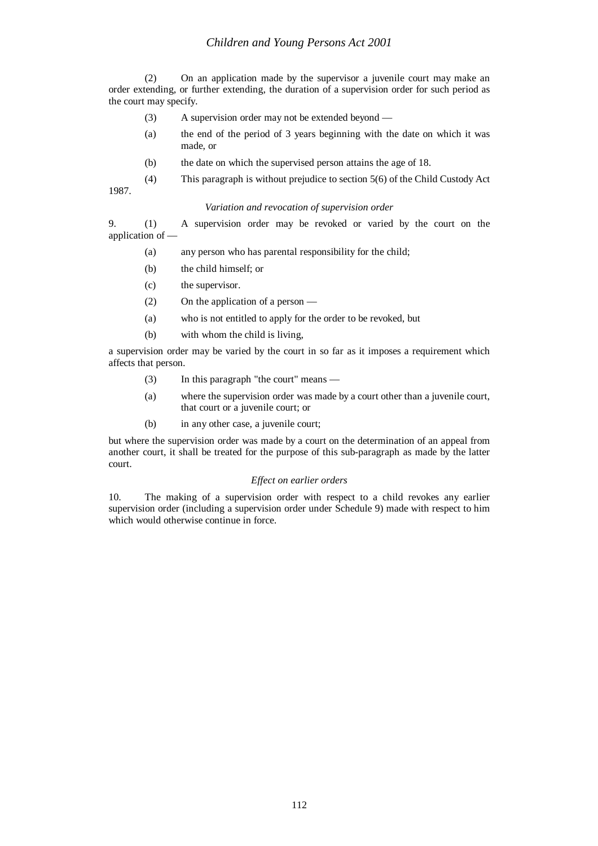# *Children and Young Persons Act 2001*

(2) On an application made by the supervisor a juvenile court may make an order extending, or further extending, the duration of a supervision order for such period as the court may specify.

- (3) A supervision order may not be extended beyond —
- (a) the end of the period of 3 years beginning with the date on which it was made, or
- (b) the date on which the supervised person attains the age of 18.

(4) This paragraph is without prejudice to section 5(6) of the Child Custody Act 1987.

# *Variation and revocation of supervision order*

9. (1) A supervision order may be revoked or varied by the court on the application of —

- (a) any person who has parental responsibility for the child;
- (b) the child himself; or
- (c) the supervisor.
- (2) On the application of a person —
- (a) who is not entitled to apply for the order to be revoked, but
- (b) with whom the child is living,

a supervision order may be varied by the court in so far as it imposes a requirement which affects that person.

- (3) In this paragraph "the court" means —
- (a) where the supervision order was made by a court other than a juvenile court, that court or a juvenile court; or
- (b) in any other case, a juvenile court;

but where the supervision order was made by a court on the determination of an appeal from another court, it shall be treated for the purpose of this sub-paragraph as made by the latter court.

## *Effect on earlier orders*

10. The making of a supervision order with respect to a child revokes any earlier supervision order (including a supervision order under Schedule 9) made with respect to him which would otherwise continue in force.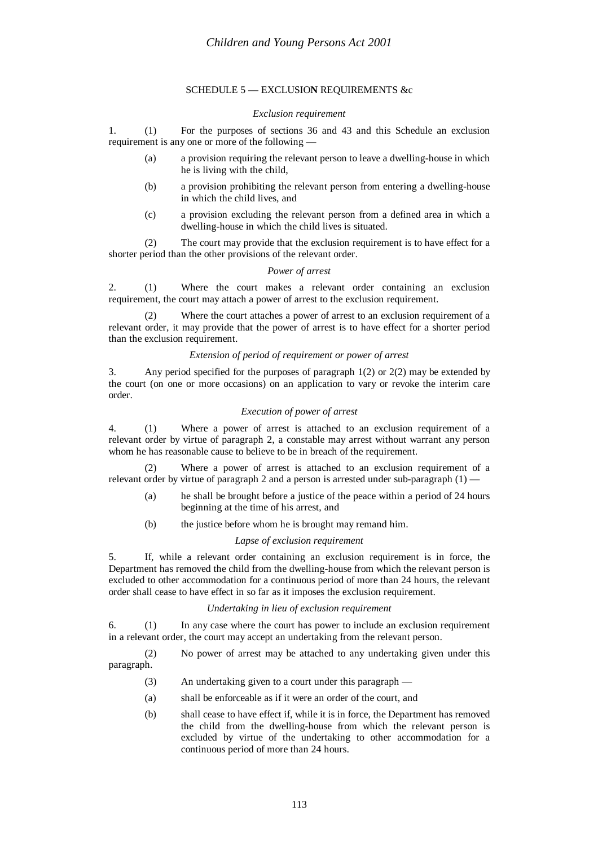# SCHEDULE 5 — EXCLUSIO**N** REQUIREMENTS &c

# *Exclusion requirement*

1. (1) For the purposes of sections 36 and 43 and this Schedule an exclusion requirement is any one or more of the following —

- (a) a provision requiring the relevant person to leave a dwelling-house in which he is living with the child,
- (b) a provision prohibiting the relevant person from entering a dwelling-house in which the child lives, and
- (c) a provision excluding the relevant person from a defined area in which a dwelling-house in which the child lives is situated.

(2) The court may provide that the exclusion requirement is to have effect for a shorter period than the other provisions of the relevant order.

# *Power of arrest*

2. (1) Where the court makes a relevant order containing an exclusion requirement, the court may attach a power of arrest to the exclusion requirement.

(2) Where the court attaches a power of arrest to an exclusion requirement of a relevant order, it may provide that the power of arrest is to have effect for a shorter period than the exclusion requirement.

## *Extension of period of requirement or power of arrest*

3. Any period specified for the purposes of paragraph 1(2) or 2(2) may be extended by the court (on one or more occasions) on an application to vary or revoke the interim care order.

# *Execution of power of arrest*

4. (1) Where a power of arrest is attached to an exclusion requirement of a relevant order by virtue of paragraph 2, a constable may arrest without warrant any person whom he has reasonable cause to believe to be in breach of the requirement.

Where a power of arrest is attached to an exclusion requirement of a relevant order by virtue of paragraph 2 and a person is arrested under sub-paragraph  $(1)$  —

- (a) he shall be brought before a justice of the peace within a period of 24 hours beginning at the time of his arrest, and
- (b) the justice before whom he is brought may remand him.

## *Lapse of exclusion requirement*

5. If, while a relevant order containing an exclusion requirement is in force, the Department has removed the child from the dwelling-house from which the relevant person is excluded to other accommodation for a continuous period of more than 24 hours, the relevant order shall cease to have effect in so far as it imposes the exclusion requirement.

## *Undertaking in lieu of exclusion requirement*

6. (1) In any case where the court has power to include an exclusion requirement in a relevant order, the court may accept an undertaking from the relevant person.

(2) No power of arrest may be attached to any undertaking given under this paragraph.

- (3) An undertaking given to a court under this paragraph —
- (a) shall be enforceable as if it were an order of the court, and
- (b) shall cease to have effect if, while it is in force, the Department has removed the child from the dwelling-house from which the relevant person is excluded by virtue of the undertaking to other accommodation for a continuous period of more than 24 hours.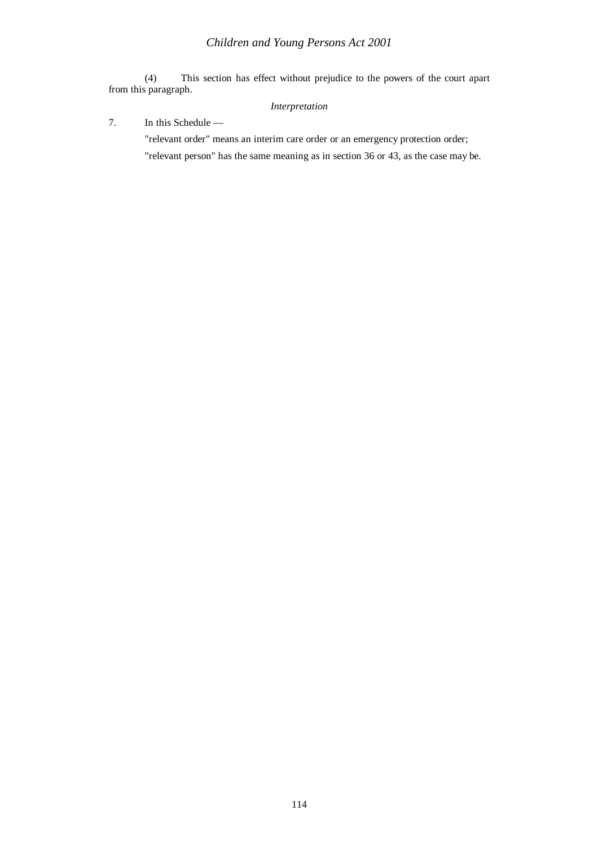(4) This section has effect without prejudice to the powers of the court apart from this paragraph.

# *Interpretation*

7. In this Schedule —

"relevant order" means an interim care order or an emergency protection order; "relevant person" has the same meaning as in section 36 or 43, as the case may be.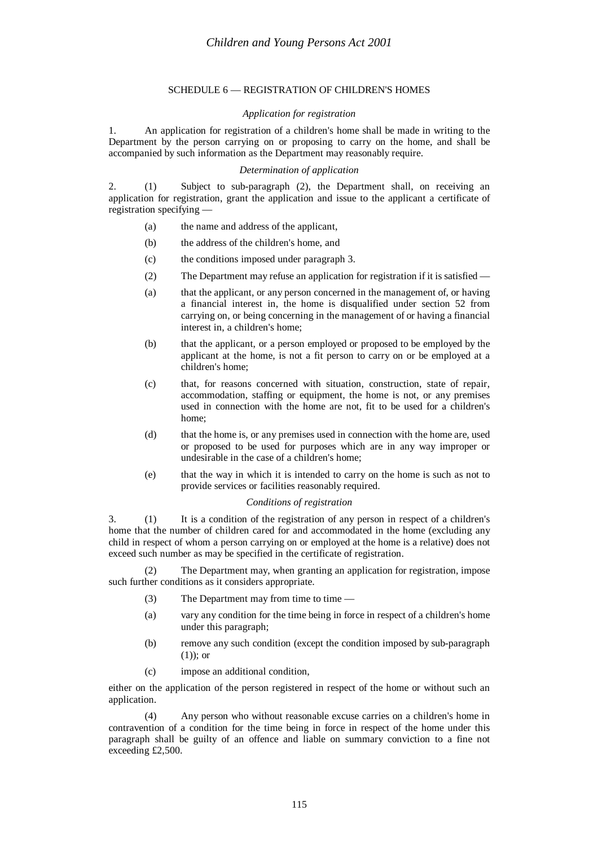# SCHEDULE 6 — REGISTRATION OF CHILDREN'S HOMES

## *Application for registration*

1. An application for registration of a children's home shall be made in writing to the Department by the person carrying on or proposing to carry on the home, and shall be accompanied by such information as the Department may reasonably require.

# *Determination of application*

2. (1) Subject to sub-paragraph (2), the Department shall, on receiving an application for registration, grant the application and issue to the applicant a certificate of registration specifying —

- (a) the name and address of the applicant,
- (b) the address of the children's home, and
- (c) the conditions imposed under paragraph 3.
- (2) The Department may refuse an application for registration if it is satisfied —
- (a) that the applicant, or any person concerned in the management of, or having a financial interest in, the home is disqualified under section 52 from carrying on, or being concerning in the management of or having a financial interest in, a children's home;
- (b) that the applicant, or a person employed or proposed to be employed by the applicant at the home, is not a fit person to carry on or be employed at a children's home;
- (c) that, for reasons concerned with situation, construction, state of repair, accommodation, staffing or equipment, the home is not, or any premises used in connection with the home are not, fit to be used for a children's home;
- (d) that the home is, or any premises used in connection with the home are, used or proposed to be used for purposes which are in any way improper or undesirable in the case of a children's home;
- (e) that the way in which it is intended to carry on the home is such as not to provide services or facilities reasonably required.

# *Conditions of registration*

3. (1) It is a condition of the registration of any person in respect of a children's home that the number of children cared for and accommodated in the home (excluding any child in respect of whom a person carrying on or employed at the home is a relative) does not exceed such number as may be specified in the certificate of registration.

(2) The Department may, when granting an application for registration, impose such further conditions as it considers appropriate.

- (3) The Department may from time to time  $-$
- (a) vary any condition for the time being in force in respect of a children's home under this paragraph;
- (b) remove any such condition (except the condition imposed by sub-paragraph  $(1)$ ; or
- (c) impose an additional condition,

either on the application of the person registered in respect of the home or without such an application.

(4) Any person who without reasonable excuse carries on a children's home in contravention of a condition for the time being in force in respect of the home under this paragraph shall be guilty of an offence and liable on summary conviction to a fine not exceeding £2,500.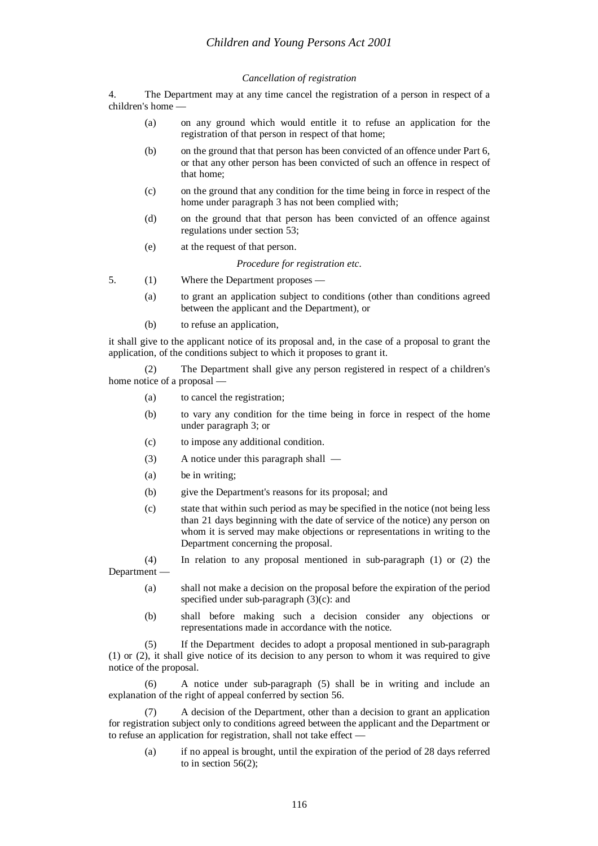# *Cancellation of registration*

4. The Department may at any time cancel the registration of a person in respect of a children's home —

- (a) on any ground which would entitle it to refuse an application for the registration of that person in respect of that home;
- (b) on the ground that that person has been convicted of an offence under Part 6, or that any other person has been convicted of such an offence in respect of that home;
- (c) on the ground that any condition for the time being in force in respect of the home under paragraph 3 has not been complied with;
- (d) on the ground that that person has been convicted of an offence against regulations under section 53;
- (e) at the request of that person.

*Procedure for registration etc.*

- 5. (1) Where the Department proposes
	- (a) to grant an application subject to conditions (other than conditions agreed between the applicant and the Department), or
	- (b) to refuse an application,

it shall give to the applicant notice of its proposal and, in the case of a proposal to grant the application, of the conditions subject to which it proposes to grant it.

(2) The Department shall give any person registered in respect of a children's home notice of a proposal —

- (a) to cancel the registration;
- (b) to vary any condition for the time being in force in respect of the home under paragraph 3; or
- (c) to impose any additional condition.
- (3) A notice under this paragraph shall —
- (a) be in writing;
- (b) give the Department's reasons for its proposal; and
- (c) state that within such period as may be specified in the notice (not being less than 21 days beginning with the date of service of the notice) any person on whom it is served may make objections or representations in writing to the Department concerning the proposal.
- (4) In relation to any proposal mentioned in sub-paragraph (1) or (2) the Department —
	- (a) shall not make a decision on the proposal before the expiration of the period specified under sub-paragraph (3)(c): and
	- (b) shall before making such a decision consider any objections or representations made in accordance with the notice.

(5) If the Department decides to adopt a proposal mentioned in sub-paragraph (1) or (2), it shall give notice of its decision to any person to whom it was required to give notice of the proposal.

(6) A notice under sub-paragraph (5) shall be in writing and include an explanation of the right of appeal conferred by section 56.

(7) A decision of the Department, other than a decision to grant an application for registration subject only to conditions agreed between the applicant and the Department or to refuse an application for registration, shall not take effect —

(a) if no appeal is brought, until the expiration of the period of 28 days referred to in section 56(2);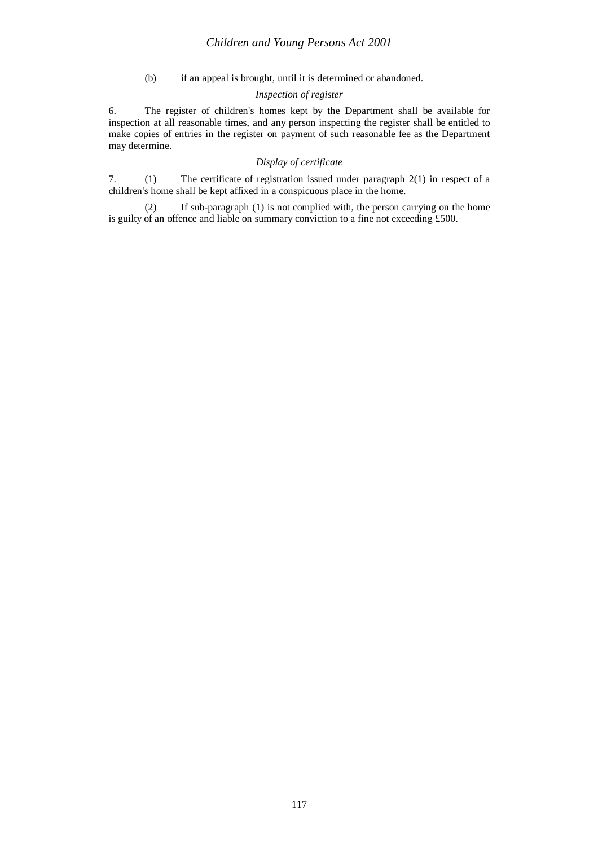# *Children and Young Persons Act 2001*

(b) if an appeal is brought, until it is determined or abandoned.

# *Inspection of register*

6. The register of children's homes kept by the Department shall be available for inspection at all reasonable times, and any person inspecting the register shall be entitled to make copies of entries in the register on payment of such reasonable fee as the Department may determine.

# *Display of certificate*

7. (1) The certificate of registration issued under paragraph 2(1) in respect of a children's home shall be kept affixed in a conspicuous place in the home.

(2) If sub-paragraph (1) is not complied with, the person carrying on the home is guilty of an offence and liable on summary conviction to a fine not exceeding £500.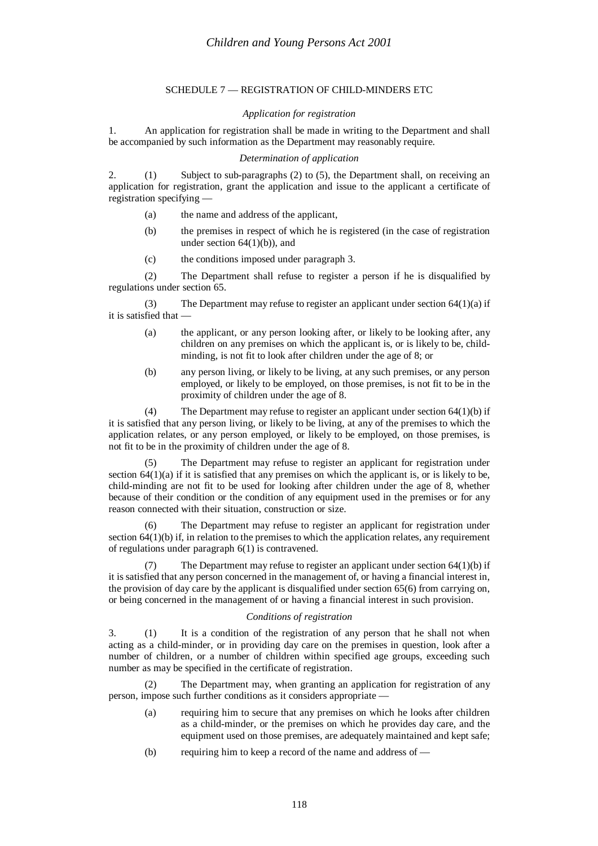# SCHEDULE 7 — REGISTRATION OF CHILD-MINDERS ETC

# *Application for registration*

1. An application for registration shall be made in writing to the Department and shall be accompanied by such information as the Department may reasonably require.

# *Determination of application*

2. (1) Subject to sub-paragraphs (2) to (5), the Department shall, on receiving an application for registration, grant the application and issue to the applicant a certificate of registration specifying —

- (a) the name and address of the applicant,
- (b) the premises in respect of which he is registered (in the case of registration under section  $64(1)(b)$ , and
- (c) the conditions imposed under paragraph 3.

(2) The Department shall refuse to register a person if he is disqualified by regulations under section 65.

(3) The Department may refuse to register an applicant under section  $64(1)(a)$  if it is satisfied that —

- (a) the applicant, or any person looking after, or likely to be looking after, any children on any premises on which the applicant is, or is likely to be, childminding, is not fit to look after children under the age of 8; or
- (b) any person living, or likely to be living, at any such premises, or any person employed, or likely to be employed, on those premises, is not fit to be in the proximity of children under the age of 8.

(4) The Department may refuse to register an applicant under section 64(1)(b) if it is satisfied that any person living, or likely to be living, at any of the premises to which the application relates, or any person employed, or likely to be employed, on those premises, is not fit to be in the proximity of children under the age of 8.

(5) The Department may refuse to register an applicant for registration under section  $64(1)(a)$  if it is satisfied that any premises on which the applicant is, or is likely to be, child-minding are not fit to be used for looking after children under the age of 8, whether because of their condition or the condition of any equipment used in the premises or for any reason connected with their situation, construction or size.

(6) The Department may refuse to register an applicant for registration under section  $64(1)(b)$  if, in relation to the premises to which the application relates, any requirement of regulations under paragraph 6(1) is contravened.

(7) The Department may refuse to register an applicant under section 64(1)(b) if it is satisfied that any person concerned in the management of, or having a financial interest in, the provision of day care by the applicant is disqualified under section 65(6) from carrying on, or being concerned in the management of or having a financial interest in such provision.

## *Conditions of registration*

3. (1) It is a condition of the registration of any person that he shall not when acting as a child-minder, or in providing day care on the premises in question, look after a number of children, or a number of children within specified age groups, exceeding such number as may be specified in the certificate of registration.

(2) The Department may, when granting an application for registration of any person, impose such further conditions as it considers appropriate —

- (a) requiring him to secure that any premises on which he looks after children as a child-minder, or the premises on which he provides day care, and the equipment used on those premises, are adequately maintained and kept safe;
- (b) requiring him to keep a record of the name and address of —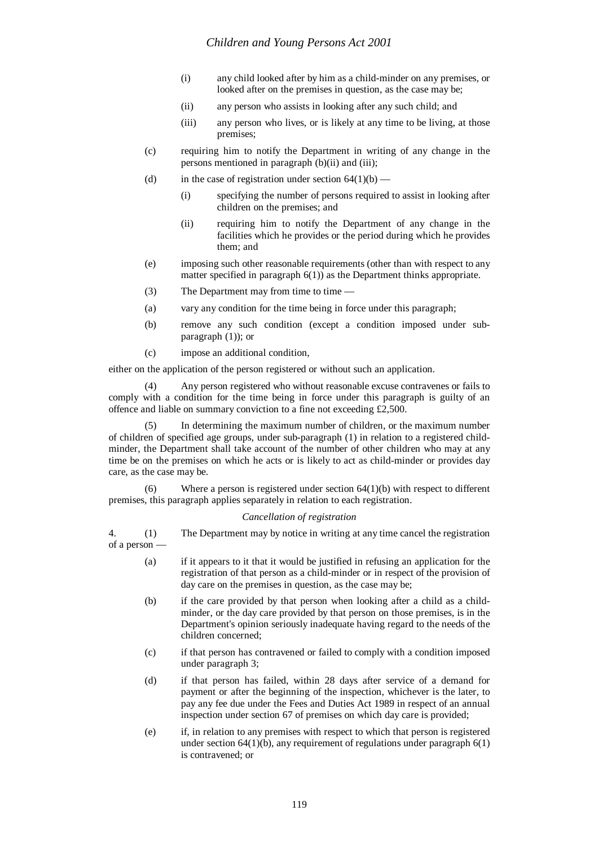- (i) any child looked after by him as a child-minder on any premises, or looked after on the premises in question, as the case may be;
- (ii) any person who assists in looking after any such child; and
- (iii) any person who lives, or is likely at any time to be living, at those premises;
- (c) requiring him to notify the Department in writing of any change in the persons mentioned in paragraph (b)(ii) and (iii);
- (d) in the case of registration under section  $64(1)(b)$ 
	- (i) specifying the number of persons required to assist in looking after children on the premises; and
	- (ii) requiring him to notify the Department of any change in the facilities which he provides or the period during which he provides them; and
- (e) imposing such other reasonable requirements (other than with respect to any matter specified in paragraph 6(1)) as the Department thinks appropriate.
- (3) The Department may from time to time  $-$
- (a) vary any condition for the time being in force under this paragraph;
- (b) remove any such condition (except a condition imposed under subparagraph (1)); or
- (c) impose an additional condition,

either on the application of the person registered or without such an application.

(4) Any person registered who without reasonable excuse contravenes or fails to comply with a condition for the time being in force under this paragraph is guilty of an offence and liable on summary conviction to a fine not exceeding £2,500.

In determining the maximum number of children, or the maximum number of children of specified age groups, under sub-paragraph (1) in relation to a registered childminder, the Department shall take account of the number of other children who may at any time be on the premises on which he acts or is likely to act as child-minder or provides day care, as the case may be.

(6) Where a person is registered under section  $64(1)(b)$  with respect to different premises, this paragraph applies separately in relation to each registration.

#### *Cancellation of registration*

4. (1) The Department may by notice in writing at any time cancel the registration of a person —

- (a) if it appears to it that it would be justified in refusing an application for the registration of that person as a child-minder or in respect of the provision of day care on the premises in question, as the case may be;
- (b) if the care provided by that person when looking after a child as a childminder, or the day care provided by that person on those premises, is in the Department's opinion seriously inadequate having regard to the needs of the children concerned;
- (c) if that person has contravened or failed to comply with a condition imposed under paragraph 3;
- (d) if that person has failed, within 28 days after service of a demand for payment or after the beginning of the inspection, whichever is the later, to pay any fee due under the Fees and Duties Act 1989 in respect of an annual inspection under section 67 of premises on which day care is provided;
- (e) if, in relation to any premises with respect to which that person is registered under section  $64(1)(b)$ , any requirement of regulations under paragraph  $6(1)$ is contravened; or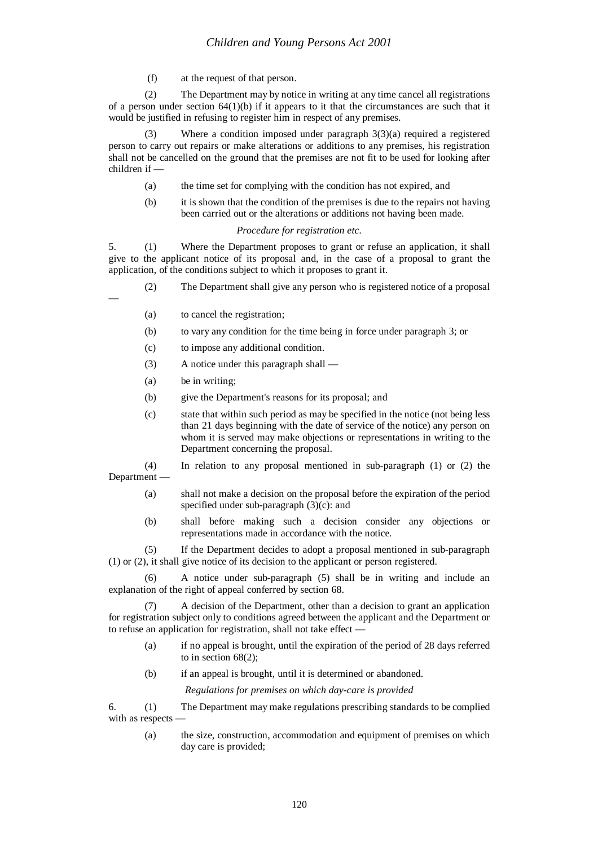(f) at the request of that person.

(2) The Department may by notice in writing at any time cancel all registrations of a person under section  $64(1)(b)$  if it appears to it that the circumstances are such that it would be justified in refusing to register him in respect of any premises.

Where a condition imposed under paragraph  $3(3)(a)$  required a registered person to carry out repairs or make alterations or additions to any premises, his registration shall not be cancelled on the ground that the premises are not fit to be used for looking after children if —

- (a) the time set for complying with the condition has not expired, and
- (b) it is shown that the condition of the premises is due to the repairs not having been carried out or the alterations or additions not having been made.

#### *Procedure for registration etc.*

5. (1) Where the Department proposes to grant or refuse an application, it shall give to the applicant notice of its proposal and, in the case of a proposal to grant the application, of the conditions subject to which it proposes to grant it.

(2) The Department shall give any person who is registered notice of a proposal

- (a) to cancel the registration;
- (b) to vary any condition for the time being in force under paragraph 3; or
- (c) to impose any additional condition.
- (3) A notice under this paragraph shall —
- (a) be in writing;

—

- (b) give the Department's reasons for its proposal; and
- (c) state that within such period as may be specified in the notice (not being less than 21 days beginning with the date of service of the notice) any person on whom it is served may make objections or representations in writing to the Department concerning the proposal.

(4) In relation to any proposal mentioned in sub-paragraph (1) or (2) the Department —

- (a) shall not make a decision on the proposal before the expiration of the period specified under sub-paragraph (3)(c): and
- (b) shall before making such a decision consider any objections or representations made in accordance with the notice.

(5) If the Department decides to adopt a proposal mentioned in sub-paragraph (1) or (2), it shall give notice of its decision to the applicant or person registered.

(6) A notice under sub-paragraph (5) shall be in writing and include an explanation of the right of appeal conferred by section 68.

(7) A decision of the Department, other than a decision to grant an application for registration subject only to conditions agreed between the applicant and the Department or to refuse an application for registration, shall not take effect —

- (a) if no appeal is brought, until the expiration of the period of 28 days referred to in section 68(2);
- (b) if an appeal is brought, until it is determined or abandoned.

*Regulations for premises on which day-care is provided*

6. (1) The Department may make regulations prescribing standards to be complied with as respects -

(a) the size, construction, accommodation and equipment of premises on which day care is provided;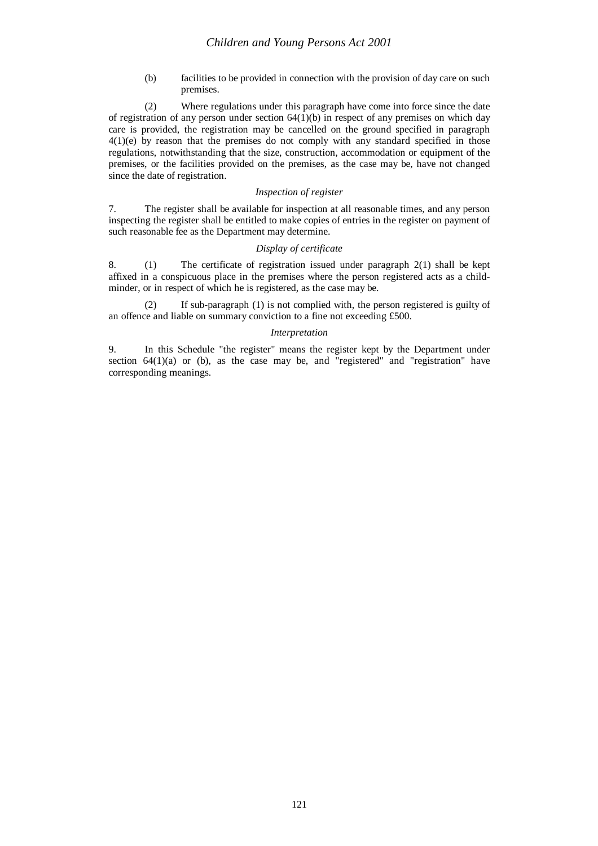(b) facilities to be provided in connection with the provision of day care on such premises.

(2) Where regulations under this paragraph have come into force since the date of registration of any person under section  $64(1)(b)$  in respect of any premises on which day care is provided, the registration may be cancelled on the ground specified in paragraph 4(1)(e) by reason that the premises do not comply with any standard specified in those regulations, notwithstanding that the size, construction, accommodation or equipment of the premises, or the facilities provided on the premises, as the case may be, have not changed since the date of registration.

## *Inspection of register*

7. The register shall be available for inspection at all reasonable times, and any person inspecting the register shall be entitled to make copies of entries in the register on payment of such reasonable fee as the Department may determine.

# *Display of certificate*

8. (1) The certificate of registration issued under paragraph 2(1) shall be kept affixed in a conspicuous place in the premises where the person registered acts as a childminder, or in respect of which he is registered, as the case may be.

(2) If sub-paragraph (1) is not complied with, the person registered is guilty of an offence and liable on summary conviction to a fine not exceeding £500.

#### *Interpretation*

9. In this Schedule "the register" means the register kept by the Department under section 64(1)(a) or (b), as the case may be, and "registered" and "registration" have corresponding meanings.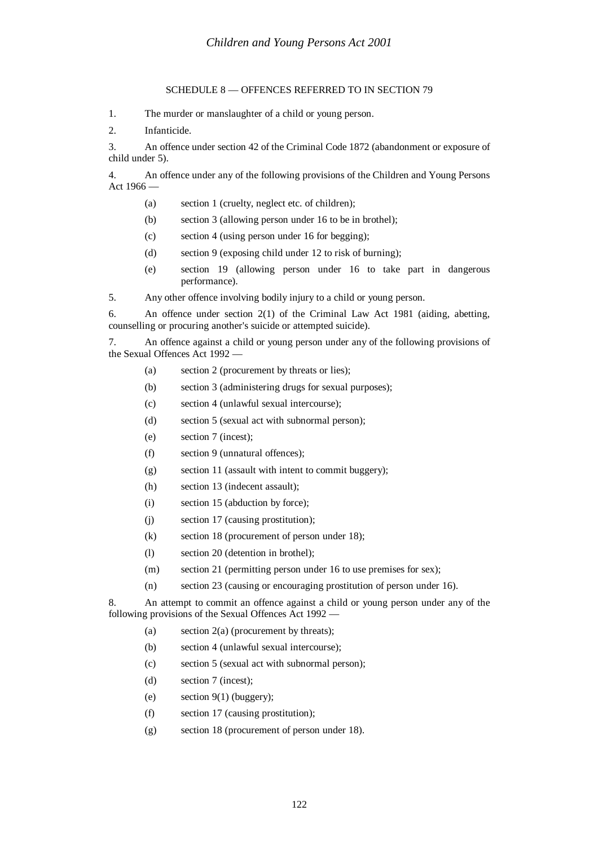# SCHEDULE 8 — OFFENCES REFERRED TO IN SECTION 79

1. The murder or manslaughter of a child or young person.

2. Infanticide.

3. An offence under section 42 of the Criminal Code 1872 (abandonment or exposure of child under 5).

4. An offence under any of the following provisions of the Children and Young Persons Act 1966 —

- (a) section 1 (cruelty, neglect etc. of children);
- (b) section 3 (allowing person under 16 to be in brothel);
- (c) section 4 (using person under 16 for begging);
- (d) section 9 (exposing child under 12 to risk of burning);
- (e) section 19 (allowing person under 16 to take part in dangerous performance).
- 5. Any other offence involving bodily injury to a child or young person.

6. An offence under section 2(1) of the Criminal Law Act 1981 (aiding, abetting, counselling or procuring another's suicide or attempted suicide).

7. An offence against a child or young person under any of the following provisions of the Sexual Offences Act 1992 —

- (a) section 2 (procurement by threats or lies);
- (b) section 3 (administering drugs for sexual purposes);
- (c) section 4 (unlawful sexual intercourse);
- (d) section 5 (sexual act with subnormal person);
- (e) section 7 (incest);
- (f) section 9 (unnatural offences);
- (g) section 11 (assault with intent to commit buggery);
- (h) section 13 (indecent assault);
- (i) section 15 (abduction by force);
- (j) section 17 (causing prostitution);
- (k) section 18 (procurement of person under 18);
- (l) section 20 (detention in brothel);
- (m) section 21 (permitting person under 16 to use premises for sex);
- (n) section 23 (causing or encouraging prostitution of person under 16).

8. An attempt to commit an offence against a child or young person under any of the following provisions of the Sexual Offences Act 1992 —

- (a) section 2(a) (procurement by threats);
- (b) section 4 (unlawful sexual intercourse);
- (c) section 5 (sexual act with subnormal person);
- (d) section 7 (incest);
- (e) section  $9(1)$  (buggery);
- (f) section 17 (causing prostitution);
- (g) section 18 (procurement of person under 18).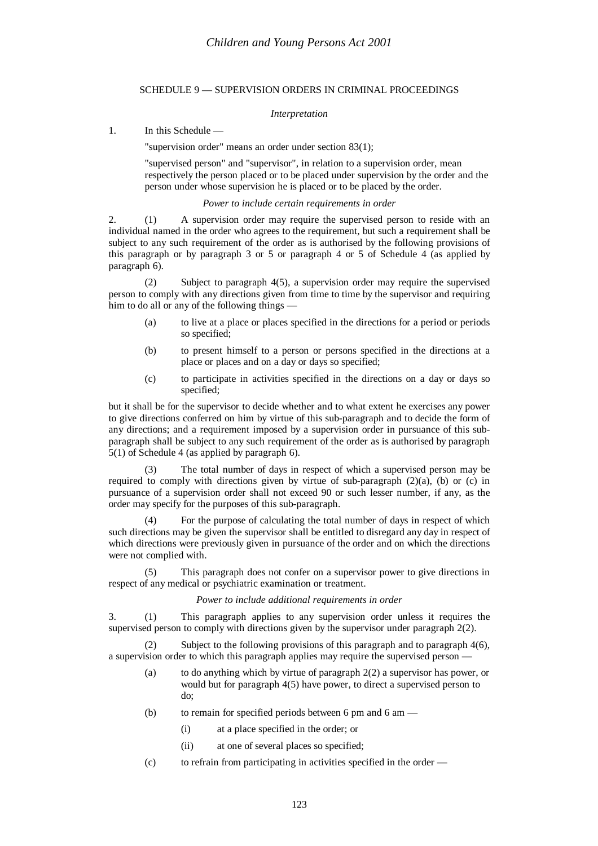# SCHEDULE 9 — SUPERVISION ORDERS IN CRIMINAL PROCEEDINGS

# *Interpretation*

1. In this Schedule —

"supervision order" means an order under section 83(1);

"supervised person" and "supervisor", in relation to a supervision order, mean respectively the person placed or to be placed under supervision by the order and the person under whose supervision he is placed or to be placed by the order.

# *Power to include certain requirements in order*

2. (1) A supervision order may require the supervised person to reside with an individual named in the order who agrees to the requirement, but such a requirement shall be subject to any such requirement of the order as is authorised by the following provisions of this paragraph or by paragraph 3 or 5 or paragraph 4 or 5 of Schedule 4 (as applied by paragraph 6).

(2) Subject to paragraph 4(5), a supervision order may require the supervised person to comply with any directions given from time to time by the supervisor and requiring him to do all or any of the following things —

- (a) to live at a place or places specified in the directions for a period or periods so specified;
- (b) to present himself to a person or persons specified in the directions at a place or places and on a day or days so specified;
- (c) to participate in activities specified in the directions on a day or days so specified;

but it shall be for the supervisor to decide whether and to what extent he exercises any power to give directions conferred on him by virtue of this sub-paragraph and to decide the form of any directions; and a requirement imposed by a supervision order in pursuance of this subparagraph shall be subject to any such requirement of the order as is authorised by paragraph 5(1) of Schedule 4 (as applied by paragraph 6).

(3) The total number of days in respect of which a supervised person may be required to comply with directions given by virtue of sub-paragraph  $(2)(a)$ ,  $(b)$  or  $(c)$  in pursuance of a supervision order shall not exceed 90 or such lesser number, if any, as the order may specify for the purposes of this sub-paragraph.

(4) For the purpose of calculating the total number of days in respect of which such directions may be given the supervisor shall be entitled to disregard any day in respect of which directions were previously given in pursuance of the order and on which the directions were not complied with.

(5) This paragraph does not confer on a supervisor power to give directions in respect of any medical or psychiatric examination or treatment.

# *Power to include additional requirements in order*

3. (1) This paragraph applies to any supervision order unless it requires the supervised person to comply with directions given by the supervisor under paragraph 2(2).

(2) Subject to the following provisions of this paragraph and to paragraph 4(6), a supervision order to which this paragraph applies may require the supervised person —

- (a) to do anything which by virtue of paragraph 2(2) a supervisor has power, or would but for paragraph 4(5) have power, to direct a supervised person to do;
- (b) to remain for specified periods between 6 pm and 6 am
	- (i) at a place specified in the order; or
	- (ii) at one of several places so specified;
- (c) to refrain from participating in activities specified in the order —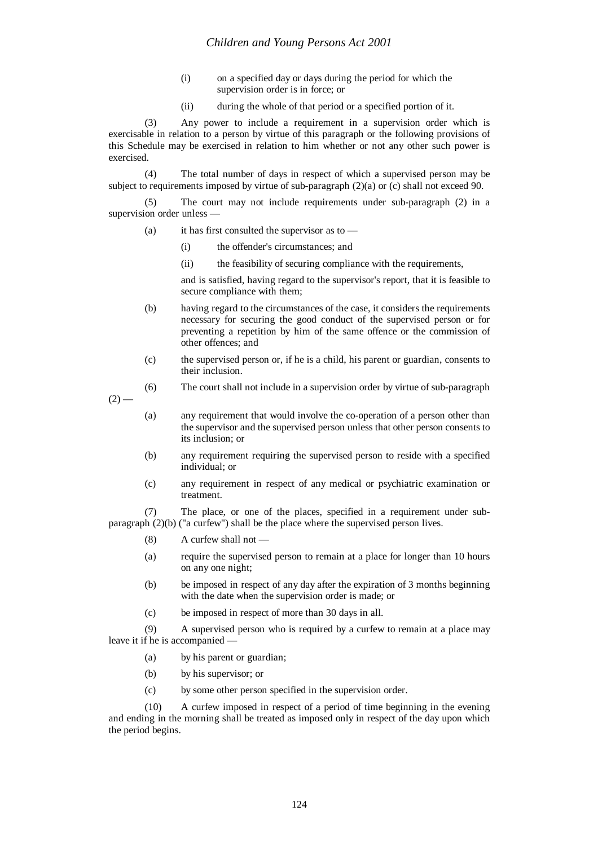- (i) on a specified day or days during the period for which the supervision order is in force; or
- (ii) during the whole of that period or a specified portion of it.

(3) Any power to include a requirement in a supervision order which is exercisable in relation to a person by virtue of this paragraph or the following provisions of this Schedule may be exercised in relation to him whether or not any other such power is exercised.

(4) The total number of days in respect of which a supervised person may be subject to requirements imposed by virtue of sub-paragraph (2)(a) or (c) shall not exceed 90.

(5) The court may not include requirements under sub-paragraph (2) in a supervision order unless —

- (a) it has first consulted the supervisor as to
	- (i) the offender's circumstances; and
	- (ii) the feasibility of securing compliance with the requirements,

and is satisfied, having regard to the supervisor's report, that it is feasible to secure compliance with them;

- (b) having regard to the circumstances of the case, it considers the requirements necessary for securing the good conduct of the supervised person or for preventing a repetition by him of the same offence or the commission of other offences; and
- (c) the supervised person or, if he is a child, his parent or guardian, consents to their inclusion.

(6) The court shall not include in a supervision order by virtue of sub-paragraph

 $(2)$  —

- (a) any requirement that would involve the co-operation of a person other than the supervisor and the supervised person unless that other person consents to its inclusion; or
- (b) any requirement requiring the supervised person to reside with a specified individual; or
- (c) any requirement in respect of any medical or psychiatric examination or treatment.

(7) The place, or one of the places, specified in a requirement under subparagraph (2)(b) ("a curfew") shall be the place where the supervised person lives.

- $(8)$  A curfew shall not  $-$
- (a) require the supervised person to remain at a place for longer than 10 hours on any one night;
- (b) be imposed in respect of any day after the expiration of 3 months beginning with the date when the supervision order is made; or
- (c) be imposed in respect of more than 30 days in all.

(9) A supervised person who is required by a curfew to remain at a place may leave it if he is accompanied —

- (a) by his parent or guardian;
- (b) by his supervisor; or
- (c) by some other person specified in the supervision order.

(10) A curfew imposed in respect of a period of time beginning in the evening and ending in the morning shall be treated as imposed only in respect of the day upon which the period begins.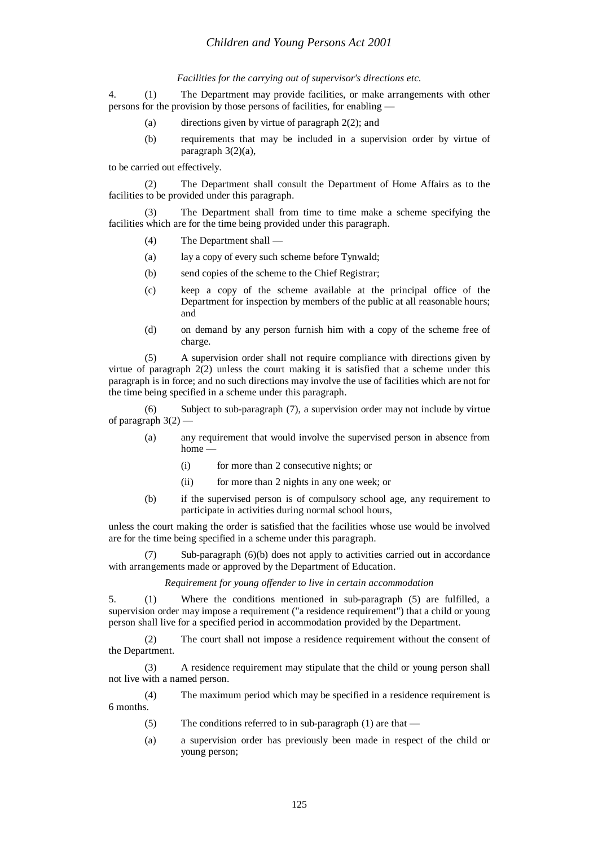#### *Facilities for the carrying out of supervisor's directions etc.*

4. (1) The Department may provide facilities, or make arrangements with other persons for the provision by those persons of facilities, for enabling —

- (a) directions given by virtue of paragraph 2(2); and
- (b) requirements that may be included in a supervision order by virtue of paragraph 3(2)(a),

to be carried out effectively.

(2) The Department shall consult the Department of Home Affairs as to the facilities to be provided under this paragraph.

(3) The Department shall from time to time make a scheme specifying the facilities which are for the time being provided under this paragraph.

- (4) The Department shall —
- (a) lay a copy of every such scheme before Tynwald;
- (b) send copies of the scheme to the Chief Registrar;
- (c) keep a copy of the scheme available at the principal office of the Department for inspection by members of the public at all reasonable hours; and
- (d) on demand by any person furnish him with a copy of the scheme free of charge.

(5) A supervision order shall not require compliance with directions given by virtue of paragraph 2(2) unless the court making it is satisfied that a scheme under this paragraph is in force; and no such directions may involve the use of facilities which are not for the time being specified in a scheme under this paragraph.

(6) Subject to sub-paragraph (7), a supervision order may not include by virtue of paragraph  $3(2)$ 

- (a) any requirement that would involve the supervised person in absence from home -
	- (i) for more than 2 consecutive nights; or
	- (ii) for more than 2 nights in any one week; or
- (b) if the supervised person is of compulsory school age, any requirement to participate in activities during normal school hours,

unless the court making the order is satisfied that the facilities whose use would be involved are for the time being specified in a scheme under this paragraph.

(7) Sub-paragraph (6)(b) does not apply to activities carried out in accordance with arrangements made or approved by the Department of Education.

*Requirement for young offender to live in certain accommodation*

5. (1) Where the conditions mentioned in sub-paragraph (5) are fulfilled, a supervision order may impose a requirement ("a residence requirement") that a child or young person shall live for a specified period in accommodation provided by the Department.

(2) The court shall not impose a residence requirement without the consent of the Department.

(3) A residence requirement may stipulate that the child or young person shall not live with a named person.

(4) The maximum period which may be specified in a residence requirement is 6 months.

- (5) The conditions referred to in sub-paragraph (1) are that —
- (a) a supervision order has previously been made in respect of the child or young person;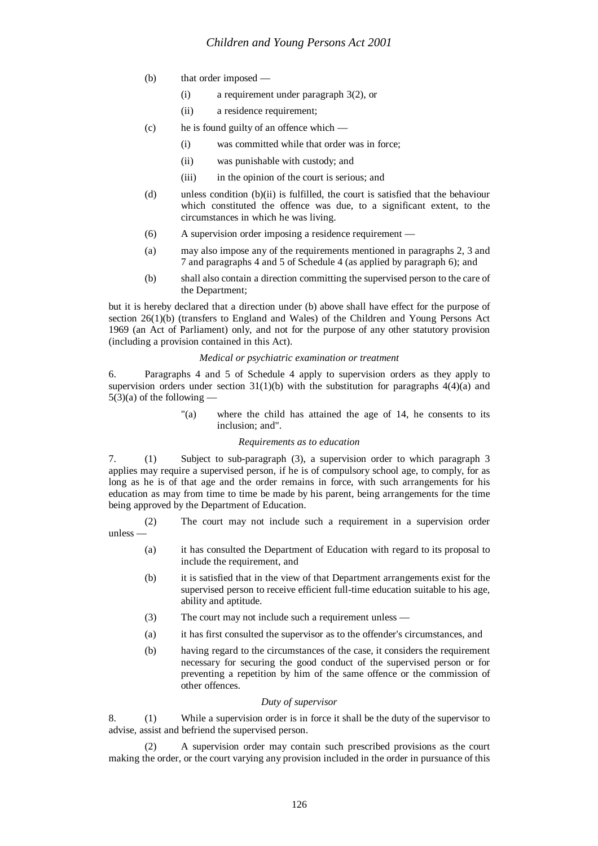- (b) that order imposed
	- (i) a requirement under paragraph 3(2), or
	- (ii) a residence requirement;
- (c) he is found guilty of an offence which
	- (i) was committed while that order was in force;
	- (ii) was punishable with custody; and
	- (iii) in the opinion of the court is serious; and
- (d) unless condition (b)(ii) is fulfilled, the court is satisfied that the behaviour which constituted the offence was due, to a significant extent, to the circumstances in which he was living.
- (6) A supervision order imposing a residence requirement —
- (a) may also impose any of the requirements mentioned in paragraphs 2, 3 and 7 and paragraphs 4 and 5 of Schedule 4 (as applied by paragraph 6); and
- (b) shall also contain a direction committing the supervised person to the care of the Department;

but it is hereby declared that a direction under (b) above shall have effect for the purpose of section 26(1)(b) (transfers to England and Wales) of the Children and Young Persons Act 1969 (an Act of Parliament) only, and not for the purpose of any other statutory provision (including a provision contained in this Act).

## *Medical or psychiatric examination or treatment*

6. Paragraphs 4 and 5 of Schedule 4 apply to supervision orders as they apply to supervision orders under section  $31(1)(b)$  with the substitution for paragraphs  $4(4)(a)$  and  $5(3)(a)$  of the following –

> "(a) where the child has attained the age of 14, he consents to its inclusion; and".

## *Requirements as to education*

7. (1) Subject to sub-paragraph (3), a supervision order to which paragraph 3 applies may require a supervised person, if he is of compulsory school age, to comply, for as long as he is of that age and the order remains in force, with such arrangements for his education as may from time to time be made by his parent, being arrangements for the time being approved by the Department of Education.

(2) The court may not include such a requirement in a supervision order unless —

- (a) it has consulted the Department of Education with regard to its proposal to include the requirement, and
- (b) it is satisfied that in the view of that Department arrangements exist for the supervised person to receive efficient full-time education suitable to his age, ability and aptitude.
- (3) The court may not include such a requirement unless —
- (a) it has first consulted the supervisor as to the offender's circumstances, and
- (b) having regard to the circumstances of the case, it considers the requirement necessary for securing the good conduct of the supervised person or for preventing a repetition by him of the same offence or the commission of other offences.

## *Duty of supervisor*

8. (1) While a supervision order is in force it shall be the duty of the supervisor to advise, assist and befriend the supervised person.

(2) A supervision order may contain such prescribed provisions as the court making the order, or the court varying any provision included in the order in pursuance of this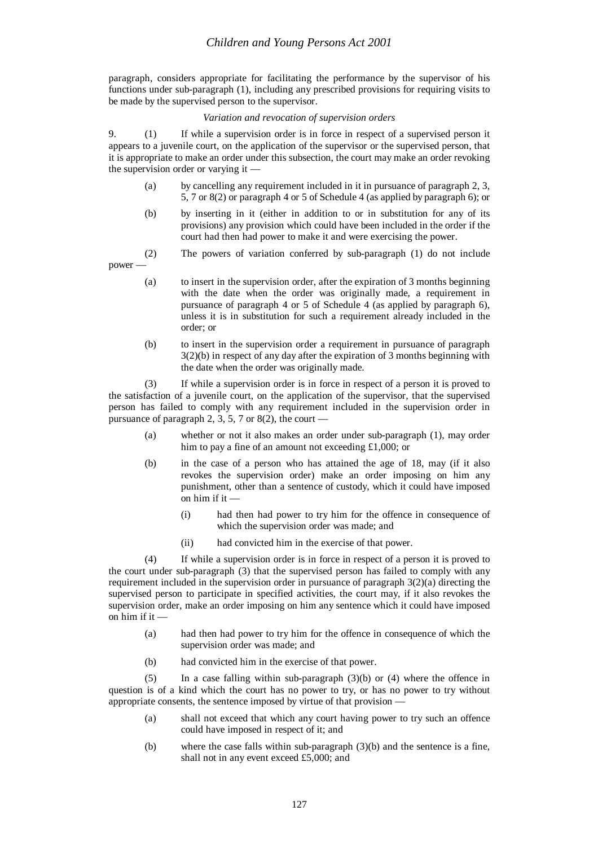paragraph, considers appropriate for facilitating the performance by the supervisor of his functions under sub-paragraph (1), including any prescribed provisions for requiring visits to be made by the supervised person to the supervisor.

## *Variation and revocation of supervision orders*

9. (1) If while a supervision order is in force in respect of a supervised person it appears to a juvenile court, on the application of the supervisor or the supervised person, that it is appropriate to make an order under this subsection, the court may make an order revoking the supervision order or varying it —

- (a) by cancelling any requirement included in it in pursuance of paragraph 2, 3, 5, 7 or 8(2) or paragraph 4 or 5 of Schedule 4 (as applied by paragraph 6); or
- (b) by inserting in it (either in addition to or in substitution for any of its provisions) any provision which could have been included in the order if the court had then had power to make it and were exercising the power.

(2) The powers of variation conferred by sub-paragraph (1) do not include power —

- (a) to insert in the supervision order, after the expiration of 3 months beginning with the date when the order was originally made, a requirement in pursuance of paragraph 4 or 5 of Schedule 4 (as applied by paragraph 6), unless it is in substitution for such a requirement already included in the order; or
- (b) to insert in the supervision order a requirement in pursuance of paragraph 3(2)(b) in respect of any day after the expiration of 3 months beginning with the date when the order was originally made.

(3) If while a supervision order is in force in respect of a person it is proved to the satisfaction of a juvenile court, on the application of the supervisor, that the supervised person has failed to comply with any requirement included in the supervision order in pursuance of paragraph 2, 3, 5, 7 or 8(2), the court —

- (a) whether or not it also makes an order under sub-paragraph (1), may order him to pay a fine of an amount not exceeding £1,000; or
- (b) in the case of a person who has attained the age of 18, may (if it also revokes the supervision order) make an order imposing on him any punishment, other than a sentence of custody, which it could have imposed on him if it —
	- (i) had then had power to try him for the offence in consequence of which the supervision order was made; and
	- (ii) had convicted him in the exercise of that power.

(4) If while a supervision order is in force in respect of a person it is proved to the court under sub-paragraph (3) that the supervised person has failed to comply with any requirement included in the supervision order in pursuance of paragraph 3(2)(a) directing the supervised person to participate in specified activities, the court may, if it also revokes the supervision order, make an order imposing on him any sentence which it could have imposed on him if it —

- (a) had then had power to try him for the offence in consequence of which the supervision order was made; and
- (b) had convicted him in the exercise of that power.

(5) In a case falling within sub-paragraph (3)(b) or (4) where the offence in question is of a kind which the court has no power to try, or has no power to try without appropriate consents, the sentence imposed by virtue of that provision —

- (a) shall not exceed that which any court having power to try such an offence could have imposed in respect of it; and
- (b) where the case falls within sub-paragraph (3)(b) and the sentence is a fine, shall not in any event exceed £5,000; and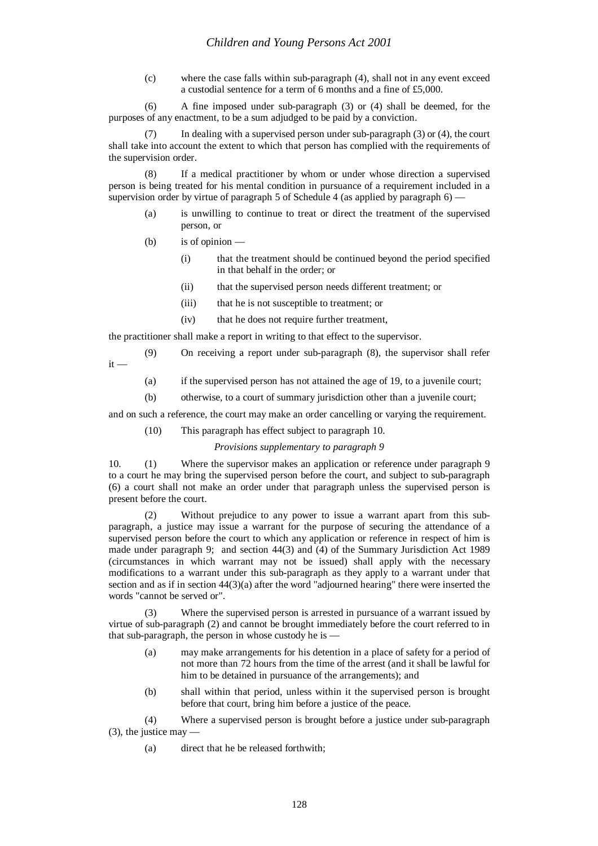(c) where the case falls within sub-paragraph (4), shall not in any event exceed a custodial sentence for a term of 6 months and a fine of £5,000.

(6) A fine imposed under sub-paragraph (3) or (4) shall be deemed, for the purposes of any enactment, to be a sum adjudged to be paid by a conviction.

In dealing with a supervised person under sub-paragraph  $(3)$  or  $(4)$ , the court shall take into account the extent to which that person has complied with the requirements of the supervision order.

(8) If a medical practitioner by whom or under whose direction a supervised person is being treated for his mental condition in pursuance of a requirement included in a supervision order by virtue of paragraph  $5$  of Schedule 4 (as applied by paragraph  $6$ ) —

- (a) is unwilling to continue to treat or direct the treatment of the supervised person, or
- (b) is of opinion
	- (i) that the treatment should be continued beyond the period specified in that behalf in the order; or
	- (ii) that the supervised person needs different treatment; or
	- (iii) that he is not susceptible to treatment; or
	- (iv) that he does not require further treatment,

the practitioner shall make a report in writing to that effect to the supervisor.

- (9) On receiving a report under sub-paragraph (8), the supervisor shall refer  $it -$ 
	- (a) if the supervised person has not attained the age of 19, to a juvenile court;
	- (b) otherwise, to a court of summary jurisdiction other than a juvenile court;

and on such a reference, the court may make an order cancelling or varying the requirement.

(10) This paragraph has effect subject to paragraph 10.

## *Provisions supplementary to paragraph 9*

10. (1) Where the supervisor makes an application or reference under paragraph 9 to a court he may bring the supervised person before the court, and subject to sub-paragraph (6) a court shall not make an order under that paragraph unless the supervised person is present before the court.

(2) Without prejudice to any power to issue a warrant apart from this subparagraph, a justice may issue a warrant for the purpose of securing the attendance of a supervised person before the court to which any application or reference in respect of him is made under paragraph 9; and section 44(3) and (4) of the Summary Jurisdiction Act 1989 (circumstances in which warrant may not be issued) shall apply with the necessary modifications to a warrant under this sub-paragraph as they apply to a warrant under that section and as if in section 44(3)(a) after the word "adjourned hearing" there were inserted the words "cannot be served or".

(3) Where the supervised person is arrested in pursuance of a warrant issued by virtue of sub-paragraph (2) and cannot be brought immediately before the court referred to in that sub-paragraph, the person in whose custody he is —

- (a) may make arrangements for his detention in a place of safety for a period of not more than 72 hours from the time of the arrest (and it shall be lawful for him to be detained in pursuance of the arrangements); and
- (b) shall within that period, unless within it the supervised person is brought before that court, bring him before a justice of the peace.

(4) Where a supervised person is brought before a justice under sub-paragraph  $(3)$ , the justice may

(a) direct that he be released forthwith;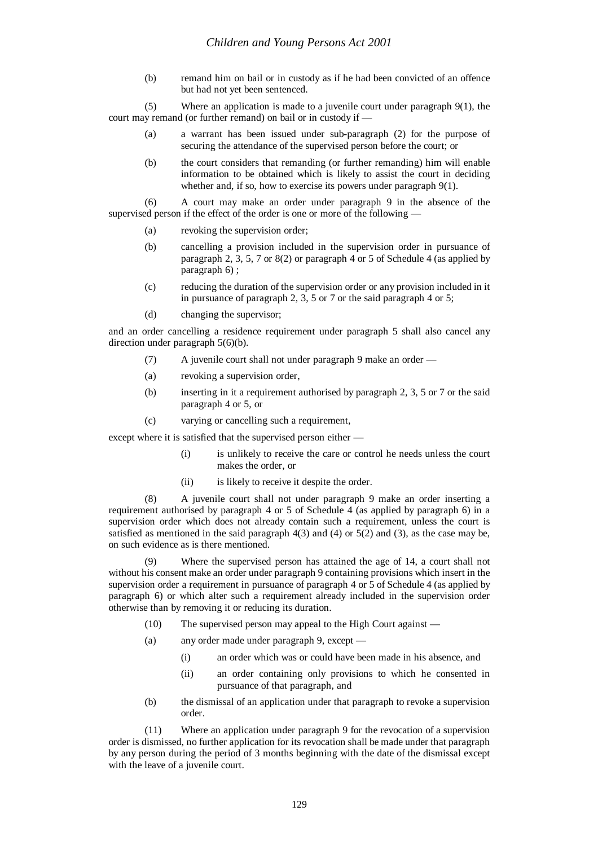(b) remand him on bail or in custody as if he had been convicted of an offence but had not yet been sentenced.

(5) Where an application is made to a juvenile court under paragraph 9(1), the court may remand (or further remand) on bail or in custody if —

- (a) a warrant has been issued under sub-paragraph (2) for the purpose of securing the attendance of the supervised person before the court; or
- (b) the court considers that remanding (or further remanding) him will enable information to be obtained which is likely to assist the court in deciding whether and, if so, how to exercise its powers under paragraph 9(1).

(6) A court may make an order under paragraph 9 in the absence of the supervised person if the effect of the order is one or more of the following —

- (a) revoking the supervision order;
- (b) cancelling a provision included in the supervision order in pursuance of paragraph 2, 3, 5, 7 or 8(2) or paragraph 4 or 5 of Schedule 4 (as applied by paragraph 6) ;
- (c) reducing the duration of the supervision order or any provision included in it in pursuance of paragraph 2, 3, 5 or 7 or the said paragraph 4 or 5;
- (d) changing the supervisor;

and an order cancelling a residence requirement under paragraph 5 shall also cancel any direction under paragraph 5(6)(b).

- (7) A juvenile court shall not under paragraph 9 make an order —
- (a) revoking a supervision order,
- (b) inserting in it a requirement authorised by paragraph 2, 3, 5 or 7 or the said paragraph 4 or 5, or
- (c) varying or cancelling such a requirement,

except where it is satisfied that the supervised person either —

- (i) is unlikely to receive the care or control he needs unless the court makes the order, or
- (ii) is likely to receive it despite the order.

(8) A juvenile court shall not under paragraph 9 make an order inserting a requirement authorised by paragraph 4 or 5 of Schedule 4 (as applied by paragraph 6) in a supervision order which does not already contain such a requirement, unless the court is satisfied as mentioned in the said paragraph  $4(3)$  and  $(4)$  or  $5(2)$  and  $(3)$ , as the case may be, on such evidence as is there mentioned.

Where the supervised person has attained the age of 14, a court shall not without his consent make an order under paragraph 9 containing provisions which insert in the supervision order a requirement in pursuance of paragraph 4 or 5 of Schedule 4 (as applied by paragraph 6) or which alter such a requirement already included in the supervision order otherwise than by removing it or reducing its duration.

- (10) The supervised person may appeal to the High Court against —
- (a) any order made under paragraph 9, except
	- (i) an order which was or could have been made in his absence, and
	- (ii) an order containing only provisions to which he consented in pursuance of that paragraph, and
- (b) the dismissal of an application under that paragraph to revoke a supervision order.

(11) Where an application under paragraph 9 for the revocation of a supervision order is dismissed, no further application for its revocation shall be made under that paragraph by any person during the period of 3 months beginning with the date of the dismissal except with the leave of a juvenile court.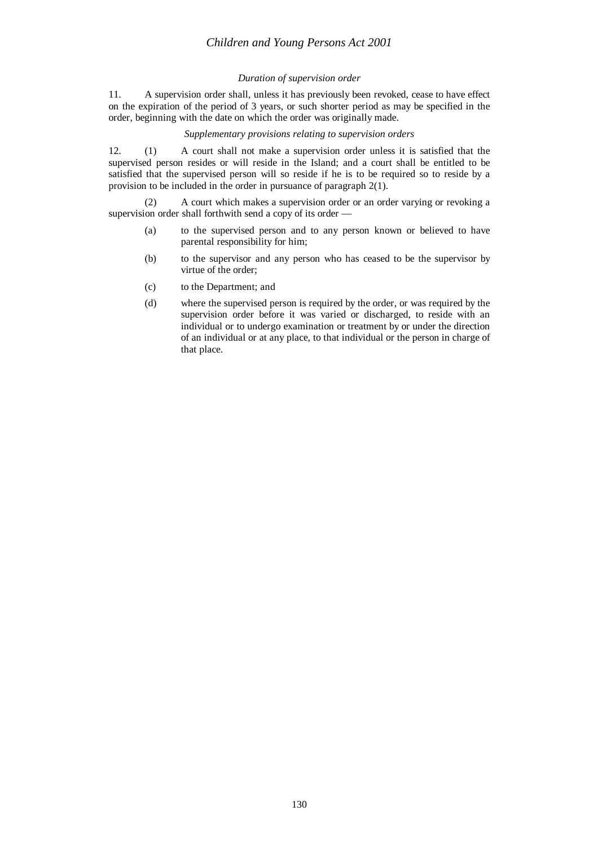# *Children and Young Persons Act 2001*

# *Duration of supervision order*

11. A supervision order shall, unless it has previously been revoked, cease to have effect on the expiration of the period of 3 years, or such shorter period as may be specified in the order, beginning with the date on which the order was originally made.

# *Supplementary provisions relating to supervision orders*

12. (1) A court shall not make a supervision order unless it is satisfied that the supervised person resides or will reside in the Island; and a court shall be entitled to be satisfied that the supervised person will so reside if he is to be required so to reside by a provision to be included in the order in pursuance of paragraph 2(1).

(2) A court which makes a supervision order or an order varying or revoking a supervision order shall forthwith send a copy of its order —

- (a) to the supervised person and to any person known or believed to have parental responsibility for him;
- (b) to the supervisor and any person who has ceased to be the supervisor by virtue of the order;
- (c) to the Department; and
- (d) where the supervised person is required by the order, or was required by the supervision order before it was varied or discharged, to reside with an individual or to undergo examination or treatment by or under the direction of an individual or at any place, to that individual or the person in charge of that place.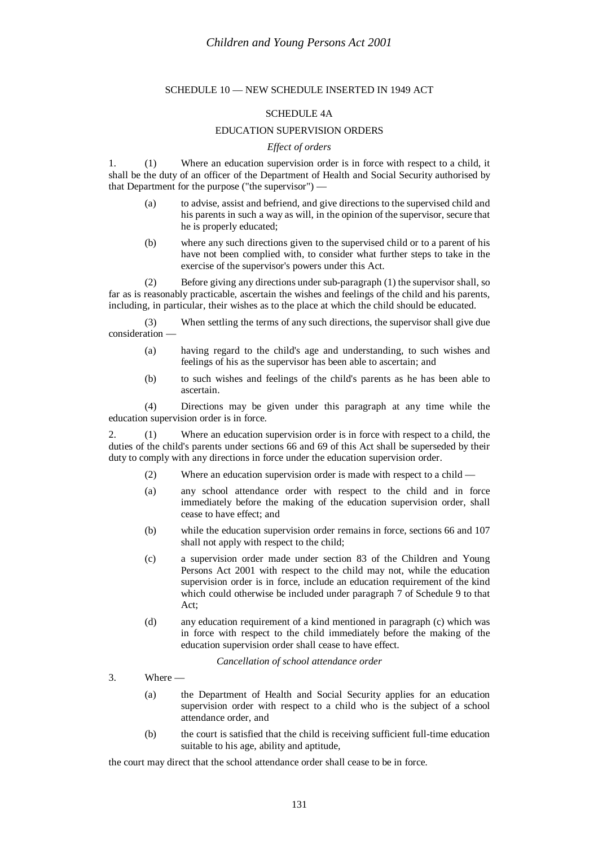# SCHEDULE 10 — NEW SCHEDULE INSERTED IN 1949 ACT

## SCHEDULE 4A

# EDUCATION SUPERVISION ORDERS

#### *Effect of orders*

1. (1) Where an education supervision order is in force with respect to a child, it shall be the duty of an officer of the Department of Health and Social Security authorised by that Department for the purpose ("the supervisor") —

- (a) to advise, assist and befriend, and give directions to the supervised child and his parents in such a way as will, in the opinion of the supervisor, secure that he is properly educated;
- (b) where any such directions given to the supervised child or to a parent of his have not been complied with, to consider what further steps to take in the exercise of the supervisor's powers under this Act.

(2) Before giving any directions under sub-paragraph (1) the supervisor shall, so far as is reasonably practicable, ascertain the wishes and feelings of the child and his parents, including, in particular, their wishes as to the place at which the child should be educated.

(3) When settling the terms of any such directions, the supervisor shall give due consideration —

- (a) having regard to the child's age and understanding, to such wishes and feelings of his as the supervisor has been able to ascertain; and
- (b) to such wishes and feelings of the child's parents as he has been able to ascertain.

(4) Directions may be given under this paragraph at any time while the education supervision order is in force.

2. (1) Where an education supervision order is in force with respect to a child, the duties of the child's parents under sections 66 and 69 of this Act shall be superseded by their duty to comply with any directions in force under the education supervision order.

- (2) Where an education supervision order is made with respect to a child —
- (a) any school attendance order with respect to the child and in force immediately before the making of the education supervision order, shall cease to have effect; and
- (b) while the education supervision order remains in force, sections 66 and 107 shall not apply with respect to the child;
- (c) a supervision order made under section 83 of the Children and Young Persons Act 2001 with respect to the child may not, while the education supervision order is in force, include an education requirement of the kind which could otherwise be included under paragraph 7 of Schedule 9 to that Act;
- (d) any education requirement of a kind mentioned in paragraph (c) which was in force with respect to the child immediately before the making of the education supervision order shall cease to have effect.

*Cancellation of school attendance order*

- 3. Where
	- (a) the Department of Health and Social Security applies for an education supervision order with respect to a child who is the subject of a school attendance order, and
	- (b) the court is satisfied that the child is receiving sufficient full-time education suitable to his age, ability and aptitude,

the court may direct that the school attendance order shall cease to be in force.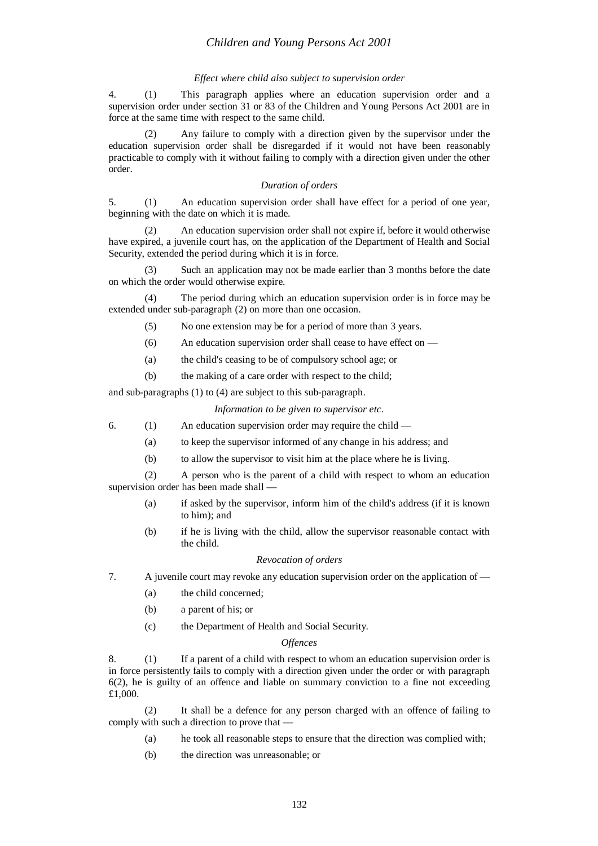### *Effect where child also subject to supervision order*

4. (1) This paragraph applies where an education supervision order and a supervision order under section 31 or 83 of the Children and Young Persons Act 2001 are in force at the same time with respect to the same child.

Any failure to comply with a direction given by the supervisor under the education supervision order shall be disregarded if it would not have been reasonably practicable to comply with it without failing to comply with a direction given under the other order.

## *Duration of orders*

5. (1) An education supervision order shall have effect for a period of one year, beginning with the date on which it is made.

(2) An education supervision order shall not expire if, before it would otherwise have expired, a juvenile court has, on the application of the Department of Health and Social Security, extended the period during which it is in force.

(3) Such an application may not be made earlier than 3 months before the date on which the order would otherwise expire.

(4) The period during which an education supervision order is in force may be extended under sub-paragraph (2) on more than one occasion.

(5) No one extension may be for a period of more than 3 years.

- (6) An education supervision order shall cease to have effect on —
- (a) the child's ceasing to be of compulsory school age; or
- (b) the making of a care order with respect to the child;

and sub-paragraphs (1) to (4) are subject to this sub-paragraph.

*Information to be given to supervisor etc.*

- 6. (1) An education supervision order may require the child
	- (a) to keep the supervisor informed of any change in his address; and
	- (b) to allow the supervisor to visit him at the place where he is living.

(2) A person who is the parent of a child with respect to whom an education supervision order has been made shall —

- (a) if asked by the supervisor, inform him of the child's address (if it is known to him); and
- (b) if he is living with the child, allow the supervisor reasonable contact with the child.

### *Revocation of orders*

7. A juvenile court may revoke any education supervision order on the application of —

- (a) the child concerned;
- (b) a parent of his; or
- (c) the Department of Health and Social Security.

## *Offences*

8. (1) If a parent of a child with respect to whom an education supervision order is in force persistently fails to comply with a direction given under the order or with paragraph 6(2), he is guilty of an offence and liable on summary conviction to a fine not exceeding £1,000.

(2) It shall be a defence for any person charged with an offence of failing to comply with such a direction to prove that —

- (a) he took all reasonable steps to ensure that the direction was complied with;
- (b) the direction was unreasonable; or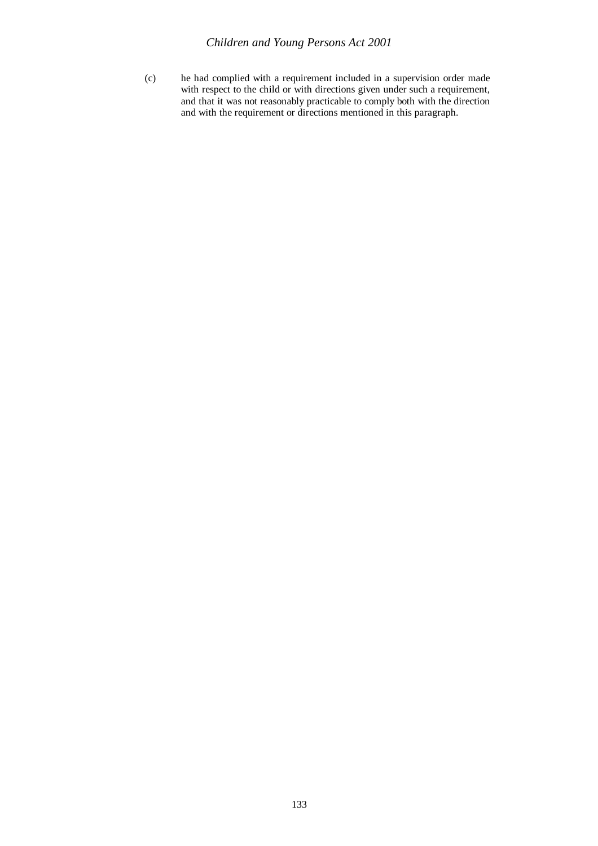(c) he had complied with a requirement included in a supervision order made with respect to the child or with directions given under such a requirement, and that it was not reasonably practicable to comply both with the direction and with the requirement or directions mentioned in this paragraph.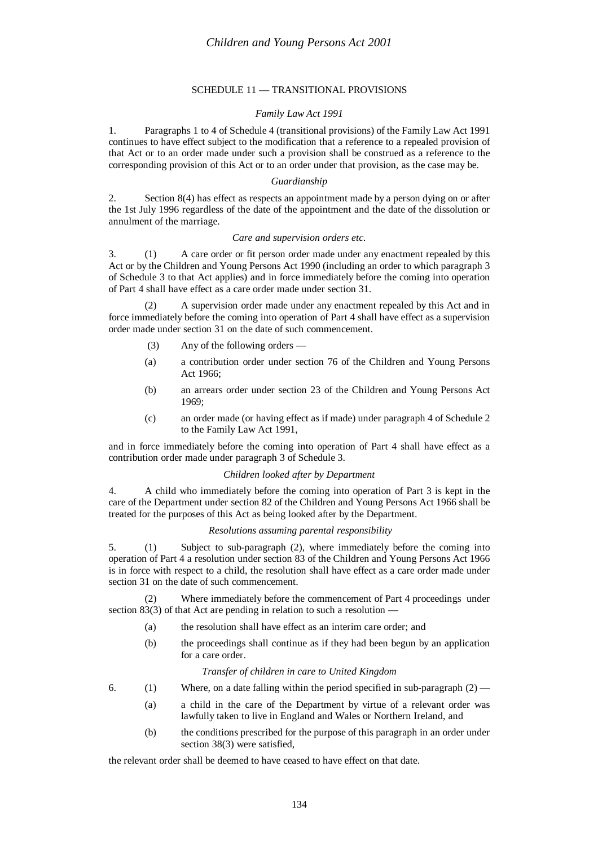# SCHEDULE 11 — TRANSITIONAL PROVISIONS

# *Family Law Act 1991*

1. Paragraphs 1 to 4 of Schedule 4 (transitional provisions) of the Family Law Act 1991 continues to have effect subject to the modification that a reference to a repealed provision of that Act or to an order made under such a provision shall be construed as a reference to the corresponding provision of this Act or to an order under that provision, as the case may be.

# *Guardianship*

2. Section 8(4) has effect as respects an appointment made by a person dying on or after the 1st July 1996 regardless of the date of the appointment and the date of the dissolution or annulment of the marriage.

# *Care and supervision orders etc.*

3. (1) A care order or fit person order made under any enactment repealed by this Act or by the Children and Young Persons Act 1990 (including an order to which paragraph 3 of Schedule 3 to that Act applies) and in force immediately before the coming into operation of Part 4 shall have effect as a care order made under section 31.

(2) A supervision order made under any enactment repealed by this Act and in force immediately before the coming into operation of Part 4 shall have effect as a supervision order made under section 31 on the date of such commencement.

- (3) Any of the following orders —
- (a) a contribution order under section 76 of the Children and Young Persons Act 1966;
- (b) an arrears order under section 23 of the Children and Young Persons Act 1969;
- (c) an order made (or having effect as if made) under paragraph 4 of Schedule 2 to the Family Law Act 1991,

and in force immediately before the coming into operation of Part 4 shall have effect as a contribution order made under paragraph 3 of Schedule 3.

# *Children looked after by Department*

4. A child who immediately before the coming into operation of Part 3 is kept in the care of the Department under section 82 of the Children and Young Persons Act 1966 shall be treated for the purposes of this Act as being looked after by the Department.

## *Resolutions assuming parental responsibility*

5. (1) Subject to sub-paragraph (2), where immediately before the coming into operation of Part 4 a resolution under section 83 of the Children and Young Persons Act 1966 is in force with respect to a child, the resolution shall have effect as a care order made under section 31 on the date of such commencement.

(2) Where immediately before the commencement of Part 4 proceedings under section 83(3) of that Act are pending in relation to such a resolution  $-$ 

- (a) the resolution shall have effect as an interim care order; and
- (b) the proceedings shall continue as if they had been begun by an application for a care order.

# *Transfer of children in care to United Kingdom*

- 6. (1) Where, on a date falling within the period specified in sub-paragraph  $(2)$ 
	- (a) a child in the care of the Department by virtue of a relevant order was lawfully taken to live in England and Wales or Northern Ireland, and
	- (b) the conditions prescribed for the purpose of this paragraph in an order under section 38(3) were satisfied,

the relevant order shall be deemed to have ceased to have effect on that date.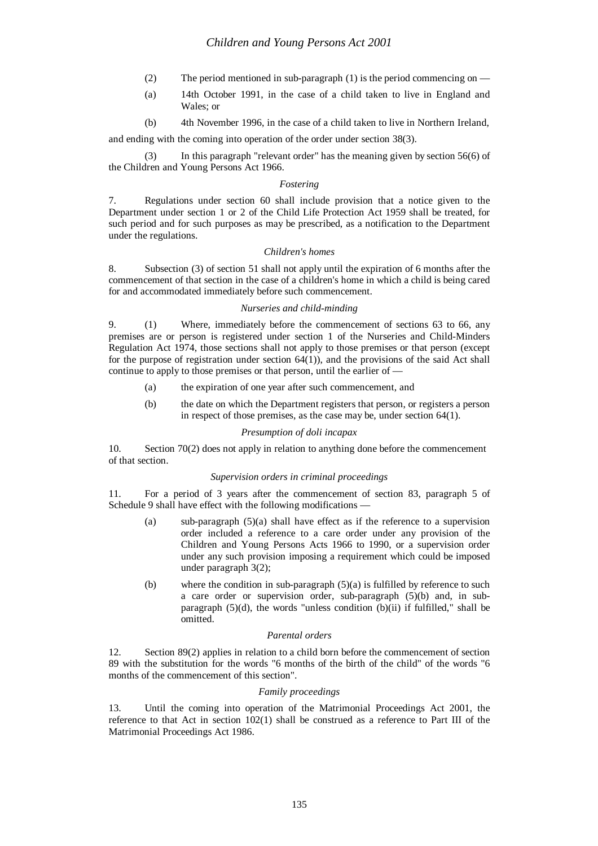- (2) The period mentioned in sub-paragraph (1) is the period commencing on —
- (a) 14th October 1991, in the case of a child taken to live in England and Wales; or
- (b) 4th November 1996, in the case of a child taken to live in Northern Ireland,

and ending with the coming into operation of the order under section 38(3).

(3) In this paragraph "relevant order" has the meaning given by section 56(6) of the Children and Young Persons Act 1966.

## *Fostering*

7. Regulations under section 60 shall include provision that a notice given to the Department under section 1 or 2 of the Child Life Protection Act 1959 shall be treated, for such period and for such purposes as may be prescribed, as a notification to the Department under the regulations.

# *Children's homes*

8. Subsection (3) of section 51 shall not apply until the expiration of 6 months after the commencement of that section in the case of a children's home in which a child is being cared for and accommodated immediately before such commencement.

#### *Nurseries and child-minding*

9. (1) Where, immediately before the commencement of sections 63 to 66, any premises are or person is registered under section 1 of the Nurseries and Child-Minders Regulation Act 1974, those sections shall not apply to those premises or that person (except for the purpose of registration under section  $64(1)$ ), and the provisions of the said Act shall continue to apply to those premises or that person, until the earlier of —

- (a) the expiration of one year after such commencement, and
- (b) the date on which the Department registers that person, or registers a person in respect of those premises, as the case may be, under section 64(1).

## *Presumption of doli incapax*

10. Section 70(2) does not apply in relation to anything done before the commencement of that section.

#### *Supervision orders in criminal proceedings*

11. For a period of 3 years after the commencement of section 83, paragraph 5 of Schedule 9 shall have effect with the following modifications -

- (a) sub-paragraph  $(5)(a)$  shall have effect as if the reference to a supervision order included a reference to a care order under any provision of the Children and Young Persons Acts 1966 to 1990, or a supervision order under any such provision imposing a requirement which could be imposed under paragraph 3(2);
- (b) where the condition in sub-paragraph (5)(a) is fulfilled by reference to such a care order or supervision order, sub-paragraph (5)(b) and, in subparagraph  $(5)(d)$ , the words "unless condition  $(b)(ii)$  if fulfilled," shall be omitted.

## *Parental orders*

12. Section 89(2) applies in relation to a child born before the commencement of section 89 with the substitution for the words "6 months of the birth of the child" of the words "6 months of the commencement of this section".

## *Family proceedings*

13. Until the coming into operation of the Matrimonial Proceedings Act 2001, the reference to that Act in section 102(1) shall be construed as a reference to Part III of the Matrimonial Proceedings Act 1986.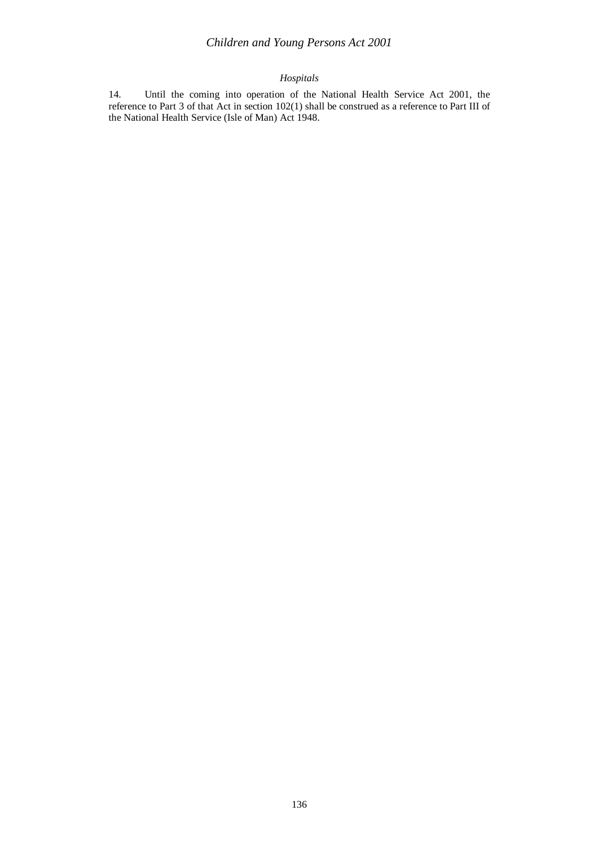# *Children and Young Persons Act 2001*

# *Hospitals*

14. Until the coming into operation of the National Health Service Act 2001, the reference to Part 3 of that Act in section 102(1) shall be construed as a reference to Part III of the National Health Service (Isle of Man) Act 1948.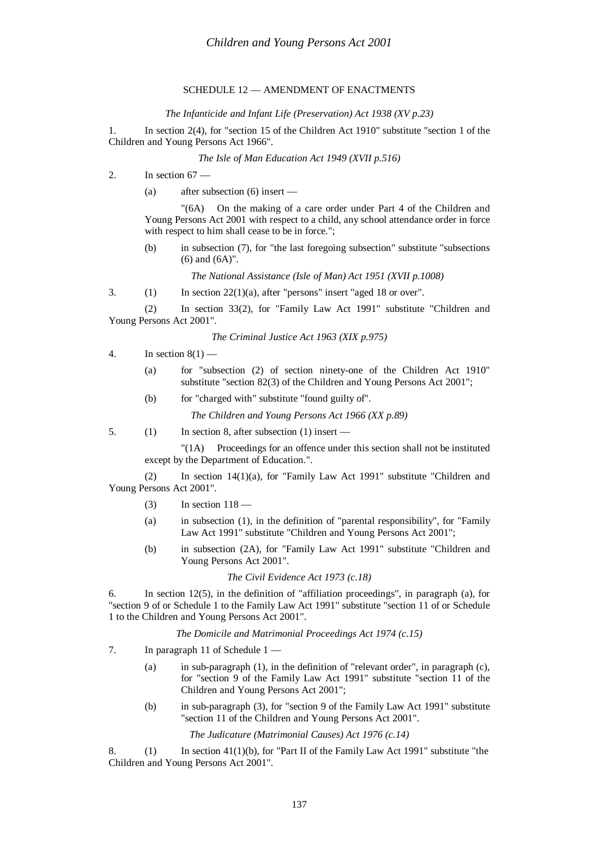# SCHEDULE 12 — AMENDMENT OF ENACTMENTS

#### *The Infanticide and Infant Life (Preservation) Act 1938 (XV p.23)*

1. In section 2(4), for "section 15 of the Children Act 1910" substitute "section 1 of the Children and Young Persons Act 1966".

# *The Isle of Man Education Act 1949 (XVII p.516)*

- 2. In section  $67 -$ 
	- (a) after subsection (6) insert —

"(6A) On the making of a care order under Part 4 of the Children and Young Persons Act 2001 with respect to a child, any school attendance order in force with respect to him shall cease to be in force.";

(b) in subsection (7), for "the last foregoing subsection" substitute "subsections (6) and (6A)".

*The National Assistance (Isle of Man) Act 1951 (XVII p.1008)*

3. (1) In section  $22(1)(a)$ , after "persons" insert "aged 18 or over".

(2) In section 33(2), for "Family Law Act 1991" substitute "Children and Young Persons Act 2001".

*The Criminal Justice Act 1963 (XIX p.975)*

- 4. In section 8(1)
	- (a) for "subsection (2) of section ninety-one of the Children Act 1910" substitute "section 82(3) of the Children and Young Persons Act 2001";
	- (b) for "charged with" substitute "found guilty of".

*The Children and Young Persons Act 1966 (XX p.89)*

5. (1) In section 8, after subsection (1) insert —

"(1A) Proceedings for an offence under this section shall not be instituted except by the Department of Education.".

(2) In section 14(1)(a), for "Family Law Act 1991" substitute "Children and Young Persons Act 2001".

- $(3)$  In section  $118$  —
- (a) in subsection (1), in the definition of "parental responsibility", for "Family Law Act 1991" substitute "Children and Young Persons Act 2001";
- (b) in subsection (2A), for "Family Law Act 1991" substitute "Children and Young Persons Act 2001".

*The Civil Evidence Act 1973 (c.18)*

6. In section 12(5), in the definition of "affiliation proceedings", in paragraph (a), for "section 9 of or Schedule 1 to the Family Law Act 1991" substitute "section 11 of or Schedule 1 to the Children and Young Persons Act 2001".

*The Domicile and Matrimonial Proceedings Act 1974 (c.15)*

- 7. In paragraph 11 of Schedule 1
	- (a) in sub-paragraph (1), in the definition of "relevant order", in paragraph (c), for "section 9 of the Family Law Act 1991" substitute "section 11 of the Children and Young Persons Act 2001";
	- (b) in sub-paragraph (3), for "section 9 of the Family Law Act 1991" substitute "section 11 of the Children and Young Persons Act 2001".

*The Judicature (Matrimonial Causes) Act 1976 (c.14)*

8. (1) In section 41(1)(b), for "Part II of the Family Law Act 1991" substitute "the Children and Young Persons Act 2001".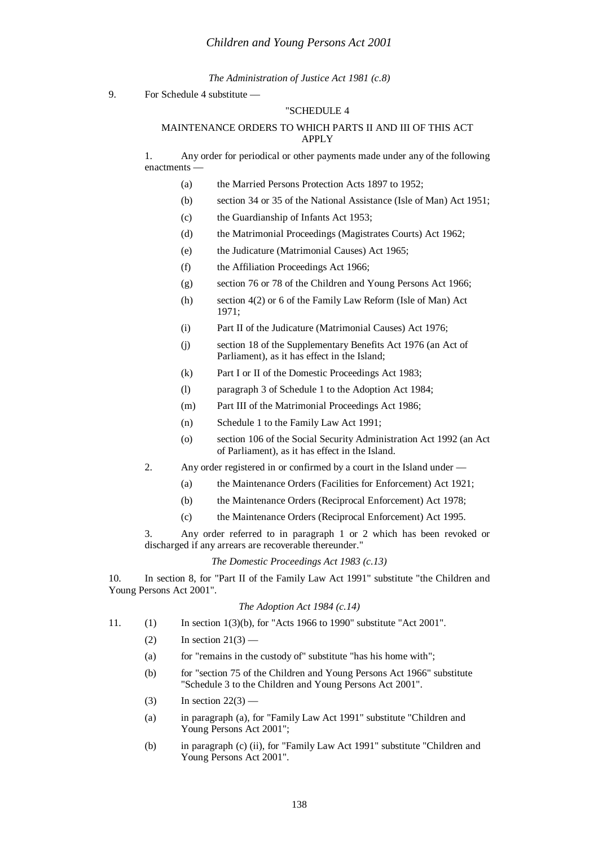*The Administration of Justice Act 1981 (c.8)*

9. For Schedule 4 substitute —

# "SCHEDULE 4

# MAINTENANCE ORDERS TO WHICH PARTS II AND III OF THIS ACT APPLY

1. Any order for periodical or other payments made under any of the following enactments

- (a) the Married Persons Protection Acts 1897 to 1952;
- (b) section 34 or 35 of the National Assistance (Isle of Man) Act 1951;
- (c) the Guardianship of Infants Act 1953;
- (d) the Matrimonial Proceedings (Magistrates Courts) Act 1962;
- (e) the Judicature (Matrimonial Causes) Act 1965;
- (f) the Affiliation Proceedings Act 1966;
- (g) section 76 or 78 of the Children and Young Persons Act 1966;
- (h) section 4(2) or 6 of the Family Law Reform (Isle of Man) Act 1971;
- (i) Part II of the Judicature (Matrimonial Causes) Act 1976;
- (j) section 18 of the Supplementary Benefits Act 1976 (an Act of Parliament), as it has effect in the Island;
- (k) Part I or II of the Domestic Proceedings Act 1983;
- (l) paragraph 3 of Schedule 1 to the Adoption Act 1984;
- (m) Part III of the Matrimonial Proceedings Act 1986;
- (n) Schedule 1 to the Family Law Act 1991;
- (o) section 106 of the Social Security Administration Act 1992 (an Act of Parliament), as it has effect in the Island.
- 2. Any order registered in or confirmed by a court in the Island under
	- (a) the Maintenance Orders (Facilities for Enforcement) Act 1921;
	- (b) the Maintenance Orders (Reciprocal Enforcement) Act 1978;
	- (c) the Maintenance Orders (Reciprocal Enforcement) Act 1995.

3. Any order referred to in paragraph 1 or 2 which has been revoked or discharged if any arrears are recoverable thereunder."

#### *The Domestic Proceedings Act 1983 (c.13)*

10. In section 8, for "Part II of the Family Law Act 1991" substitute "the Children and Young Persons Act 2001".

#### *The Adoption Act 1984 (c.14)*

- 11. (1) In section 1(3)(b), for "Acts 1966 to 1990" substitute "Act 2001".
	- $(2)$  In section  $21(3)$  —
	- (a) for "remains in the custody of" substitute "has his home with";
	- (b) for "section 75 of the Children and Young Persons Act 1966" substitute "Schedule 3 to the Children and Young Persons Act 2001".
	- $(3)$  In section  $22(3)$  —
	- (a) in paragraph (a), for "Family Law Act 1991" substitute "Children and Young Persons Act 2001";
	- (b) in paragraph (c) (ii), for "Family Law Act 1991" substitute "Children and Young Persons Act 2001".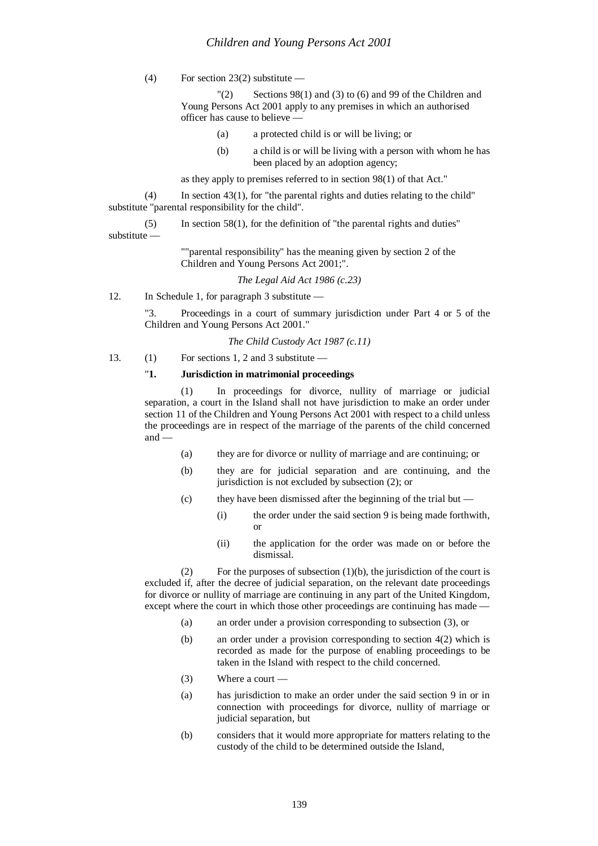(4) For section 23(2) substitute  $-$ 

"(2) Sections 98(1) and (3) to (6) and 99 of the Children and Young Persons Act 2001 apply to any premises in which an authorised officer has cause to believe —

- (a) a protected child is or will be living; or
- (b) a child is or will be living with a person with whom he has been placed by an adoption agency;

as they apply to premises referred to in section 98(1) of that Act."

 $(4)$  In section 43(1), for "the parental rights and duties relating to the child" substitute "parental responsibility for the child".

(5) In section 58(1), for the definition of "the parental rights and duties"

substitute —

""parental responsibility" has the meaning given by section 2 of the Children and Young Persons Act 2001;".

*The Legal Aid Act 1986 (c.23)*

12. In Schedule 1, for paragraph 3 substitute —

"3. Proceedings in a court of summary jurisdiction under Part 4 or 5 of the Children and Young Persons Act 2001."

*The Child Custody Act 1987 (c.11)*

13. (1) For sections 1, 2 and 3 substitute —

# "**1. Jurisdiction in matrimonial proceedings**

(1) In proceedings for divorce, nullity of marriage or judicial separation, a court in the Island shall not have jurisdiction to make an order under section 11 of the Children and Young Persons Act 2001 with respect to a child unless the proceedings are in respect of the marriage of the parents of the child concerned and —

- (a) they are for divorce or nullity of marriage and are continuing; or
- (b) they are for judicial separation and are continuing, and the jurisdiction is not excluded by subsection (2); or
- (c) they have been dismissed after the beginning of the trial but
	- (i) the order under the said section 9 is being made forthwith, or
	- (ii) the application for the order was made on or before the dismissal.

(2) For the purposes of subsection  $(1)(b)$ , the jurisdiction of the court is excluded if, after the decree of judicial separation, on the relevant date proceedings for divorce or nullity of marriage are continuing in any part of the United Kingdom, except where the court in which those other proceedings are continuing has made -

- (a) an order under a provision corresponding to subsection (3), or
- (b) an order under a provision corresponding to section 4(2) which is recorded as made for the purpose of enabling proceedings to be taken in the Island with respect to the child concerned.
- (3) Where a court —
- (a) has jurisdiction to make an order under the said section 9 in or in connection with proceedings for divorce, nullity of marriage or judicial separation, but
- (b) considers that it would more appropriate for matters relating to the custody of the child to be determined outside the Island,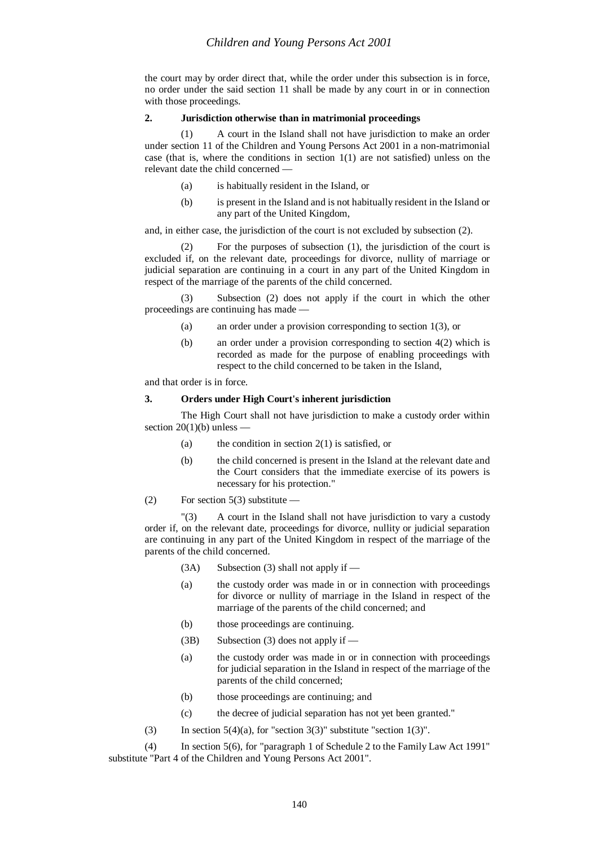the court may by order direct that, while the order under this subsection is in force, no order under the said section 11 shall be made by any court in or in connection with those proceedings.

#### **2. Jurisdiction otherwise than in matrimonial proceedings**

(1) A court in the Island shall not have jurisdiction to make an order under section 11 of the Children and Young Persons Act 2001 in a non-matrimonial case (that is, where the conditions in section  $1(1)$  are not satisfied) unless on the relevant date the child concerned —

- (a) is habitually resident in the Island, or
- (b) is present in the Island and is not habitually resident in the Island or any part of the United Kingdom,

#### and, in either case, the jurisdiction of the court is not excluded by subsection (2).

(2) For the purposes of subsection (1), the jurisdiction of the court is excluded if, on the relevant date, proceedings for divorce, nullity of marriage or judicial separation are continuing in a court in any part of the United Kingdom in respect of the marriage of the parents of the child concerned.

(3) Subsection (2) does not apply if the court in which the other proceedings are continuing has made —

- (a) an order under a provision corresponding to section 1(3), or
- (b) an order under a provision corresponding to section 4(2) which is recorded as made for the purpose of enabling proceedings with respect to the child concerned to be taken in the Island,

and that order is in force.

#### **3. Orders under High Court's inherent jurisdiction**

The High Court shall not have jurisdiction to make a custody order within section  $20(1)(b)$  unless

- (a) the condition in section  $2(1)$  is satisfied, or
- (b) the child concerned is present in the Island at the relevant date and the Court considers that the immediate exercise of its powers is necessary for his protection."
- (2) For section  $5(3)$  substitute —

"(3) A court in the Island shall not have jurisdiction to vary a custody order if, on the relevant date, proceedings for divorce, nullity or judicial separation are continuing in any part of the United Kingdom in respect of the marriage of the parents of the child concerned.

- $(3A)$  Subsection (3) shall not apply if —
- (a) the custody order was made in or in connection with proceedings for divorce or nullity of marriage in the Island in respect of the marriage of the parents of the child concerned; and
- (b) those proceedings are continuing.
- (3B) Subsection (3) does not apply if —
- (a) the custody order was made in or in connection with proceedings for judicial separation in the Island in respect of the marriage of the parents of the child concerned;
- (b) those proceedings are continuing; and
- (c) the decree of judicial separation has not yet been granted."
- (3) In section  $5(4)(a)$ , for "section  $3(3)$ " substitute "section  $1(3)$ ".

(4) In section 5(6), for "paragraph 1 of Schedule 2 to the Family Law Act 1991" substitute "Part 4 of the Children and Young Persons Act 2001".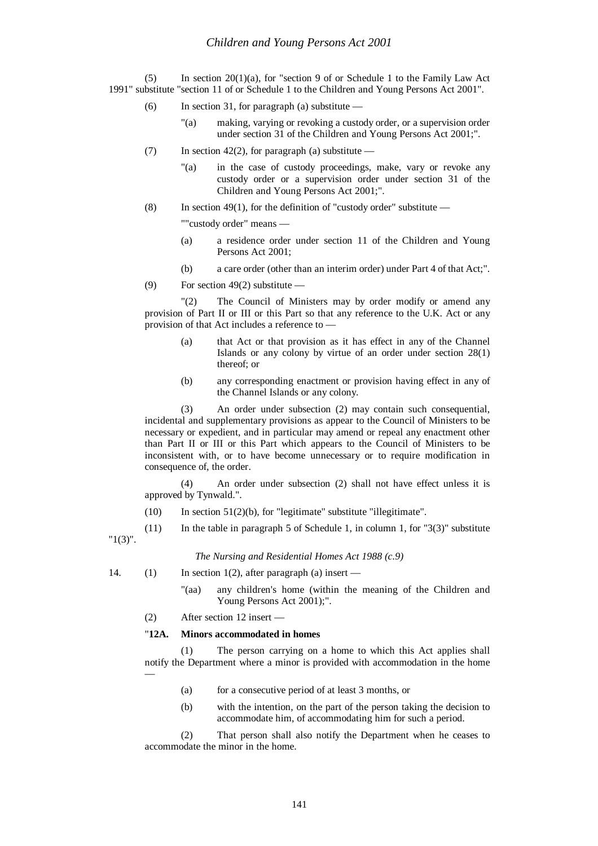(5) In section 20(1)(a), for "section 9 of or Schedule 1 to the Family Law Act 1991" substitute "section 11 of or Schedule 1 to the Children and Young Persons Act 2001".

- (6) In section 31, for paragraph (a) substitute
	- "(a) making, varying or revoking a custody order, or a supervision order under section 31 of the Children and Young Persons Act 2001;".
- (7) In section 42(2), for paragraph (a) substitute
	- "(a) in the case of custody proceedings, make, vary or revoke any custody order or a supervision order under section 31 of the Children and Young Persons Act 2001;".
- (8) In section 49(1), for the definition of "custody order" substitute —

""custody order" means —

- (a) a residence order under section 11 of the Children and Young Persons Act 2001;
- (b) a care order (other than an interim order) under Part 4 of that Act;".
- (9) For section 49(2) substitute —

"(2) The Council of Ministers may by order modify or amend any provision of Part II or III or this Part so that any reference to the U.K. Act or any provision of that Act includes a reference to —

- (a) that Act or that provision as it has effect in any of the Channel Islands or any colony by virtue of an order under section 28(1) thereof; or
- (b) any corresponding enactment or provision having effect in any of the Channel Islands or any colony.

(3) An order under subsection (2) may contain such consequential, incidental and supplementary provisions as appear to the Council of Ministers to be necessary or expedient, and in particular may amend or repeal any enactment other than Part II or III or this Part which appears to the Council of Ministers to be inconsistent with, or to have become unnecessary or to require modification in consequence of, the order.

(4) An order under subsection (2) shall not have effect unless it is approved by Tynwald.".

 $(10)$  In section 51(2)(b), for "legitimate" substitute "illegitimate".

(11) In the table in paragraph 5 of Schedule 1, in column 1, for " $3(3)$ " substitute "1(3)".

*The Nursing and Residential Homes Act 1988 (c.9)*

14. (1) In section 1(2), after paragraph (a) insert —

"(aa) any children's home (within the meaning of the Children and Young Persons Act 2001);".

(2) After section 12 insert —

## "**12A. Minors accommodated in homes**

(1) The person carrying on a home to which this Act applies shall notify the Department where a minor is provided with accommodation in the home —

- (a) for a consecutive period of at least 3 months, or
- (b) with the intention, on the part of the person taking the decision to accommodate him, of accommodating him for such a period.

(2) That person shall also notify the Department when he ceases to accommodate the minor in the home.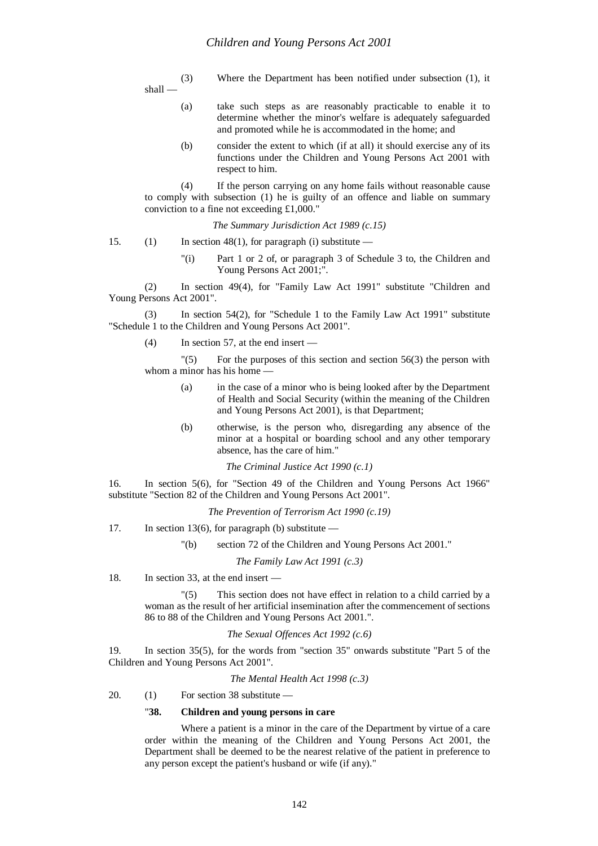(3) Where the Department has been notified under subsection (1), it shall —

- (a) take such steps as are reasonably practicable to enable it to determine whether the minor's welfare is adequately safeguarded and promoted while he is accommodated in the home; and
- (b) consider the extent to which (if at all) it should exercise any of its functions under the Children and Young Persons Act 2001 with respect to him.

(4) If the person carrying on any home fails without reasonable cause to comply with subsection (1) he is guilty of an offence and liable on summary conviction to a fine not exceeding £1,000."

*The Summary Jurisdiction Act 1989 (c.15)*

- 15. (1) In section 48(1), for paragraph (i) substitute
	- "(i) Part 1 or 2 of, or paragraph 3 of Schedule 3 to, the Children and Young Persons Act 2001;".

(2) In section 49(4), for "Family Law Act 1991" substitute "Children and Young Persons Act 2001".

(3) In section 54(2), for "Schedule 1 to the Family Law Act 1991" substitute "Schedule 1 to the Children and Young Persons Act 2001".

(4) In section 57, at the end insert —

"(5) For the purposes of this section and section 56(3) the person with whom a minor has his home

- (a) in the case of a minor who is being looked after by the Department of Health and Social Security (within the meaning of the Children and Young Persons Act 2001), is that Department;
- (b) otherwise, is the person who, disregarding any absence of the minor at a hospital or boarding school and any other temporary absence, has the care of him."

*The Criminal Justice Act 1990 (c.1)*

16. In section 5(6), for "Section 49 of the Children and Young Persons Act 1966" substitute "Section 82 of the Children and Young Persons Act 2001".

*The Prevention of Terrorism Act 1990 (c.19)*

17. In section 13(6), for paragraph (b) substitute —

"(b) section 72 of the Children and Young Persons Act 2001."

*The Family Law Act 1991 (c.3)*

18. In section 33, at the end insert —

"(5) This section does not have effect in relation to a child carried by a woman as the result of her artificial insemination after the commencement of sections 86 to 88 of the Children and Young Persons Act 2001.".

# *The Sexual Offences Act 1992 (c.6)*

19. In section 35(5), for the words from "section 35" onwards substitute "Part 5 of the Children and Young Persons Act 2001".

*The Mental Health Act 1998 (c.3)*

20. (1) For section 38 substitute —

# "**38. Children and young persons in care**

Where a patient is a minor in the care of the Department by virtue of a care order within the meaning of the Children and Young Persons Act 2001, the Department shall be deemed to be the nearest relative of the patient in preference to any person except the patient's husband or wife (if any)."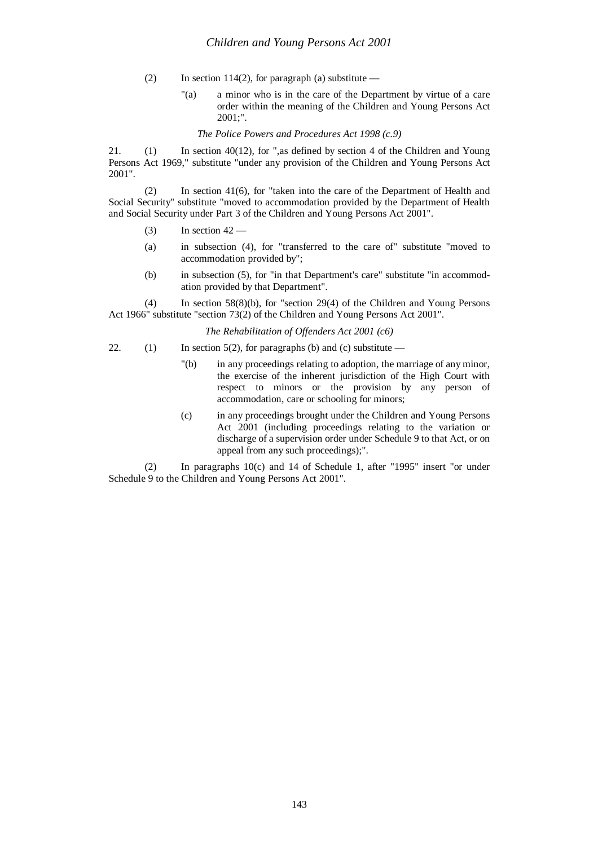- (2) In section 114(2), for paragraph (a) substitute
	- "(a) a minor who is in the care of the Department by virtue of a care order within the meaning of the Children and Young Persons Act 2001;".

*The Police Powers and Procedures Act 1998 (c.9)*

21. (1) In section 40(12), for ",as defined by section 4 of the Children and Young Persons Act 1969," substitute "under any provision of the Children and Young Persons Act 2001".

(2) In section 41(6), for "taken into the care of the Department of Health and Social Security" substitute "moved to accommodation provided by the Department of Health and Social Security under Part 3 of the Children and Young Persons Act 2001".

- (3) In section  $42-$
- (a) in subsection (4), for "transferred to the care of" substitute "moved to accommodation provided by";
- (b) in subsection (5), for "in that Department's care" substitute "in accommodation provided by that Department".

(4) In section 58(8)(b), for "section 29(4) of the Children and Young Persons Act 1966" substitute "section 73(2) of the Children and Young Persons Act 2001".

*The Rehabilitation of Offenders Act 2001 (c6)*

- 22. (1) In section 5(2), for paragraphs (b) and (c) substitute
	- "(b) in any proceedings relating to adoption, the marriage of any minor, the exercise of the inherent jurisdiction of the High Court with respect to minors or the provision by any person of accommodation, care or schooling for minors;
	- (c) in any proceedings brought under the Children and Young Persons Act 2001 (including proceedings relating to the variation or discharge of a supervision order under Schedule 9 to that Act, or on appeal from any such proceedings);".

(2) In paragraphs 10(c) and 14 of Schedule 1, after "1995" insert "or under Schedule 9 to the Children and Young Persons Act 2001".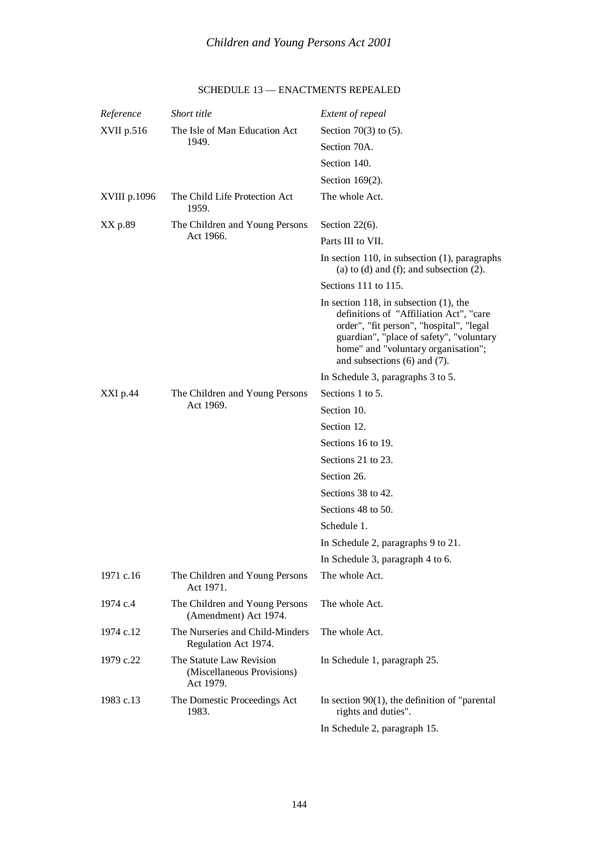| Reference    | Short title                                                         | Extent of repeal                                                                                                                                                                                                                                         |
|--------------|---------------------------------------------------------------------|----------------------------------------------------------------------------------------------------------------------------------------------------------------------------------------------------------------------------------------------------------|
| XVII p.516   | The Isle of Man Education Act<br>1949.                              | Section $70(3)$ to $(5)$ .                                                                                                                                                                                                                               |
|              |                                                                     | Section 70A.                                                                                                                                                                                                                                             |
|              |                                                                     | Section 140.                                                                                                                                                                                                                                             |
|              |                                                                     | Section 169(2).                                                                                                                                                                                                                                          |
| XVIII p.1096 | The Child Life Protection Act<br>1959.                              | The whole Act.                                                                                                                                                                                                                                           |
| XX p.89      | The Children and Young Persons<br>Act 1966.                         | Section $22(6)$ .                                                                                                                                                                                                                                        |
|              |                                                                     | Parts III to VII.                                                                                                                                                                                                                                        |
|              |                                                                     | In section 110, in subsection $(1)$ , paragraphs<br>(a) to (d) and (f); and subsection $(2)$ .                                                                                                                                                           |
|              |                                                                     | Sections 111 to 115.                                                                                                                                                                                                                                     |
|              |                                                                     | In section 118, in subsection $(1)$ , the<br>definitions of "Affiliation Act", "care<br>order", "fit person", "hospital", "legal<br>guardian", "place of safety", "voluntary<br>home" and "voluntary organisation";<br>and subsections $(6)$ and $(7)$ . |
|              |                                                                     | In Schedule 3, paragraphs 3 to 5.                                                                                                                                                                                                                        |
| XXI p.44     | The Children and Young Persons<br>Act 1969.                         | Sections 1 to 5.                                                                                                                                                                                                                                         |
|              |                                                                     | Section 10.                                                                                                                                                                                                                                              |
|              |                                                                     | Section 12.                                                                                                                                                                                                                                              |
|              |                                                                     | Sections 16 to 19.                                                                                                                                                                                                                                       |
|              |                                                                     | Sections 21 to 23.                                                                                                                                                                                                                                       |
|              |                                                                     | Section 26.                                                                                                                                                                                                                                              |
|              |                                                                     | Sections 38 to 42.                                                                                                                                                                                                                                       |
|              |                                                                     | Sections 48 to 50.                                                                                                                                                                                                                                       |
|              |                                                                     | Schedule 1.                                                                                                                                                                                                                                              |
|              |                                                                     | In Schedule 2, paragraphs 9 to 21.                                                                                                                                                                                                                       |
|              |                                                                     | In Schedule 3, paragraph 4 to 6.                                                                                                                                                                                                                         |
| 1971 c.16    | The Children and Young Persons<br>Act 1971.                         | The whole Act.                                                                                                                                                                                                                                           |
| 1974 c.4     | The Children and Young Persons<br>(Amendment) Act 1974.             | The whole Act.                                                                                                                                                                                                                                           |
| 1974 c.12    | The Nurseries and Child-Minders<br>Regulation Act 1974.             | The whole Act.                                                                                                                                                                                                                                           |
| 1979 c.22    | The Statute Law Revision<br>(Miscellaneous Provisions)<br>Act 1979. | In Schedule 1, paragraph 25.                                                                                                                                                                                                                             |
| 1983 c.13    | The Domestic Proceedings Act<br>1983.                               | In section $90(1)$ , the definition of "parental"<br>rights and duties".                                                                                                                                                                                 |
|              |                                                                     | In Schedule 2, paragraph 15.                                                                                                                                                                                                                             |

# SCHEDULE 13 — ENACTMENTS REPEALED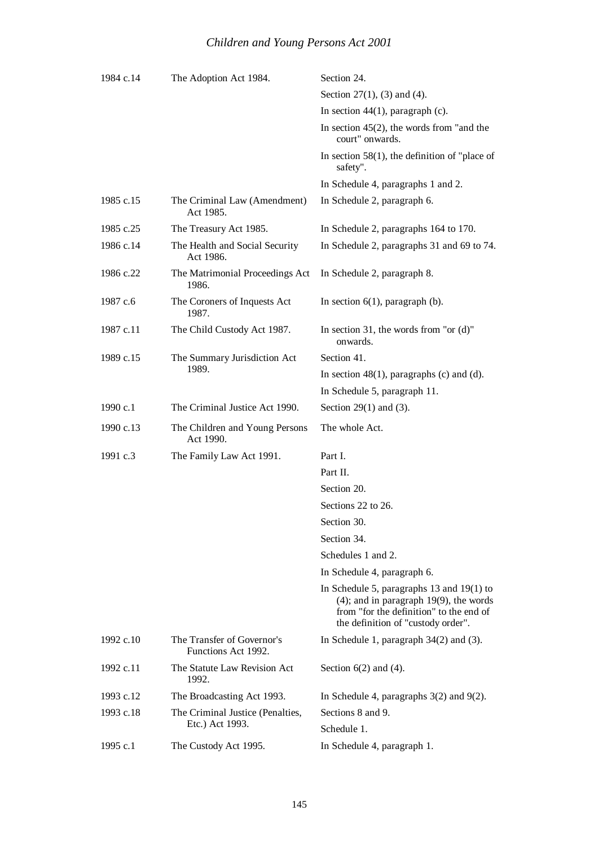| 1984 c.14 | The Adoption Act 1984.                              | Section 24.                                                                                                                                                                     |
|-----------|-----------------------------------------------------|---------------------------------------------------------------------------------------------------------------------------------------------------------------------------------|
|           |                                                     | Section 27 $(1)$ , $(3)$ and $(4)$ .                                                                                                                                            |
|           |                                                     | In section $44(1)$ , paragraph (c).                                                                                                                                             |
|           |                                                     | In section $45(2)$ , the words from "and the<br>court" onwards.                                                                                                                 |
|           |                                                     | In section $58(1)$ , the definition of "place of<br>safety".                                                                                                                    |
|           |                                                     | In Schedule 4, paragraphs 1 and 2.                                                                                                                                              |
| 1985 c.15 | The Criminal Law (Amendment)<br>Act 1985.           | In Schedule 2, paragraph 6.                                                                                                                                                     |
| 1985 c.25 | The Treasury Act 1985.                              | In Schedule 2, paragraphs 164 to 170.                                                                                                                                           |
| 1986 c.14 | The Health and Social Security<br>Act 1986.         | In Schedule 2, paragraphs 31 and 69 to 74.                                                                                                                                      |
| 1986 c.22 | The Matrimonial Proceedings Act<br>1986.            | In Schedule 2, paragraph 8.                                                                                                                                                     |
| 1987 c.6  | The Coroners of Inquests Act<br>1987.               | In section $6(1)$ , paragraph (b).                                                                                                                                              |
| 1987 c.11 | The Child Custody Act 1987.                         | In section 31, the words from "or $(d)$ "<br>onwards.                                                                                                                           |
| 1989 c.15 | The Summary Jurisdiction Act<br>1989.               | Section 41.                                                                                                                                                                     |
|           |                                                     | In section $48(1)$ , paragraphs (c) and (d).                                                                                                                                    |
|           |                                                     | In Schedule 5, paragraph 11.                                                                                                                                                    |
| 1990 c.1  | The Criminal Justice Act 1990.                      | Section $29(1)$ and $(3)$ .                                                                                                                                                     |
| 1990 c.13 | The Children and Young Persons<br>Act 1990.         | The whole Act.                                                                                                                                                                  |
| 1991 c.3  | The Family Law Act 1991.                            | Part I.                                                                                                                                                                         |
|           |                                                     | Part II.                                                                                                                                                                        |
|           |                                                     | Section 20.                                                                                                                                                                     |
|           |                                                     | Sections 22 to 26.                                                                                                                                                              |
|           |                                                     | Section 30.                                                                                                                                                                     |
|           |                                                     | Section 34.                                                                                                                                                                     |
|           |                                                     | Schedules 1 and 2.                                                                                                                                                              |
|           |                                                     | In Schedule 4, paragraph 6.                                                                                                                                                     |
|           |                                                     | In Schedule 5, paragraphs $13$ and $19(1)$ to<br>$(4)$ ; and in paragraph 19 $(9)$ , the words<br>from "for the definition" to the end of<br>the definition of "custody order". |
| 1992 c.10 | The Transfer of Governor's<br>Functions Act 1992.   | In Schedule 1, paragraph $34(2)$ and (3).                                                                                                                                       |
| 1992 c.11 | The Statute Law Revision Act<br>1992.               | Section $6(2)$ and $(4)$ .                                                                                                                                                      |
| 1993 c.12 | The Broadcasting Act 1993.                          | In Schedule 4, paragraphs $3(2)$ and $9(2)$ .                                                                                                                                   |
| 1993 c.18 | The Criminal Justice (Penalties,<br>Etc.) Act 1993. | Sections 8 and 9.<br>Schedule 1.                                                                                                                                                |
| 1995 c.1  | The Custody Act 1995.                               | In Schedule 4, paragraph 1.                                                                                                                                                     |